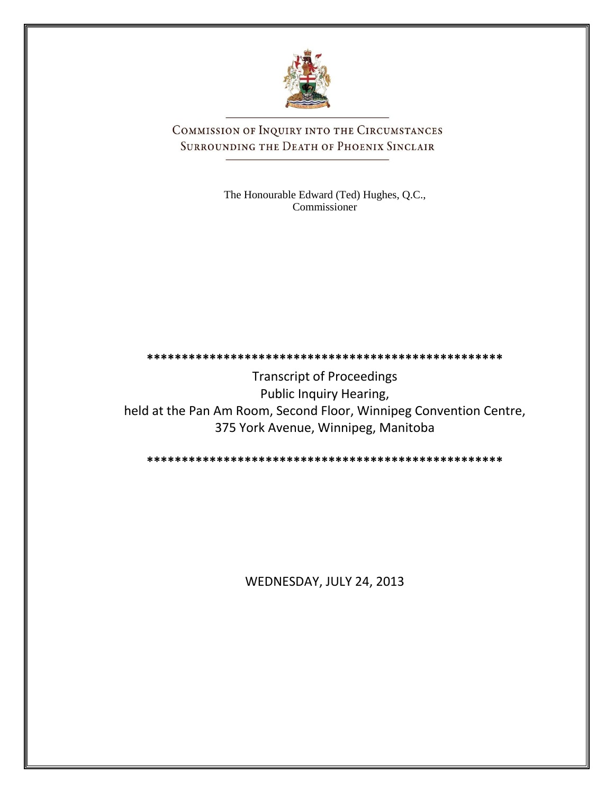

COMMISSION OF INQUIRY INTO THE CIRCUMSTANCES SURROUNDING THE DEATH OF PHOENIX SINCLAIR

> The Honourable Edward (Ted) Hughes, Q.C., Commissioner

#### **\*\*\*\*\*\*\*\*\*\*\*\*\*\*\*\*\*\*\*\*\*\*\*\*\*\*\*\*\*\*\*\*\*\*\*\*\*\*\*\*\*\*\*\*\*\*\*\*\*\*\***

Transcript of Proceedings Public Inquiry Hearing, held at the Pan Am Room, Second Floor, Winnipeg Convention Centre, 375 York Avenue, Winnipeg, Manitoba

**\*\*\*\*\*\*\*\*\*\*\*\*\*\*\*\*\*\*\*\*\*\*\*\*\*\*\*\*\*\*\*\*\*\*\*\*\*\*\*\*\*\*\*\*\*\*\*\*\*\*\***

WEDNESDAY, JULY 24, 2013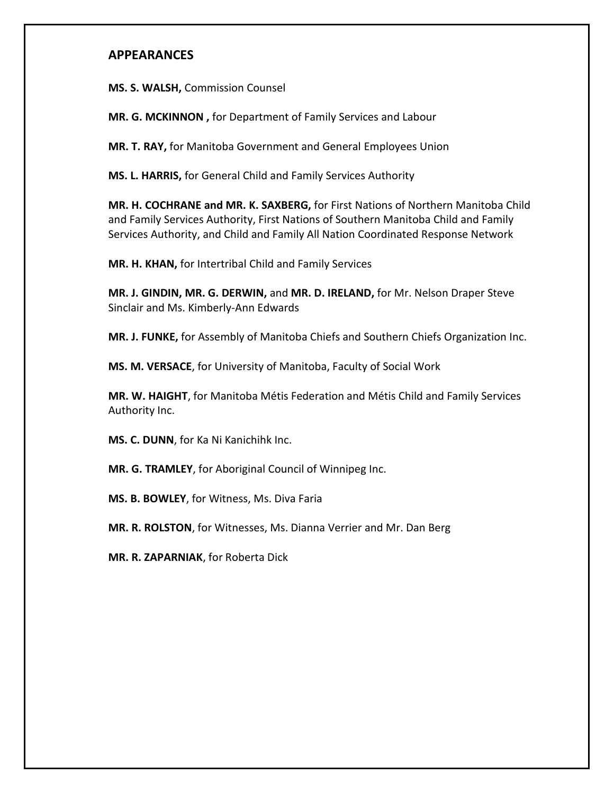### **APPEARANCES**

**MS. S. WALSH,** Commission Counsel

**MR. G. MCKINNON ,** for Department of Family Services and Labour

**MR. T. RAY,** for Manitoba Government and General Employees Union

**MS. L. HARRIS,** for General Child and Family Services Authority

**MR. H. COCHRANE and MR. K. SAXBERG,** for First Nations of Northern Manitoba Child and Family Services Authority, First Nations of Southern Manitoba Child and Family Services Authority, and Child and Family All Nation Coordinated Response Network

**MR. H. KHAN,** for Intertribal Child and Family Services

**MR. J. GINDIN, MR. G. DERWIN,** and **MR. D. IRELAND,** for Mr. Nelson Draper Steve Sinclair and Ms. Kimberly-Ann Edwards

**MR. J. FUNKE,** for Assembly of Manitoba Chiefs and Southern Chiefs Organization Inc.

**MS. M. VERSACE**, for University of Manitoba, Faculty of Social Work

**MR. W. HAIGHT**, for Manitoba Métis Federation and Métis Child and Family Services Authority Inc.

**MS. C. DUNN**, for Ka Ni Kanichihk Inc.

**MR. G. TRAMLEY**, for Aboriginal Council of Winnipeg Inc.

**MS. B. BOWLEY**, for Witness, Ms. Diva Faria

**MR. R. ROLSTON**, for Witnesses, Ms. Dianna Verrier and Mr. Dan Berg

**MR. R. ZAPARNIAK**, for Roberta Dick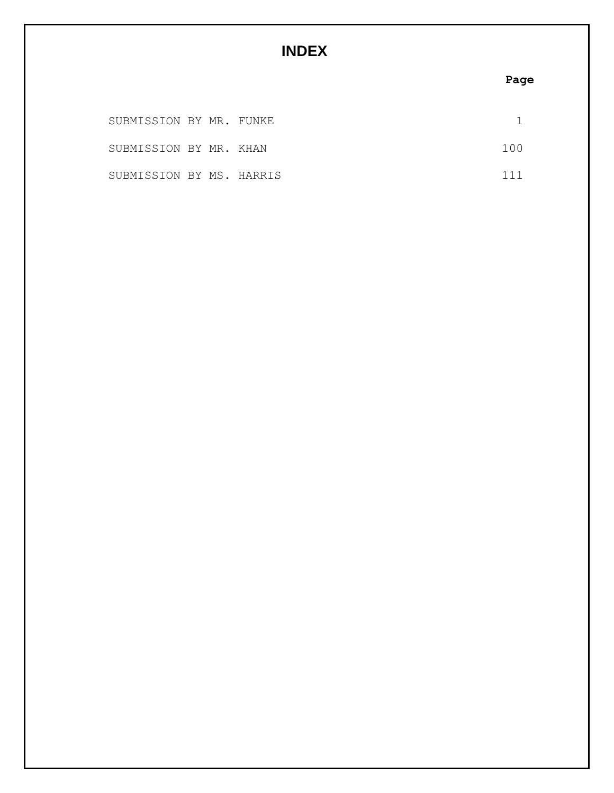# **INDEX**

## **Page**

| SUBMISSION BY MR. FUNKE  |  |     |
|--------------------------|--|-----|
| SUBMISSION BY MR. KHAN   |  | 100 |
| SUBMISSION BY MS. HARRIS |  | 111 |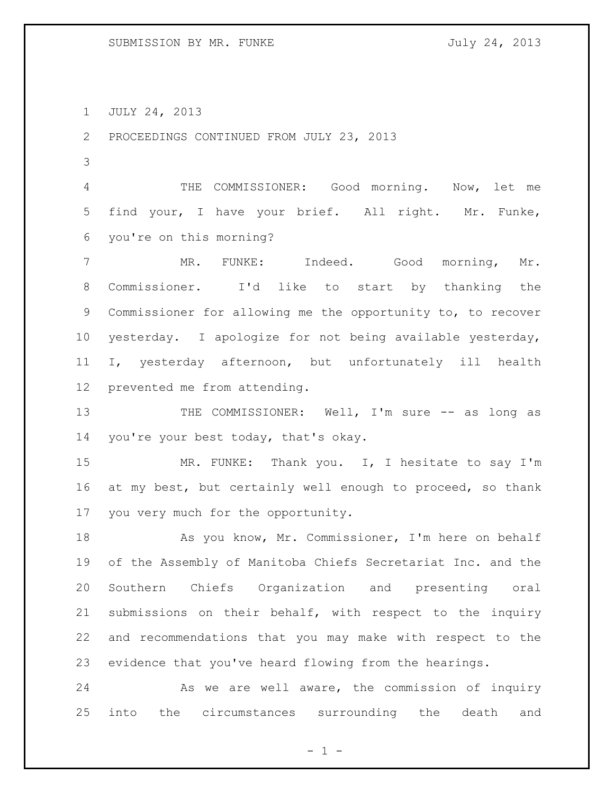JULY 24, 2013

PROCEEDINGS CONTINUED FROM JULY 23, 2013

 THE COMMISSIONER: Good morning. Now, let me find your, I have your brief. All right. Mr. Funke, you're on this morning?

 MR. FUNKE: Indeed. Good morning, Mr. Commissioner. I'd like to start by thanking the Commissioner for allowing me the opportunity to, to recover yesterday. I apologize for not being available yesterday, I, yesterday afternoon, but unfortunately ill health prevented me from attending.

13 THE COMMISSIONER: Well, I'm sure -- as long as you're your best today, that's okay.

15 MR. FUNKE: Thank you. I, I hesitate to say I'm 16 at my best, but certainly well enough to proceed, so thank you very much for the opportunity.

18 As you know, Mr. Commissioner, I'm here on behalf of the Assembly of Manitoba Chiefs Secretariat Inc. and the Southern Chiefs Organization and presenting oral submissions on their behalf, with respect to the inquiry and recommendations that you may make with respect to the evidence that you've heard flowing from the hearings.

24 As we are well aware, the commission of inquiry into the circumstances surrounding the death and

 $- 1 -$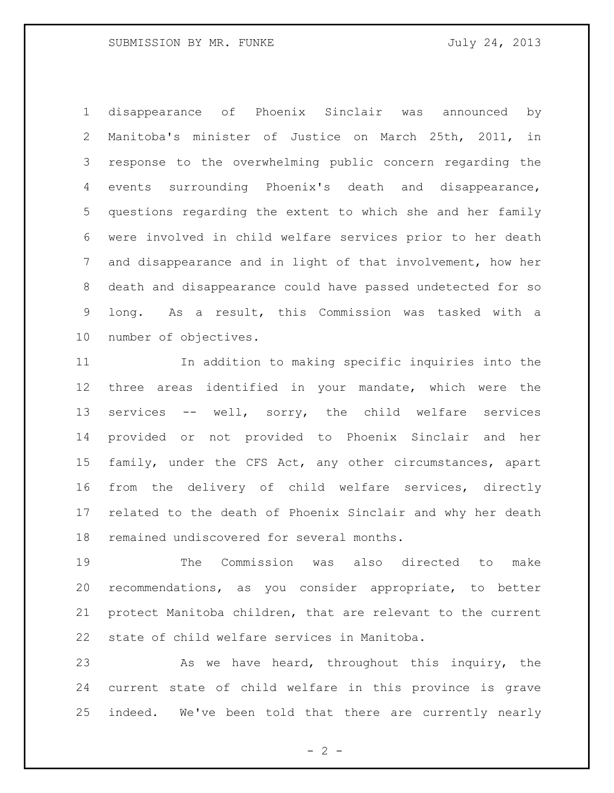disappearance of Phoenix Sinclair was announced by Manitoba's minister of Justice on March 25th, 2011, in response to the overwhelming public concern regarding the events surrounding Phoenix's death and disappearance, questions regarding the extent to which she and her family were involved in child welfare services prior to her death and disappearance and in light of that involvement, how her death and disappearance could have passed undetected for so long. As a result, this Commission was tasked with a number of objectives.

 In addition to making specific inquiries into the three areas identified in your mandate, which were the services -- well, sorry, the child welfare services provided or not provided to Phoenix Sinclair and her family, under the CFS Act, any other circumstances, apart from the delivery of child welfare services, directly related to the death of Phoenix Sinclair and why her death remained undiscovered for several months.

 The Commission was also directed to make recommendations, as you consider appropriate, to better protect Manitoba children, that are relevant to the current state of child welfare services in Manitoba.

23 As we have heard, throughout this inquiry, the current state of child welfare in this province is grave indeed. We've been told that there are currently nearly

 $- 2 -$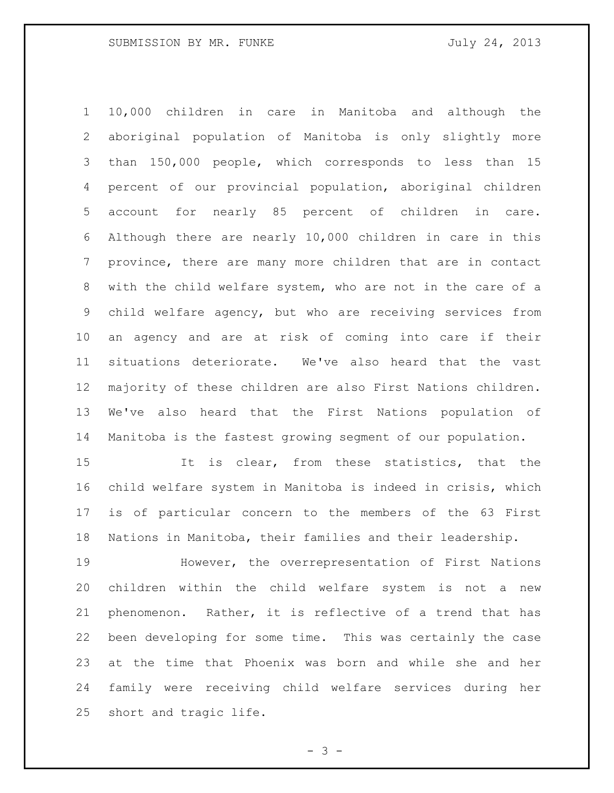10,000 children in care in Manitoba and although the aboriginal population of Manitoba is only slightly more than 150,000 people, which corresponds to less than 15 percent of our provincial population, aboriginal children account for nearly 85 percent of children in care. Although there are nearly 10,000 children in care in this province, there are many more children that are in contact with the child welfare system, who are not in the care of a child welfare agency, but who are receiving services from an agency and are at risk of coming into care if their situations deteriorate. We've also heard that the vast majority of these children are also First Nations children. We've also heard that the First Nations population of Manitoba is the fastest growing segment of our population.

 It is clear, from these statistics, that the child welfare system in Manitoba is indeed in crisis, which is of particular concern to the members of the 63 First Nations in Manitoba, their families and their leadership.

 However, the overrepresentation of First Nations children within the child welfare system is not a new phenomenon. Rather, it is reflective of a trend that has been developing for some time. This was certainly the case at the time that Phoenix was born and while she and her family were receiving child welfare services during her short and tragic life.

 $- 3 -$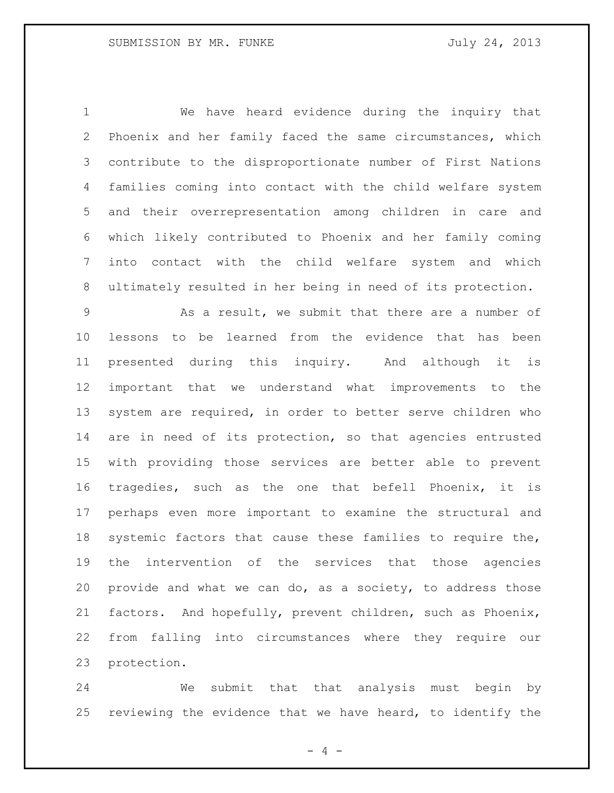We have heard evidence during the inquiry that Phoenix and her family faced the same circumstances, which contribute to the disproportionate number of First Nations families coming into contact with the child welfare system and their overrepresentation among children in care and which likely contributed to Phoenix and her family coming into contact with the child welfare system and which ultimately resulted in her being in need of its protection.

 As a result, we submit that there are a number of lessons to be learned from the evidence that has been presented during this inquiry. And although it is important that we understand what improvements to the system are required, in order to better serve children who are in need of its protection, so that agencies entrusted with providing those services are better able to prevent tragedies, such as the one that befell Phoenix, it is perhaps even more important to examine the structural and systemic factors that cause these families to require the, the intervention of the services that those agencies provide and what we can do, as a society, to address those factors. And hopefully, prevent children, such as Phoenix, from falling into circumstances where they require our protection.

 We submit that that analysis must begin by reviewing the evidence that we have heard, to identify the

 $- 4 -$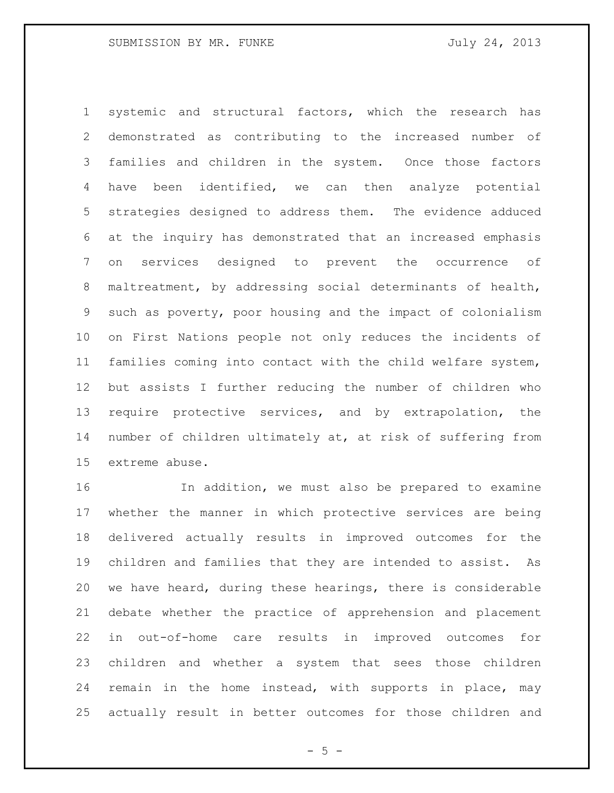systemic and structural factors, which the research has demonstrated as contributing to the increased number of families and children in the system. Once those factors have been identified, we can then analyze potential strategies designed to address them. The evidence adduced at the inquiry has demonstrated that an increased emphasis on services designed to prevent the occurrence of maltreatment, by addressing social determinants of health, such as poverty, poor housing and the impact of colonialism on First Nations people not only reduces the incidents of families coming into contact with the child welfare system, but assists I further reducing the number of children who require protective services, and by extrapolation, the number of children ultimately at, at risk of suffering from extreme abuse.

 In addition, we must also be prepared to examine whether the manner in which protective services are being delivered actually results in improved outcomes for the children and families that they are intended to assist. As we have heard, during these hearings, there is considerable debate whether the practice of apprehension and placement in out-of-home care results in improved outcomes for children and whether a system that sees those children remain in the home instead, with supports in place, may actually result in better outcomes for those children and

 $- 5 -$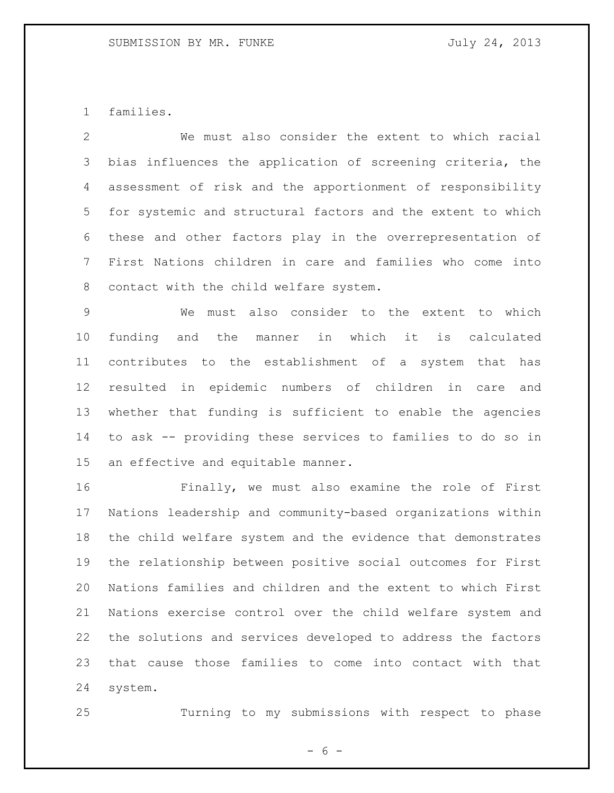families.

 We must also consider the extent to which racial bias influences the application of screening criteria, the assessment of risk and the apportionment of responsibility for systemic and structural factors and the extent to which these and other factors play in the overrepresentation of First Nations children in care and families who come into contact with the child welfare system.

 We must also consider to the extent to which funding and the manner in which it is calculated contributes to the establishment of a system that has resulted in epidemic numbers of children in care and whether that funding is sufficient to enable the agencies to ask -- providing these services to families to do so in an effective and equitable manner.

 Finally, we must also examine the role of First Nations leadership and community-based organizations within the child welfare system and the evidence that demonstrates the relationship between positive social outcomes for First Nations families and children and the extent to which First Nations exercise control over the child welfare system and the solutions and services developed to address the factors that cause those families to come into contact with that system.

Turning to my submissions with respect to phase

- 6 -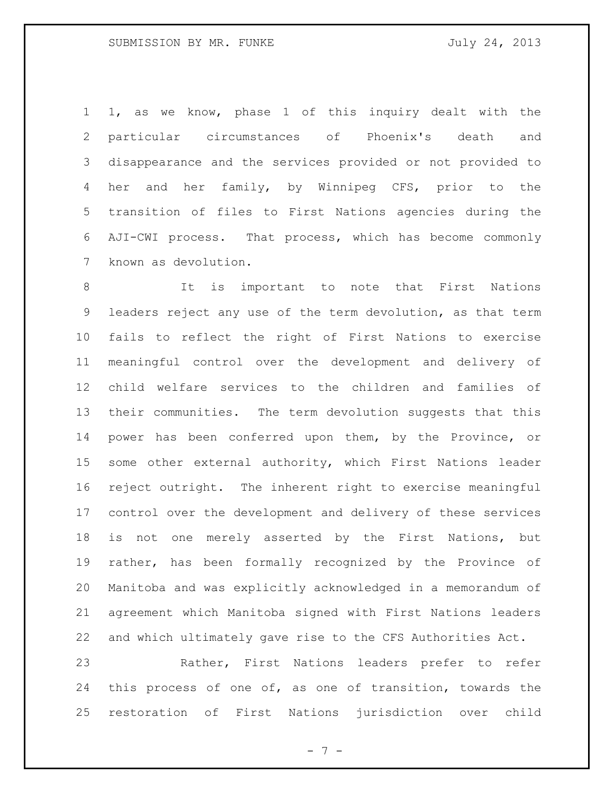1, as we know, phase 1 of this inquiry dealt with the particular circumstances of Phoenix's death and disappearance and the services provided or not provided to her and her family, by Winnipeg CFS, prior to the transition of files to First Nations agencies during the AJI-CWI process. That process, which has become commonly known as devolution.

 It is important to note that First Nations leaders reject any use of the term devolution, as that term fails to reflect the right of First Nations to exercise meaningful control over the development and delivery of child welfare services to the children and families of their communities. The term devolution suggests that this power has been conferred upon them, by the Province, or some other external authority, which First Nations leader reject outright. The inherent right to exercise meaningful control over the development and delivery of these services is not one merely asserted by the First Nations, but rather, has been formally recognized by the Province of Manitoba and was explicitly acknowledged in a memorandum of agreement which Manitoba signed with First Nations leaders and which ultimately gave rise to the CFS Authorities Act. Rather, First Nations leaders prefer to refer

 this process of one of, as one of transition, towards the restoration of First Nations jurisdiction over child

- 7 -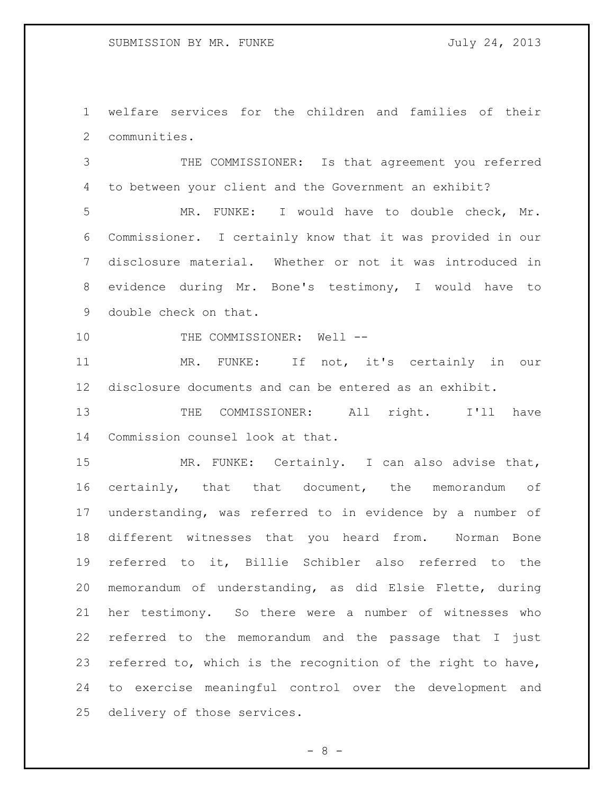welfare services for the children and families of their communities.

 THE COMMISSIONER: Is that agreement you referred to between your client and the Government an exhibit?

 MR. FUNKE: I would have to double check, Mr. Commissioner. I certainly know that it was provided in our disclosure material. Whether or not it was introduced in evidence during Mr. Bone's testimony, I would have to double check on that.

10 THE COMMISSIONER: Well --

11 MR. FUNKE: If not, it's certainly in our disclosure documents and can be entered as an exhibit.

13 THE COMMISSIONER: All right. I'll have Commission counsel look at that.

 MR. FUNKE: Certainly. I can also advise that, certainly, that that document, the memorandum of understanding, was referred to in evidence by a number of different witnesses that you heard from. Norman Bone referred to it, Billie Schibler also referred to the memorandum of understanding, as did Elsie Flette, during her testimony. So there were a number of witnesses who referred to the memorandum and the passage that I just referred to, which is the recognition of the right to have, to exercise meaningful control over the development and delivery of those services.

 $- 8 -$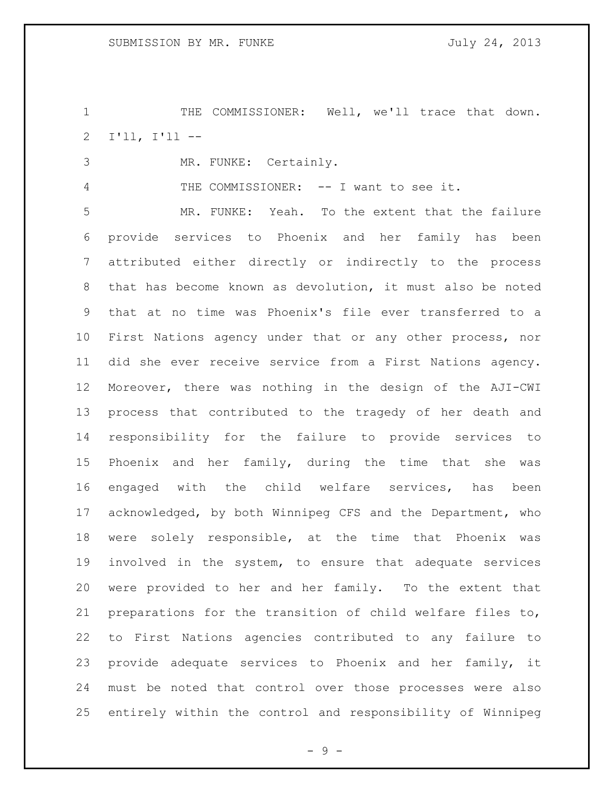THE COMMISSIONER: Well, we'll trace that down. I'll, I'll --

MR. FUNKE: Certainly.

THE COMMISSIONER: -- I want to see it.

 MR. FUNKE: Yeah. To the extent that the failure provide services to Phoenix and her family has been attributed either directly or indirectly to the process that has become known as devolution, it must also be noted that at no time was Phoenix's file ever transferred to a First Nations agency under that or any other process, nor did she ever receive service from a First Nations agency. Moreover, there was nothing in the design of the AJI-CWI process that contributed to the tragedy of her death and responsibility for the failure to provide services to Phoenix and her family, during the time that she was engaged with the child welfare services, has been acknowledged, by both Winnipeg CFS and the Department, who were solely responsible, at the time that Phoenix was involved in the system, to ensure that adequate services were provided to her and her family. To the extent that preparations for the transition of child welfare files to, to First Nations agencies contributed to any failure to provide adequate services to Phoenix and her family, it must be noted that control over those processes were also entirely within the control and responsibility of Winnipeg

- 9 -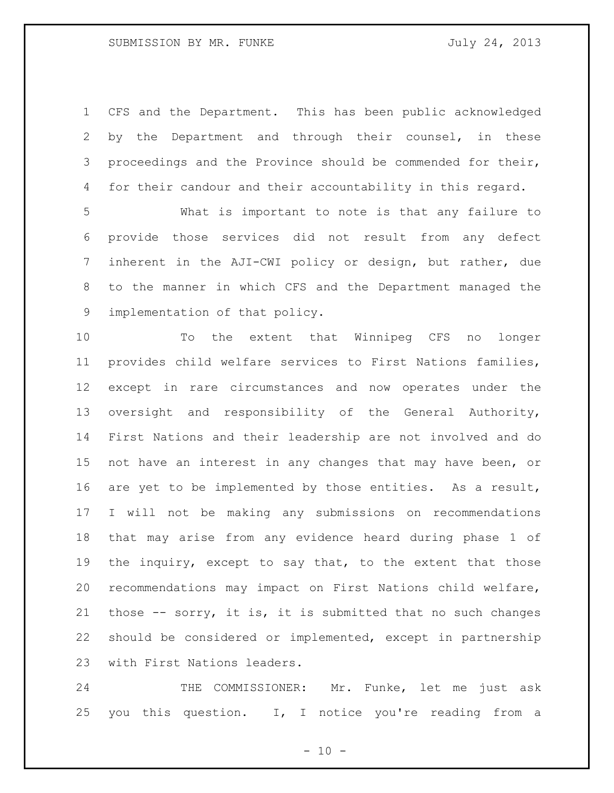CFS and the Department. This has been public acknowledged by the Department and through their counsel, in these proceedings and the Province should be commended for their, for their candour and their accountability in this regard.

 What is important to note is that any failure to provide those services did not result from any defect inherent in the AJI-CWI policy or design, but rather, due to the manner in which CFS and the Department managed the implementation of that policy.

 To the extent that Winnipeg CFS no longer provides child welfare services to First Nations families, except in rare circumstances and now operates under the oversight and responsibility of the General Authority, First Nations and their leadership are not involved and do not have an interest in any changes that may have been, or are yet to be implemented by those entities. As a result, I will not be making any submissions on recommendations that may arise from any evidence heard during phase 1 of the inquiry, except to say that, to the extent that those recommendations may impact on First Nations child welfare, those -- sorry, it is, it is submitted that no such changes should be considered or implemented, except in partnership with First Nations leaders.

24 THE COMMISSIONER: Mr. Funke, let me just ask you this question. I, I notice you're reading from a

 $- 10 -$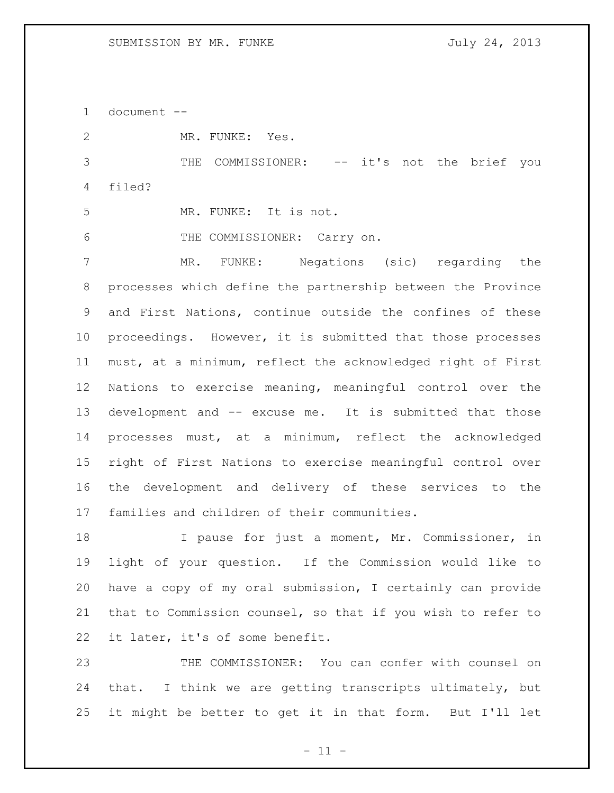document --

 MR. FUNKE: Yes. THE COMMISSIONER: -- it's not the brief you filed? MR. FUNKE: It is not. THE COMMISSIONER: Carry on. MR. FUNKE: Negations (sic) regarding the processes which define the partnership between the Province and First Nations, continue outside the confines of these proceedings. However, it is submitted that those processes must, at a minimum, reflect the acknowledged right of First Nations to exercise meaning, meaningful control over the development and -- excuse me. It is submitted that those processes must, at a minimum, reflect the acknowledged right of First Nations to exercise meaningful control over the development and delivery of these services to the families and children of their communities.

 I pause for just a moment, Mr. Commissioner, in light of your question. If the Commission would like to have a copy of my oral submission, I certainly can provide that to Commission counsel, so that if you wish to refer to it later, it's of some benefit.

 THE COMMISSIONER: You can confer with counsel on that. I think we are getting transcripts ultimately, but it might be better to get it in that form. But I'll let

 $-11 -$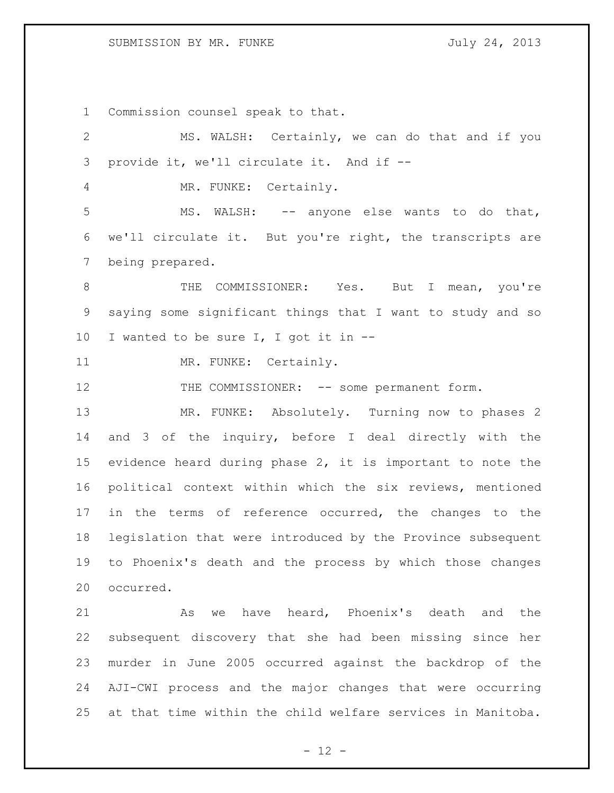## SUBMISSION BY MR. FUNKE July 24, 2013

Commission counsel speak to that.

| $\overline{2}$  | MS. WALSH: Certainly, we can do that and if you             |
|-----------------|-------------------------------------------------------------|
| 3               | provide it, we'll circulate it. And if --                   |
| $\overline{4}$  | MR. FUNKE: Certainly.                                       |
| 5               | MS. WALSH: -- anyone else wants to do that,                 |
| 6               | we'll circulate it. But you're right, the transcripts are   |
| $7\phantom{.0}$ | being prepared.                                             |
| 8               | THE COMMISSIONER: Yes. But I mean, you're                   |
| 9               | saying some significant things that I want to study and so  |
| 10              | I wanted to be sure I, I got it in --                       |
| 11              | MR. FUNKE: Certainly.                                       |
| 12              | THE COMMISSIONER: -- some permanent form.                   |
| 13              | MR. FUNKE: Absolutely. Turning now to phases 2              |
| 14              | and 3 of the inquiry, before I deal directly with the       |
| 15              | evidence heard during phase 2, it is important to note the  |
| 16              | political context within which the six reviews, mentioned   |
| 17              | in the terms of reference occurred, the changes to the      |
| 18              | legislation that were introduced by the Province subsequent |
| 19              | to Phoenix's death and the process by which those changes   |
| 20              | occurred.                                                   |
| 21              | As we have heard, Phoenix's death and the                   |
| 22              | subsequent discovery that she had been missing since her    |
| 23              | murder in June 2005 occurred against the backdrop of the    |
| 24              | AJI-CWI process and the major changes that were occurring   |
| 25              | at that time within the child welfare services in Manitoba. |

- 12 -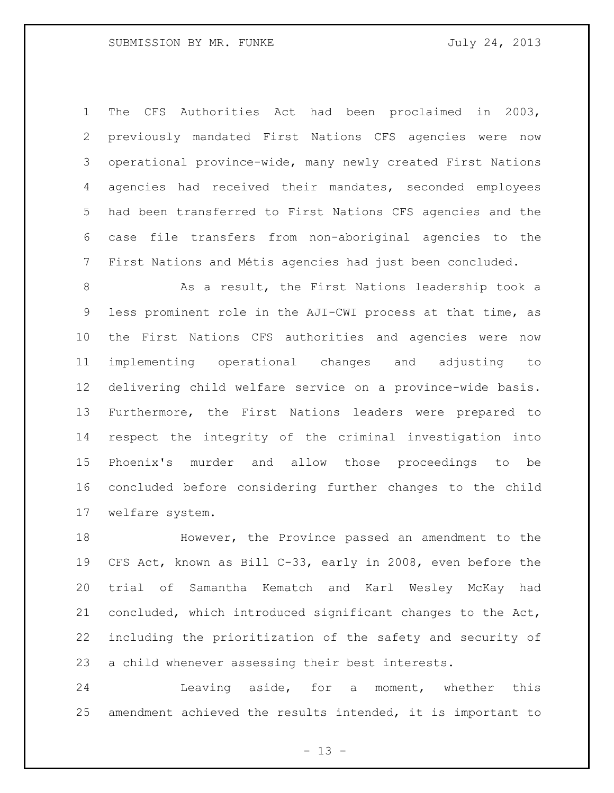The CFS Authorities Act had been proclaimed in 2003, previously mandated First Nations CFS agencies were now operational province-wide, many newly created First Nations agencies had received their mandates, seconded employees had been transferred to First Nations CFS agencies and the case file transfers from non-aboriginal agencies to the First Nations and Métis agencies had just been concluded.

8 As a result, the First Nations leadership took a less prominent role in the AJI-CWI process at that time, as the First Nations CFS authorities and agencies were now implementing operational changes and adjusting to delivering child welfare service on a province-wide basis. Furthermore, the First Nations leaders were prepared to respect the integrity of the criminal investigation into Phoenix's murder and allow those proceedings to be concluded before considering further changes to the child welfare system.

 However, the Province passed an amendment to the CFS Act, known as Bill C-33, early in 2008, even before the trial of Samantha Kematch and Karl Wesley McKay had concluded, which introduced significant changes to the Act, including the prioritization of the safety and security of a child whenever assessing their best interests.

 Leaving aside, for a moment, whether this amendment achieved the results intended, it is important to

 $- 13 -$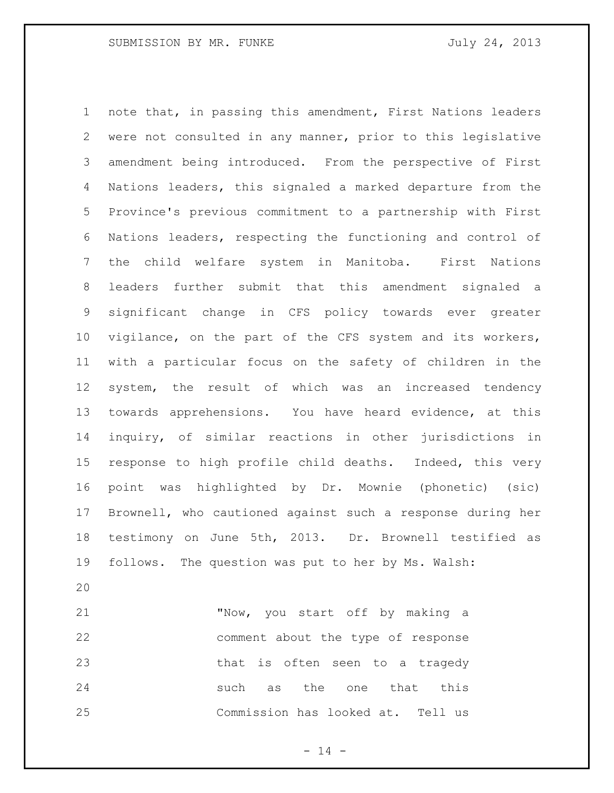note that, in passing this amendment, First Nations leaders were not consulted in any manner, prior to this legislative amendment being introduced. From the perspective of First Nations leaders, this signaled a marked departure from the Province's previous commitment to a partnership with First Nations leaders, respecting the functioning and control of the child welfare system in Manitoba. First Nations leaders further submit that this amendment signaled a significant change in CFS policy towards ever greater vigilance, on the part of the CFS system and its workers, with a particular focus on the safety of children in the system, the result of which was an increased tendency towards apprehensions. You have heard evidence, at this inquiry, of similar reactions in other jurisdictions in response to high profile child deaths. Indeed, this very point was highlighted by Dr. Mownie (phonetic) (sic) Brownell, who cautioned against such a response during her testimony on June 5th, 2013. Dr. Brownell testified as follows. The question was put to her by Ms. Walsh:

 "Now, you start off by making a comment about the type of response that is often seen to a tragedy 24 such as the one that this Commission has looked at. Tell us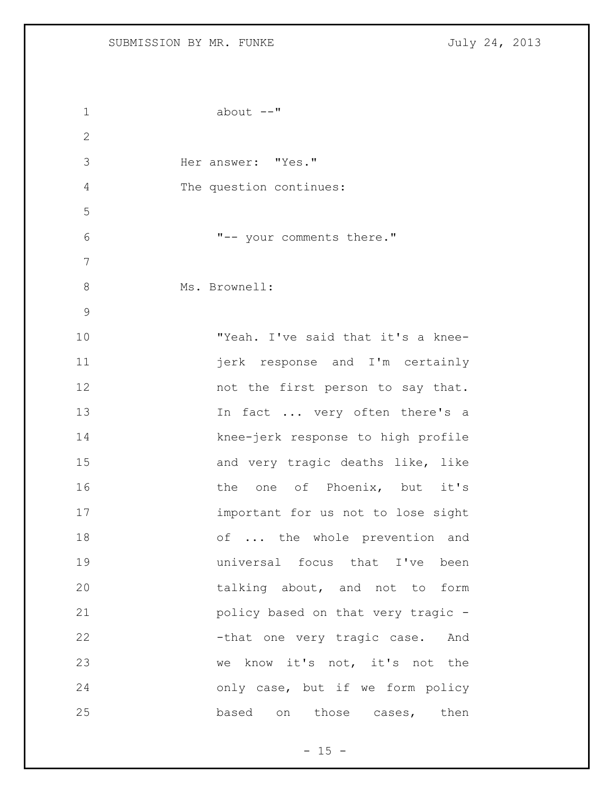```
1 about --"
2
3 Her answer: "Yes."
4 The question continues:
5
6 "-- your comments there."
7
8 Ms. Brownell:
9
10 "Yeah. I've said that it's a knee-
11 jerk response and I'm certainly 
12 not the first person to say that.
13 In fact ... very often there's a
14 knee-jerk response to high profile 
15 and very tragic deaths like, like
16 the one of Phoenix, but it's
17 important for us not to lose sight 
18 of ... the whole prevention and
19 universal focus that I've been 
20 talking about, and not to form 
21 policy based on that very tragic -
22 -that one very tragic case. And
23 we know it's not, it's not the 
24 only case, but if we form policy 
25 based on those cases, then
```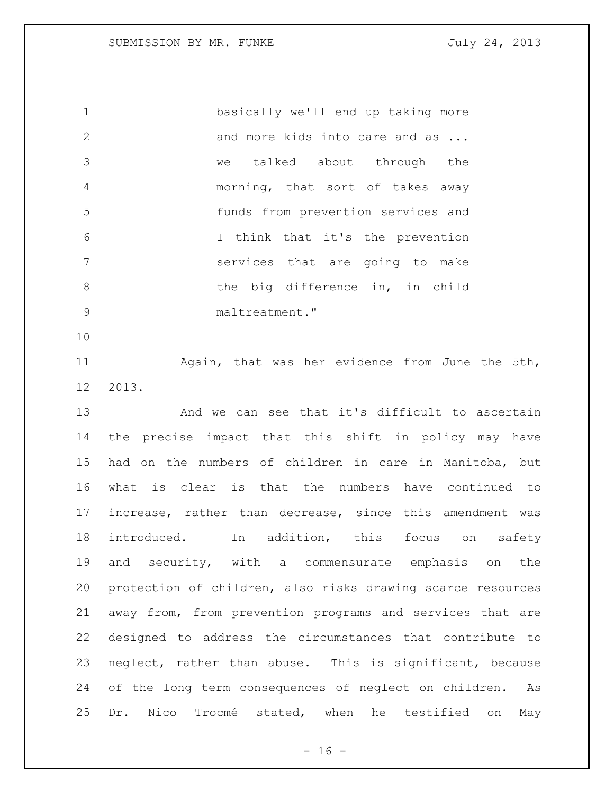basically we'll end up taking more 2 and more kids into care and as ... we talked about through the morning, that sort of takes away funds from prevention services and I think that it's the prevention services that are going to make 8 the big difference in, in child maltreatment."

 Again, that was her evidence from June the 5th, 2013.

 And we can see that it's difficult to ascertain the precise impact that this shift in policy may have had on the numbers of children in care in Manitoba, but what is clear is that the numbers have continued to increase, rather than decrease, since this amendment was 18 introduced. In addition, this focus on safety and security, with a commensurate emphasis on the protection of children, also risks drawing scarce resources away from, from prevention programs and services that are designed to address the circumstances that contribute to neglect, rather than abuse. This is significant, because of the long term consequences of neglect on children. As 25 Dr. Nico Trocmé stated, when he testified on May

 $- 16 -$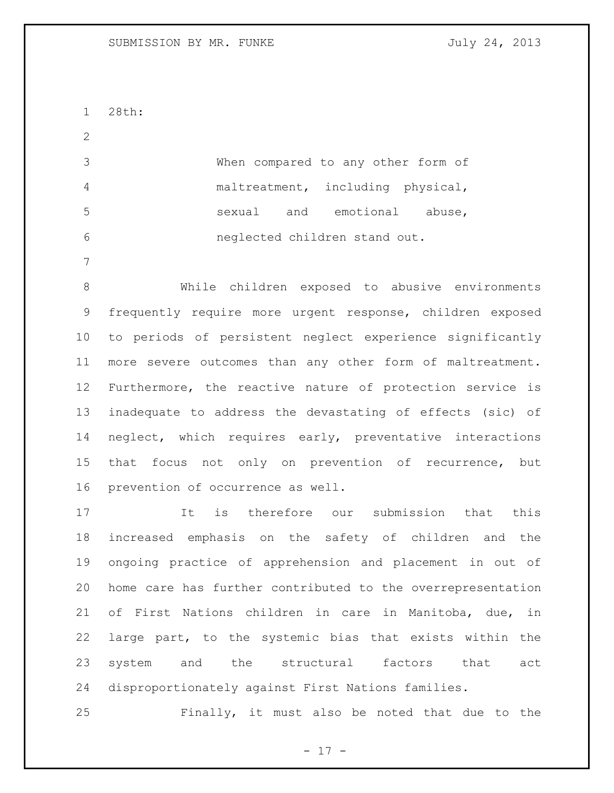28th:

 When compared to any other form of maltreatment, including physical, sexual and emotional abuse, neglected children stand out.

 While children exposed to abusive environments frequently require more urgent response, children exposed to periods of persistent neglect experience significantly more severe outcomes than any other form of maltreatment. Furthermore, the reactive nature of protection service is inadequate to address the devastating of effects (sic) of neglect, which requires early, preventative interactions 15 that focus not only on prevention of recurrence, but prevention of occurrence as well.

 It is therefore our submission that this increased emphasis on the safety of children and the ongoing practice of apprehension and placement in out of home care has further contributed to the overrepresentation of First Nations children in care in Manitoba, due, in large part, to the systemic bias that exists within the system and the structural factors that act disproportionately against First Nations families.

Finally, it must also be noted that due to the

- 17 -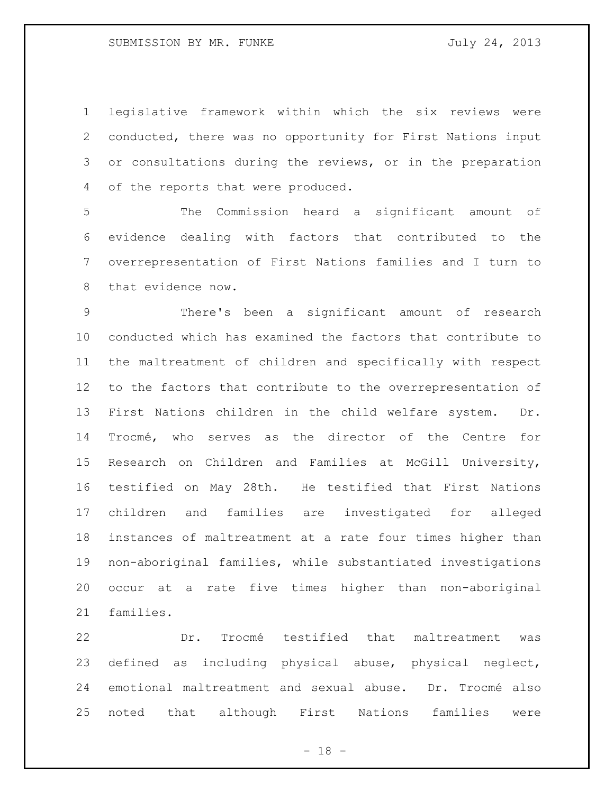legislative framework within which the six reviews were conducted, there was no opportunity for First Nations input or consultations during the reviews, or in the preparation 4 of the reports that were produced.

 The Commission heard a significant amount of evidence dealing with factors that contributed to the overrepresentation of First Nations families and I turn to that evidence now.

 There's been a significant amount of research conducted which has examined the factors that contribute to the maltreatment of children and specifically with respect to the factors that contribute to the overrepresentation of First Nations children in the child welfare system. Dr. Trocmé, who serves as the director of the Centre for Research on Children and Families at McGill University, testified on May 28th. He testified that First Nations children and families are investigated for alleged instances of maltreatment at a rate four times higher than non-aboriginal families, while substantiated investigations occur at a rate five times higher than non-aboriginal families.

 Dr. Trocmé testified that maltreatment was defined as including physical abuse, physical neglect, emotional maltreatment and sexual abuse. Dr. Trocmé also noted that although First Nations families were

 $- 18 -$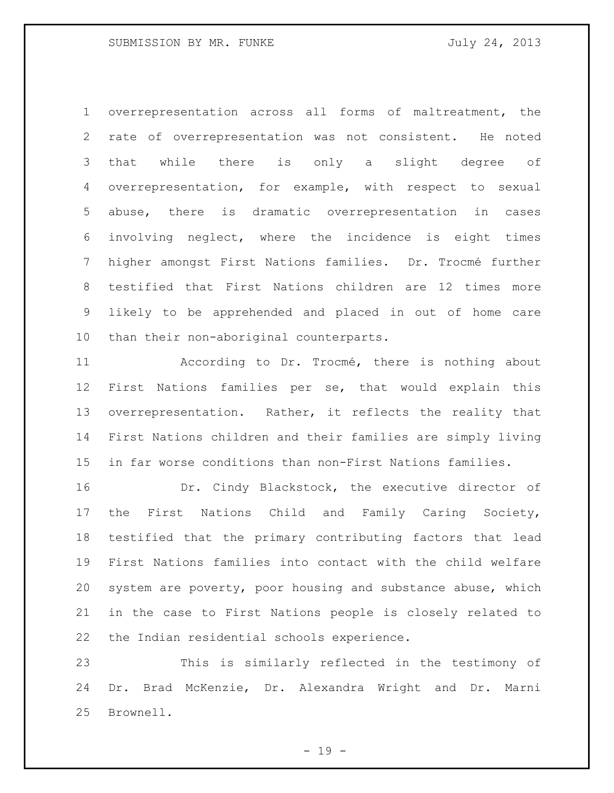overrepresentation across all forms of maltreatment, the rate of overrepresentation was not consistent. He noted that while there is only a slight degree of overrepresentation, for example, with respect to sexual abuse, there is dramatic overrepresentation in cases involving neglect, where the incidence is eight times higher amongst First Nations families. Dr. Trocmé further testified that First Nations children are 12 times more likely to be apprehended and placed in out of home care than their non-aboriginal counterparts.

 According to Dr. Trocmé, there is nothing about First Nations families per se, that would explain this overrepresentation. Rather, it reflects the reality that First Nations children and their families are simply living in far worse conditions than non-First Nations families.

 Dr. Cindy Blackstock, the executive director of the First Nations Child and Family Caring Society, testified that the primary contributing factors that lead First Nations families into contact with the child welfare system are poverty, poor housing and substance abuse, which in the case to First Nations people is closely related to the Indian residential schools experience.

 This is similarly reflected in the testimony of Dr. Brad McKenzie, Dr. Alexandra Wright and Dr. Marni Brownell.

- 19 -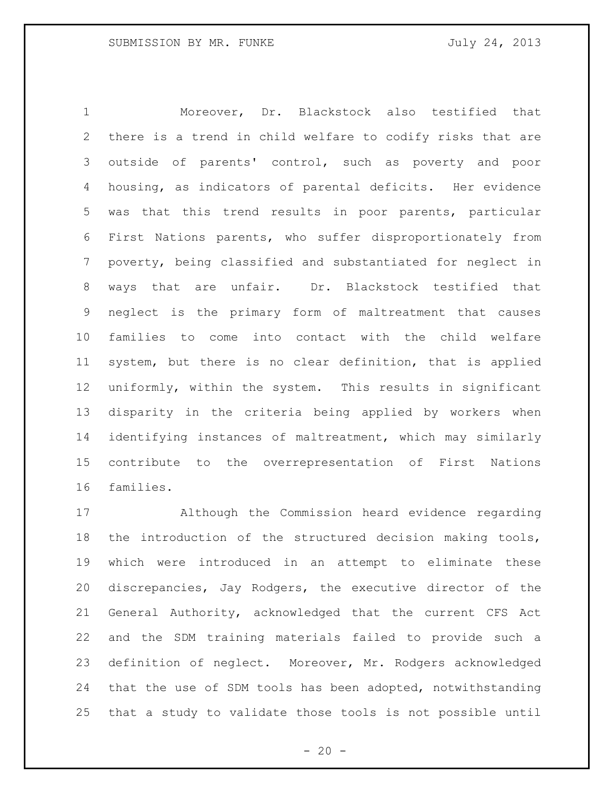Moreover, Dr. Blackstock also testified that there is a trend in child welfare to codify risks that are outside of parents' control, such as poverty and poor housing, as indicators of parental deficits. Her evidence was that this trend results in poor parents, particular First Nations parents, who suffer disproportionately from poverty, being classified and substantiated for neglect in ways that are unfair. Dr. Blackstock testified that neglect is the primary form of maltreatment that causes families to come into contact with the child welfare system, but there is no clear definition, that is applied uniformly, within the system. This results in significant disparity in the criteria being applied by workers when identifying instances of maltreatment, which may similarly contribute to the overrepresentation of First Nations families.

 Although the Commission heard evidence regarding the introduction of the structured decision making tools, which were introduced in an attempt to eliminate these discrepancies, Jay Rodgers, the executive director of the General Authority, acknowledged that the current CFS Act and the SDM training materials failed to provide such a definition of neglect. Moreover, Mr. Rodgers acknowledged that the use of SDM tools has been adopted, notwithstanding that a study to validate those tools is not possible until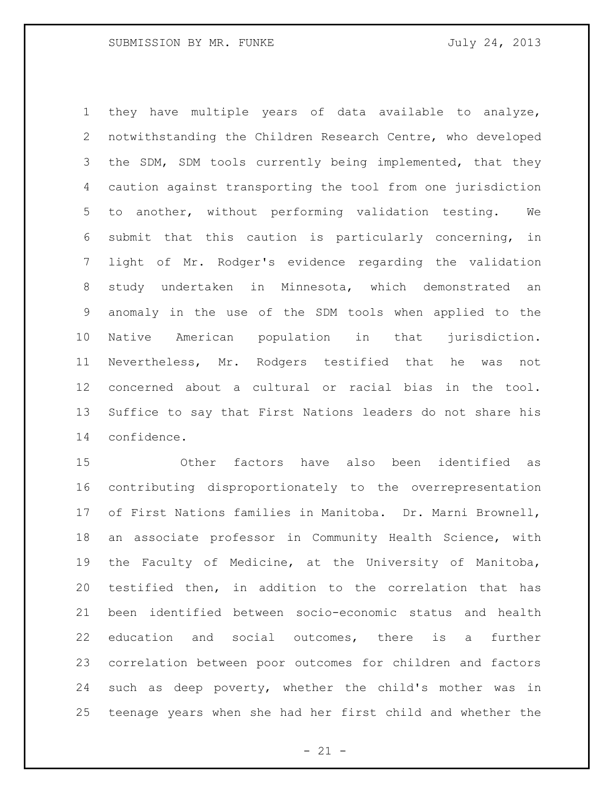they have multiple years of data available to analyze, notwithstanding the Children Research Centre, who developed the SDM, SDM tools currently being implemented, that they caution against transporting the tool from one jurisdiction to another, without performing validation testing. We submit that this caution is particularly concerning, in light of Mr. Rodger's evidence regarding the validation study undertaken in Minnesota, which demonstrated an anomaly in the use of the SDM tools when applied to the Native American population in that jurisdiction. Nevertheless, Mr. Rodgers testified that he was not concerned about a cultural or racial bias in the tool. Suffice to say that First Nations leaders do not share his confidence.

 Other factors have also been identified as contributing disproportionately to the overrepresentation of First Nations families in Manitoba. Dr. Marni Brownell, an associate professor in Community Health Science, with the Faculty of Medicine, at the University of Manitoba, testified then, in addition to the correlation that has been identified between socio-economic status and health education and social outcomes, there is a further correlation between poor outcomes for children and factors such as deep poverty, whether the child's mother was in teenage years when she had her first child and whether the

 $- 21 -$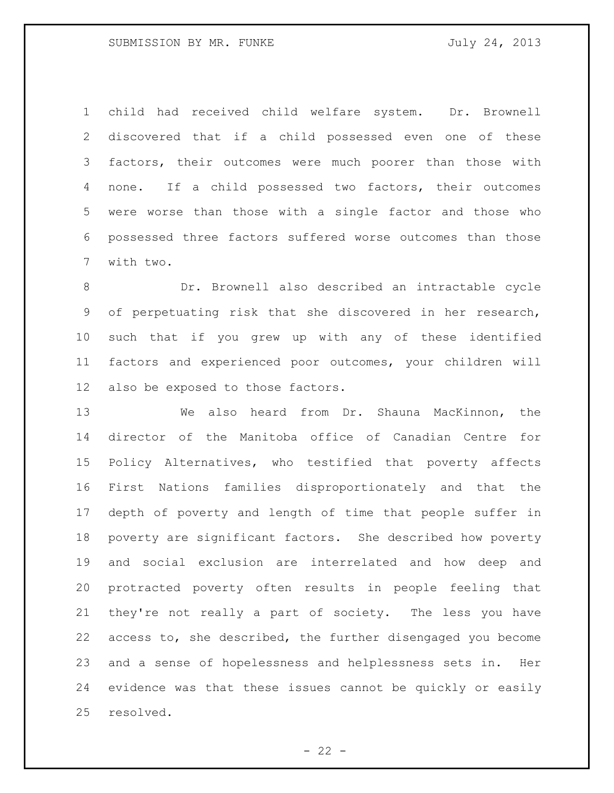child had received child welfare system. Dr. Brownell discovered that if a child possessed even one of these factors, their outcomes were much poorer than those with none. If a child possessed two factors, their outcomes were worse than those with a single factor and those who possessed three factors suffered worse outcomes than those with two.

 Dr. Brownell also described an intractable cycle of perpetuating risk that she discovered in her research, such that if you grew up with any of these identified factors and experienced poor outcomes, your children will also be exposed to those factors.

 We also heard from Dr. Shauna MacKinnon, the director of the Manitoba office of Canadian Centre for Policy Alternatives, who testified that poverty affects First Nations families disproportionately and that the depth of poverty and length of time that people suffer in poverty are significant factors. She described how poverty and social exclusion are interrelated and how deep and protracted poverty often results in people feeling that they're not really a part of society. The less you have access to, she described, the further disengaged you become and a sense of hopelessness and helplessness sets in. Her evidence was that these issues cannot be quickly or easily resolved.

 $- 22 -$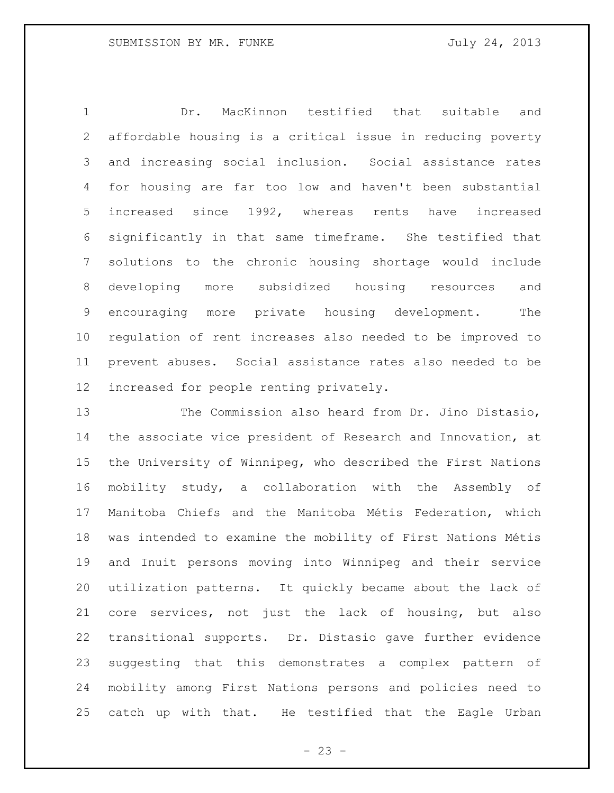Dr. MacKinnon testified that suitable and affordable housing is a critical issue in reducing poverty and increasing social inclusion. Social assistance rates for housing are far too low and haven't been substantial increased since 1992, whereas rents have increased significantly in that same timeframe. She testified that solutions to the chronic housing shortage would include developing more subsidized housing resources and encouraging more private housing development. The regulation of rent increases also needed to be improved to prevent abuses. Social assistance rates also needed to be increased for people renting privately.

 The Commission also heard from Dr. Jino Distasio, the associate vice president of Research and Innovation, at the University of Winnipeg, who described the First Nations mobility study, a collaboration with the Assembly of Manitoba Chiefs and the Manitoba Métis Federation, which was intended to examine the mobility of First Nations Métis and Inuit persons moving into Winnipeg and their service utilization patterns. It quickly became about the lack of core services, not just the lack of housing, but also transitional supports. Dr. Distasio gave further evidence suggesting that this demonstrates a complex pattern of mobility among First Nations persons and policies need to catch up with that. He testified that the Eagle Urban

 $- 23 -$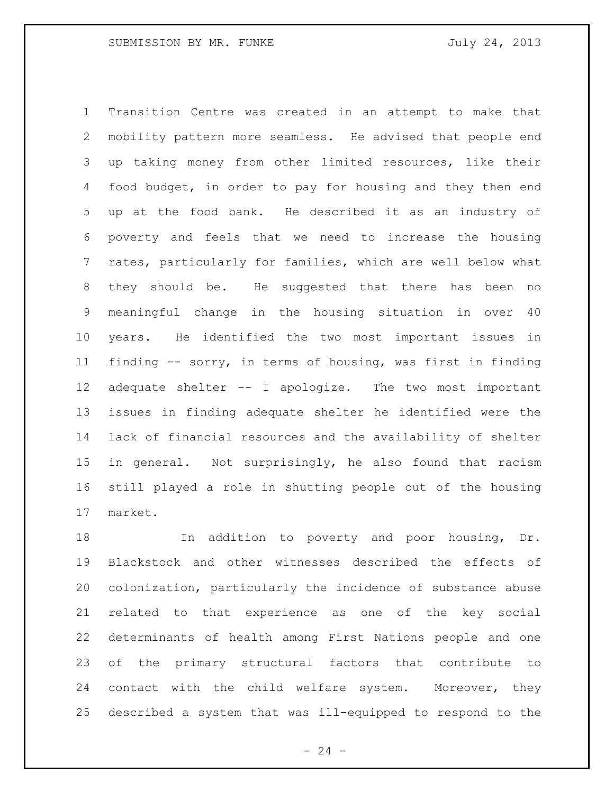Transition Centre was created in an attempt to make that mobility pattern more seamless. He advised that people end up taking money from other limited resources, like their food budget, in order to pay for housing and they then end up at the food bank. He described it as an industry of poverty and feels that we need to increase the housing rates, particularly for families, which are well below what they should be. He suggested that there has been no meaningful change in the housing situation in over 40 years. He identified the two most important issues in finding -- sorry, in terms of housing, was first in finding adequate shelter -- I apologize. The two most important issues in finding adequate shelter he identified were the lack of financial resources and the availability of shelter in general. Not surprisingly, he also found that racism still played a role in shutting people out of the housing market.

 In addition to poverty and poor housing, Dr. Blackstock and other witnesses described the effects of colonization, particularly the incidence of substance abuse related to that experience as one of the key social determinants of health among First Nations people and one of the primary structural factors that contribute to 24 contact with the child welfare system. Moreover, they described a system that was ill-equipped to respond to the

 $- 24 -$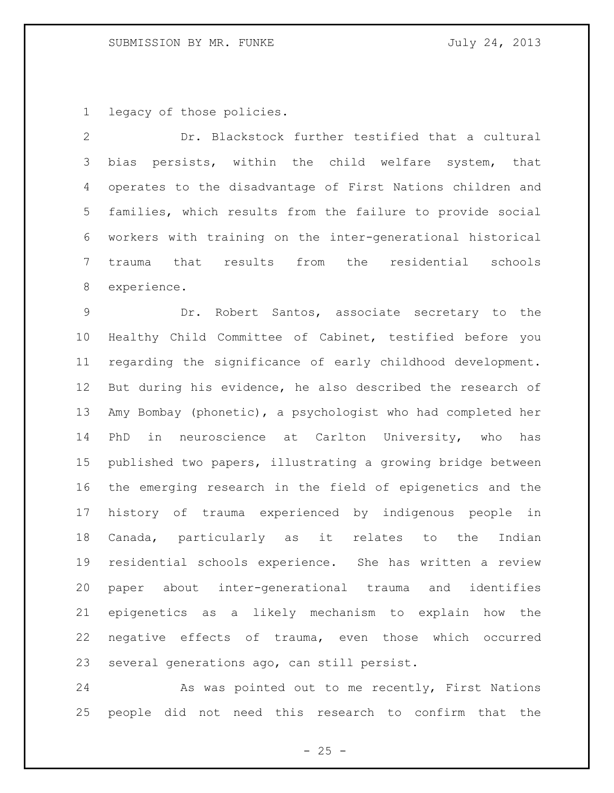legacy of those policies.

 Dr. Blackstock further testified that a cultural bias persists, within the child welfare system, that operates to the disadvantage of First Nations children and families, which results from the failure to provide social workers with training on the inter-generational historical trauma that results from the residential schools experience.

 Dr. Robert Santos, associate secretary to the Healthy Child Committee of Cabinet, testified before you regarding the significance of early childhood development. But during his evidence, he also described the research of Amy Bombay (phonetic), a psychologist who had completed her PhD in neuroscience at Carlton University, who has published two papers, illustrating a growing bridge between the emerging research in the field of epigenetics and the history of trauma experienced by indigenous people in Canada, particularly as it relates to the Indian residential schools experience. She has written a review paper about inter-generational trauma and identifies epigenetics as a likely mechanism to explain how the negative effects of trauma, even those which occurred several generations ago, can still persist.

24 As was pointed out to me recently, First Nations people did not need this research to confirm that the

 $- 25 -$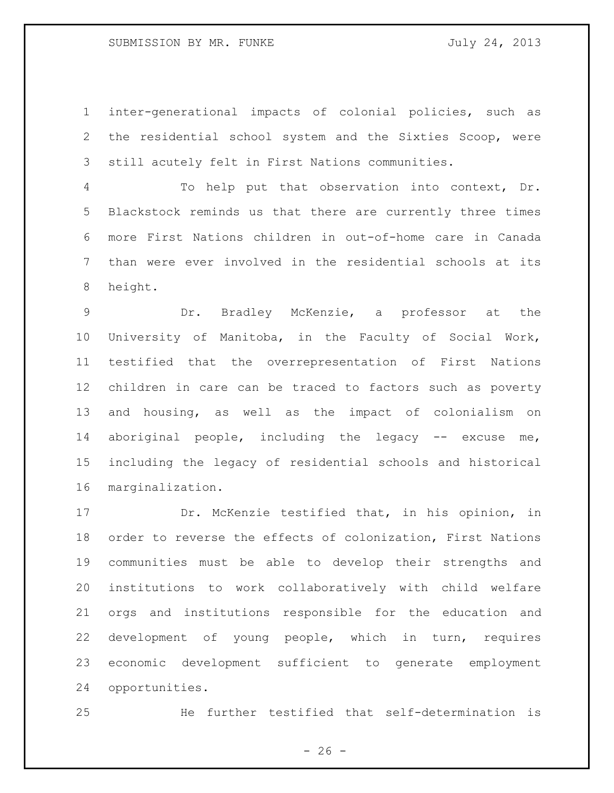inter-generational impacts of colonial policies, such as the residential school system and the Sixties Scoop, were still acutely felt in First Nations communities.

 To help put that observation into context, Dr. Blackstock reminds us that there are currently three times more First Nations children in out-of-home care in Canada than were ever involved in the residential schools at its height.

 Dr. Bradley McKenzie, a professor at the University of Manitoba, in the Faculty of Social Work, testified that the overrepresentation of First Nations children in care can be traced to factors such as poverty and housing, as well as the impact of colonialism on aboriginal people, including the legacy -- excuse me, including the legacy of residential schools and historical marginalization.

 Dr. McKenzie testified that, in his opinion, in order to reverse the effects of colonization, First Nations communities must be able to develop their strengths and institutions to work collaboratively with child welfare orgs and institutions responsible for the education and development of young people, which in turn, requires economic development sufficient to generate employment opportunities.

He further testified that self-determination is

 $- 26 -$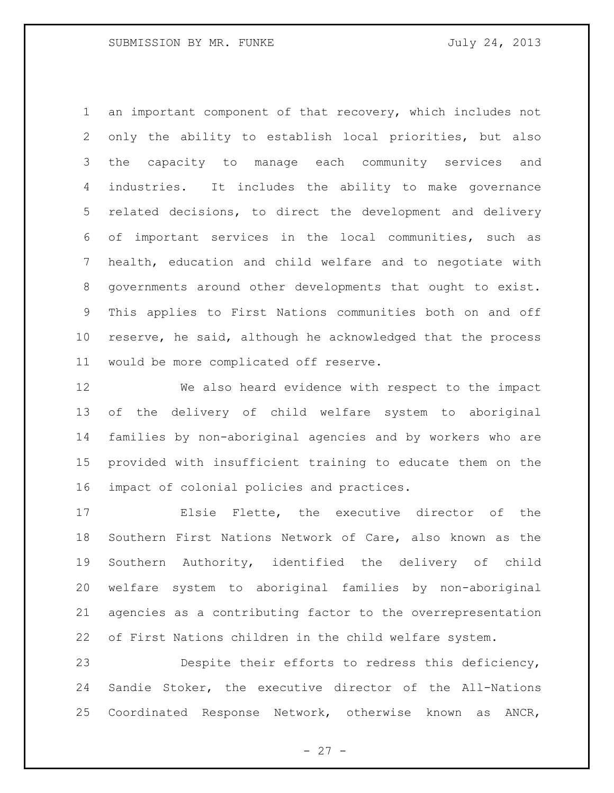an important component of that recovery, which includes not only the ability to establish local priorities, but also the capacity to manage each community services and industries. It includes the ability to make governance related decisions, to direct the development and delivery of important services in the local communities, such as health, education and child welfare and to negotiate with governments around other developments that ought to exist. This applies to First Nations communities both on and off reserve, he said, although he acknowledged that the process would be more complicated off reserve.

 We also heard evidence with respect to the impact of the delivery of child welfare system to aboriginal families by non-aboriginal agencies and by workers who are provided with insufficient training to educate them on the impact of colonial policies and practices.

 Elsie Flette, the executive director of the Southern First Nations Network of Care, also known as the Southern Authority, identified the delivery of child welfare system to aboriginal families by non-aboriginal agencies as a contributing factor to the overrepresentation of First Nations children in the child welfare system.

 Despite their efforts to redress this deficiency, Sandie Stoker, the executive director of the All-Nations Coordinated Response Network, otherwise known as ANCR,

 $- 27 -$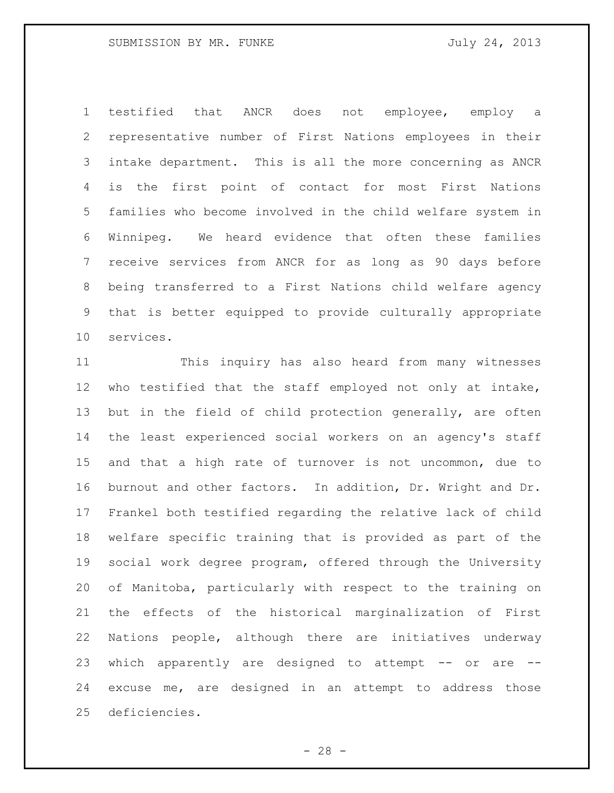testified that ANCR does not employee, employ a representative number of First Nations employees in their intake department. This is all the more concerning as ANCR is the first point of contact for most First Nations families who become involved in the child welfare system in Winnipeg. We heard evidence that often these families receive services from ANCR for as long as 90 days before being transferred to a First Nations child welfare agency that is better equipped to provide culturally appropriate services.

 This inquiry has also heard from many witnesses who testified that the staff employed not only at intake, 13 but in the field of child protection generally, are often the least experienced social workers on an agency's staff and that a high rate of turnover is not uncommon, due to burnout and other factors. In addition, Dr. Wright and Dr. Frankel both testified regarding the relative lack of child welfare specific training that is provided as part of the social work degree program, offered through the University of Manitoba, particularly with respect to the training on the effects of the historical marginalization of First Nations people, although there are initiatives underway 23 which apparently are designed to attempt -- or are -- excuse me, are designed in an attempt to address those deficiencies.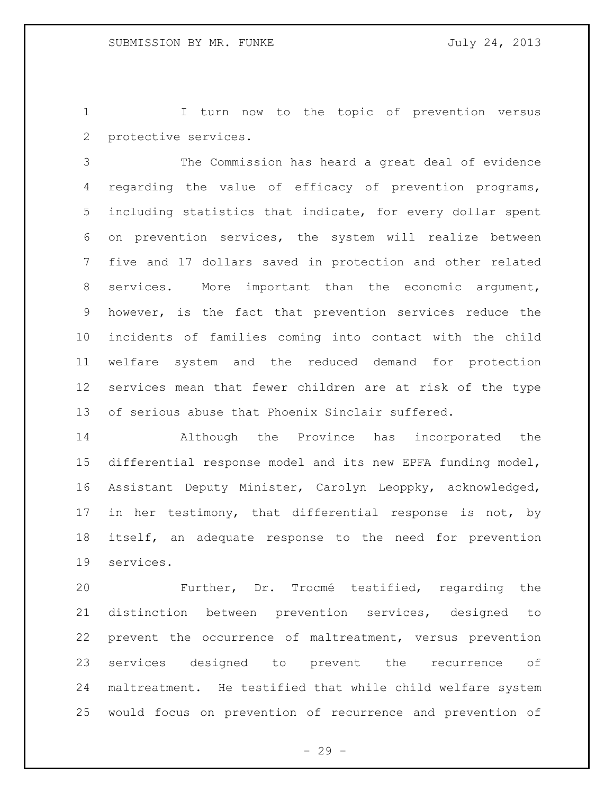I turn now to the topic of prevention versus protective services.

 The Commission has heard a great deal of evidence regarding the value of efficacy of prevention programs, including statistics that indicate, for every dollar spent on prevention services, the system will realize between five and 17 dollars saved in protection and other related services. More important than the economic argument, however, is the fact that prevention services reduce the incidents of families coming into contact with the child welfare system and the reduced demand for protection services mean that fewer children are at risk of the type of serious abuse that Phoenix Sinclair suffered.

 Although the Province has incorporated the differential response model and its new EPFA funding model, Assistant Deputy Minister, Carolyn Leoppky, acknowledged, in her testimony, that differential response is not, by itself, an adequate response to the need for prevention services.

 Further, Dr. Trocmé testified, regarding the distinction between prevention services, designed to prevent the occurrence of maltreatment, versus prevention services designed to prevent the recurrence of maltreatment. He testified that while child welfare system would focus on prevention of recurrence and prevention of

 $- 29 -$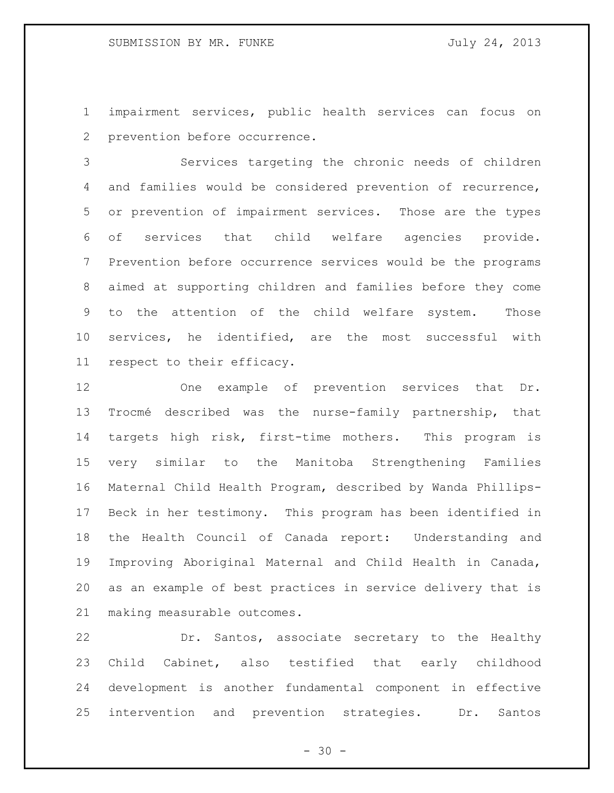impairment services, public health services can focus on prevention before occurrence.

 Services targeting the chronic needs of children and families would be considered prevention of recurrence, or prevention of impairment services. Those are the types of services that child welfare agencies provide. Prevention before occurrence services would be the programs aimed at supporting children and families before they come to the attention of the child welfare system. Those services, he identified, are the most successful with respect to their efficacy.

 One example of prevention services that Dr. Trocmé described was the nurse-family partnership, that targets high risk, first-time mothers. This program is very similar to the Manitoba Strengthening Families Maternal Child Health Program, described by Wanda Phillips- Beck in her testimony. This program has been identified in the Health Council of Canada report: Understanding and Improving Aboriginal Maternal and Child Health in Canada, as an example of best practices in service delivery that is making measurable outcomes.

 Dr. Santos, associate secretary to the Healthy Child Cabinet, also testified that early childhood development is another fundamental component in effective intervention and prevention strategies. Dr. Santos

 $- 30 -$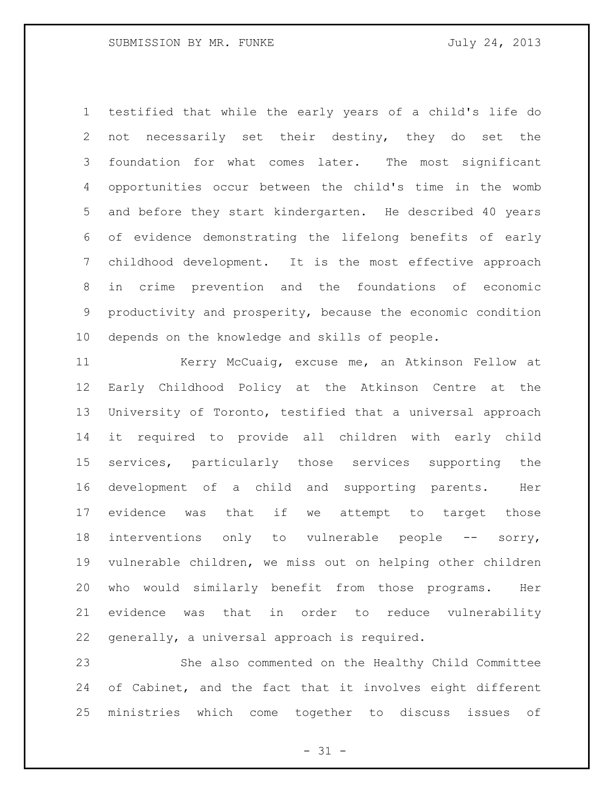testified that while the early years of a child's life do not necessarily set their destiny, they do set the foundation for what comes later. The most significant opportunities occur between the child's time in the womb and before they start kindergarten. He described 40 years of evidence demonstrating the lifelong benefits of early childhood development. It is the most effective approach in crime prevention and the foundations of economic productivity and prosperity, because the economic condition depends on the knowledge and skills of people.

11 Kerry McCuaig, excuse me, an Atkinson Fellow at Early Childhood Policy at the Atkinson Centre at the University of Toronto, testified that a universal approach it required to provide all children with early child services, particularly those services supporting the development of a child and supporting parents. Her evidence was that if we attempt to target those 18 interventions only to vulnerable people -- sorry, vulnerable children, we miss out on helping other children who would similarly benefit from those programs. Her evidence was that in order to reduce vulnerability generally, a universal approach is required.

 She also commented on the Healthy Child Committee of Cabinet, and the fact that it involves eight different ministries which come together to discuss issues of

 $- 31 -$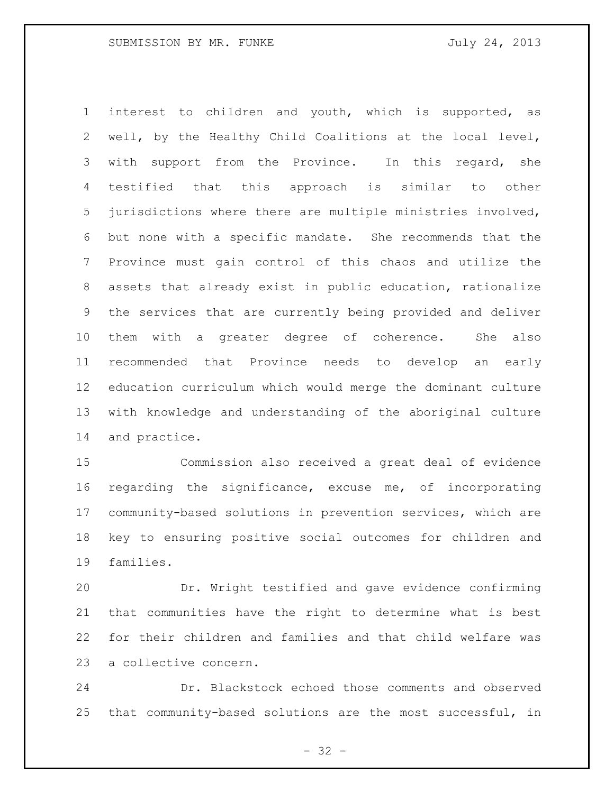interest to children and youth, which is supported, as well, by the Healthy Child Coalitions at the local level, 3 with support from the Province. In this regard, she testified that this approach is similar to other jurisdictions where there are multiple ministries involved, but none with a specific mandate. She recommends that the Province must gain control of this chaos and utilize the assets that already exist in public education, rationalize the services that are currently being provided and deliver them with a greater degree of coherence. She also recommended that Province needs to develop an early education curriculum which would merge the dominant culture with knowledge and understanding of the aboriginal culture and practice.

 Commission also received a great deal of evidence regarding the significance, excuse me, of incorporating community-based solutions in prevention services, which are key to ensuring positive social outcomes for children and families.

 Dr. Wright testified and gave evidence confirming that communities have the right to determine what is best for their children and families and that child welfare was a collective concern.

 Dr. Blackstock echoed those comments and observed that community-based solutions are the most successful, in

 $- 32 -$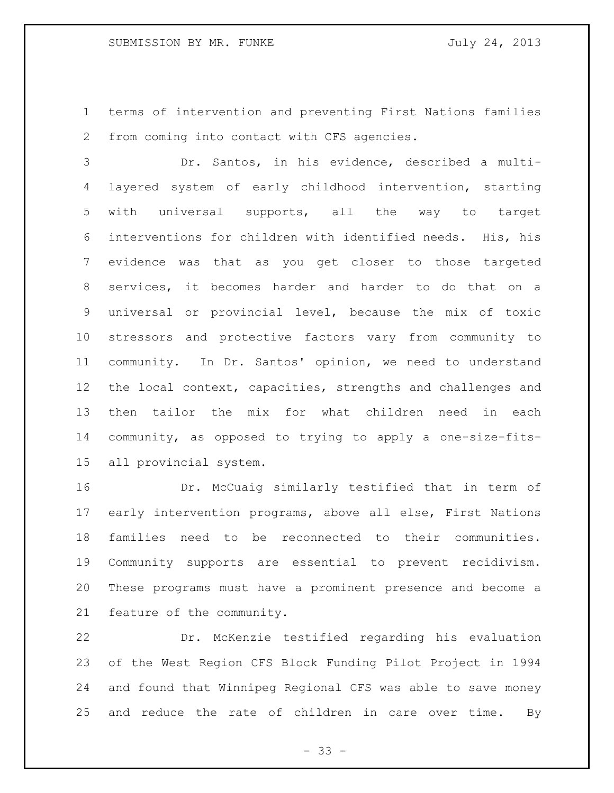terms of intervention and preventing First Nations families from coming into contact with CFS agencies.

 Dr. Santos, in his evidence, described a multi- layered system of early childhood intervention, starting with universal supports, all the way to target interventions for children with identified needs. His, his evidence was that as you get closer to those targeted services, it becomes harder and harder to do that on a universal or provincial level, because the mix of toxic stressors and protective factors vary from community to community. In Dr. Santos' opinion, we need to understand the local context, capacities, strengths and challenges and then tailor the mix for what children need in each community, as opposed to trying to apply a one-size-fits-all provincial system.

 Dr. McCuaig similarly testified that in term of early intervention programs, above all else, First Nations families need to be reconnected to their communities. Community supports are essential to prevent recidivism. These programs must have a prominent presence and become a feature of the community.

 Dr. McKenzie testified regarding his evaluation of the West Region CFS Block Funding Pilot Project in 1994 and found that Winnipeg Regional CFS was able to save money 25 and reduce the rate of children in care over time. By

 $- 33 -$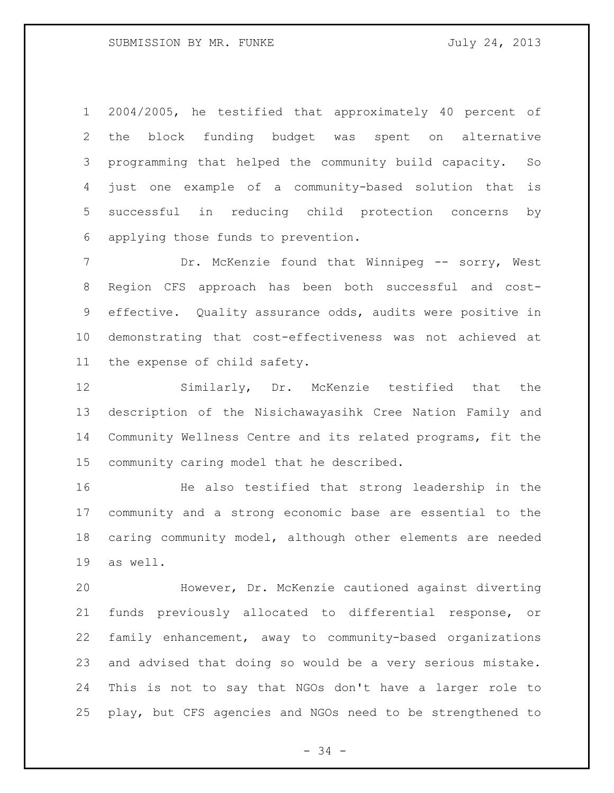2004/2005, he testified that approximately 40 percent of the block funding budget was spent on alternative programming that helped the community build capacity. So just one example of a community-based solution that is successful in reducing child protection concerns by applying those funds to prevention.

7 Dr. McKenzie found that Winnipeg -- sorry, West Region CFS approach has been both successful and cost- effective. Quality assurance odds, audits were positive in demonstrating that cost-effectiveness was not achieved at the expense of child safety.

 Similarly, Dr. McKenzie testified that the description of the Nisichawayasihk Cree Nation Family and Community Wellness Centre and its related programs, fit the community caring model that he described.

 He also testified that strong leadership in the community and a strong economic base are essential to the caring community model, although other elements are needed as well.

 However, Dr. McKenzie cautioned against diverting funds previously allocated to differential response, or family enhancement, away to community-based organizations and advised that doing so would be a very serious mistake. This is not to say that NGOs don't have a larger role to play, but CFS agencies and NGOs need to be strengthened to

- 34 -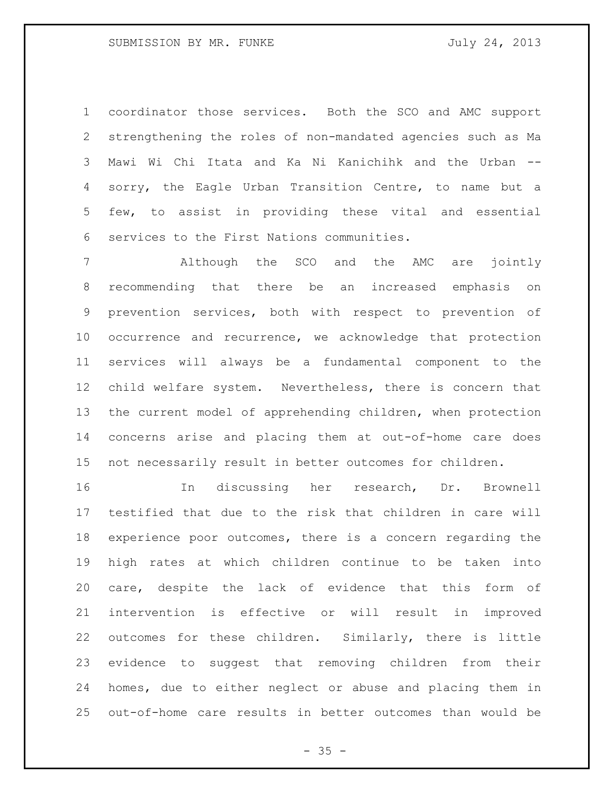coordinator those services. Both the SCO and AMC support strengthening the roles of non-mandated agencies such as Ma Mawi Wi Chi Itata and Ka Ni Kanichihk and the Urban -- sorry, the Eagle Urban Transition Centre, to name but a few, to assist in providing these vital and essential services to the First Nations communities.

 Although the SCO and the AMC are jointly recommending that there be an increased emphasis on prevention services, both with respect to prevention of occurrence and recurrence, we acknowledge that protection services will always be a fundamental component to the child welfare system. Nevertheless, there is concern that the current model of apprehending children, when protection concerns arise and placing them at out-of-home care does not necessarily result in better outcomes for children.

 In discussing her research, Dr. Brownell testified that due to the risk that children in care will experience poor outcomes, there is a concern regarding the high rates at which children continue to be taken into care, despite the lack of evidence that this form of intervention is effective or will result in improved outcomes for these children. Similarly, there is little evidence to suggest that removing children from their homes, due to either neglect or abuse and placing them in out-of-home care results in better outcomes than would be

 $- 35 -$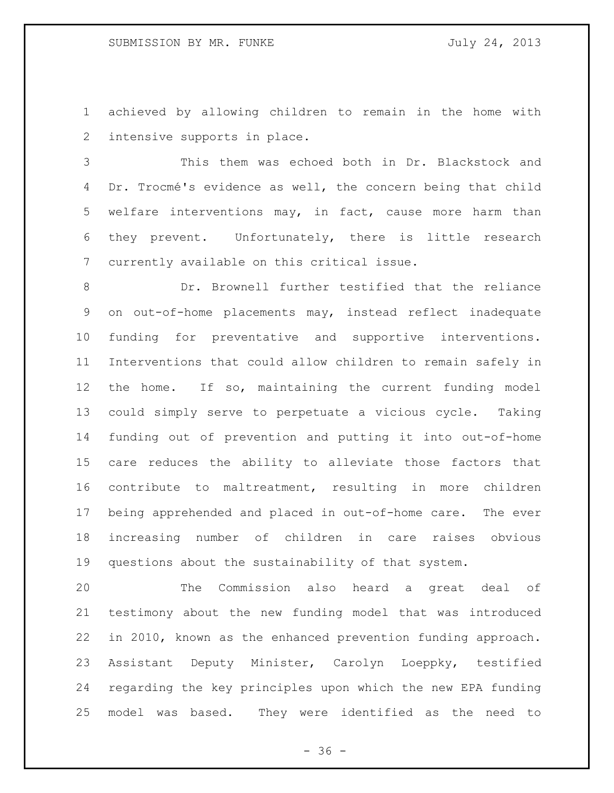achieved by allowing children to remain in the home with intensive supports in place.

 This them was echoed both in Dr. Blackstock and 4 Dr. Trocmé's evidence as well, the concern being that child welfare interventions may, in fact, cause more harm than they prevent. Unfortunately, there is little research currently available on this critical issue.

 Dr. Brownell further testified that the reliance on out-of-home placements may, instead reflect inadequate funding for preventative and supportive interventions. Interventions that could allow children to remain safely in the home. If so, maintaining the current funding model could simply serve to perpetuate a vicious cycle. Taking funding out of prevention and putting it into out-of-home care reduces the ability to alleviate those factors that contribute to maltreatment, resulting in more children being apprehended and placed in out-of-home care. The ever increasing number of children in care raises obvious questions about the sustainability of that system.

 The Commission also heard a great deal of testimony about the new funding model that was introduced in 2010, known as the enhanced prevention funding approach. Assistant Deputy Minister, Carolyn Loeppky, testified regarding the key principles upon which the new EPA funding model was based. They were identified as the need to

 $- 36 -$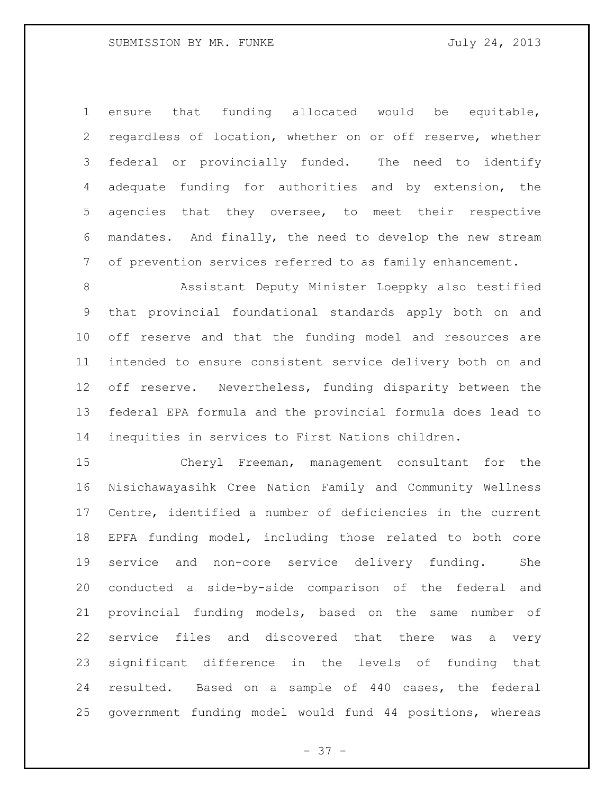ensure that funding allocated would be equitable, regardless of location, whether on or off reserve, whether federal or provincially funded. The need to identify adequate funding for authorities and by extension, the agencies that they oversee, to meet their respective mandates. And finally, the need to develop the new stream of prevention services referred to as family enhancement.

 Assistant Deputy Minister Loeppky also testified that provincial foundational standards apply both on and off reserve and that the funding model and resources are intended to ensure consistent service delivery both on and off reserve. Nevertheless, funding disparity between the federal EPA formula and the provincial formula does lead to inequities in services to First Nations children.

 Cheryl Freeman, management consultant for the Nisichawayasihk Cree Nation Family and Community Wellness Centre, identified a number of deficiencies in the current EPFA funding model, including those related to both core service and non-core service delivery funding. She conducted a side-by-side comparison of the federal and provincial funding models, based on the same number of service files and discovered that there was a very significant difference in the levels of funding that resulted. Based on a sample of 440 cases, the federal government funding model would fund 44 positions, whereas

 $- 37 -$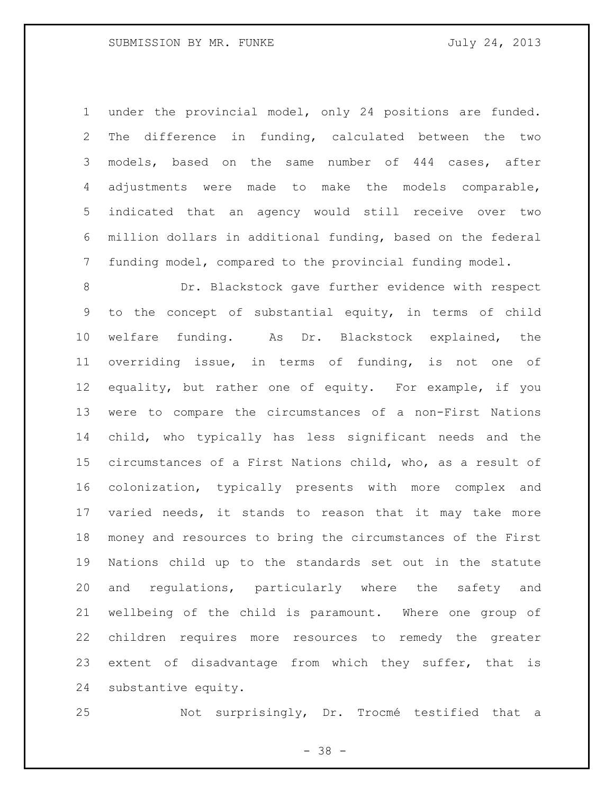under the provincial model, only 24 positions are funded. The difference in funding, calculated between the two models, based on the same number of 444 cases, after adjustments were made to make the models comparable, indicated that an agency would still receive over two million dollars in additional funding, based on the federal funding model, compared to the provincial funding model.

 Dr. Blackstock gave further evidence with respect to the concept of substantial equity, in terms of child welfare funding. As Dr. Blackstock explained, the overriding issue, in terms of funding, is not one of equality, but rather one of equity. For example, if you were to compare the circumstances of a non-First Nations child, who typically has less significant needs and the circumstances of a First Nations child, who, as a result of colonization, typically presents with more complex and varied needs, it stands to reason that it may take more money and resources to bring the circumstances of the First Nations child up to the standards set out in the statute and regulations, particularly where the safety and wellbeing of the child is paramount. Where one group of children requires more resources to remedy the greater extent of disadvantage from which they suffer, that is substantive equity.

Not surprisingly, Dr. Trocmé testified that a

- 38 -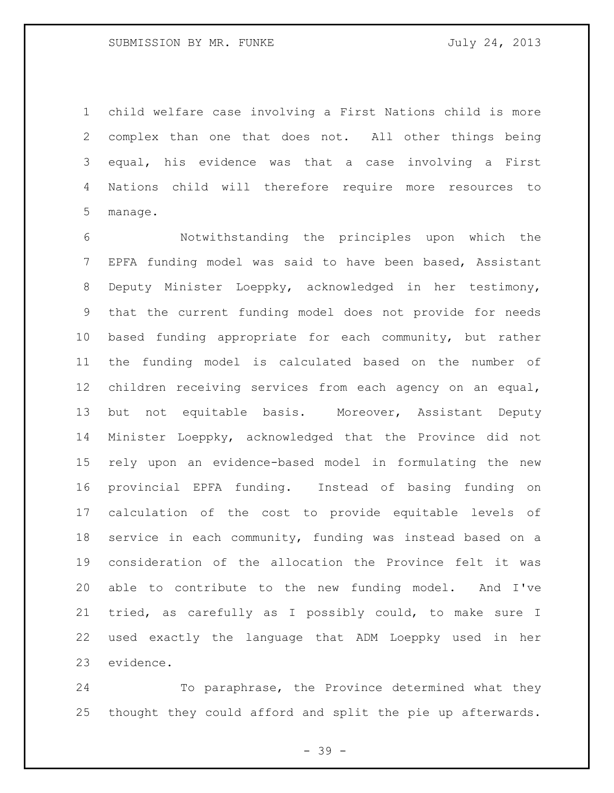child welfare case involving a First Nations child is more complex than one that does not. All other things being equal, his evidence was that a case involving a First Nations child will therefore require more resources to manage.

 Notwithstanding the principles upon which the EPFA funding model was said to have been based, Assistant Deputy Minister Loeppky, acknowledged in her testimony, that the current funding model does not provide for needs based funding appropriate for each community, but rather the funding model is calculated based on the number of children receiving services from each agency on an equal, but not equitable basis. Moreover, Assistant Deputy Minister Loeppky, acknowledged that the Province did not rely upon an evidence-based model in formulating the new provincial EPFA funding. Instead of basing funding on calculation of the cost to provide equitable levels of service in each community, funding was instead based on a consideration of the allocation the Province felt it was able to contribute to the new funding model. And I've tried, as carefully as I possibly could, to make sure I used exactly the language that ADM Loeppky used in her evidence.

24 To paraphrase, the Province determined what they thought they could afford and split the pie up afterwards.

- 39 -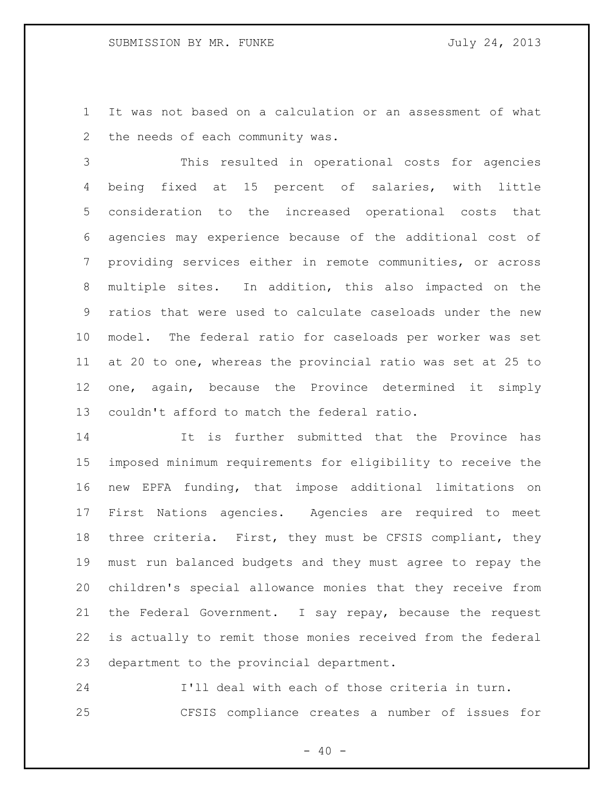It was not based on a calculation or an assessment of what the needs of each community was.

 This resulted in operational costs for agencies being fixed at 15 percent of salaries, with little consideration to the increased operational costs that agencies may experience because of the additional cost of providing services either in remote communities, or across multiple sites. In addition, this also impacted on the ratios that were used to calculate caseloads under the new model. The federal ratio for caseloads per worker was set at 20 to one, whereas the provincial ratio was set at 25 to one, again, because the Province determined it simply couldn't afford to match the federal ratio.

 It is further submitted that the Province has imposed minimum requirements for eligibility to receive the new EPFA funding, that impose additional limitations on First Nations agencies. Agencies are required to meet three criteria. First, they must be CFSIS compliant, they must run balanced budgets and they must agree to repay the children's special allowance monies that they receive from the Federal Government. I say repay, because the request is actually to remit those monies received from the federal department to the provincial department.

 I'll deal with each of those criteria in turn. CFSIS compliance creates a number of issues for

 $- 40 -$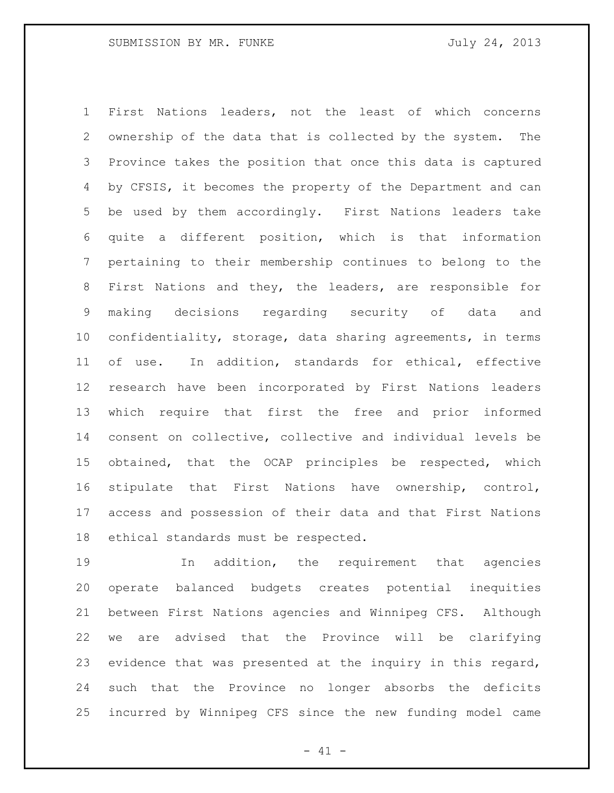First Nations leaders, not the least of which concerns ownership of the data that is collected by the system. The Province takes the position that once this data is captured 4 by CFSIS, it becomes the property of the Department and can be used by them accordingly. First Nations leaders take quite a different position, which is that information pertaining to their membership continues to belong to the First Nations and they, the leaders, are responsible for making decisions regarding security of data and confidentiality, storage, data sharing agreements, in terms of use. In addition, standards for ethical, effective research have been incorporated by First Nations leaders which require that first the free and prior informed consent on collective, collective and individual levels be obtained, that the OCAP principles be respected, which stipulate that First Nations have ownership, control, access and possession of their data and that First Nations ethical standards must be respected.

 In addition, the requirement that agencies operate balanced budgets creates potential inequities between First Nations agencies and Winnipeg CFS. Although we are advised that the Province will be clarifying evidence that was presented at the inquiry in this regard, such that the Province no longer absorbs the deficits incurred by Winnipeg CFS since the new funding model came

 $- 41 -$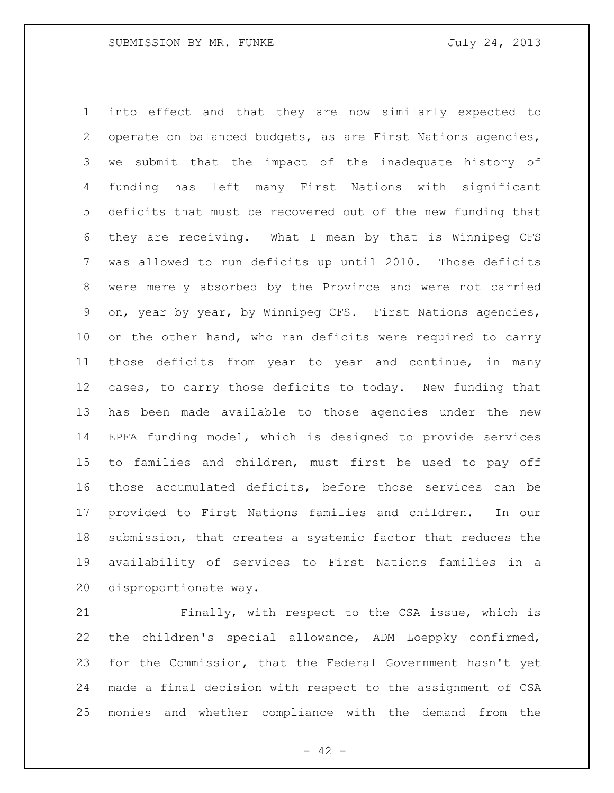into effect and that they are now similarly expected to operate on balanced budgets, as are First Nations agencies, we submit that the impact of the inadequate history of funding has left many First Nations with significant deficits that must be recovered out of the new funding that they are receiving. What I mean by that is Winnipeg CFS was allowed to run deficits up until 2010. Those deficits were merely absorbed by the Province and were not carried on, year by year, by Winnipeg CFS. First Nations agencies, on the other hand, who ran deficits were required to carry those deficits from year to year and continue, in many cases, to carry those deficits to today. New funding that has been made available to those agencies under the new EPFA funding model, which is designed to provide services to families and children, must first be used to pay off those accumulated deficits, before those services can be provided to First Nations families and children. In our submission, that creates a systemic factor that reduces the availability of services to First Nations families in a disproportionate way.

 Finally, with respect to the CSA issue, which is the children's special allowance, ADM Loeppky confirmed, for the Commission, that the Federal Government hasn't yet made a final decision with respect to the assignment of CSA monies and whether compliance with the demand from the

 $- 42 -$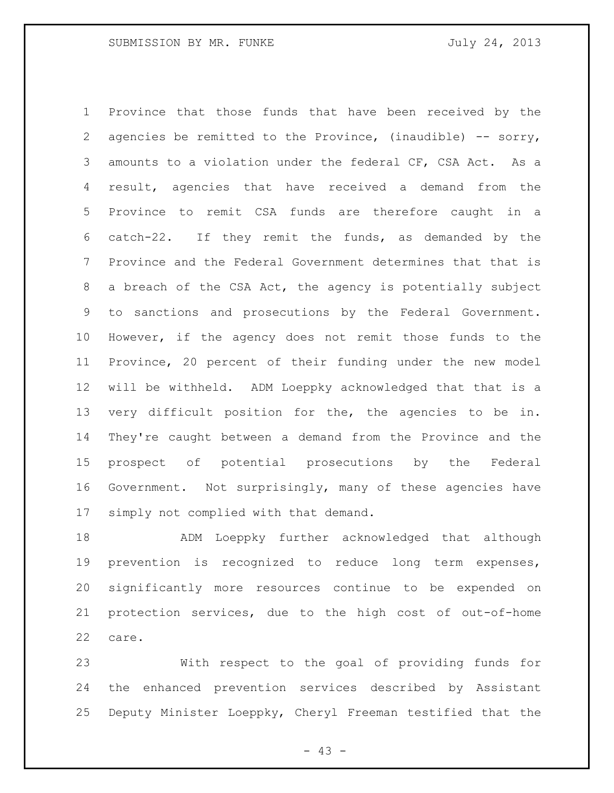Province that those funds that have been received by the 2 agencies be remitted to the Province, (inaudible) -- sorry, amounts to a violation under the federal CF, CSA Act. As a result, agencies that have received a demand from the Province to remit CSA funds are therefore caught in a catch-22. If they remit the funds, as demanded by the Province and the Federal Government determines that that is a breach of the CSA Act, the agency is potentially subject to sanctions and prosecutions by the Federal Government. However, if the agency does not remit those funds to the Province, 20 percent of their funding under the new model will be withheld. ADM Loeppky acknowledged that that is a very difficult position for the, the agencies to be in. They're caught between a demand from the Province and the prospect of potential prosecutions by the Federal Government. Not surprisingly, many of these agencies have simply not complied with that demand.

 ADM Loeppky further acknowledged that although prevention is recognized to reduce long term expenses, significantly more resources continue to be expended on protection services, due to the high cost of out-of-home care.

 With respect to the goal of providing funds for the enhanced prevention services described by Assistant Deputy Minister Loeppky, Cheryl Freeman testified that the

- 43 -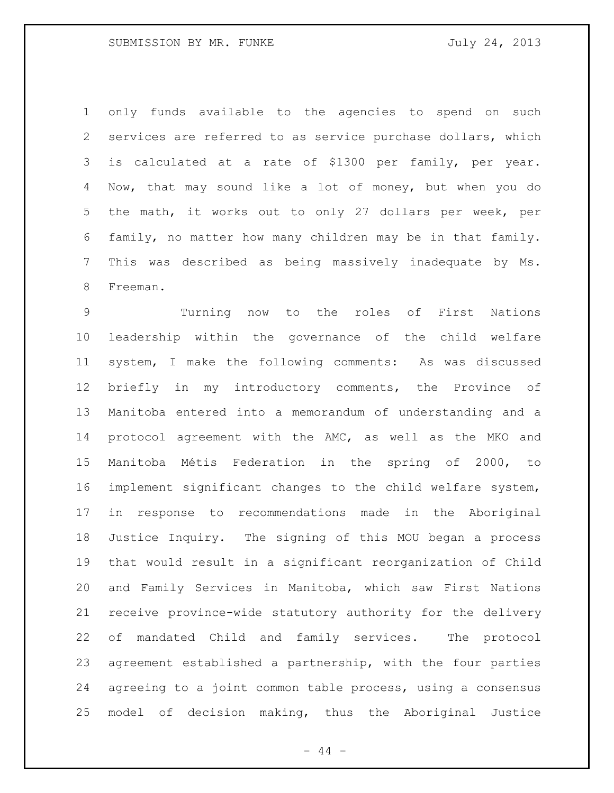only funds available to the agencies to spend on such services are referred to as service purchase dollars, which is calculated at a rate of \$1300 per family, per year. Now, that may sound like a lot of money, but when you do the math, it works out to only 27 dollars per week, per family, no matter how many children may be in that family. This was described as being massively inadequate by Ms. Freeman.

 Turning now to the roles of First Nations leadership within the governance of the child welfare system, I make the following comments: As was discussed briefly in my introductory comments, the Province of Manitoba entered into a memorandum of understanding and a protocol agreement with the AMC, as well as the MKO and Manitoba Métis Federation in the spring of 2000, to implement significant changes to the child welfare system, in response to recommendations made in the Aboriginal Justice Inquiry. The signing of this MOU began a process that would result in a significant reorganization of Child and Family Services in Manitoba, which saw First Nations receive province-wide statutory authority for the delivery of mandated Child and family services. The protocol agreement established a partnership, with the four parties agreeing to a joint common table process, using a consensus model of decision making, thus the Aboriginal Justice

 $-44 -$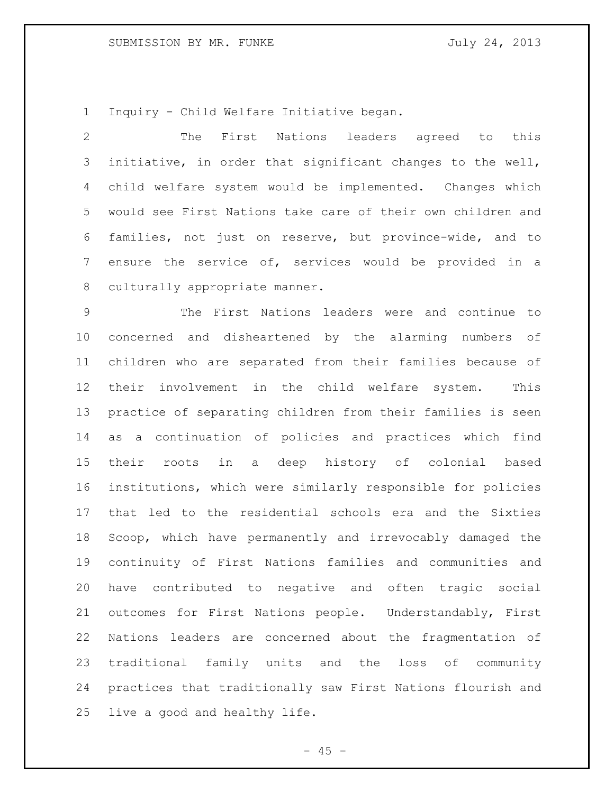Inquiry - Child Welfare Initiative began.

 The First Nations leaders agreed to this initiative, in order that significant changes to the well, child welfare system would be implemented. Changes which would see First Nations take care of their own children and families, not just on reserve, but province-wide, and to ensure the service of, services would be provided in a culturally appropriate manner.

 The First Nations leaders were and continue to concerned and disheartened by the alarming numbers of children who are separated from their families because of their involvement in the child welfare system. This practice of separating children from their families is seen as a continuation of policies and practices which find their roots in a deep history of colonial based institutions, which were similarly responsible for policies that led to the residential schools era and the Sixties Scoop, which have permanently and irrevocably damaged the continuity of First Nations families and communities and have contributed to negative and often tragic social outcomes for First Nations people. Understandably, First Nations leaders are concerned about the fragmentation of traditional family units and the loss of community practices that traditionally saw First Nations flourish and live a good and healthy life.

 $- 45 -$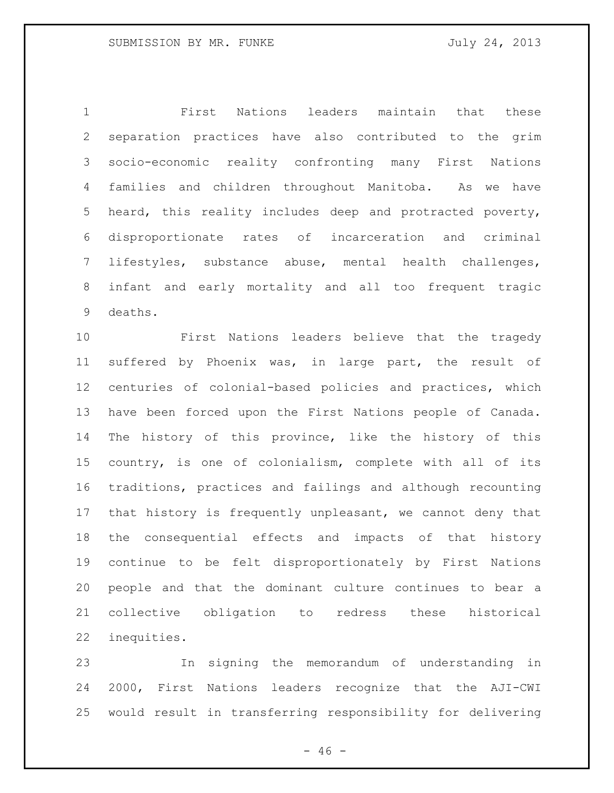First Nations leaders maintain that these separation practices have also contributed to the grim socio-economic reality confronting many First Nations families and children throughout Manitoba. As we have heard, this reality includes deep and protracted poverty, disproportionate rates of incarceration and criminal lifestyles, substance abuse, mental health challenges, infant and early mortality and all too frequent tragic deaths.

 First Nations leaders believe that the tragedy suffered by Phoenix was, in large part, the result of centuries of colonial-based policies and practices, which have been forced upon the First Nations people of Canada. The history of this province, like the history of this country, is one of colonialism, complete with all of its traditions, practices and failings and although recounting that history is frequently unpleasant, we cannot deny that the consequential effects and impacts of that history continue to be felt disproportionately by First Nations people and that the dominant culture continues to bear a collective obligation to redress these historical inequities.

 In signing the memorandum of understanding in 2000, First Nations leaders recognize that the AJI-CWI would result in transferring responsibility for delivering

 $- 46 -$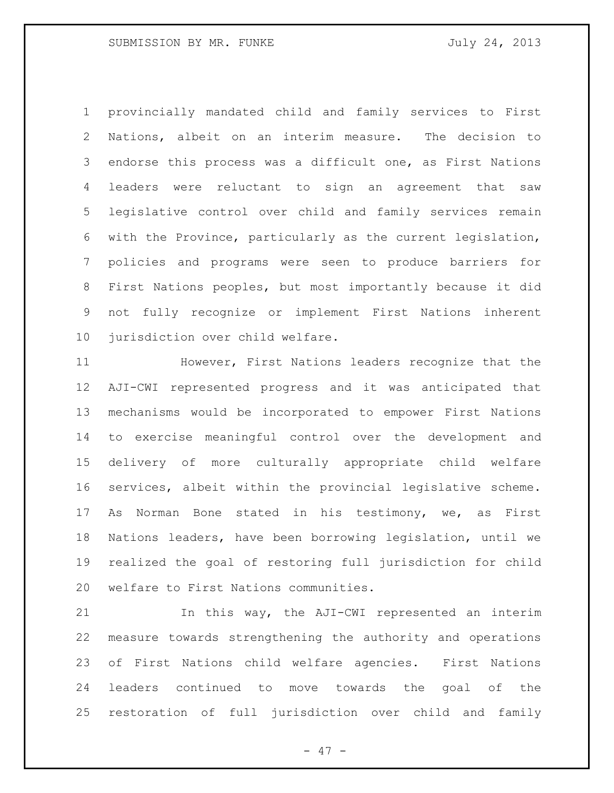provincially mandated child and family services to First Nations, albeit on an interim measure. The decision to endorse this process was a difficult one, as First Nations leaders were reluctant to sign an agreement that saw legislative control over child and family services remain with the Province, particularly as the current legislation, policies and programs were seen to produce barriers for First Nations peoples, but most importantly because it did not fully recognize or implement First Nations inherent jurisdiction over child welfare.

 However, First Nations leaders recognize that the AJI-CWI represented progress and it was anticipated that mechanisms would be incorporated to empower First Nations to exercise meaningful control over the development and delivery of more culturally appropriate child welfare services, albeit within the provincial legislative scheme. As Norman Bone stated in his testimony, we, as First Nations leaders, have been borrowing legislation, until we realized the goal of restoring full jurisdiction for child welfare to First Nations communities.

 In this way, the AJI-CWI represented an interim measure towards strengthening the authority and operations of First Nations child welfare agencies. First Nations leaders continued to move towards the goal of the restoration of full jurisdiction over child and family

- 47 -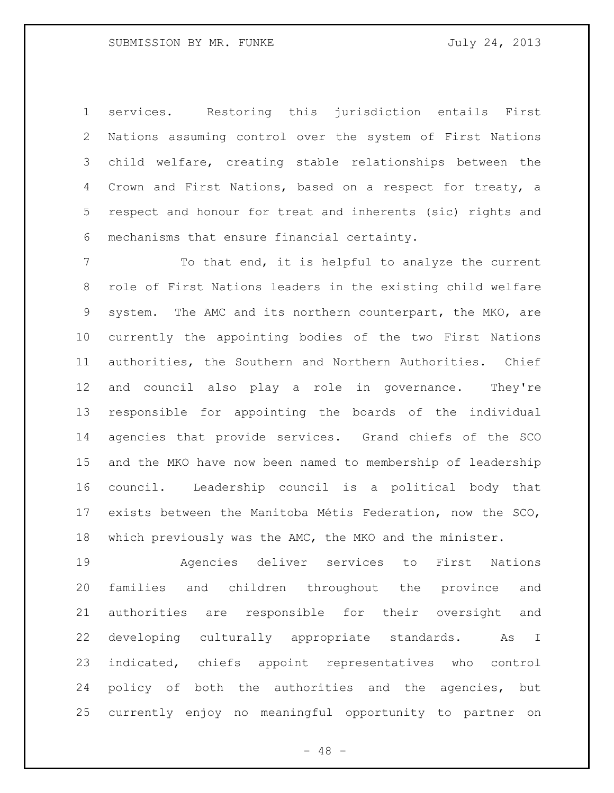services. Restoring this jurisdiction entails First Nations assuming control over the system of First Nations child welfare, creating stable relationships between the Crown and First Nations, based on a respect for treaty, a respect and honour for treat and inherents (sic) rights and mechanisms that ensure financial certainty.

 To that end, it is helpful to analyze the current role of First Nations leaders in the existing child welfare system. The AMC and its northern counterpart, the MKO, are currently the appointing bodies of the two First Nations authorities, the Southern and Northern Authorities. Chief and council also play a role in governance. They're responsible for appointing the boards of the individual agencies that provide services. Grand chiefs of the SCO and the MKO have now been named to membership of leadership council. Leadership council is a political body that exists between the Manitoba Métis Federation, now the SCO, which previously was the AMC, the MKO and the minister.

 Agencies deliver services to First Nations families and children throughout the province and authorities are responsible for their oversight and developing culturally appropriate standards. As I indicated, chiefs appoint representatives who control policy of both the authorities and the agencies, but currently enjoy no meaningful opportunity to partner on

 $- 48 -$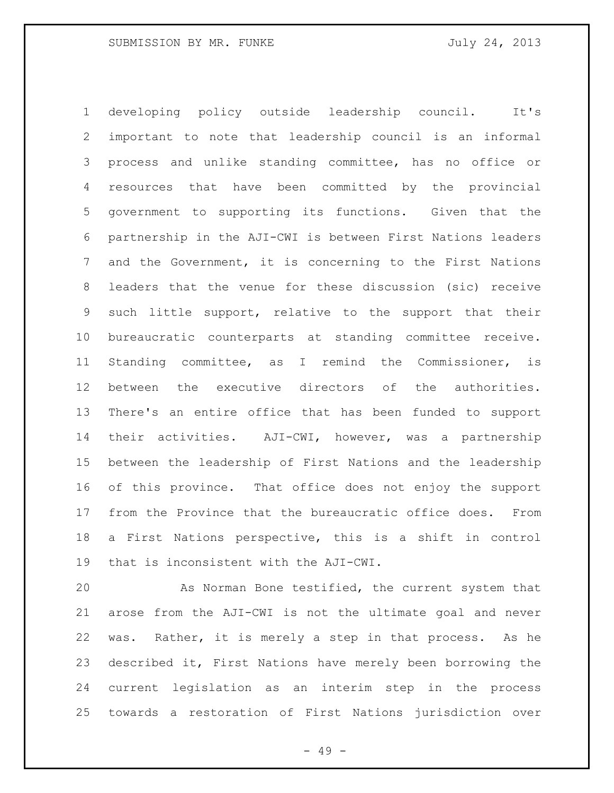developing policy outside leadership council. It's important to note that leadership council is an informal process and unlike standing committee, has no office or resources that have been committed by the provincial government to supporting its functions. Given that the partnership in the AJI-CWI is between First Nations leaders and the Government, it is concerning to the First Nations leaders that the venue for these discussion (sic) receive such little support, relative to the support that their bureaucratic counterparts at standing committee receive. Standing committee, as I remind the Commissioner, is between the executive directors of the authorities. There's an entire office that has been funded to support their activities. AJI-CWI, however, was a partnership between the leadership of First Nations and the leadership of this province. That office does not enjoy the support from the Province that the bureaucratic office does. From a First Nations perspective, this is a shift in control that is inconsistent with the AJI-CWI.

 As Norman Bone testified, the current system that arose from the AJI-CWI is not the ultimate goal and never was. Rather, it is merely a step in that process. As he described it, First Nations have merely been borrowing the current legislation as an interim step in the process towards a restoration of First Nations jurisdiction over

- 49 -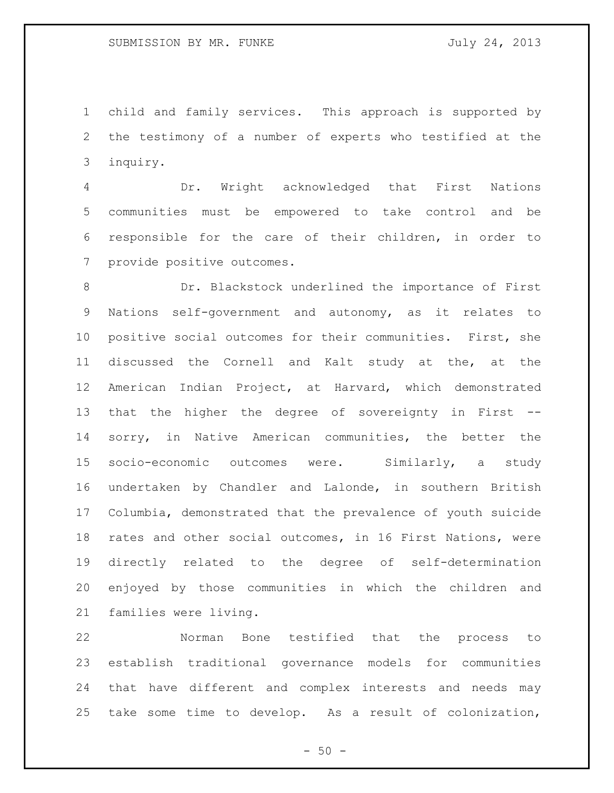child and family services. This approach is supported by the testimony of a number of experts who testified at the inquiry.

 Dr. Wright acknowledged that First Nations communities must be empowered to take control and be responsible for the care of their children, in order to provide positive outcomes.

 Dr. Blackstock underlined the importance of First Nations self-government and autonomy, as it relates to positive social outcomes for their communities. First, she discussed the Cornell and Kalt study at the, at the American Indian Project, at Harvard, which demonstrated that the higher the degree of sovereignty in First -- 14 sorry, in Native American communities, the better the socio-economic outcomes were. Similarly, a study undertaken by Chandler and Lalonde, in southern British Columbia, demonstrated that the prevalence of youth suicide rates and other social outcomes, in 16 First Nations, were directly related to the degree of self-determination enjoyed by those communities in which the children and families were living.

 Norman Bone testified that the process to establish traditional governance models for communities that have different and complex interests and needs may take some time to develop. As a result of colonization,

 $-50 -$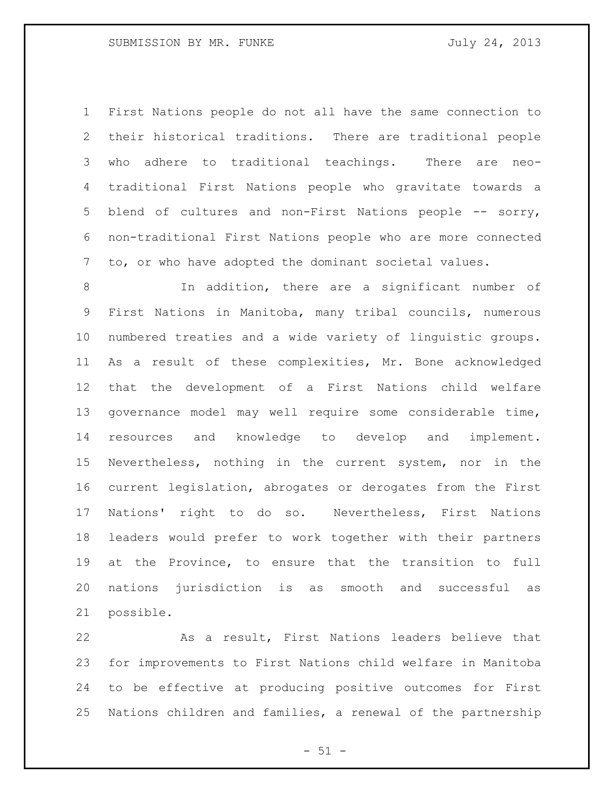First Nations people do not all have the same connection to their historical traditions. There are traditional people who adhere to traditional teachings. There are neo- traditional First Nations people who gravitate towards a blend of cultures and non-First Nations people -- sorry, non-traditional First Nations people who are more connected to, or who have adopted the dominant societal values.

 In addition, there are a significant number of First Nations in Manitoba, many tribal councils, numerous numbered treaties and a wide variety of linguistic groups. As a result of these complexities, Mr. Bone acknowledged that the development of a First Nations child welfare governance model may well require some considerable time, resources and knowledge to develop and implement. Nevertheless, nothing in the current system, nor in the current legislation, abrogates or derogates from the First Nations' right to do so. Nevertheless, First Nations leaders would prefer to work together with their partners at the Province, to ensure that the transition to full nations jurisdiction is as smooth and successful as possible.

 As a result, First Nations leaders believe that for improvements to First Nations child welfare in Manitoba to be effective at producing positive outcomes for First Nations children and families, a renewal of the partnership

 $- 51 -$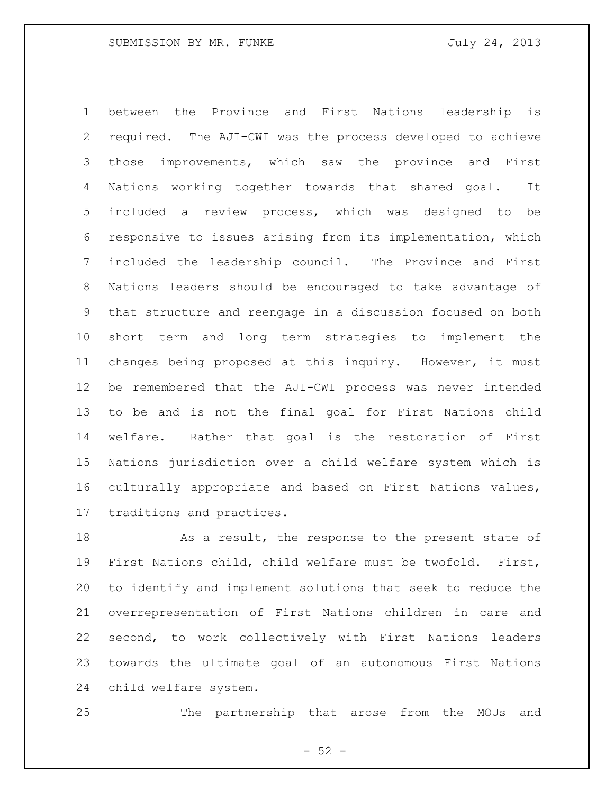between the Province and First Nations leadership is required. The AJI-CWI was the process developed to achieve those improvements, which saw the province and First Nations working together towards that shared goal. It included a review process, which was designed to be responsive to issues arising from its implementation, which included the leadership council. The Province and First Nations leaders should be encouraged to take advantage of that structure and reengage in a discussion focused on both short term and long term strategies to implement the changes being proposed at this inquiry. However, it must be remembered that the AJI-CWI process was never intended to be and is not the final goal for First Nations child welfare. Rather that goal is the restoration of First Nations jurisdiction over a child welfare system which is culturally appropriate and based on First Nations values, traditions and practices.

18 As a result, the response to the present state of First Nations child, child welfare must be twofold. First, to identify and implement solutions that seek to reduce the overrepresentation of First Nations children in care and second, to work collectively with First Nations leaders towards the ultimate goal of an autonomous First Nations child welfare system.

The partnership that arose from the MOUs and

 $-52 -$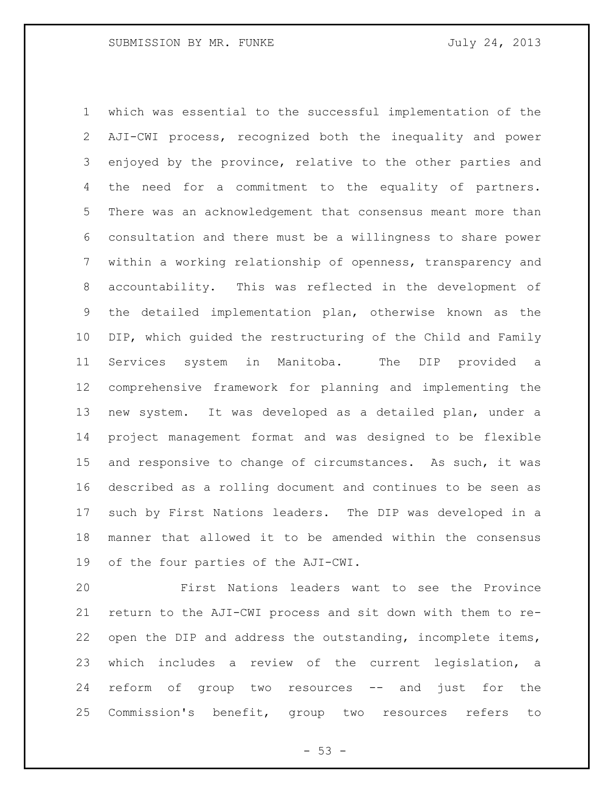which was essential to the successful implementation of the AJI-CWI process, recognized both the inequality and power enjoyed by the province, relative to the other parties and the need for a commitment to the equality of partners. There was an acknowledgement that consensus meant more than consultation and there must be a willingness to share power within a working relationship of openness, transparency and accountability. This was reflected in the development of the detailed implementation plan, otherwise known as the DIP, which guided the restructuring of the Child and Family Services system in Manitoba. The DIP provided a comprehensive framework for planning and implementing the new system. It was developed as a detailed plan, under a project management format and was designed to be flexible and responsive to change of circumstances. As such, it was described as a rolling document and continues to be seen as such by First Nations leaders. The DIP was developed in a manner that allowed it to be amended within the consensus of the four parties of the AJI-CWI.

 First Nations leaders want to see the Province return to the AJI-CWI process and sit down with them to re- open the DIP and address the outstanding, incomplete items, which includes a review of the current legislation, a reform of group two resources -- and just for the Commission's benefit, group two resources refers to

 $- 53 -$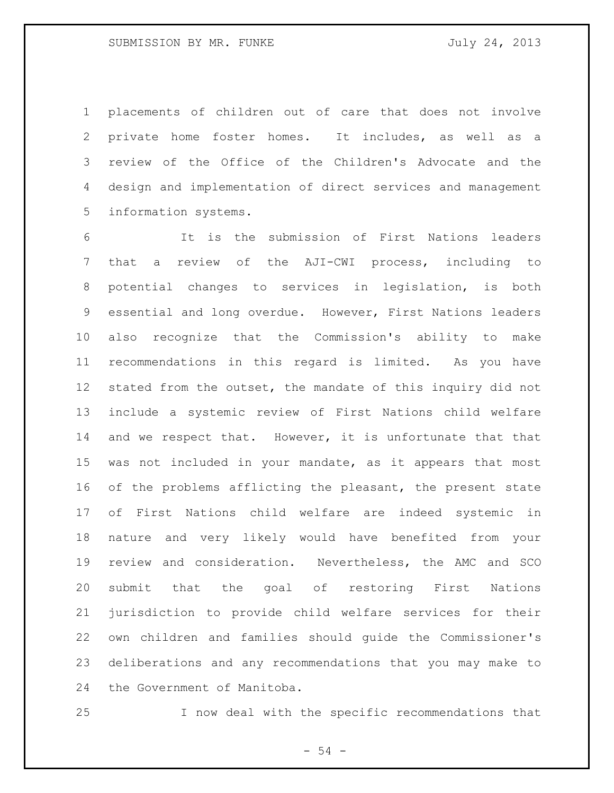placements of children out of care that does not involve private home foster homes. It includes, as well as a review of the Office of the Children's Advocate and the design and implementation of direct services and management information systems.

 It is the submission of First Nations leaders that a review of the AJI-CWI process, including to potential changes to services in legislation, is both essential and long overdue. However, First Nations leaders also recognize that the Commission's ability to make recommendations in this regard is limited. As you have stated from the outset, the mandate of this inquiry did not include a systemic review of First Nations child welfare and we respect that. However, it is unfortunate that that was not included in your mandate, as it appears that most 16 of the problems afflicting the pleasant, the present state of First Nations child welfare are indeed systemic in nature and very likely would have benefited from your review and consideration. Nevertheless, the AMC and SCO submit that the goal of restoring First Nations jurisdiction to provide child welfare services for their own children and families should guide the Commissioner's deliberations and any recommendations that you may make to the Government of Manitoba.

I now deal with the specific recommendations that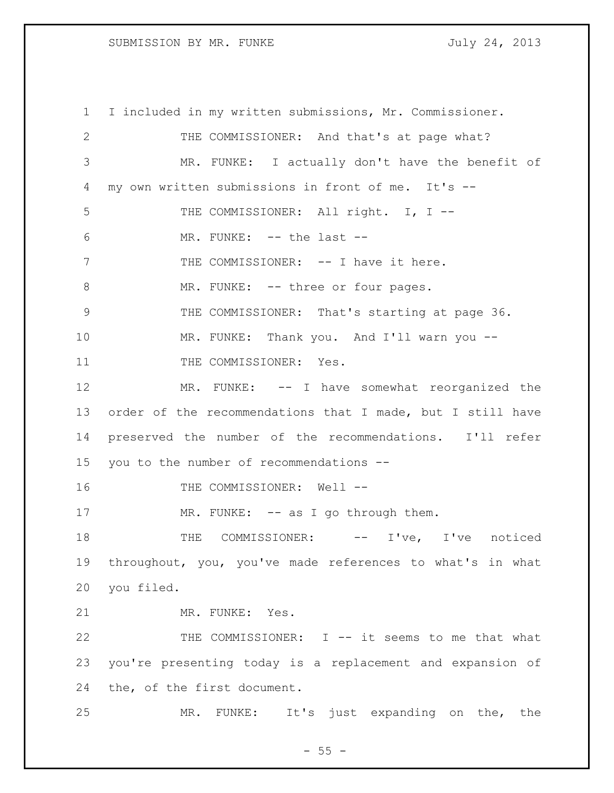| $\mathbf 1$    | I included in my written submissions, Mr. Commissioner.    |
|----------------|------------------------------------------------------------|
| $\overline{2}$ | THE COMMISSIONER: And that's at page what?                 |
| 3              | MR. FUNKE: I actually don't have the benefit of            |
| 4              | my own written submissions in front of me. It's --         |
| 5              | THE COMMISSIONER: All right. I, I --                       |
| 6              | MR. FUNKE: -- the last --                                  |
| 7              | THE COMMISSIONER: -- I have it here.                       |
| 8              | MR. FUNKE: -- three or four pages.                         |
| $\mathsf 9$    | THE COMMISSIONER: That's starting at page 36.              |
| 10             | MR. FUNKE: Thank you. And I'll warn you --                 |
| 11             | THE COMMISSIONER: Yes.                                     |
| 12             | MR. FUNKE: -- I have somewhat reorganized the              |
| 13             | order of the recommendations that I made, but I still have |
| 14             | preserved the number of the recommendations. I'll refer    |
| 15             | you to the number of recommendations --                    |
| 16             | THE COMMISSIONER: Well --                                  |
| 17             | MR. FUNKE: -- as I go through them.                        |
| 18             | COMMISSIONER: -- I've, I've noticed<br>THE                 |
| 19             | throughout, you, you've made references to what's in what  |
| 20             | you filed.                                                 |
| 21             | MR. FUNKE: Yes.                                            |
| 22             | THE COMMISSIONER: I -- it seems to me that what            |
| 23             | you're presenting today is a replacement and expansion of  |
| 24             | the, of the first document.                                |
| 25             | It's just expanding on the, the<br>MR.<br>FUNKE:           |

- 55 -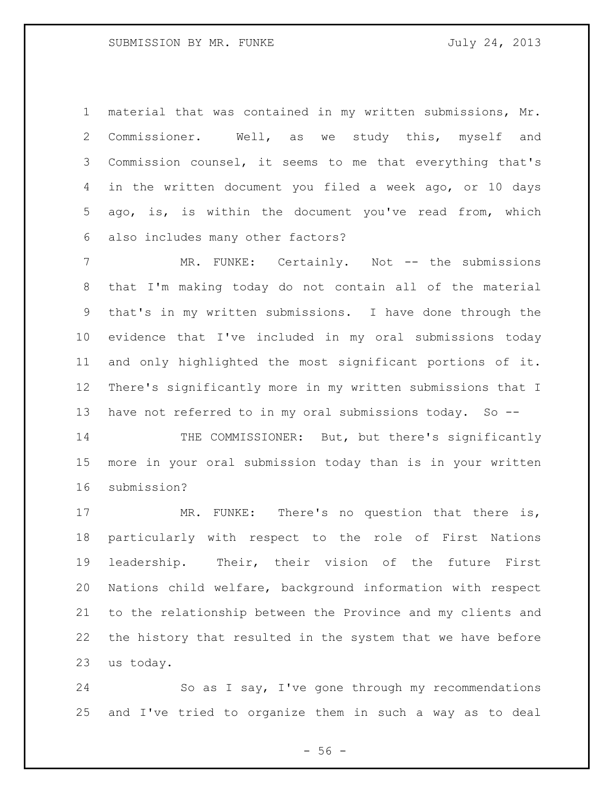material that was contained in my written submissions, Mr. Commissioner. Well, as we study this, myself and Commission counsel, it seems to me that everything that's in the written document you filed a week ago, or 10 days ago, is, is within the document you've read from, which also includes many other factors?

7 MR. FUNKE: Certainly. Not -- the submissions that I'm making today do not contain all of the material that's in my written submissions. I have done through the evidence that I've included in my oral submissions today and only highlighted the most significant portions of it. There's significantly more in my written submissions that I have not referred to in my oral submissions today. So --

14 THE COMMISSIONER: But, but there's significantly more in your oral submission today than is in your written submission?

17 MR. FUNKE: There's no question that there is, particularly with respect to the role of First Nations leadership. Their, their vision of the future First Nations child welfare, background information with respect to the relationship between the Province and my clients and the history that resulted in the system that we have before us today.

 So as I say, I've gone through my recommendations and I've tried to organize them in such a way as to deal

 $-56 -$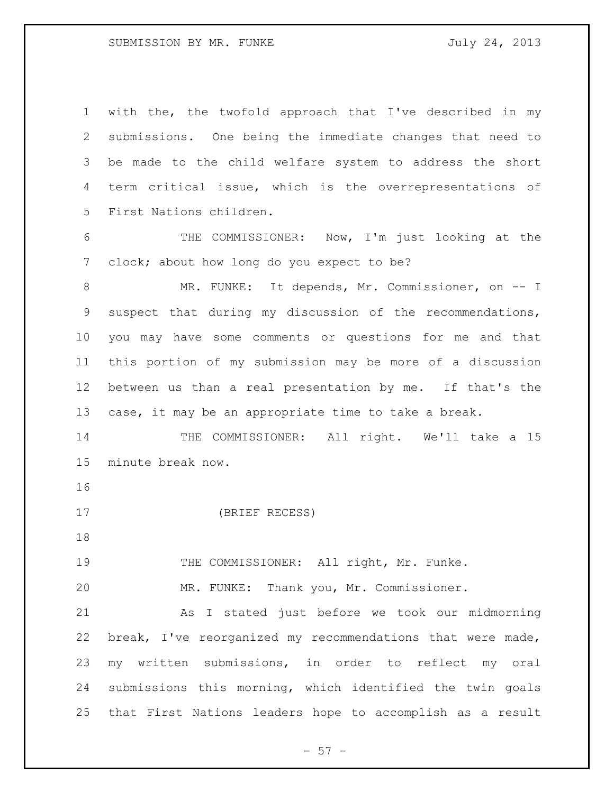## SUBMISSION BY MR. FUNKE THE SUBMISSION BY MR. FUNKE

 with the, the twofold approach that I've described in my submissions. One being the immediate changes that need to be made to the child welfare system to address the short term critical issue, which is the overrepresentations of First Nations children.

 THE COMMISSIONER: Now, I'm just looking at the clock; about how long do you expect to be?

 MR. FUNKE: It depends, Mr. Commissioner, on -- I suspect that during my discussion of the recommendations, you may have some comments or questions for me and that this portion of my submission may be more of a discussion between us than a real presentation by me. If that's the case, it may be an appropriate time to take a break.

14 THE COMMISSIONER: All right. We'll take a 15 minute break now.

- (BRIEF RECESS)
- 

THE COMMISSIONER: All right, Mr. Funke.

MR. FUNKE: Thank you, Mr. Commissioner.

 As I stated just before we took our midmorning break, I've reorganized my recommendations that were made, my written submissions, in order to reflect my oral submissions this morning, which identified the twin goals that First Nations leaders hope to accomplish as a result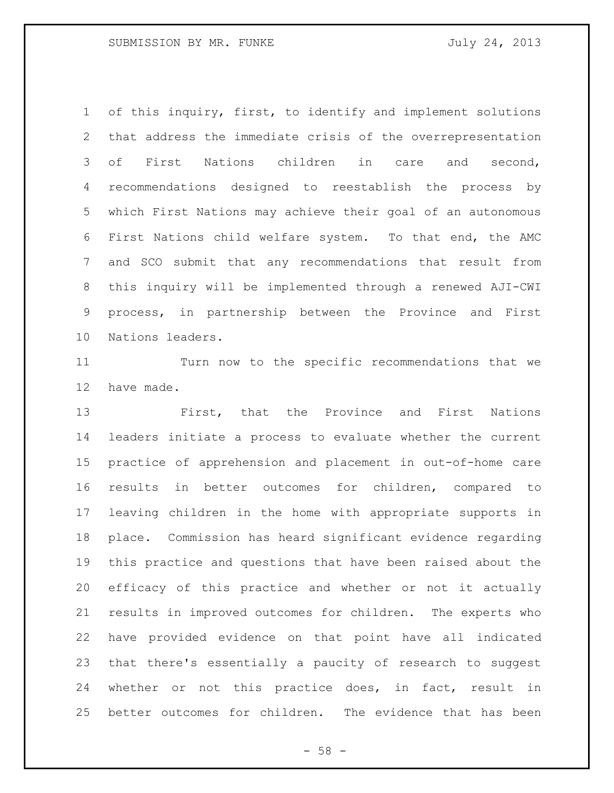of this inquiry, first, to identify and implement solutions that address the immediate crisis of the overrepresentation of First Nations children in care and second, recommendations designed to reestablish the process by which First Nations may achieve their goal of an autonomous First Nations child welfare system. To that end, the AMC and SCO submit that any recommendations that result from this inquiry will be implemented through a renewed AJI-CWI process, in partnership between the Province and First Nations leaders.

 Turn now to the specific recommendations that we have made.

 First, that the Province and First Nations leaders initiate a process to evaluate whether the current practice of apprehension and placement in out-of-home care results in better outcomes for children, compared to leaving children in the home with appropriate supports in place. Commission has heard significant evidence regarding this practice and questions that have been raised about the efficacy of this practice and whether or not it actually results in improved outcomes for children. The experts who have provided evidence on that point have all indicated that there's essentially a paucity of research to suggest whether or not this practice does, in fact, result in better outcomes for children. The evidence that has been

- 58 -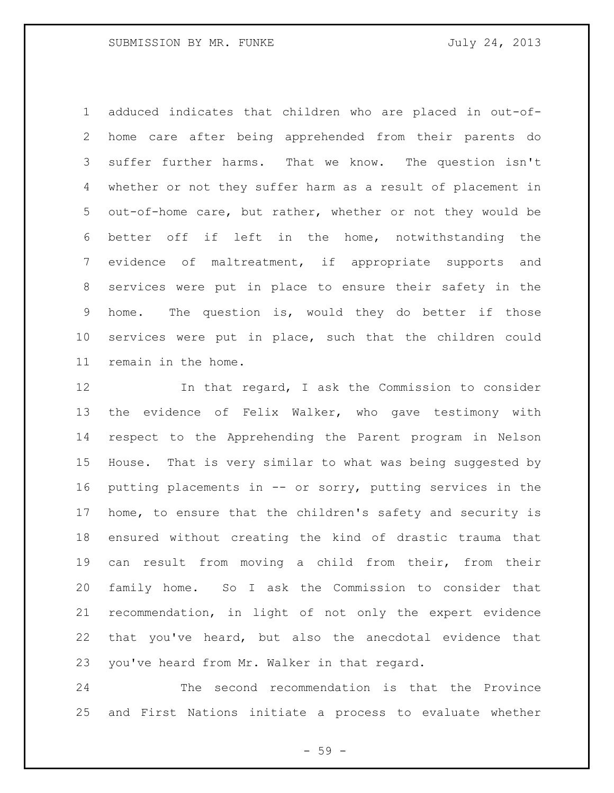adduced indicates that children who are placed in out-of- home care after being apprehended from their parents do suffer further harms. That we know. The question isn't whether or not they suffer harm as a result of placement in out-of-home care, but rather, whether or not they would be better off if left in the home, notwithstanding the evidence of maltreatment, if appropriate supports and services were put in place to ensure their safety in the home. The question is, would they do better if those services were put in place, such that the children could remain in the home.

12 In that regard, I ask the Commission to consider the evidence of Felix Walker, who gave testimony with respect to the Apprehending the Parent program in Nelson House. That is very similar to what was being suggested by putting placements in -- or sorry, putting services in the home, to ensure that the children's safety and security is ensured without creating the kind of drastic trauma that can result from moving a child from their, from their family home. So I ask the Commission to consider that recommendation, in light of not only the expert evidence that you've heard, but also the anecdotal evidence that you've heard from Mr. Walker in that regard.

 The second recommendation is that the Province and First Nations initiate a process to evaluate whether

- 59 -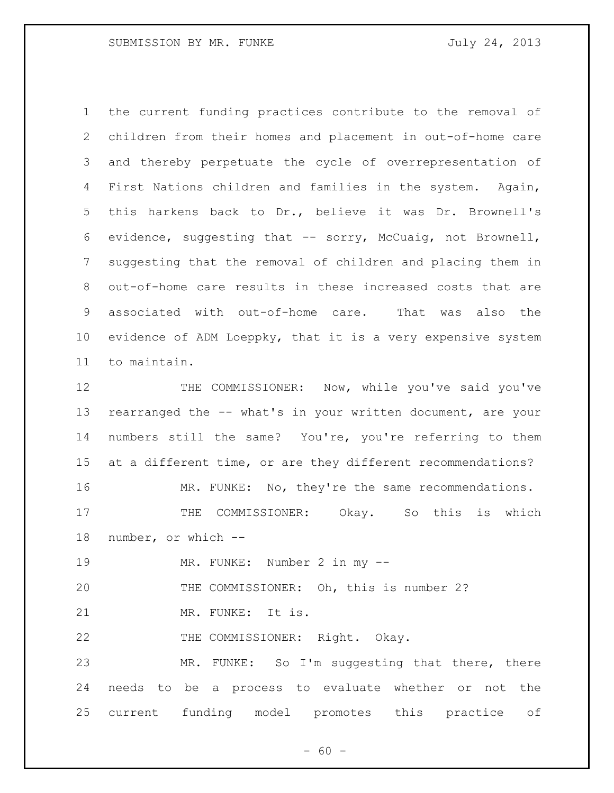the current funding practices contribute to the removal of children from their homes and placement in out-of-home care and thereby perpetuate the cycle of overrepresentation of First Nations children and families in the system. Again, this harkens back to Dr., believe it was Dr. Brownell's evidence, suggesting that -- sorry, McCuaig, not Brownell, suggesting that the removal of children and placing them in out-of-home care results in these increased costs that are associated with out-of-home care. That was also the evidence of ADM Loeppky, that it is a very expensive system to maintain.

12 THE COMMISSIONER: Now, while you've said you've 13 rearranged the -- what's in your written document, are your numbers still the same? You're, you're referring to them at a different time, or are they different recommendations? MR. FUNKE: No, they're the same recommendations. 17 THE COMMISSIONER: Okay. So this is which number, or which -- MR. FUNKE: Number 2 in my -- THE COMMISSIONER: Oh, this is number 2?

21 MR. FUNKE: It is.

22 THE COMMISSIONER: Right. Okay.

 MR. FUNKE: So I'm suggesting that there, there needs to be a process to evaluate whether or not the current funding model promotes this practice of

 $- 60 -$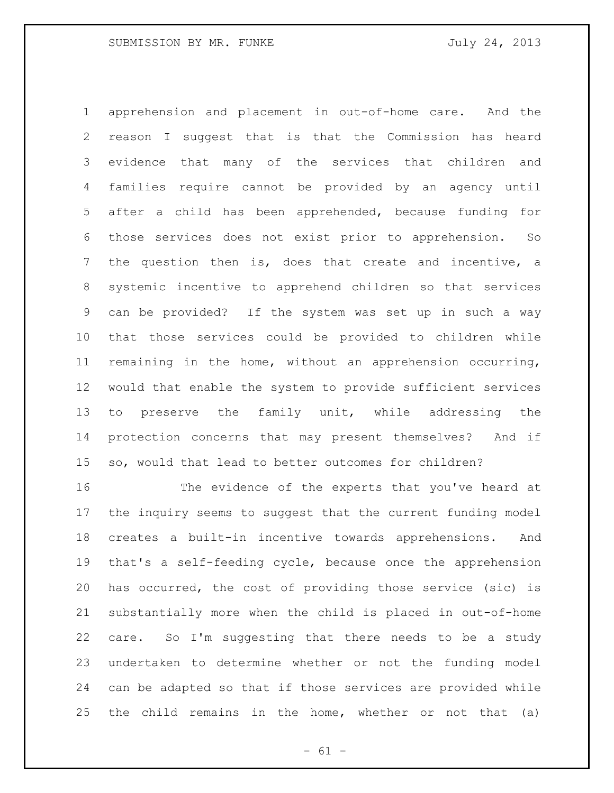apprehension and placement in out-of-home care. And the reason I suggest that is that the Commission has heard evidence that many of the services that children and families require cannot be provided by an agency until after a child has been apprehended, because funding for those services does not exist prior to apprehension. So the question then is, does that create and incentive, a systemic incentive to apprehend children so that services can be provided? If the system was set up in such a way that those services could be provided to children while remaining in the home, without an apprehension occurring, would that enable the system to provide sufficient services to preserve the family unit, while addressing the protection concerns that may present themselves? And if so, would that lead to better outcomes for children?

 The evidence of the experts that you've heard at the inquiry seems to suggest that the current funding model creates a built-in incentive towards apprehensions. And that's a self-feeding cycle, because once the apprehension has occurred, the cost of providing those service (sic) is substantially more when the child is placed in out-of-home care. So I'm suggesting that there needs to be a study undertaken to determine whether or not the funding model can be adapted so that if those services are provided while the child remains in the home, whether or not that (a)

 $- 61 -$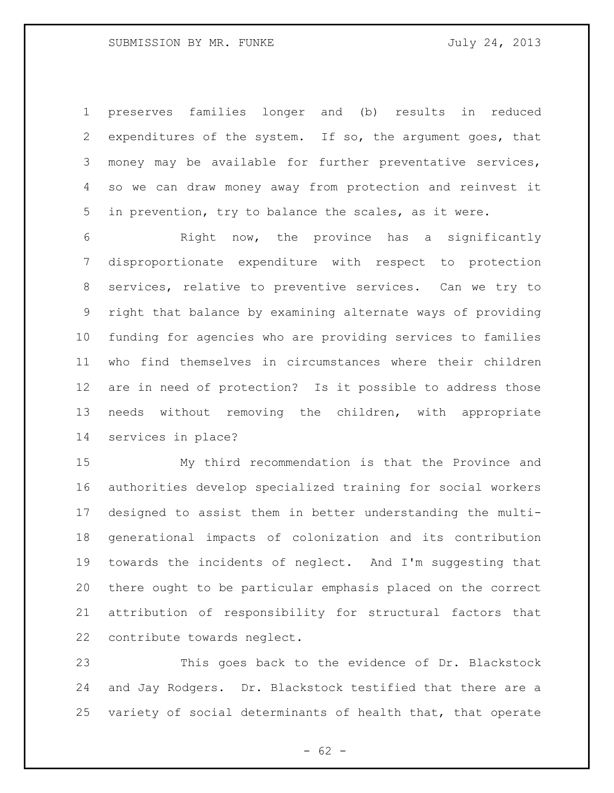preserves families longer and (b) results in reduced expenditures of the system. If so, the argument goes, that money may be available for further preventative services, so we can draw money away from protection and reinvest it in prevention, try to balance the scales, as it were.

 Right now, the province has a significantly disproportionate expenditure with respect to protection services, relative to preventive services. Can we try to right that balance by examining alternate ways of providing funding for agencies who are providing services to families who find themselves in circumstances where their children are in need of protection? Is it possible to address those needs without removing the children, with appropriate services in place?

 My third recommendation is that the Province and authorities develop specialized training for social workers designed to assist them in better understanding the multi- generational impacts of colonization and its contribution towards the incidents of neglect. And I'm suggesting that there ought to be particular emphasis placed on the correct attribution of responsibility for structural factors that contribute towards neglect.

 This goes back to the evidence of Dr. Blackstock and Jay Rodgers. Dr. Blackstock testified that there are a variety of social determinants of health that, that operate

 $- 62 -$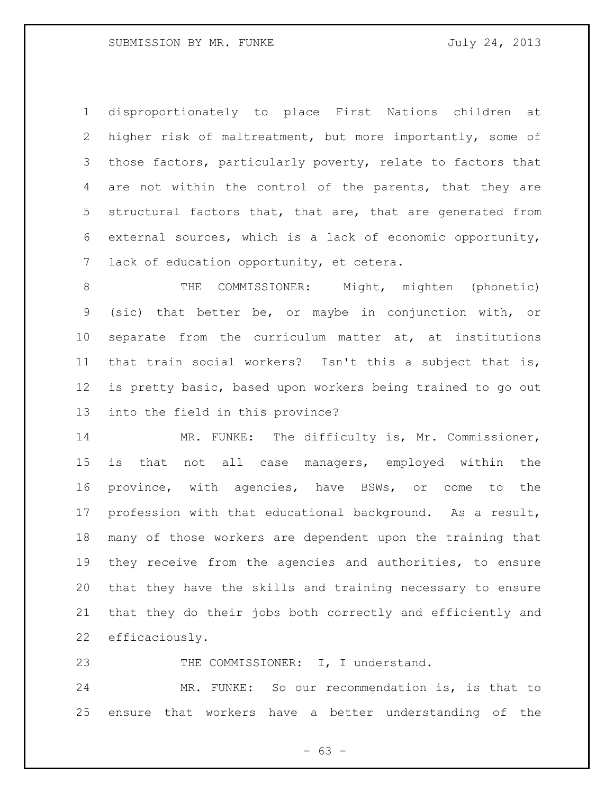disproportionately to place First Nations children at higher risk of maltreatment, but more importantly, some of those factors, particularly poverty, relate to factors that are not within the control of the parents, that they are structural factors that, that are, that are generated from external sources, which is a lack of economic opportunity, lack of education opportunity, et cetera.

 THE COMMISSIONER: Might, mighten (phonetic) (sic) that better be, or maybe in conjunction with, or separate from the curriculum matter at, at institutions that train social workers? Isn't this a subject that is, is pretty basic, based upon workers being trained to go out into the field in this province?

14 MR. FUNKE: The difficulty is, Mr. Commissioner, is that not all case managers, employed within the province, with agencies, have BSWs, or come to the profession with that educational background. As a result, many of those workers are dependent upon the training that they receive from the agencies and authorities, to ensure that they have the skills and training necessary to ensure that they do their jobs both correctly and efficiently and efficaciously.

23 THE COMMISSIONER: I, I understand.

 MR. FUNKE: So our recommendation is, is that to ensure that workers have a better understanding of the

 $- 63 -$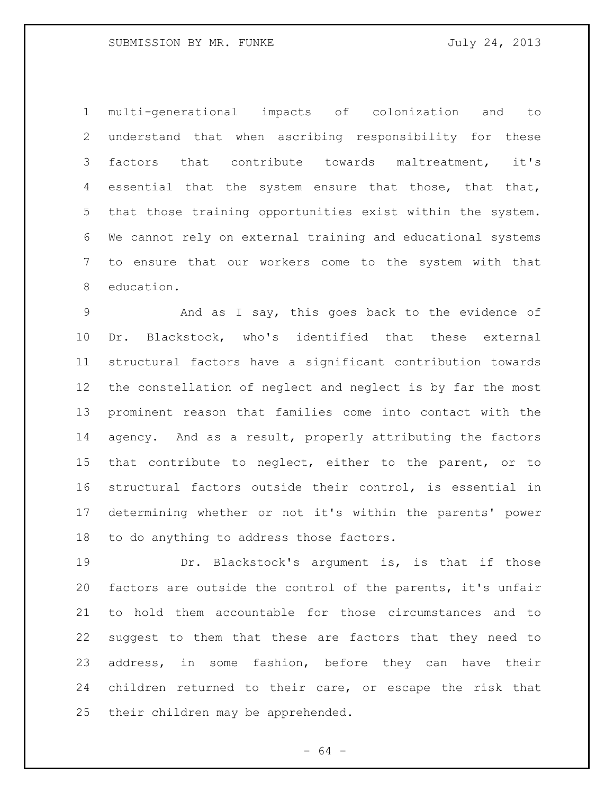multi-generational impacts of colonization and to understand that when ascribing responsibility for these factors that contribute towards maltreatment, it's essential that the system ensure that those, that that, that those training opportunities exist within the system. We cannot rely on external training and educational systems to ensure that our workers come to the system with that education.

 And as I say, this goes back to the evidence of Dr. Blackstock, who's identified that these external structural factors have a significant contribution towards the constellation of neglect and neglect is by far the most prominent reason that families come into contact with the agency. And as a result, properly attributing the factors that contribute to neglect, either to the parent, or to structural factors outside their control, is essential in determining whether or not it's within the parents' power to do anything to address those factors.

19 Dr. Blackstock's argument is, is that if those factors are outside the control of the parents, it's unfair to hold them accountable for those circumstances and to suggest to them that these are factors that they need to address, in some fashion, before they can have their children returned to their care, or escape the risk that their children may be apprehended.

- 64 -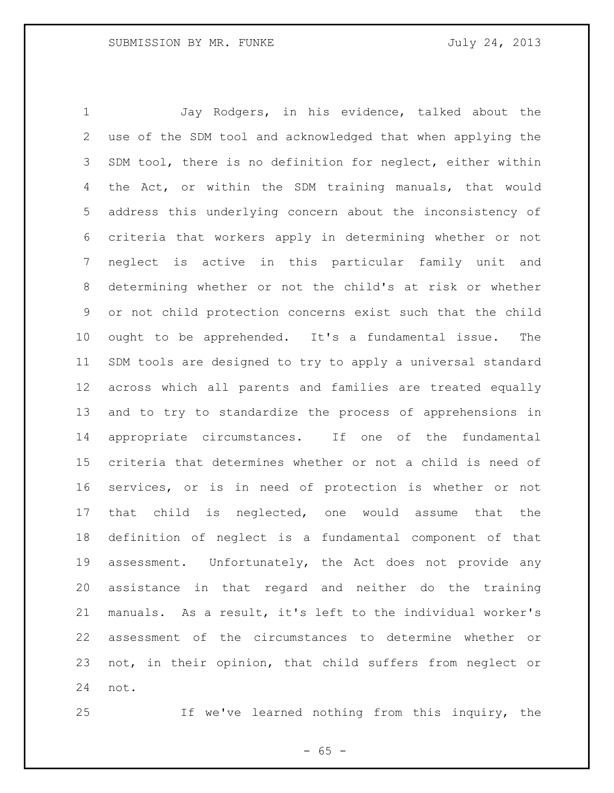Jay Rodgers, in his evidence, talked about the use of the SDM tool and acknowledged that when applying the SDM tool, there is no definition for neglect, either within the Act, or within the SDM training manuals, that would address this underlying concern about the inconsistency of criteria that workers apply in determining whether or not neglect is active in this particular family unit and determining whether or not the child's at risk or whether or not child protection concerns exist such that the child ought to be apprehended. It's a fundamental issue. The SDM tools are designed to try to apply a universal standard across which all parents and families are treated equally and to try to standardize the process of apprehensions in appropriate circumstances. If one of the fundamental criteria that determines whether or not a child is need of services, or is in need of protection is whether or not that child is neglected, one would assume that the definition of neglect is a fundamental component of that assessment. Unfortunately, the Act does not provide any assistance in that regard and neither do the training manuals. As a result, it's left to the individual worker's assessment of the circumstances to determine whether or not, in their opinion, that child suffers from neglect or not.

If we've learned nothing from this inquiry, the

 $- 65 -$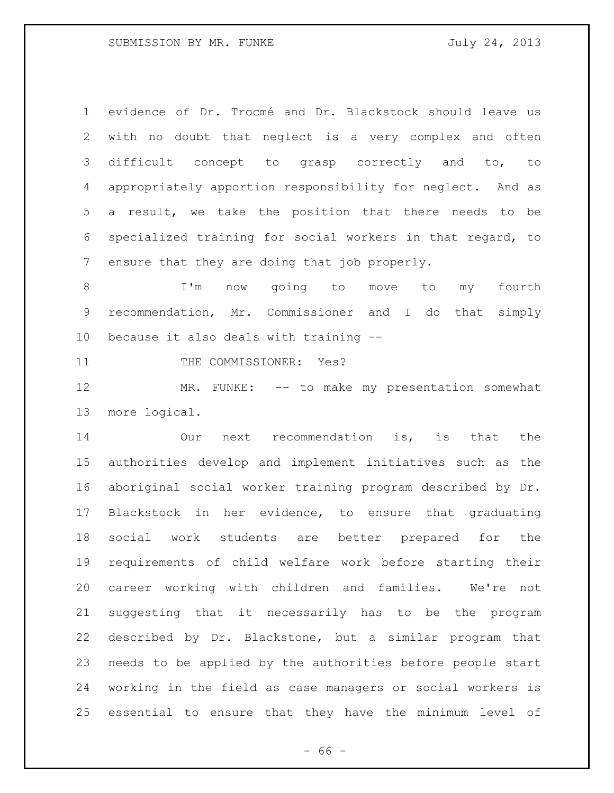evidence of Dr. Trocmé and Dr. Blackstock should leave us with no doubt that neglect is a very complex and often 3 difficult concept to grasp correctly and to, to appropriately apportion responsibility for neglect. And as a result, we take the position that there needs to be specialized training for social workers in that regard, to ensure that they are doing that job properly.

 I'm now going to move to my fourth recommendation, Mr. Commissioner and I do that simply because it also deals with training --

11 THE COMMISSIONER: Yes?

12 MR. FUNKE: -- to make my presentation somewhat more logical.

 Our next recommendation is, is that the authorities develop and implement initiatives such as the aboriginal social worker training program described by Dr. Blackstock in her evidence, to ensure that graduating social work students are better prepared for the requirements of child welfare work before starting their career working with children and families. We're not suggesting that it necessarily has to be the program described by Dr. Blackstone, but a similar program that needs to be applied by the authorities before people start working in the field as case managers or social workers is essential to ensure that they have the minimum level of

 $- 66 -$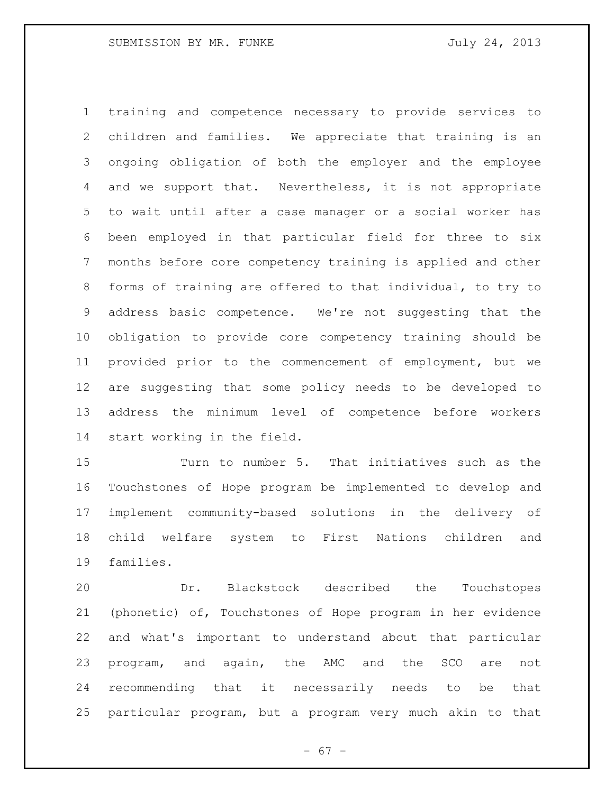training and competence necessary to provide services to children and families. We appreciate that training is an ongoing obligation of both the employer and the employee and we support that. Nevertheless, it is not appropriate to wait until after a case manager or a social worker has been employed in that particular field for three to six months before core competency training is applied and other forms of training are offered to that individual, to try to address basic competence. We're not suggesting that the obligation to provide core competency training should be provided prior to the commencement of employment, but we are suggesting that some policy needs to be developed to address the minimum level of competence before workers start working in the field.

 Turn to number 5. That initiatives such as the Touchstones of Hope program be implemented to develop and implement community-based solutions in the delivery of child welfare system to First Nations children and families.

 Dr. Blackstock described the Touchstopes (phonetic) of, Touchstones of Hope program in her evidence and what's important to understand about that particular program, and again, the AMC and the SCO are not recommending that it necessarily needs to be that particular program, but a program very much akin to that

- 67 -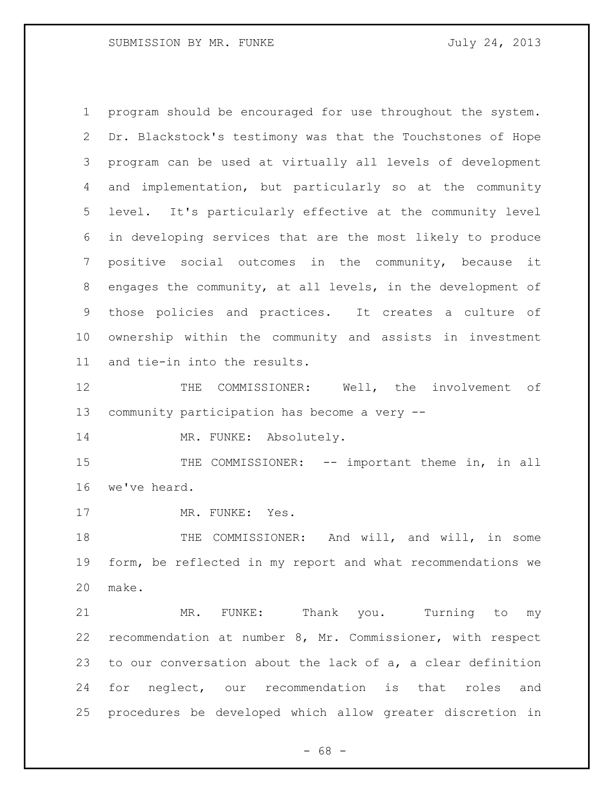program should be encouraged for use throughout the system. Dr. Blackstock's testimony was that the Touchstones of Hope program can be used at virtually all levels of development and implementation, but particularly so at the community level. It's particularly effective at the community level in developing services that are the most likely to produce positive social outcomes in the community, because it engages the community, at all levels, in the development of those policies and practices. It creates a culture of ownership within the community and assists in investment and tie-in into the results.

12 THE COMMISSIONER: Well, the involvement of community participation has become a very --

14 MR. FUNKE: Absolutely.

 THE COMMISSIONER: -- important theme in, in all we've heard.

17 MR. FUNKE: Yes.

18 THE COMMISSIONER: And will, and will, in some form, be reflected in my report and what recommendations we make.

 MR. FUNKE: Thank you. Turning to my recommendation at number 8, Mr. Commissioner, with respect to our conversation about the lack of a, a clear definition for neglect, our recommendation is that roles and procedures be developed which allow greater discretion in

- 68 -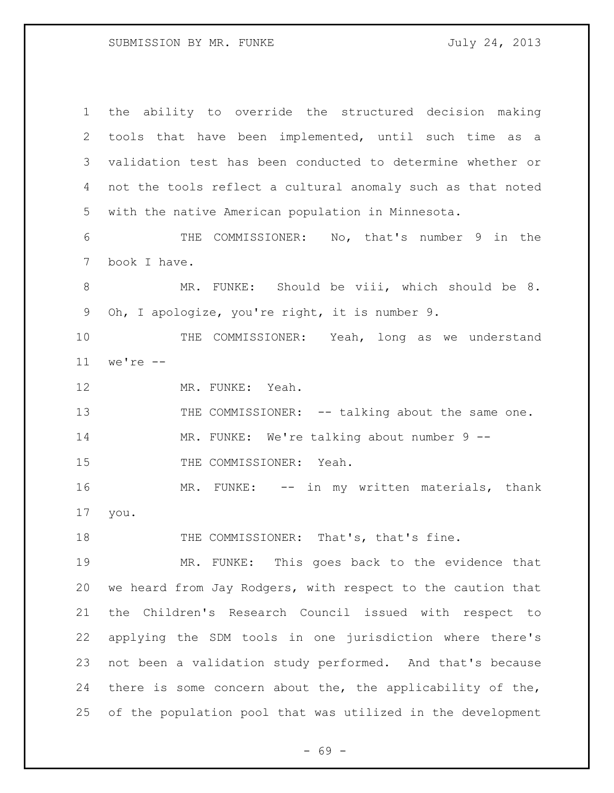## SUBMISSION BY MR. FUNKE July 24, 2013

| $\mathbf{1}$ | the ability to override the structured decision making      |
|--------------|-------------------------------------------------------------|
| 2            | tools that have been implemented, until such time as a      |
| 3            | validation test has been conducted to determine whether or  |
| 4            | not the tools reflect a cultural anomaly such as that noted |
| 5            | with the native American population in Minnesota.           |
| 6            | THE COMMISSIONER: No, that's number 9 in the                |
| 7            | book I have.                                                |
| $8\,$        | MR. FUNKE: Should be viii, which should be 8.               |
| 9            | Oh, I apologize, you're right, it is number 9.              |
| 10           | THE COMMISSIONER: Yeah, long as we understand               |
| 11           | we're $--$                                                  |
| 12           | MR. FUNKE: Yeah.                                            |
| 13           | THE COMMISSIONER: -- talking about the same one.            |
| 14           | MR. FUNKE: We're talking about number 9 --                  |
| 15           | THE COMMISSIONER: Yeah.                                     |
| 16           | MR. FUNKE: -- in my written materials, thank                |
| 17           | you.                                                        |
| 18           | THE COMMISSIONER: That's, that's fine.                      |
| 19           | MR. FUNKE: This goes back to the evidence that              |
| 20           | we heard from Jay Rodgers, with respect to the caution that |
| 21           | the Children's Research Council issued with respect to      |
| 22           | applying the SDM tools in one jurisdiction where there's    |
| 23           | not been a validation study performed. And that's because   |
| 24           | there is some concern about the, the applicability of the,  |
| 25           | of the population pool that was utilized in the development |

- 69 -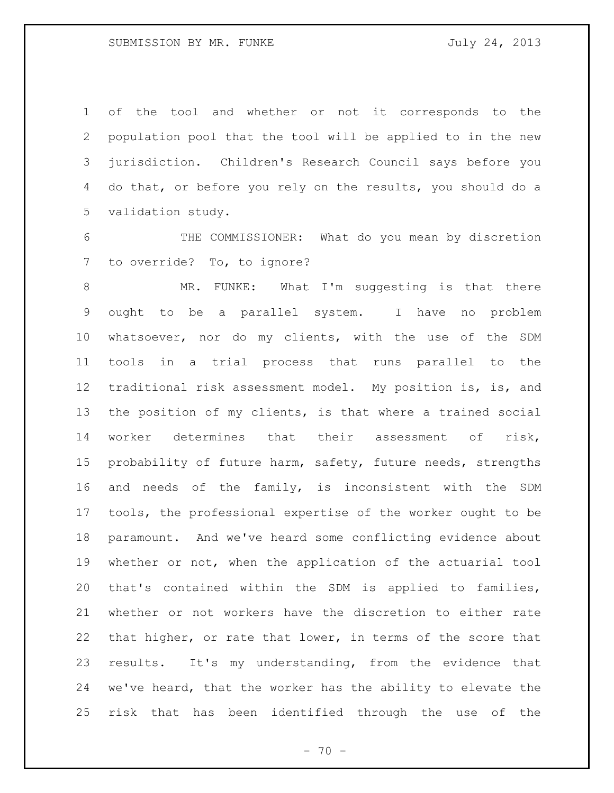of the tool and whether or not it corresponds to the population pool that the tool will be applied to in the new jurisdiction. Children's Research Council says before you do that, or before you rely on the results, you should do a validation study.

 THE COMMISSIONER: What do you mean by discretion to override? To, to ignore?

 MR. FUNKE: What I'm suggesting is that there ought to be a parallel system. I have no problem whatsoever, nor do my clients, with the use of the SDM tools in a trial process that runs parallel to the traditional risk assessment model. My position is, is, and the position of my clients, is that where a trained social worker determines that their assessment of risk, probability of future harm, safety, future needs, strengths and needs of the family, is inconsistent with the SDM tools, the professional expertise of the worker ought to be paramount. And we've heard some conflicting evidence about whether or not, when the application of the actuarial tool that's contained within the SDM is applied to families, whether or not workers have the discretion to either rate that higher, or rate that lower, in terms of the score that results. It's my understanding, from the evidence that we've heard, that the worker has the ability to elevate the risk that has been identified through the use of the

 $- 70 -$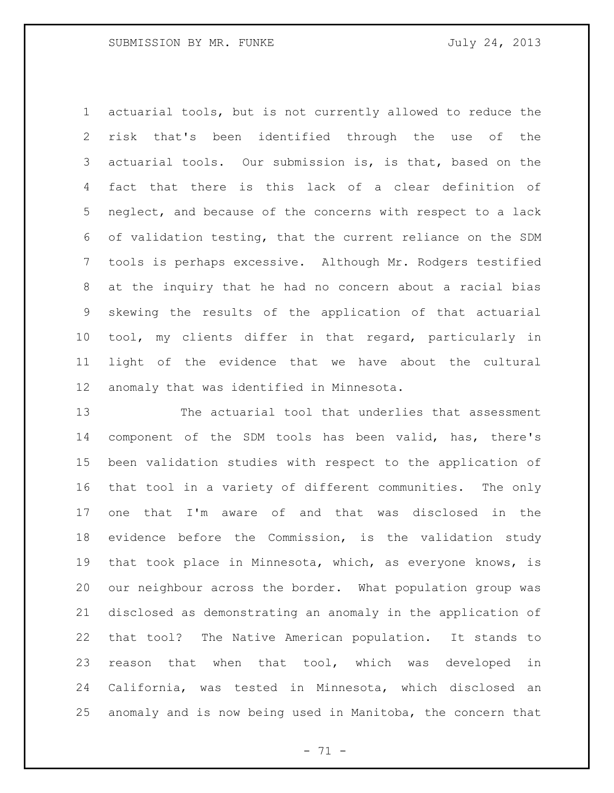actuarial tools, but is not currently allowed to reduce the risk that's been identified through the use of the actuarial tools. Our submission is, is that, based on the fact that there is this lack of a clear definition of neglect, and because of the concerns with respect to a lack of validation testing, that the current reliance on the SDM tools is perhaps excessive. Although Mr. Rodgers testified at the inquiry that he had no concern about a racial bias skewing the results of the application of that actuarial tool, my clients differ in that regard, particularly in light of the evidence that we have about the cultural anomaly that was identified in Minnesota.

 The actuarial tool that underlies that assessment component of the SDM tools has been valid, has, there's been validation studies with respect to the application of that tool in a variety of different communities. The only one that I'm aware of and that was disclosed in the evidence before the Commission, is the validation study that took place in Minnesota, which, as everyone knows, is our neighbour across the border. What population group was disclosed as demonstrating an anomaly in the application of that tool? The Native American population. It stands to reason that when that tool, which was developed in California, was tested in Minnesota, which disclosed an anomaly and is now being used in Manitoba, the concern that

 $- 71 -$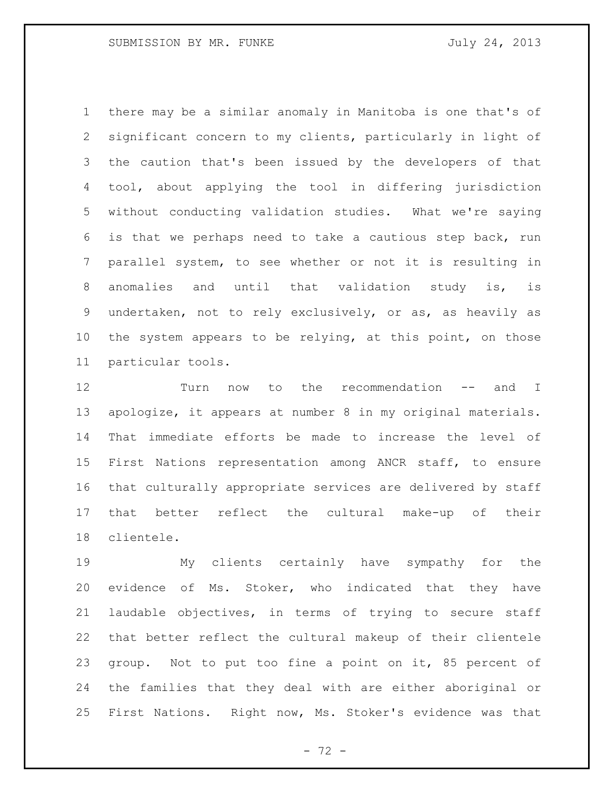there may be a similar anomaly in Manitoba is one that's of significant concern to my clients, particularly in light of the caution that's been issued by the developers of that tool, about applying the tool in differing jurisdiction without conducting validation studies. What we're saying is that we perhaps need to take a cautious step back, run parallel system, to see whether or not it is resulting in anomalies and until that validation study is, is undertaken, not to rely exclusively, or as, as heavily as the system appears to be relying, at this point, on those particular tools.

 Turn now to the recommendation -- and I apologize, it appears at number 8 in my original materials. That immediate efforts be made to increase the level of First Nations representation among ANCR staff, to ensure that culturally appropriate services are delivered by staff that better reflect the cultural make-up of their clientele.

 My clients certainly have sympathy for the evidence of Ms. Stoker, who indicated that they have laudable objectives, in terms of trying to secure staff that better reflect the cultural makeup of their clientele group. Not to put too fine a point on it, 85 percent of the families that they deal with are either aboriginal or First Nations. Right now, Ms. Stoker's evidence was that

 $- 72 -$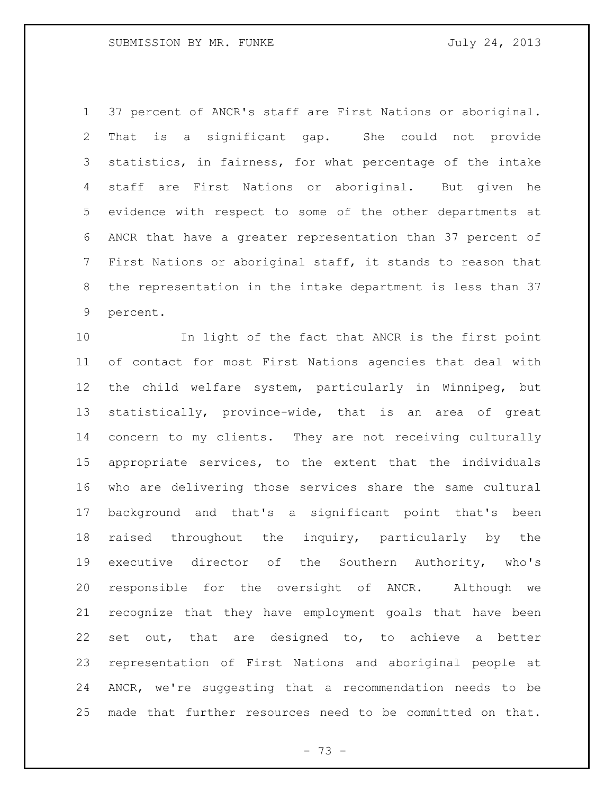37 percent of ANCR's staff are First Nations or aboriginal. That is a significant gap. She could not provide statistics, in fairness, for what percentage of the intake staff are First Nations or aboriginal. But given he evidence with respect to some of the other departments at ANCR that have a greater representation than 37 percent of First Nations or aboriginal staff, it stands to reason that the representation in the intake department is less than 37 percent.

 In light of the fact that ANCR is the first point of contact for most First Nations agencies that deal with the child welfare system, particularly in Winnipeg, but statistically, province-wide, that is an area of great concern to my clients. They are not receiving culturally appropriate services, to the extent that the individuals who are delivering those services share the same cultural background and that's a significant point that's been raised throughout the inquiry, particularly by the executive director of the Southern Authority, who's responsible for the oversight of ANCR. Although we recognize that they have employment goals that have been set out, that are designed to, to achieve a better representation of First Nations and aboriginal people at ANCR, we're suggesting that a recommendation needs to be made that further resources need to be committed on that.

- 73 -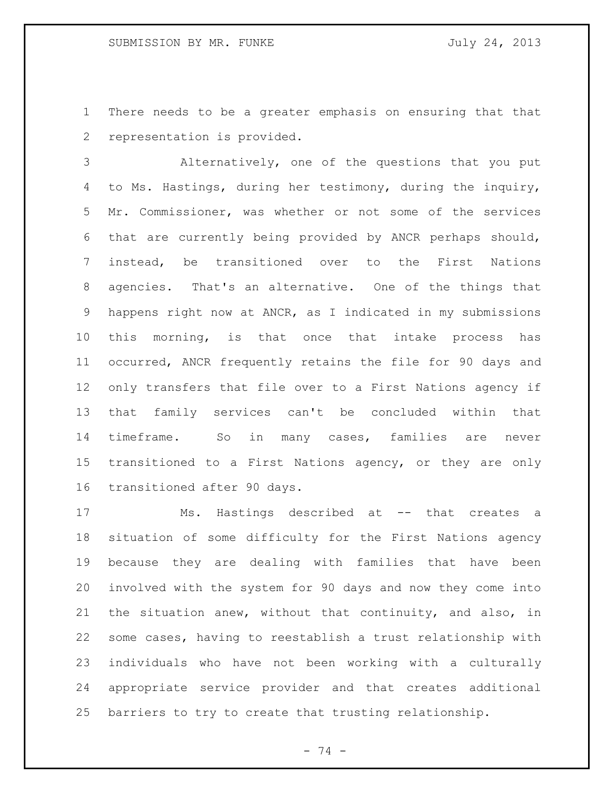There needs to be a greater emphasis on ensuring that that representation is provided.

 Alternatively, one of the questions that you put to Ms. Hastings, during her testimony, during the inquiry, Mr. Commissioner, was whether or not some of the services that are currently being provided by ANCR perhaps should, instead, be transitioned over to the First Nations agencies. That's an alternative. One of the things that happens right now at ANCR, as I indicated in my submissions this morning, is that once that intake process has occurred, ANCR frequently retains the file for 90 days and only transfers that file over to a First Nations agency if that family services can't be concluded within that timeframe. So in many cases, families are never transitioned to a First Nations agency, or they are only transitioned after 90 days.

17 Ms. Hastings described at -- that creates a situation of some difficulty for the First Nations agency because they are dealing with families that have been involved with the system for 90 days and now they come into the situation anew, without that continuity, and also, in some cases, having to reestablish a trust relationship with individuals who have not been working with a culturally appropriate service provider and that creates additional barriers to try to create that trusting relationship.

- 74 -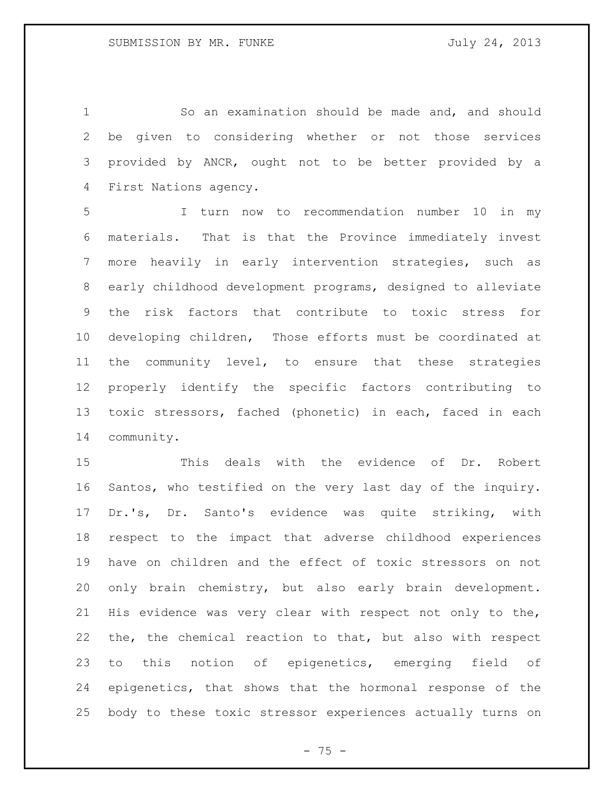So an examination should be made and, and should be given to considering whether or not those services provided by ANCR, ought not to be better provided by a First Nations agency.

 I turn now to recommendation number 10 in my materials. That is that the Province immediately invest more heavily in early intervention strategies, such as early childhood development programs, designed to alleviate the risk factors that contribute to toxic stress for developing children, Those efforts must be coordinated at the community level, to ensure that these strategies properly identify the specific factors contributing to toxic stressors, fached (phonetic) in each, faced in each community.

 This deals with the evidence of Dr. Robert Santos, who testified on the very last day of the inquiry. Dr.'s, Dr. Santo's evidence was quite striking, with respect to the impact that adverse childhood experiences have on children and the effect of toxic stressors on not only brain chemistry, but also early brain development. His evidence was very clear with respect not only to the, the, the chemical reaction to that, but also with respect to this notion of epigenetics, emerging field of epigenetics, that shows that the hormonal response of the body to these toxic stressor experiences actually turns on

 $- 75 -$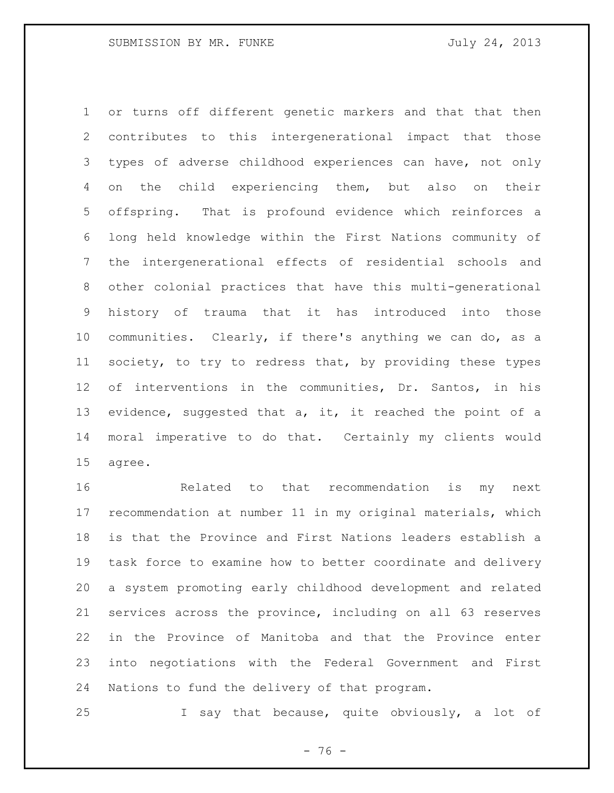or turns off different genetic markers and that that then contributes to this intergenerational impact that those types of adverse childhood experiences can have, not only on the child experiencing them, but also on their offspring. That is profound evidence which reinforces a long held knowledge within the First Nations community of the intergenerational effects of residential schools and other colonial practices that have this multi-generational history of trauma that it has introduced into those communities. Clearly, if there's anything we can do, as a society, to try to redress that, by providing these types of interventions in the communities, Dr. Santos, in his evidence, suggested that a, it, it reached the point of a moral imperative to do that. Certainly my clients would agree.

 Related to that recommendation is my next recommendation at number 11 in my original materials, which is that the Province and First Nations leaders establish a task force to examine how to better coordinate and delivery a system promoting early childhood development and related services across the province, including on all 63 reserves in the Province of Manitoba and that the Province enter into negotiations with the Federal Government and First Nations to fund the delivery of that program.

I say that because, quite obviously, a lot of

- 76 -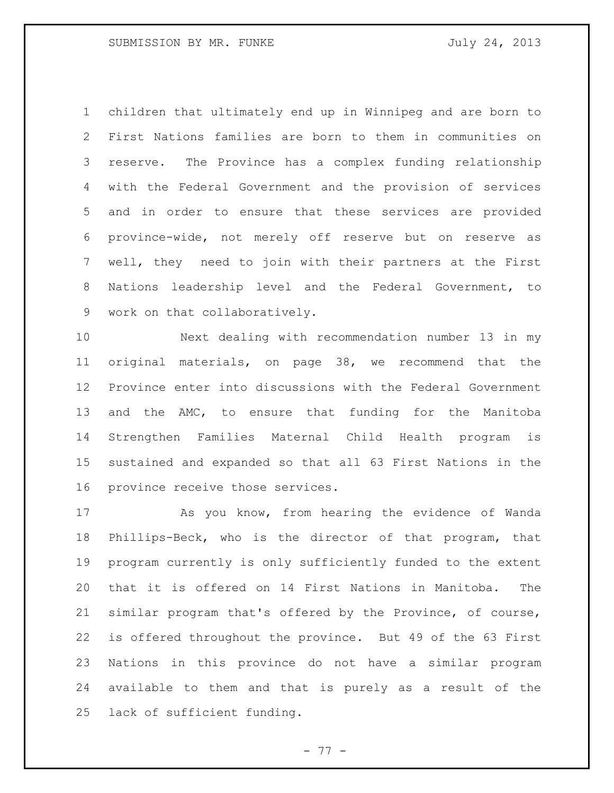children that ultimately end up in Winnipeg and are born to First Nations families are born to them in communities on reserve. The Province has a complex funding relationship with the Federal Government and the provision of services and in order to ensure that these services are provided province-wide, not merely off reserve but on reserve as well, they need to join with their partners at the First Nations leadership level and the Federal Government, to work on that collaboratively.

 Next dealing with recommendation number 13 in my original materials, on page 38, we recommend that the Province enter into discussions with the Federal Government and the AMC, to ensure that funding for the Manitoba Strengthen Families Maternal Child Health program is sustained and expanded so that all 63 First Nations in the province receive those services.

 As you know, from hearing the evidence of Wanda Phillips-Beck, who is the director of that program, that program currently is only sufficiently funded to the extent that it is offered on 14 First Nations in Manitoba. The similar program that's offered by the Province, of course, is offered throughout the province. But 49 of the 63 First Nations in this province do not have a similar program available to them and that is purely as a result of the lack of sufficient funding.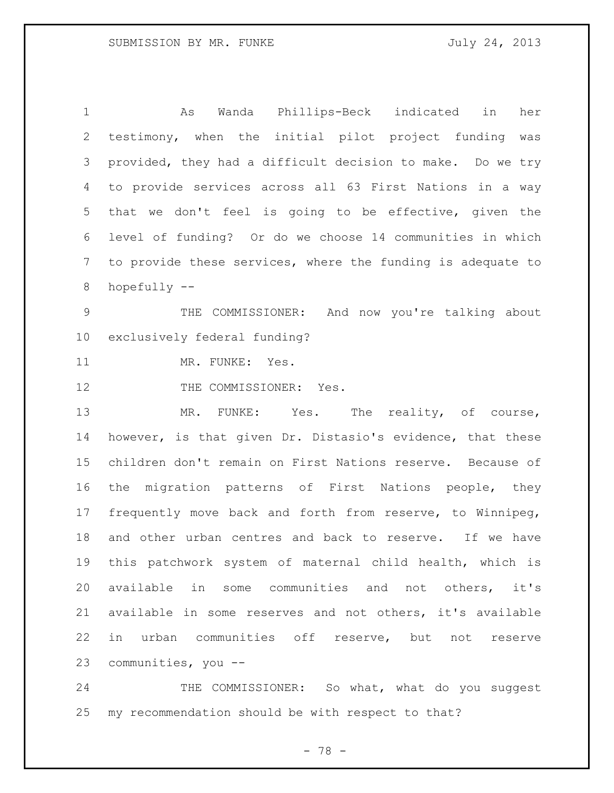As Wanda Phillips-Beck indicated in her testimony, when the initial pilot project funding was provided, they had a difficult decision to make. Do we try to provide services across all 63 First Nations in a way that we don't feel is going to be effective, given the level of funding? Or do we choose 14 communities in which to provide these services, where the funding is adequate to hopefully --

 THE COMMISSIONER: And now you're talking about exclusively federal funding?

11 MR. FUNKE: Yes.

12 THE COMMISSIONER: Yes.

13 MR. FUNKE: Yes. The reality, of course, however, is that given Dr. Distasio's evidence, that these children don't remain on First Nations reserve. Because of the migration patterns of First Nations people, they frequently move back and forth from reserve, to Winnipeg, and other urban centres and back to reserve. If we have this patchwork system of maternal child health, which is available in some communities and not others, it's available in some reserves and not others, it's available in urban communities off reserve, but not reserve communities, you --

24 THE COMMISSIONER: So what, what do you suggest my recommendation should be with respect to that?

- 78 -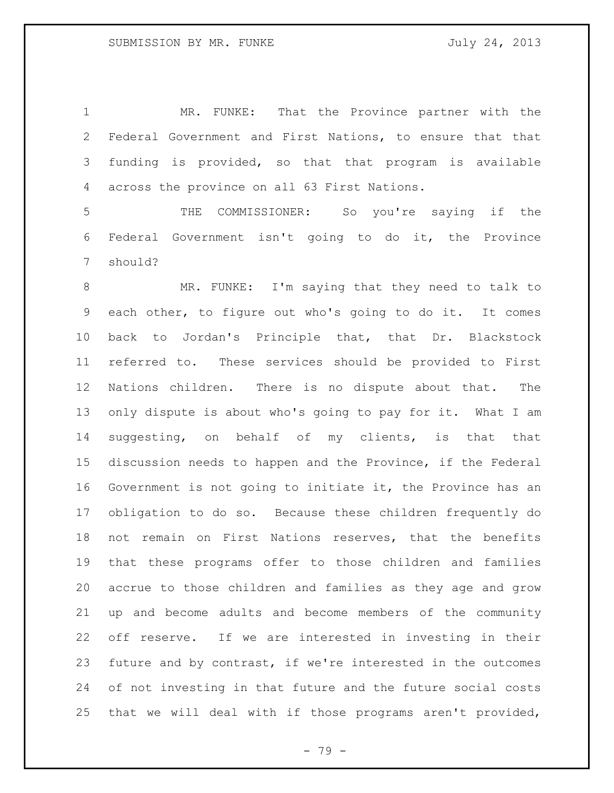MR. FUNKE: That the Province partner with the Federal Government and First Nations, to ensure that that funding is provided, so that that program is available across the province on all 63 First Nations.

 THE COMMISSIONER: So you're saying if the Federal Government isn't going to do it, the Province should?

 MR. FUNKE: I'm saying that they need to talk to each other, to figure out who's going to do it. It comes back to Jordan's Principle that, that Dr. Blackstock referred to. These services should be provided to First Nations children. There is no dispute about that. The only dispute is about who's going to pay for it. What I am suggesting, on behalf of my clients, is that that discussion needs to happen and the Province, if the Federal Government is not going to initiate it, the Province has an obligation to do so. Because these children frequently do not remain on First Nations reserves, that the benefits that these programs offer to those children and families accrue to those children and families as they age and grow up and become adults and become members of the community off reserve. If we are interested in investing in their future and by contrast, if we're interested in the outcomes of not investing in that future and the future social costs that we will deal with if those programs aren't provided,

- 79 -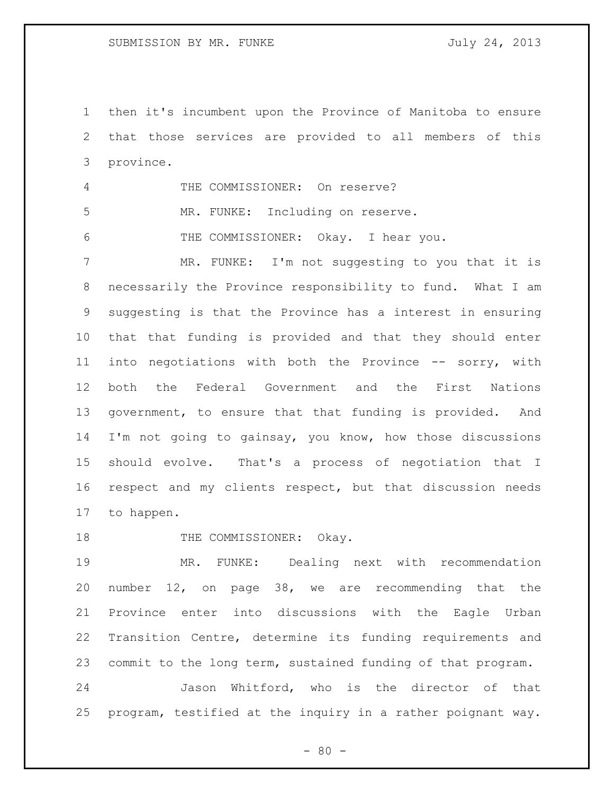then it's incumbent upon the Province of Manitoba to ensure that those services are provided to all members of this province.

 THE COMMISSIONER: On reserve? MR. FUNKE: Including on reserve. THE COMMISSIONER: Okay. I hear you.

 MR. FUNKE: I'm not suggesting to you that it is necessarily the Province responsibility to fund. What I am suggesting is that the Province has a interest in ensuring that that funding is provided and that they should enter into negotiations with both the Province -- sorry, with both the Federal Government and the First Nations government, to ensure that that funding is provided. And I'm not going to gainsay, you know, how those discussions should evolve. That's a process of negotiation that I respect and my clients respect, but that discussion needs to happen.

18 THE COMMISSIONER: Okay.

 MR. FUNKE: Dealing next with recommendation number 12, on page 38, we are recommending that the Province enter into discussions with the Eagle Urban Transition Centre, determine its funding requirements and commit to the long term, sustained funding of that program. Jason Whitford, who is the director of that

program, testified at the inquiry in a rather poignant way.

 $- 80 -$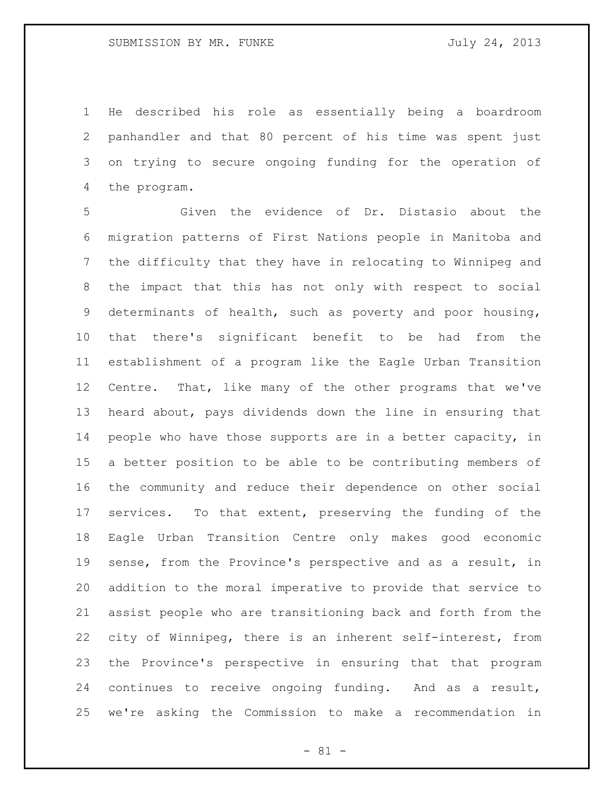He described his role as essentially being a boardroom panhandler and that 80 percent of his time was spent just on trying to secure ongoing funding for the operation of the program.

 Given the evidence of Dr. Distasio about the migration patterns of First Nations people in Manitoba and the difficulty that they have in relocating to Winnipeg and the impact that this has not only with respect to social determinants of health, such as poverty and poor housing, that there's significant benefit to be had from the establishment of a program like the Eagle Urban Transition Centre. That, like many of the other programs that we've heard about, pays dividends down the line in ensuring that people who have those supports are in a better capacity, in a better position to be able to be contributing members of the community and reduce their dependence on other social services. To that extent, preserving the funding of the Eagle Urban Transition Centre only makes good economic sense, from the Province's perspective and as a result, in addition to the moral imperative to provide that service to assist people who are transitioning back and forth from the city of Winnipeg, there is an inherent self-interest, from the Province's perspective in ensuring that that program continues to receive ongoing funding. And as a result, we're asking the Commission to make a recommendation in

- 81 -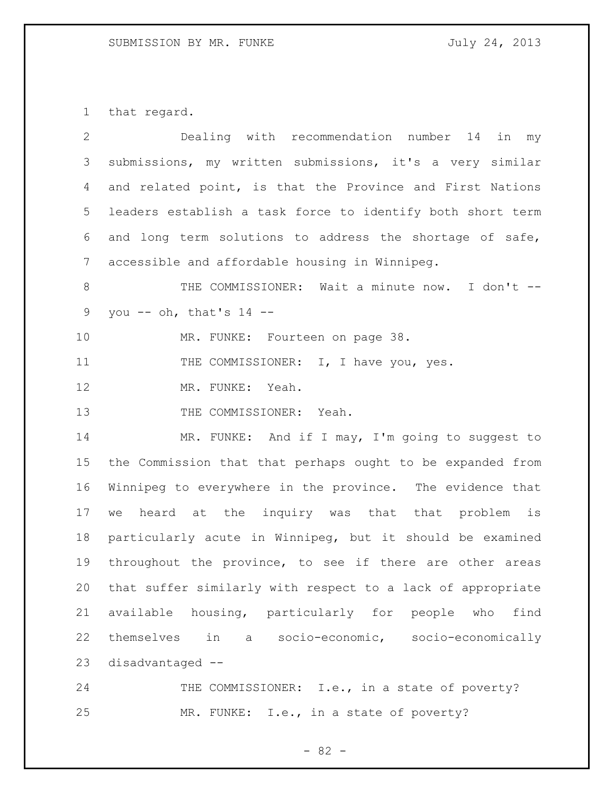that regard.

| $\mathbf{2}$    | Dealing with recommendation number 14 in my                 |
|-----------------|-------------------------------------------------------------|
| 3               | submissions, my written submissions, it's a very similar    |
| 4               | and related point, is that the Province and First Nations   |
| 5               | leaders establish a task force to identify both short term  |
| 6               | and long term solutions to address the shortage of safe,    |
| $7\phantom{.0}$ | accessible and affordable housing in Winnipeg.              |
| 8               | THE COMMISSIONER: Wait a minute now. I don't --             |
| 9               | you -- oh, that's $14$ --                                   |
| 10              | MR. FUNKE: Fourteen on page 38.                             |
| 11              | THE COMMISSIONER: I, I have you, yes.                       |
| 12              | MR. FUNKE: Yeah.                                            |
| 13              | THE COMMISSIONER: Yeah.                                     |
| 14              | MR. FUNKE: And if I may, I'm going to suggest to            |
| 15              | the Commission that that perhaps ought to be expanded from  |
| 16              | Winnipeg to everywhere in the province. The evidence that   |
| 17              | heard at the inquiry was that that problem is<br>we         |
| 18              | particularly acute in Winnipeg, but it should be examined   |
| 19              | throughout the province, to see if there are other areas    |
| 20              | that suffer similarly with respect to a lack of appropriate |
| 21              | available housing, particularly for people who<br>find      |
| 22              | themselves<br>in a socio-economic, socio-economically       |
| 23              | disadvantaged --                                            |
| 24              | THE COMMISSIONER: I.e., in a state of poverty?              |

MR. FUNKE: I.e., in a state of poverty?

- 82 -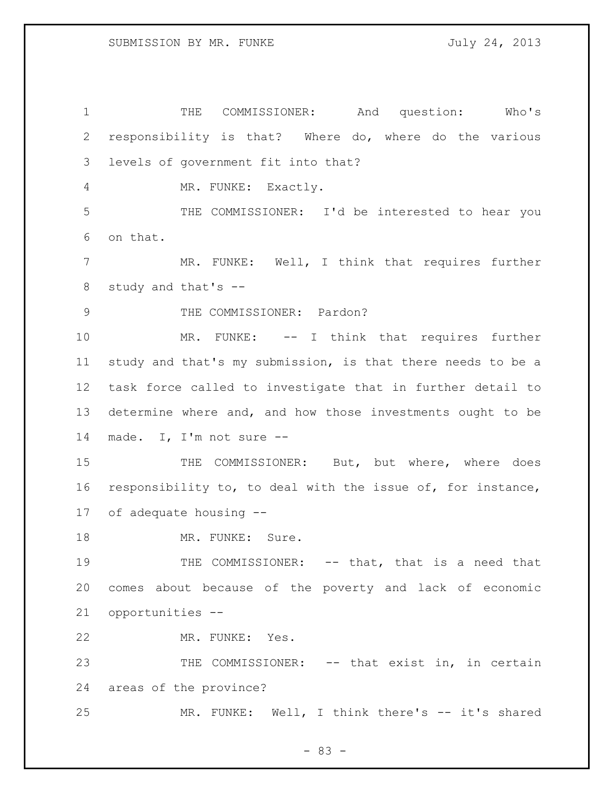THE COMMISSIONER: And question: Who's responsibility is that? Where do, where do the various levels of government fit into that? MR. FUNKE: Exactly. THE COMMISSIONER: I'd be interested to hear you on that. MR. FUNKE: Well, I think that requires further study and that's -- 9 THE COMMISSIONER: Pardon? 10 MR. FUNKE: -- I think that requires further study and that's my submission, is that there needs to be a task force called to investigate that in further detail to determine where and, and how those investments ought to be made. I, I'm not sure -- 15 THE COMMISSIONER: But, but where, where does responsibility to, to deal with the issue of, for instance, of adequate housing -- 18 MR. FUNKE: Sure. THE COMMISSIONER: -- that, that is a need that comes about because of the poverty and lack of economic opportunities -- MR. FUNKE: Yes. THE COMMISSIONER: -- that exist in, in certain areas of the province? MR. FUNKE: Well, I think there's -- it's shared

- 83 -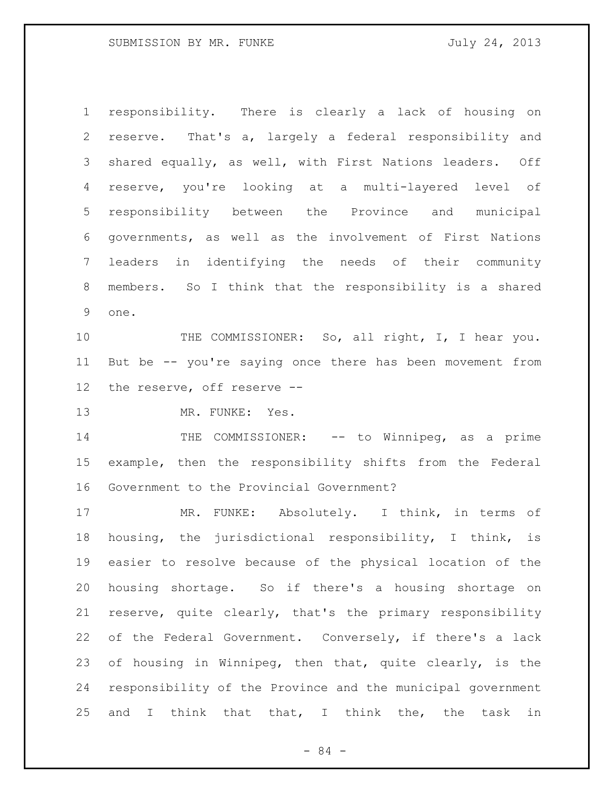responsibility. There is clearly a lack of housing on reserve. That's a, largely a federal responsibility and shared equally, as well, with First Nations leaders. Off reserve, you're looking at a multi-layered level of responsibility between the Province and municipal governments, as well as the involvement of First Nations leaders in identifying the needs of their community members. So I think that the responsibility is a shared one.

10 THE COMMISSIONER: So, all right, I, I hear you. But be -- you're saying once there has been movement from the reserve, off reserve --

MR. FUNKE: Yes.

14 THE COMMISSIONER: -- to Winnipeg, as a prime example, then the responsibility shifts from the Federal Government to the Provincial Government?

 MR. FUNKE: Absolutely. I think, in terms of housing, the jurisdictional responsibility, I think, is easier to resolve because of the physical location of the housing shortage. So if there's a housing shortage on reserve, quite clearly, that's the primary responsibility of the Federal Government. Conversely, if there's a lack of housing in Winnipeg, then that, quite clearly, is the responsibility of the Province and the municipal government 25 and I think that that, I think the, the task in

- 84 -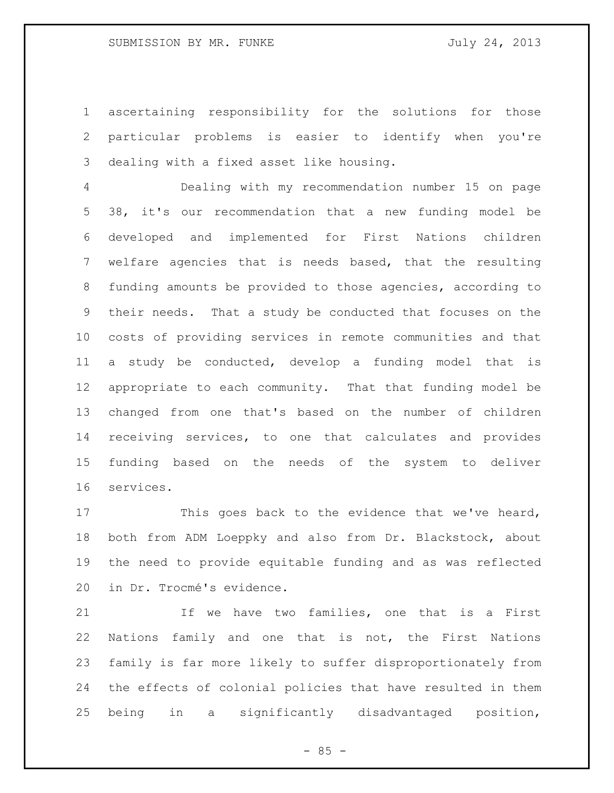ascertaining responsibility for the solutions for those particular problems is easier to identify when you're dealing with a fixed asset like housing.

 Dealing with my recommendation number 15 on page 38, it's our recommendation that a new funding model be developed and implemented for First Nations children welfare agencies that is needs based, that the resulting funding amounts be provided to those agencies, according to their needs. That a study be conducted that focuses on the costs of providing services in remote communities and that a study be conducted, develop a funding model that is appropriate to each community. That that funding model be changed from one that's based on the number of children receiving services, to one that calculates and provides funding based on the needs of the system to deliver services.

 This goes back to the evidence that we've heard, both from ADM Loeppky and also from Dr. Blackstock, about the need to provide equitable funding and as was reflected in Dr. Trocmé's evidence.

 If we have two families, one that is a First Nations family and one that is not, the First Nations family is far more likely to suffer disproportionately from the effects of colonial policies that have resulted in them being in a significantly disadvantaged position,

 $- 85 -$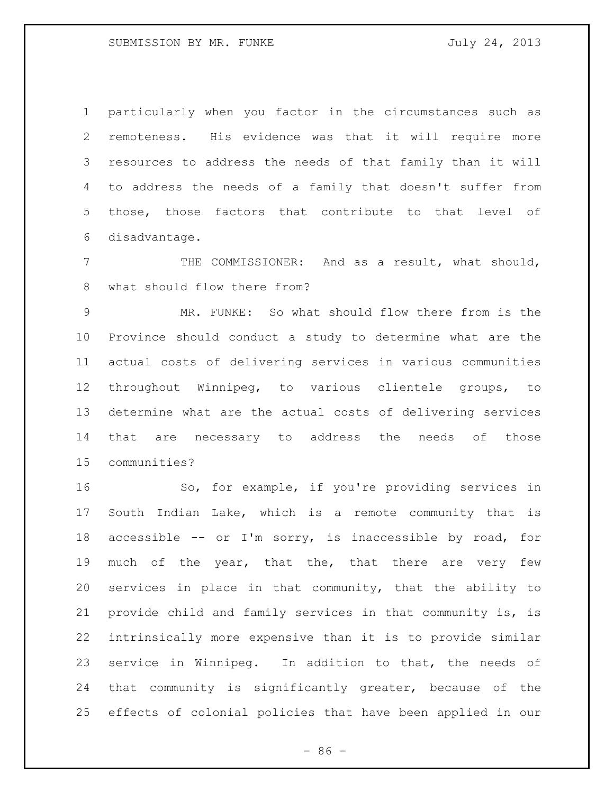particularly when you factor in the circumstances such as remoteness. His evidence was that it will require more resources to address the needs of that family than it will to address the needs of a family that doesn't suffer from those, those factors that contribute to that level of disadvantage.

 THE COMMISSIONER: And as a result, what should, what should flow there from?

 MR. FUNKE: So what should flow there from is the Province should conduct a study to determine what are the actual costs of delivering services in various communities throughout Winnipeg, to various clientele groups, to determine what are the actual costs of delivering services that are necessary to address the needs of those communities?

 So, for example, if you're providing services in South Indian Lake, which is a remote community that is accessible -- or I'm sorry, is inaccessible by road, for much of the year, that the, that there are very few services in place in that community, that the ability to provide child and family services in that community is, is intrinsically more expensive than it is to provide similar service in Winnipeg. In addition to that, the needs of that community is significantly greater, because of the effects of colonial policies that have been applied in our

 $-86 -$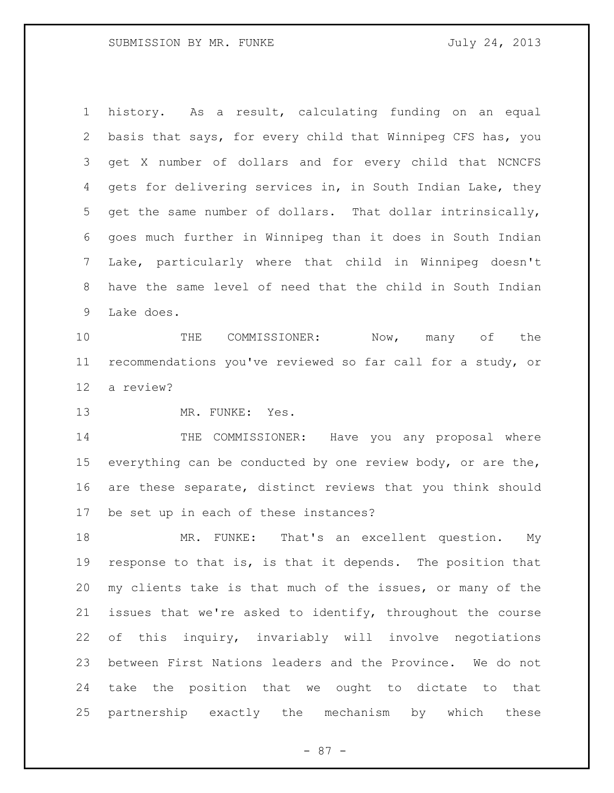history. As a result, calculating funding on an equal basis that says, for every child that Winnipeg CFS has, you get X number of dollars and for every child that NCNCFS gets for delivering services in, in South Indian Lake, they get the same number of dollars. That dollar intrinsically, goes much further in Winnipeg than it does in South Indian Lake, particularly where that child in Winnipeg doesn't have the same level of need that the child in South Indian Lake does.

10 THE COMMISSIONER: Now, many of the recommendations you've reviewed so far call for a study, or a review?

MR. FUNKE: Yes.

14 THE COMMISSIONER: Have you any proposal where 15 everything can be conducted by one review body, or are the, are these separate, distinct reviews that you think should be set up in each of these instances?

 MR. FUNKE: That's an excellent question. My response to that is, is that it depends. The position that my clients take is that much of the issues, or many of the issues that we're asked to identify, throughout the course of this inquiry, invariably will involve negotiations between First Nations leaders and the Province. We do not take the position that we ought to dictate to that partnership exactly the mechanism by which these

- 87 -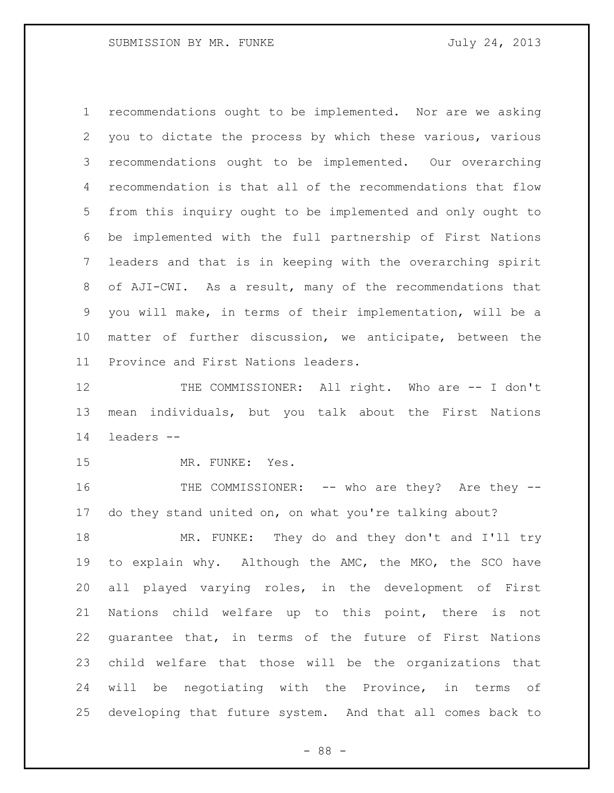recommendations ought to be implemented. Nor are we asking you to dictate the process by which these various, various recommendations ought to be implemented. Our overarching recommendation is that all of the recommendations that flow from this inquiry ought to be implemented and only ought to be implemented with the full partnership of First Nations leaders and that is in keeping with the overarching spirit of AJI-CWI. As a result, many of the recommendations that you will make, in terms of their implementation, will be a matter of further discussion, we anticipate, between the Province and First Nations leaders.

12 THE COMMISSIONER: All right. Who are -- I don't mean individuals, but you talk about the First Nations leaders --

MR. FUNKE: Yes.

16 THE COMMISSIONER: -- who are they? Are they --do they stand united on, on what you're talking about?

18 MR. FUNKE: They do and they don't and I'll try to explain why. Although the AMC, the MKO, the SCO have all played varying roles, in the development of First Nations child welfare up to this point, there is not guarantee that, in terms of the future of First Nations child welfare that those will be the organizations that will be negotiating with the Province, in terms of developing that future system. And that all comes back to

- 88 -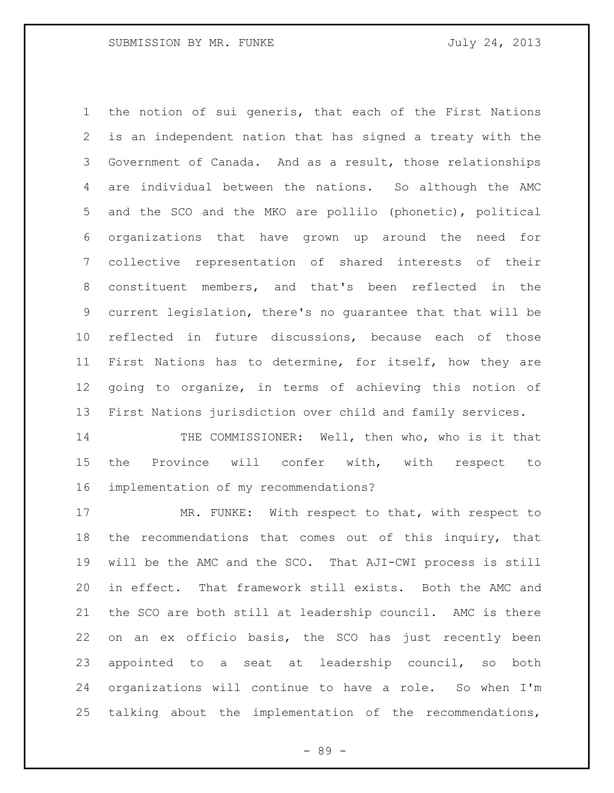the notion of sui generis, that each of the First Nations is an independent nation that has signed a treaty with the Government of Canada. And as a result, those relationships are individual between the nations. So although the AMC and the SCO and the MKO are pollilo (phonetic), political organizations that have grown up around the need for collective representation of shared interests of their constituent members, and that's been reflected in the current legislation, there's no guarantee that that will be reflected in future discussions, because each of those First Nations has to determine, for itself, how they are going to organize, in terms of achieving this notion of First Nations jurisdiction over child and family services.

14 THE COMMISSIONER: Well, then who, who is it that the Province will confer with, with respect to implementation of my recommendations?

17 MR. FUNKE: With respect to that, with respect to the recommendations that comes out of this inquiry, that will be the AMC and the SCO. That AJI-CWI process is still in effect. That framework still exists. Both the AMC and the SCO are both still at leadership council. AMC is there on an ex officio basis, the SCO has just recently been appointed to a seat at leadership council, so both organizations will continue to have a role. So when I'm talking about the implementation of the recommendations,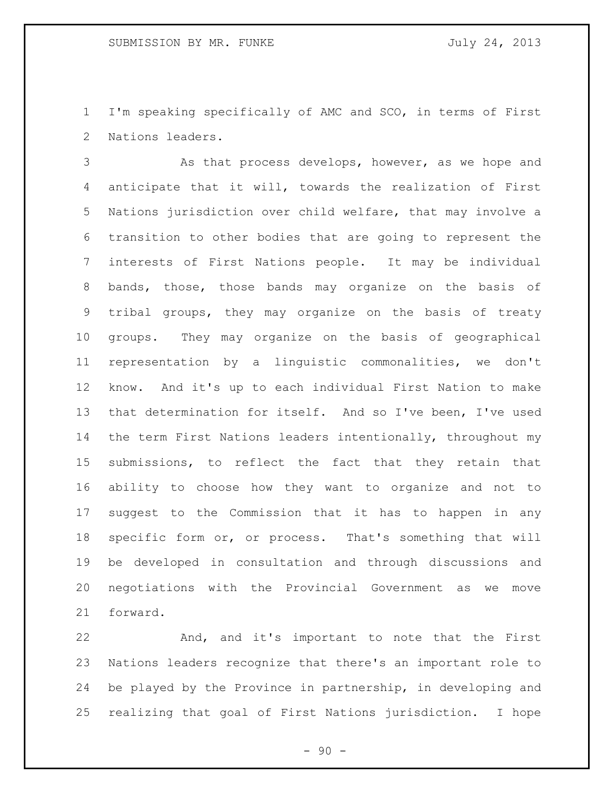I'm speaking specifically of AMC and SCO, in terms of First Nations leaders.

 As that process develops, however, as we hope and anticipate that it will, towards the realization of First Nations jurisdiction over child welfare, that may involve a transition to other bodies that are going to represent the interests of First Nations people. It may be individual bands, those, those bands may organize on the basis of tribal groups, they may organize on the basis of treaty groups. They may organize on the basis of geographical representation by a linguistic commonalities, we don't know. And it's up to each individual First Nation to make that determination for itself. And so I've been, I've used the term First Nations leaders intentionally, throughout my submissions, to reflect the fact that they retain that ability to choose how they want to organize and not to suggest to the Commission that it has to happen in any specific form or, or process. That's something that will be developed in consultation and through discussions and negotiations with the Provincial Government as we move forward.

 And, and it's important to note that the First Nations leaders recognize that there's an important role to be played by the Province in partnership, in developing and realizing that goal of First Nations jurisdiction. I hope

 $-90 -$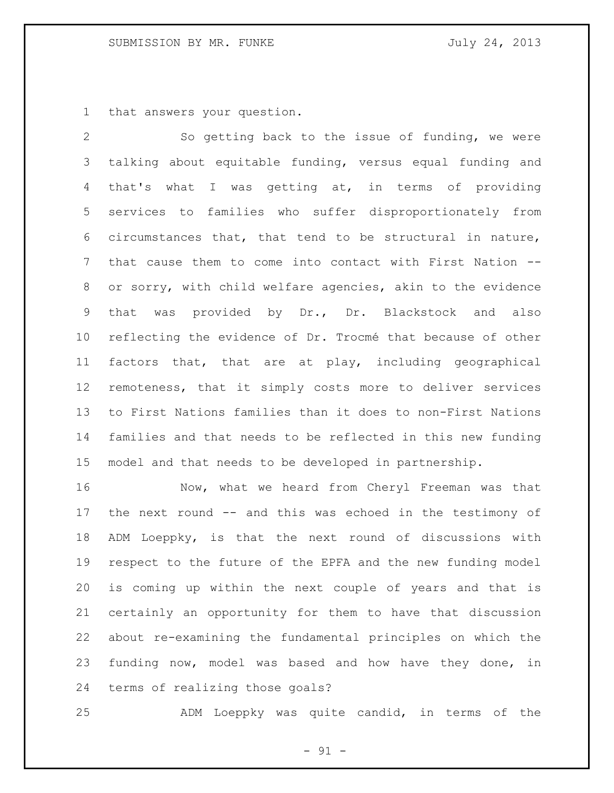that answers your question.

 So getting back to the issue of funding, we were talking about equitable funding, versus equal funding and that's what I was getting at, in terms of providing services to families who suffer disproportionately from circumstances that, that tend to be structural in nature, that cause them to come into contact with First Nation -- or sorry, with child welfare agencies, akin to the evidence that was provided by Dr., Dr. Blackstock and also reflecting the evidence of Dr. Trocmé that because of other factors that, that are at play, including geographical remoteness, that it simply costs more to deliver services to First Nations families than it does to non-First Nations families and that needs to be reflected in this new funding model and that needs to be developed in partnership.

 Now, what we heard from Cheryl Freeman was that the next round -- and this was echoed in the testimony of ADM Loeppky, is that the next round of discussions with respect to the future of the EPFA and the new funding model is coming up within the next couple of years and that is certainly an opportunity for them to have that discussion about re-examining the fundamental principles on which the funding now, model was based and how have they done, in terms of realizing those goals?

ADM Loeppky was quite candid, in terms of the

- 91 -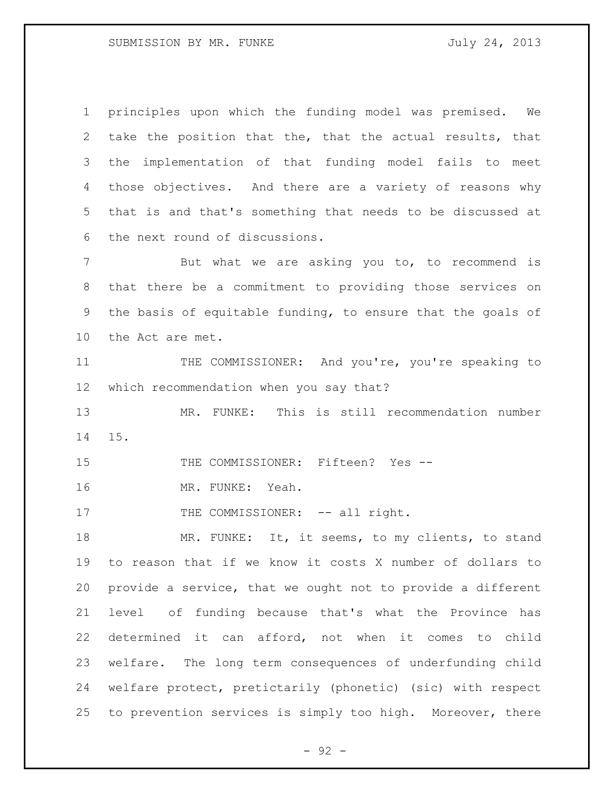principles upon which the funding model was premised. We take the position that the, that the actual results, that the implementation of that funding model fails to meet those objectives. And there are a variety of reasons why that is and that's something that needs to be discussed at the next round of discussions.

 But what we are asking you to, to recommend is that there be a commitment to providing those services on the basis of equitable funding, to ensure that the goals of the Act are met.

11 THE COMMISSIONER: And you're, you're speaking to which recommendation when you say that?

 MR. FUNKE: This is still recommendation number 15.

15 THE COMMISSIONER: Fifteen? Yes --

16 MR. FUNKE: Yeah.

17 THE COMMISSIONER: -- all right.

 MR. FUNKE: It, it seems, to my clients, to stand to reason that if we know it costs X number of dollars to provide a service, that we ought not to provide a different level of funding because that's what the Province has determined it can afford, not when it comes to child welfare. The long term consequences of underfunding child welfare protect, pretictarily (phonetic) (sic) with respect to prevention services is simply too high. Moreover, there

- 92 -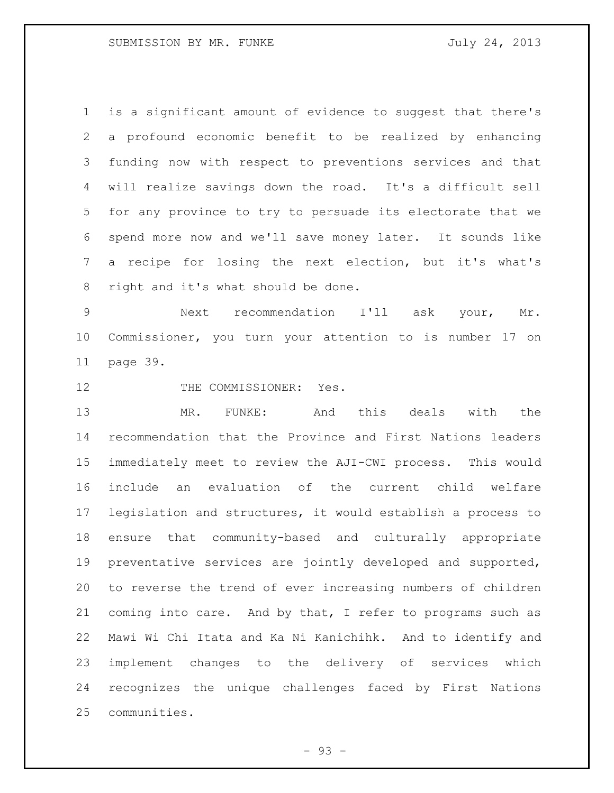is a significant amount of evidence to suggest that there's a profound economic benefit to be realized by enhancing funding now with respect to preventions services and that will realize savings down the road. It's a difficult sell for any province to try to persuade its electorate that we spend more now and we'll save money later. It sounds like a recipe for losing the next election, but it's what's right and it's what should be done.

 Next recommendation I'll ask your, Mr. Commissioner, you turn your attention to is number 17 on page 39.

12 THE COMMISSIONER: Yes.

 MR. FUNKE: And this deals with the recommendation that the Province and First Nations leaders immediately meet to review the AJI-CWI process. This would include an evaluation of the current child welfare legislation and structures, it would establish a process to ensure that community-based and culturally appropriate preventative services are jointly developed and supported, to reverse the trend of ever increasing numbers of children coming into care. And by that, I refer to programs such as Mawi Wi Chi Itata and Ka Ni Kanichihk. And to identify and implement changes to the delivery of services which recognizes the unique challenges faced by First Nations communities.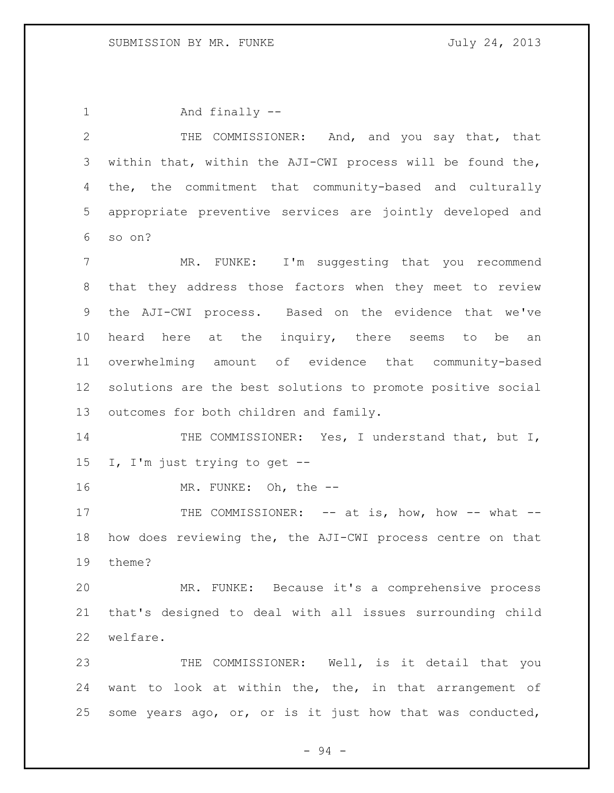And finally -- THE COMMISSIONER: And, and you say that, that within that, within the AJI-CWI process will be found the, the, the commitment that community-based and culturally appropriate preventive services are jointly developed and so on? MR. FUNKE: I'm suggesting that you recommend that they address those factors when they meet to review the AJI-CWI process. Based on the evidence that we've 10 heard here at the inquiry, there seems to be an overwhelming amount of evidence that community-based solutions are the best solutions to promote positive social outcomes for both children and family. 14 THE COMMISSIONER: Yes, I understand that, but I, I, I'm just trying to get -- 16 MR. FUNKE: Oh, the --17 THE COMMISSIONER: -- at is, how, how -- what -- how does reviewing the, the AJI-CWI process centre on that theme? MR. FUNKE: Because it's a comprehensive process that's designed to deal with all issues surrounding child welfare. THE COMMISSIONER: Well, is it detail that you want to look at within the, the, in that arrangement of some years ago, or, or is it just how that was conducted,

- 94 -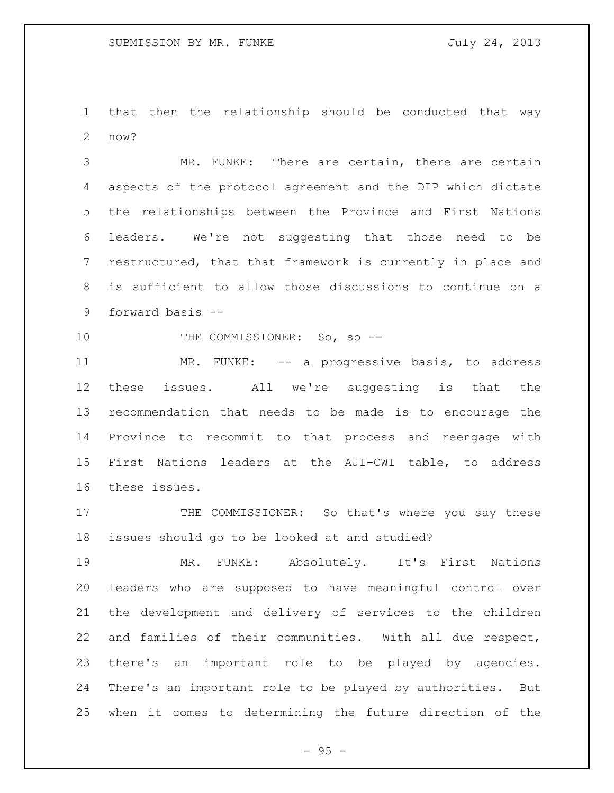that then the relationship should be conducted that way now?

 MR. FUNKE: There are certain, there are certain aspects of the protocol agreement and the DIP which dictate the relationships between the Province and First Nations leaders. We're not suggesting that those need to be restructured, that that framework is currently in place and is sufficient to allow those discussions to continue on a forward basis --

10 THE COMMISSIONER: So, so --

11 MR. FUNKE: -- a progressive basis, to address these issues. All we're suggesting is that the recommendation that needs to be made is to encourage the Province to recommit to that process and reengage with First Nations leaders at the AJI-CWI table, to address these issues.

17 THE COMMISSIONER: So that's where you say these issues should go to be looked at and studied?

 MR. FUNKE: Absolutely. It's First Nations leaders who are supposed to have meaningful control over the development and delivery of services to the children and families of their communities. With all due respect, there's an important role to be played by agencies. There's an important role to be played by authorities. But when it comes to determining the future direction of the

 $- 95 -$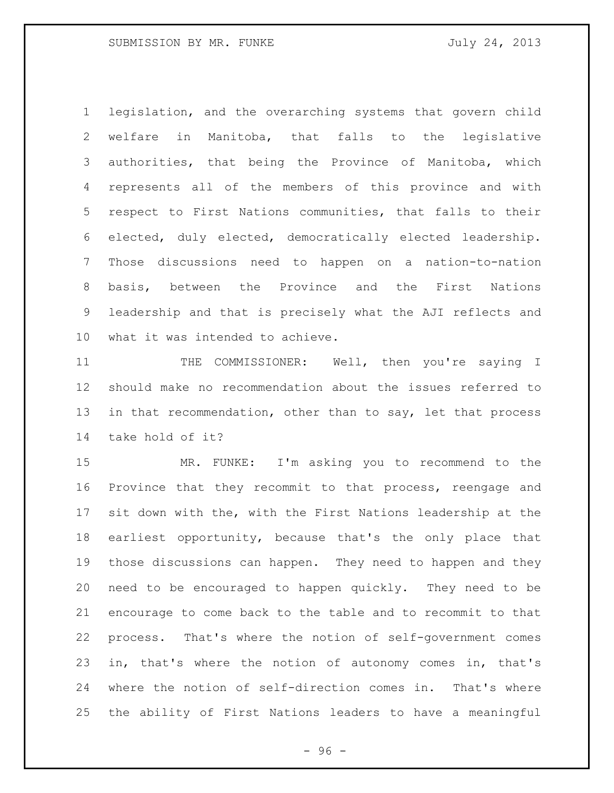legislation, and the overarching systems that govern child welfare in Manitoba, that falls to the legislative authorities, that being the Province of Manitoba, which represents all of the members of this province and with respect to First Nations communities, that falls to their elected, duly elected, democratically elected leadership. Those discussions need to happen on a nation-to-nation basis, between the Province and the First Nations leadership and that is precisely what the AJI reflects and what it was intended to achieve.

11 THE COMMISSIONER: Well, then you're saying I should make no recommendation about the issues referred to 13 in that recommendation, other than to say, let that process take hold of it?

 MR. FUNKE: I'm asking you to recommend to the Province that they recommit to that process, reengage and sit down with the, with the First Nations leadership at the earliest opportunity, because that's the only place that those discussions can happen. They need to happen and they need to be encouraged to happen quickly. They need to be encourage to come back to the table and to recommit to that process. That's where the notion of self-government comes in, that's where the notion of autonomy comes in, that's where the notion of self-direction comes in. That's where the ability of First Nations leaders to have a meaningful

 $-96 -$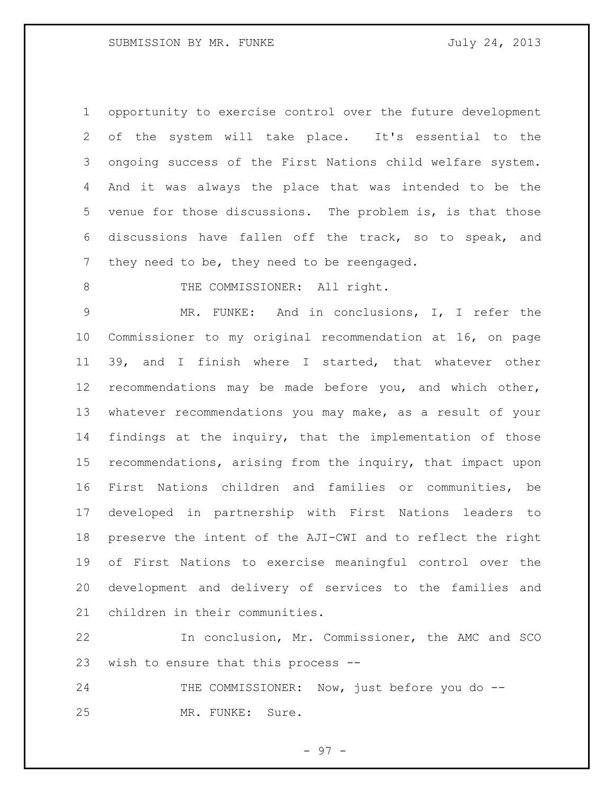opportunity to exercise control over the future development of the system will take place. It's essential to the ongoing success of the First Nations child welfare system. And it was always the place that was intended to be the venue for those discussions. The problem is, is that those discussions have fallen off the track, so to speak, and they need to be, they need to be reengaged.

8 THE COMMISSIONER: All right.

 MR. FUNKE: And in conclusions, I, I refer the Commissioner to my original recommendation at 16, on page 39, and I finish where I started, that whatever other recommendations may be made before you, and which other, whatever recommendations you may make, as a result of your findings at the inquiry, that the implementation of those recommendations, arising from the inquiry, that impact upon First Nations children and families or communities, be developed in partnership with First Nations leaders to preserve the intent of the AJI-CWI and to reflect the right of First Nations to exercise meaningful control over the development and delivery of services to the families and children in their communities.

 In conclusion, Mr. Commissioner, the AMC and SCO wish to ensure that this process --

24 THE COMMISSIONER: Now, just before you do --MR. FUNKE: Sure.

- 97 -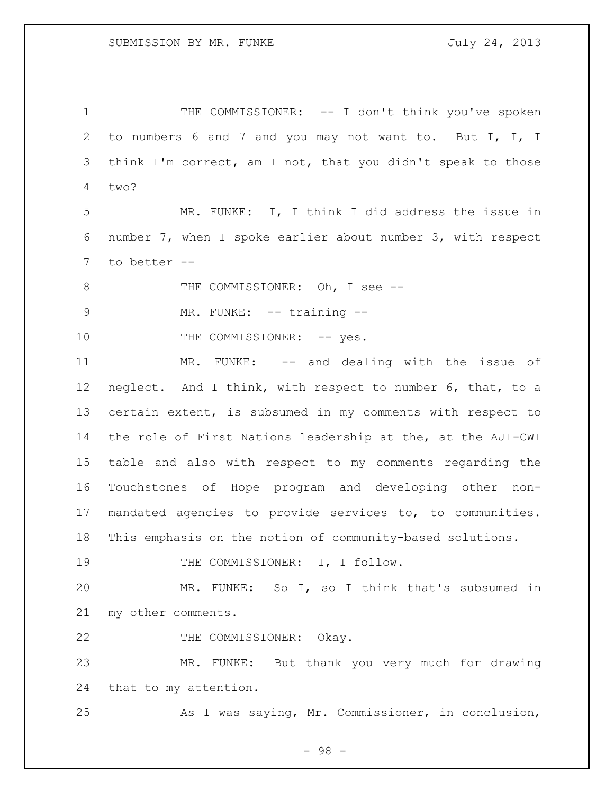1 THE COMMISSIONER: -- I don't think you've spoken to numbers 6 and 7 and you may not want to. But I, I, I think I'm correct, am I not, that you didn't speak to those two? MR. FUNKE: I, I think I did address the issue in number 7, when I spoke earlier about number 3, with respect to better -- 8 THE COMMISSIONER: Oh, I see --9 MR. FUNKE: -- training --10 THE COMMISSIONER: -- yes. MR. FUNKE: -- and dealing with the issue of neglect. And I think, with respect to number 6, that, to a certain extent, is subsumed in my comments with respect to the role of First Nations leadership at the, at the AJI-CWI table and also with respect to my comments regarding the Touchstones of Hope program and developing other non- mandated agencies to provide services to, to communities. This emphasis on the notion of community-based solutions. 19 THE COMMISSIONER: I, I follow. MR. FUNKE: So I, so I think that's subsumed in my other comments. 22 THE COMMISSIONER: Okay. MR. FUNKE: But thank you very much for drawing that to my attention. As I was saying, Mr. Commissioner, in conclusion,

- 98 -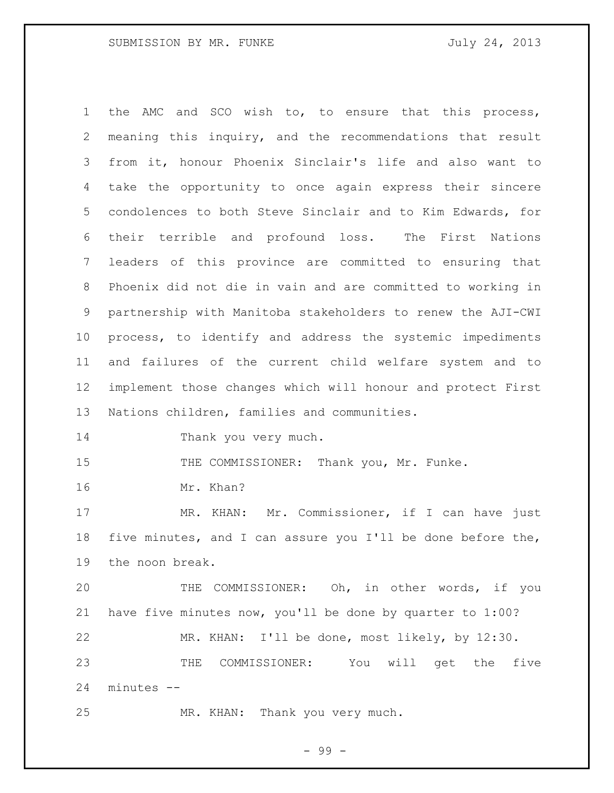the AMC and SCO wish to, to ensure that this process, meaning this inquiry, and the recommendations that result from it, honour Phoenix Sinclair's life and also want to take the opportunity to once again express their sincere condolences to both Steve Sinclair and to Kim Edwards, for their terrible and profound loss. The First Nations leaders of this province are committed to ensuring that Phoenix did not die in vain and are committed to working in partnership with Manitoba stakeholders to renew the AJI-CWI process, to identify and address the systemic impediments and failures of the current child welfare system and to implement those changes which will honour and protect First Nations children, families and communities. 14 Thank you very much. 15 THE COMMISSIONER: Thank you, Mr. Funke. Mr. Khan? MR. KHAN: Mr. Commissioner, if I can have just five minutes, and I can assure you I'll be done before the, the noon break. THE COMMISSIONER: Oh, in other words, if you have five minutes now, you'll be done by quarter to 1:00? MR. KHAN: I'll be done, most likely, by 12:30.

 THE COMMISSIONER: You will get the five minutes --

MR. KHAN: Thank you very much.

- 99 -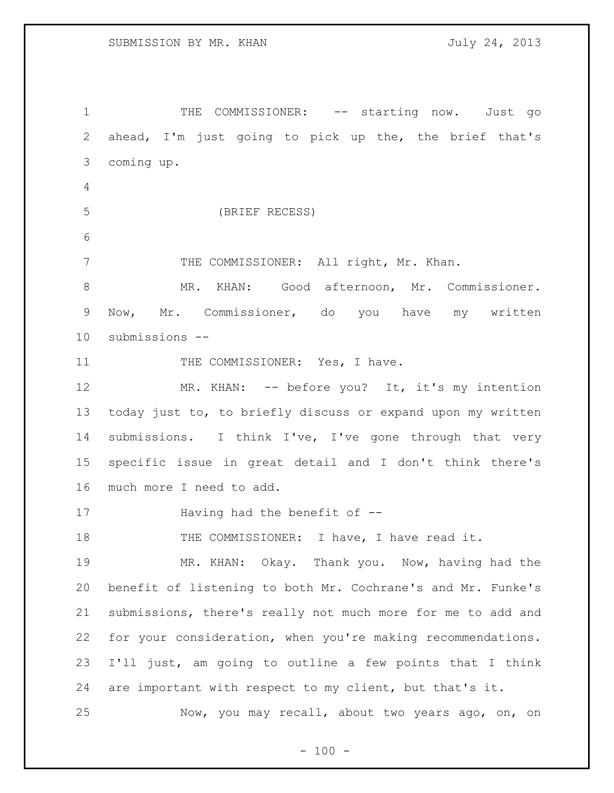1 THE COMMISSIONER: -- starting now. Just go ahead, I'm just going to pick up the, the brief that's coming up. (BRIEF RECESS) 7 THE COMMISSIONER: All right, Mr. Khan. MR. KHAN: Good afternoon, Mr. Commissioner. Now, Mr. Commissioner, do you have my written submissions -- 11 THE COMMISSIONER: Yes, I have. MR. KHAN: -- before you? It, it's my intention today just to, to briefly discuss or expand upon my written submissions. I think I've, I've gone through that very specific issue in great detail and I don't think there's much more I need to add. 17 Having had the benefit of --18 THE COMMISSIONER: I have, I have read it. MR. KHAN: Okay. Thank you. Now, having had the benefit of listening to both Mr. Cochrane's and Mr. Funke's submissions, there's really not much more for me to add and for your consideration, when you're making recommendations. I'll just, am going to outline a few points that I think are important with respect to my client, but that's it. Now, you may recall, about two years ago, on, on

 $- 100 -$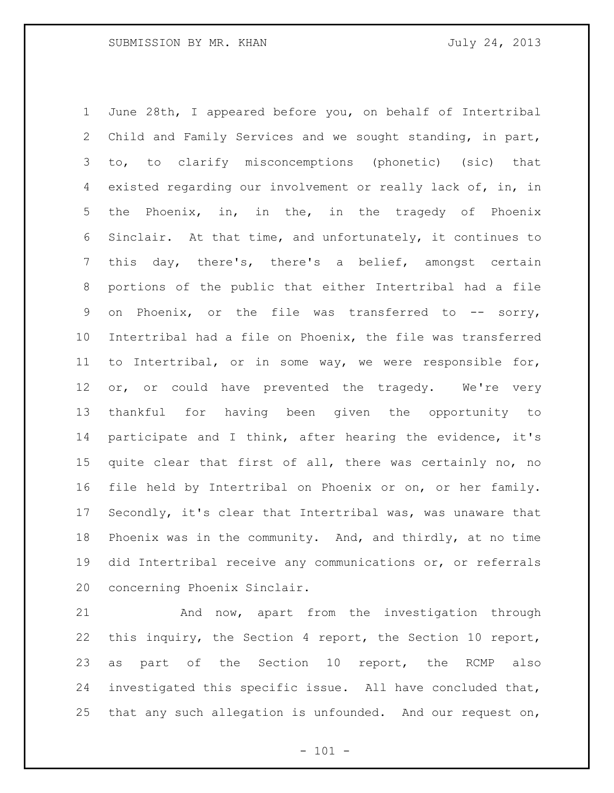June 28th, I appeared before you, on behalf of Intertribal Child and Family Services and we sought standing, in part, to, to clarify misconcemptions (phonetic) (sic) that existed regarding our involvement or really lack of, in, in the Phoenix, in, in the, in the tragedy of Phoenix Sinclair. At that time, and unfortunately, it continues to this day, there's, there's a belief, amongst certain portions of the public that either Intertribal had a file on Phoenix, or the file was transferred to -- sorry, Intertribal had a file on Phoenix, the file was transferred to Intertribal, or in some way, we were responsible for, 12 or, or could have prevented the tragedy. We're very thankful for having been given the opportunity to participate and I think, after hearing the evidence, it's quite clear that first of all, there was certainly no, no file held by Intertribal on Phoenix or on, or her family. Secondly, it's clear that Intertribal was, was unaware that Phoenix was in the community. And, and thirdly, at no time did Intertribal receive any communications or, or referrals concerning Phoenix Sinclair.

 And now, apart from the investigation through this inquiry, the Section 4 report, the Section 10 report, as part of the Section 10 report, the RCMP also investigated this specific issue. All have concluded that, that any such allegation is unfounded. And our request on,

 $- 101 -$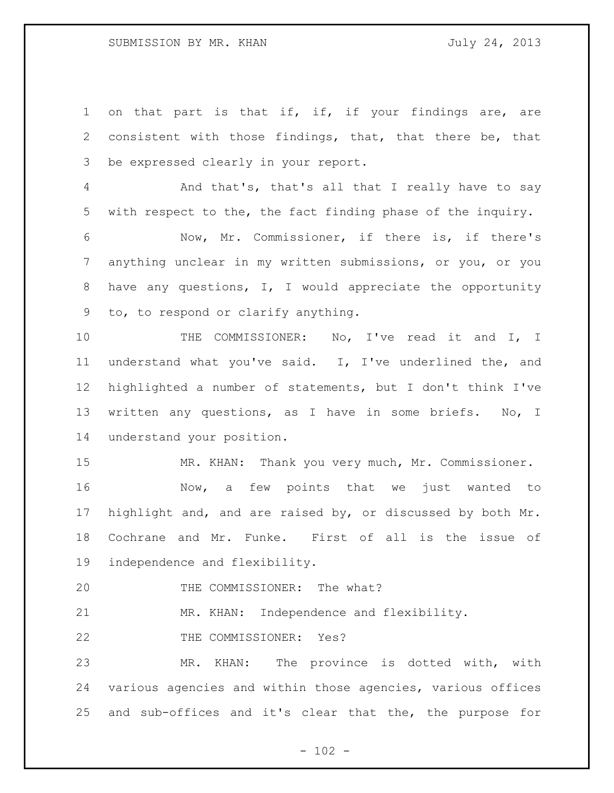1 on that part is that if, if, if your findings are, are consistent with those findings, that, that there be, that be expressed clearly in your report. And that's, that's all that I really have to say with respect to the, the fact finding phase of the inquiry. Now, Mr. Commissioner, if there is, if there's anything unclear in my written submissions, or you, or you have any questions, I, I would appreciate the opportunity to, to respond or clarify anything. 10 THE COMMISSIONER: No, I've read it and I, I understand what you've said. I, I've underlined the, and highlighted a number of statements, but I don't think I've written any questions, as I have in some briefs. No, I understand your position. MR. KHAN: Thank you very much, Mr. Commissioner. 16 Mow, a few points that we just wanted to highlight and, and are raised by, or discussed by both Mr. Cochrane and Mr. Funke. First of all is the issue of independence and flexibility. 20 THE COMMISSIONER: The what? MR. KHAN: Independence and flexibility. THE COMMISSIONER: Yes? MR. KHAN: The province is dotted with, with various agencies and within those agencies, various offices and sub-offices and it's clear that the, the purpose for

 $- 102 -$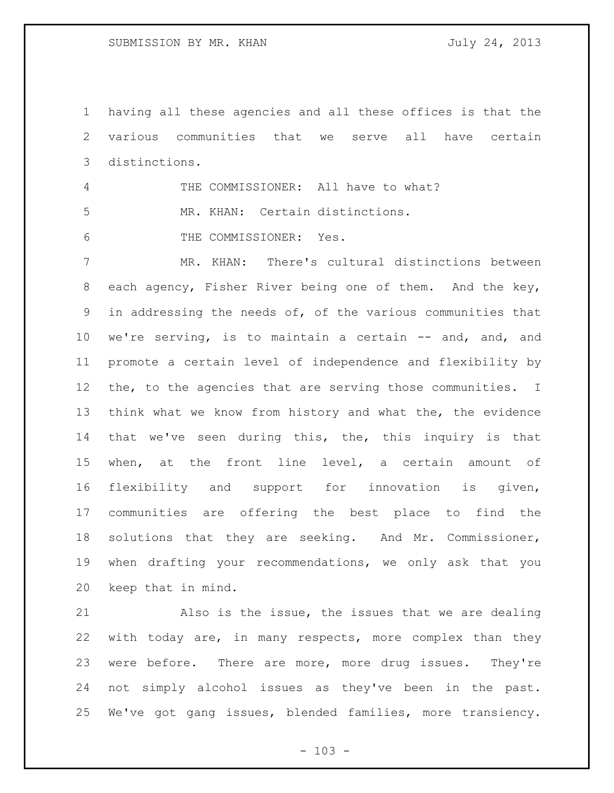having all these agencies and all these offices is that the various communities that we serve all have certain distinctions.

 THE COMMISSIONER: All have to what? MR. KHAN: Certain distinctions.

THE COMMISSIONER: Yes.

 MR. KHAN: There's cultural distinctions between each agency, Fisher River being one of them. And the key, in addressing the needs of, of the various communities that we're serving, is to maintain a certain -- and, and, and promote a certain level of independence and flexibility by 12 the, to the agencies that are serving those communities. I think what we know from history and what the, the evidence that we've seen during this, the, this inquiry is that when, at the front line level, a certain amount of flexibility and support for innovation is given, communities are offering the best place to find the solutions that they are seeking. And Mr. Commissioner, when drafting your recommendations, we only ask that you keep that in mind.

 Also is the issue, the issues that we are dealing with today are, in many respects, more complex than they 23 were before. There are more, more drug issues. They're not simply alcohol issues as they've been in the past. We've got gang issues, blended families, more transiency.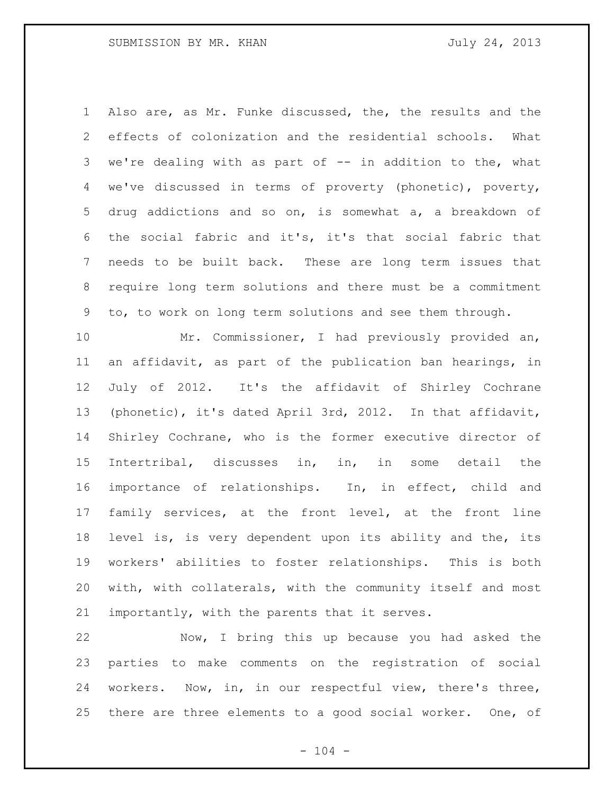Also are, as Mr. Funke discussed, the, the results and the effects of colonization and the residential schools. What we're dealing with as part of -- in addition to the, what we've discussed in terms of proverty (phonetic), poverty, drug addictions and so on, is somewhat a, a breakdown of the social fabric and it's, it's that social fabric that needs to be built back. These are long term issues that require long term solutions and there must be a commitment to, to work on long term solutions and see them through.

 Mr. Commissioner, I had previously provided an, an affidavit, as part of the publication ban hearings, in July of 2012. It's the affidavit of Shirley Cochrane (phonetic), it's dated April 3rd, 2012. In that affidavit, Shirley Cochrane, who is the former executive director of Intertribal, discusses in, in, in some detail the importance of relationships. In, in effect, child and family services, at the front level, at the front line level is, is very dependent upon its ability and the, its workers' abilities to foster relationships. This is both with, with collaterals, with the community itself and most importantly, with the parents that it serves.

 Now, I bring this up because you had asked the parties to make comments on the registration of social workers. Now, in, in our respectful view, there's three, 25 there are three elements to a good social worker. One, of

 $- 104 -$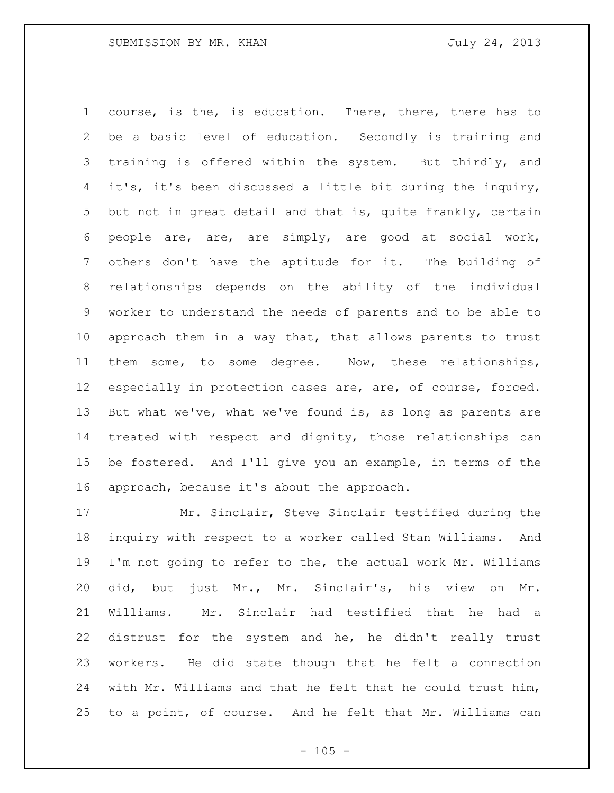course, is the, is education. There, there, there has to be a basic level of education. Secondly is training and training is offered within the system. But thirdly, and it's, it's been discussed a little bit during the inquiry, but not in great detail and that is, quite frankly, certain people are, are, are simply, are good at social work, others don't have the aptitude for it. The building of relationships depends on the ability of the individual worker to understand the needs of parents and to be able to approach them in a way that, that allows parents to trust them some, to some degree. Now, these relationships, especially in protection cases are, are, of course, forced. But what we've, what we've found is, as long as parents are treated with respect and dignity, those relationships can be fostered. And I'll give you an example, in terms of the approach, because it's about the approach.

 Mr. Sinclair, Steve Sinclair testified during the inquiry with respect to a worker called Stan Williams. And I'm not going to refer to the, the actual work Mr. Williams did, but just Mr., Mr. Sinclair's, his view on Mr. Williams. Mr. Sinclair had testified that he had a distrust for the system and he, he didn't really trust workers. He did state though that he felt a connection with Mr. Williams and that he felt that he could trust him, to a point, of course. And he felt that Mr. Williams can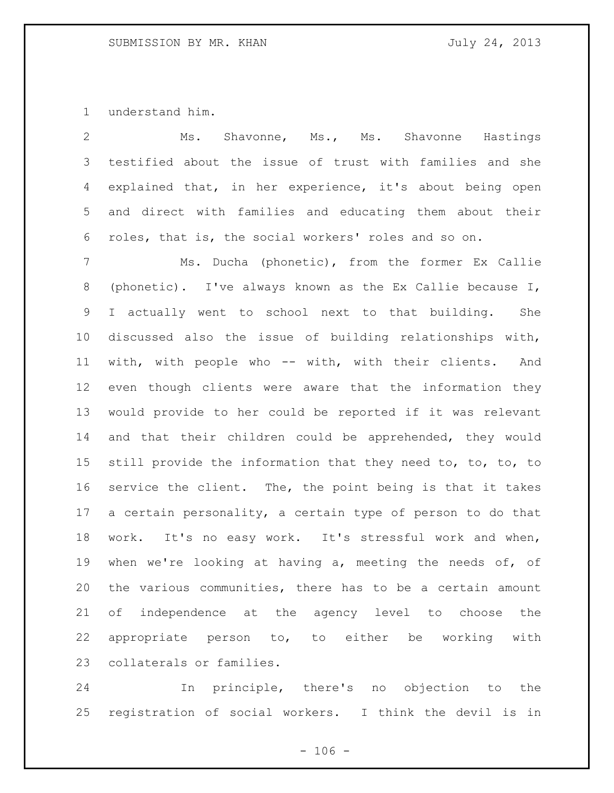understand him.

| 2  | Shavonne, Ms., Ms. Shavonne Hastings<br>Ms.                  |
|----|--------------------------------------------------------------|
| 3  | testified about the issue of trust with families and she     |
| 4  | explained that, in her experience, it's about being open     |
| 5  | and direct with families and educating them about their      |
| 6  | roles, that is, the social workers' roles and so on.         |
| 7  | Ms. Ducha (phonetic), from the former Ex Callie              |
| 8  | (phonetic). I've always known as the Ex Callie because I,    |
| 9  | I actually went to school next to that building. She         |
| 10 | discussed also the issue of building relationships with,     |
| 11 | with, with people who -- with, with their clients. And       |
| 12 | even though clients were aware that the information they     |
| 13 | would provide to her could be reported if it was relevant    |
| 14 | and that their children could be apprehended, they would     |
| 15 | still provide the information that they need to, to, to, to  |
| 16 | service the client. The, the point being is that it takes    |
| 17 | a certain personality, a certain type of person to do that   |
| 18 | work. It's no easy work. It's stressful work and when,       |
| 19 | when we're looking at having a, meeting the needs of, of     |
|    | 20 the various communities, there has to be a certain amount |
| 21 | of independence at the agency level to choose the            |
| 22 | appropriate person to, to either be working with             |
| 23 | collaterals or families.                                     |

 In principle, there's no objection to the registration of social workers. I think the devil is in

 $- 106 -$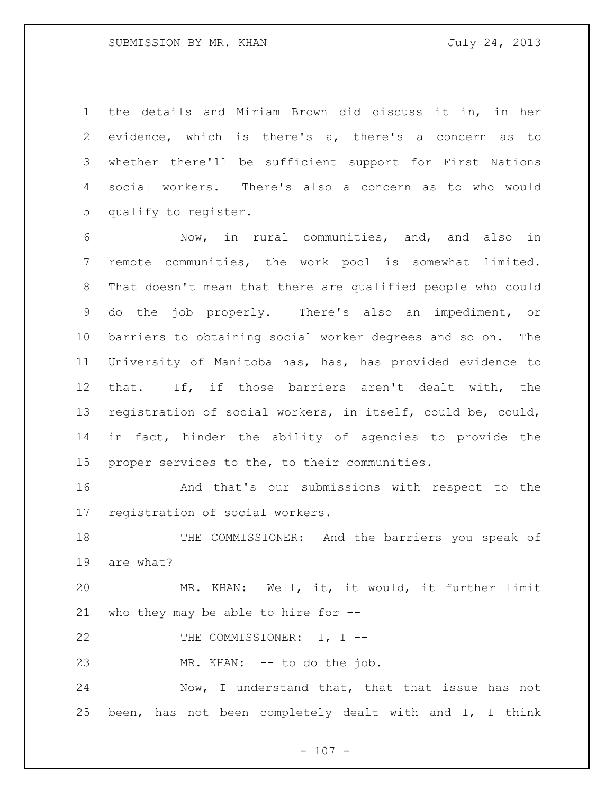the details and Miriam Brown did discuss it in, in her evidence, which is there's a, there's a concern as to whether there'll be sufficient support for First Nations social workers. There's also a concern as to who would qualify to register.

 Now, in rural communities, and, and also in remote communities, the work pool is somewhat limited. That doesn't mean that there are qualified people who could do the job properly. There's also an impediment, or barriers to obtaining social worker degrees and so on. The University of Manitoba has, has, has provided evidence to that. If, if those barriers aren't dealt with, the registration of social workers, in itself, could be, could, in fact, hinder the ability of agencies to provide the proper services to the, to their communities.

 And that's our submissions with respect to the registration of social workers.

 THE COMMISSIONER: And the barriers you speak of are what?

 MR. KHAN: Well, it, it would, it further limit who they may be able to hire for --

22 THE COMMISSIONER: I, I --

23 MR. KHAN: -- to do the job.

 Now, I understand that, that that issue has not been, has not been completely dealt with and I, I think

 $- 107 -$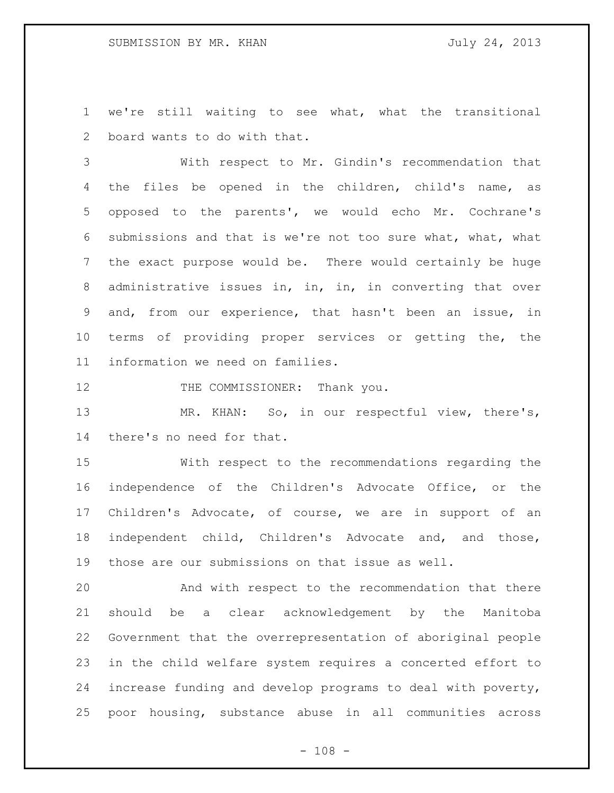we're still waiting to see what, what the transitional board wants to do with that.

 With respect to Mr. Gindin's recommendation that the files be opened in the children, child's name, as opposed to the parents', we would echo Mr. Cochrane's submissions and that is we're not too sure what, what, what the exact purpose would be. There would certainly be huge administrative issues in, in, in, in converting that over and, from our experience, that hasn't been an issue, in terms of providing proper services or getting the, the information we need on families.

12 THE COMMISSIONER: Thank you.

 MR. KHAN: So, in our respectful view, there's, there's no need for that.

 With respect to the recommendations regarding the independence of the Children's Advocate Office, or the Children's Advocate, of course, we are in support of an independent child, Children's Advocate and, and those, those are our submissions on that issue as well.

 And with respect to the recommendation that there should be a clear acknowledgement by the Manitoba Government that the overrepresentation of aboriginal people in the child welfare system requires a concerted effort to increase funding and develop programs to deal with poverty, poor housing, substance abuse in all communities across

 $- 108 -$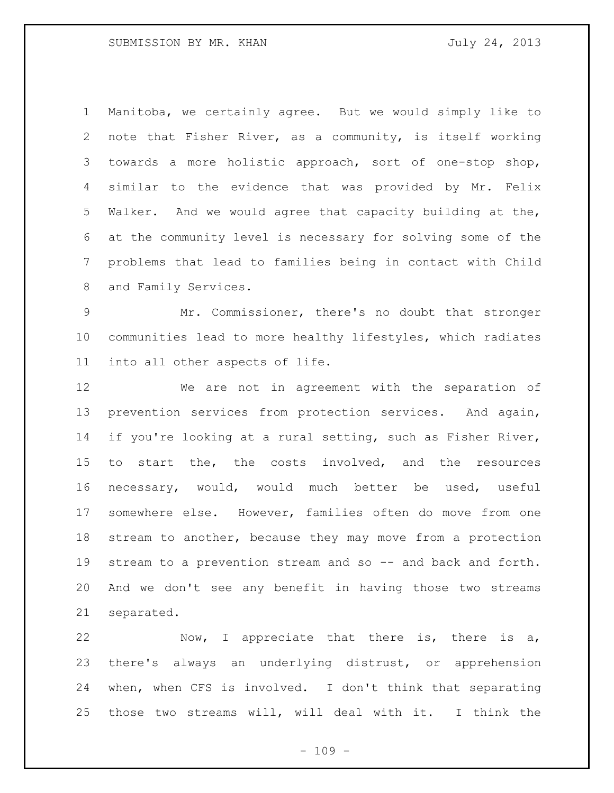Manitoba, we certainly agree. But we would simply like to note that Fisher River, as a community, is itself working towards a more holistic approach, sort of one-stop shop, similar to the evidence that was provided by Mr. Felix Walker. And we would agree that capacity building at the, at the community level is necessary for solving some of the problems that lead to families being in contact with Child and Family Services.

 Mr. Commissioner, there's no doubt that stronger communities lead to more healthy lifestyles, which radiates into all other aspects of life.

 We are not in agreement with the separation of prevention services from protection services. And again, if you're looking at a rural setting, such as Fisher River, to start the, the costs involved, and the resources necessary, would, would much better be used, useful somewhere else. However, families often do move from one stream to another, because they may move from a protection 19 stream to a prevention stream and so -- and back and forth. And we don't see any benefit in having those two streams separated.

 Now, I appreciate that there is, there is a, there's always an underlying distrust, or apprehension when, when CFS is involved. I don't think that separating those two streams will, will deal with it. I think the

 $- 109 -$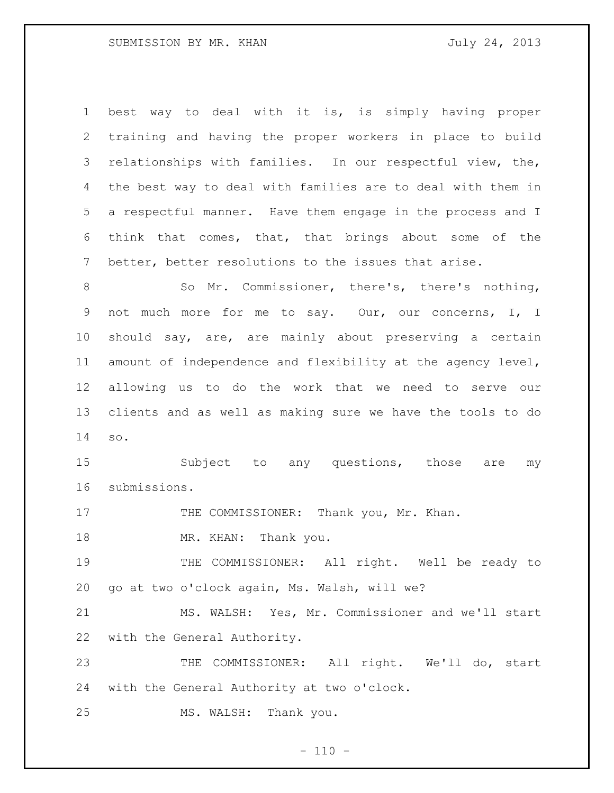best way to deal with it is, is simply having proper training and having the proper workers in place to build relationships with families. In our respectful view, the, the best way to deal with families are to deal with them in a respectful manner. Have them engage in the process and I think that comes, that, that brings about some of the better, better resolutions to the issues that arise.

 So Mr. Commissioner, there's, there's nothing, not much more for me to say. Our, our concerns, I, I should say, are, are mainly about preserving a certain amount of independence and flexibility at the agency level, allowing us to do the work that we need to serve our clients and as well as making sure we have the tools to do so.

 Subject to any questions, those are my submissions.

17 THE COMMISSIONER: Thank you, Mr. Khan.

18 MR. KHAN: Thank you.

 THE COMMISSIONER: All right. Well be ready to go at two o'clock again, Ms. Walsh, will we?

 MS. WALSH: Yes, Mr. Commissioner and we'll start with the General Authority.

 THE COMMISSIONER: All right. We'll do, start with the General Authority at two o'clock.

MS. WALSH: Thank you.

 $- 110 -$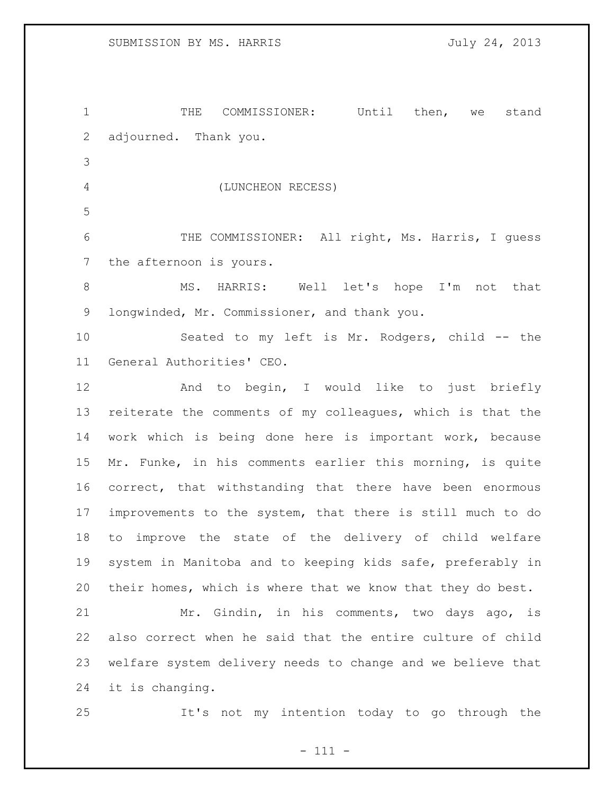THE COMMISSIONER: Until then, we stand adjourned. Thank you. (LUNCHEON RECESS) THE COMMISSIONER: All right, Ms. Harris, I guess the afternoon is yours. MS. HARRIS: Well let's hope I'm not that longwinded, Mr. Commissioner, and thank you. Seated to my left is Mr. Rodgers, child -- the General Authorities' CEO. 12 And to begin, I would like to just briefly reiterate the comments of my colleagues, which is that the work which is being done here is important work, because Mr. Funke, in his comments earlier this morning, is quite correct, that withstanding that there have been enormous improvements to the system, that there is still much to do to improve the state of the delivery of child welfare system in Manitoba and to keeping kids safe, preferably in their homes, which is where that we know that they do best. Mr. Gindin, in his comments, two days ago, is also correct when he said that the entire culture of child welfare system delivery needs to change and we believe that it is changing.

It's not my intention today to go through the

- 111 -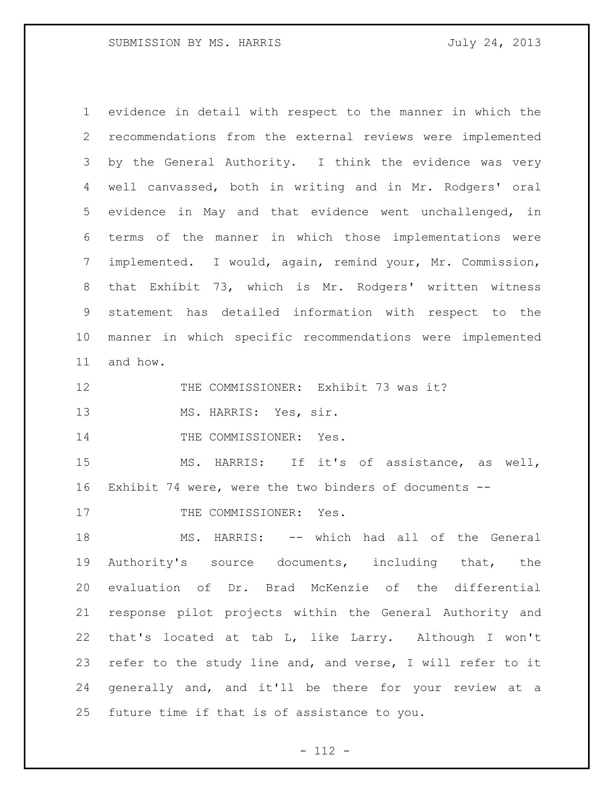evidence in detail with respect to the manner in which the recommendations from the external reviews were implemented 3 by the General Authority. I think the evidence was very well canvassed, both in writing and in Mr. Rodgers' oral evidence in May and that evidence went unchallenged, in terms of the manner in which those implementations were implemented. I would, again, remind your, Mr. Commission, that Exhibit 73, which is Mr. Rodgers' written witness statement has detailed information with respect to the manner in which specific recommendations were implemented and how.

THE COMMISSIONER: Exhibit 73 was it?

MS. HARRIS: Yes, sir.

14 THE COMMISSIONER: Yes.

 MS. HARRIS: If it's of assistance, as well, Exhibit 74 were, were the two binders of documents --

17 THE COMMISSIONER: Yes.

 MS. HARRIS: -- which had all of the General Authority's source documents, including that, the evaluation of Dr. Brad McKenzie of the differential response pilot projects within the General Authority and that's located at tab L, like Larry. Although I won't refer to the study line and, and verse, I will refer to it generally and, and it'll be there for your review at a future time if that is of assistance to you.

- 112 -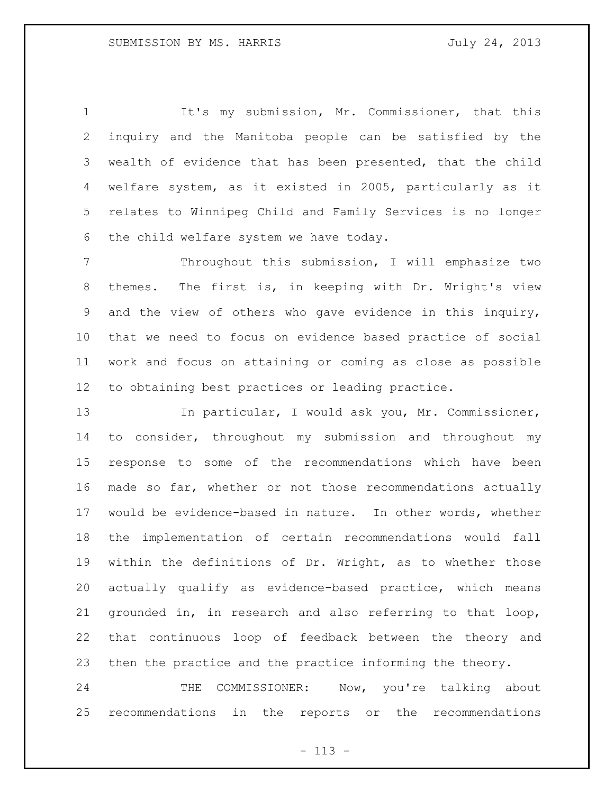It's my submission, Mr. Commissioner, that this inquiry and the Manitoba people can be satisfied by the wealth of evidence that has been presented, that the child welfare system, as it existed in 2005, particularly as it relates to Winnipeg Child and Family Services is no longer the child welfare system we have today.

7 Throughout this submission, I will emphasize two themes. The first is, in keeping with Dr. Wright's view and the view of others who gave evidence in this inquiry, that we need to focus on evidence based practice of social work and focus on attaining or coming as close as possible to obtaining best practices or leading practice.

 In particular, I would ask you, Mr. Commissioner, to consider, throughout my submission and throughout my response to some of the recommendations which have been made so far, whether or not those recommendations actually would be evidence-based in nature. In other words, whether the implementation of certain recommendations would fall within the definitions of Dr. Wright, as to whether those actually qualify as evidence-based practice, which means grounded in, in research and also referring to that loop, that continuous loop of feedback between the theory and then the practice and the practice informing the theory.

24 THE COMMISSIONER: Now, you're talking about recommendations in the reports or the recommendations

- 113 -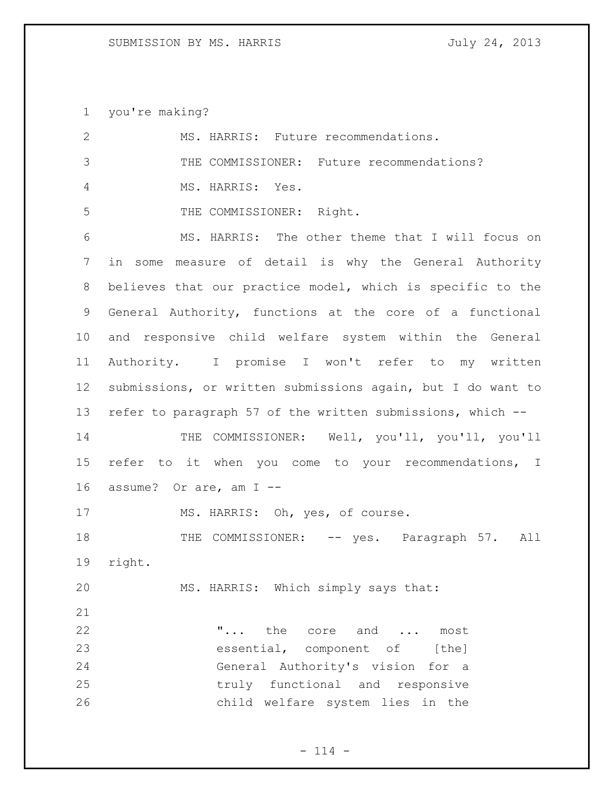you're making?

| $\mathbf{2}$                     | MS. HARRIS: Future recommendations.                                                                                                                              |
|----------------------------------|------------------------------------------------------------------------------------------------------------------------------------------------------------------|
| 3                                | THE COMMISSIONER: Future recommendations?                                                                                                                        |
| 4                                | MS. HARRIS: Yes.                                                                                                                                                 |
| 5                                | THE COMMISSIONER: Right.                                                                                                                                         |
| 6                                | MS. HARRIS: The other theme that I will focus on                                                                                                                 |
| 7                                | some measure of detail is why the General Authority<br>in                                                                                                        |
| 8                                | believes that our practice model, which is specific to the                                                                                                       |
| 9                                | General Authority, functions at the core of a functional                                                                                                         |
| 10                               | and responsive child welfare system within the General                                                                                                           |
| 11                               | Authority. I promise I won't refer to my written                                                                                                                 |
| 12                               | submissions, or written submissions again, but I do want to                                                                                                      |
| 13                               | refer to paragraph 57 of the written submissions, which --                                                                                                       |
| 14                               | THE COMMISSIONER: Well, you'll, you'll, you'll                                                                                                                   |
| 15                               | refer to it when you come to your recommendations, I                                                                                                             |
| 16                               | assume? Or are, am I --                                                                                                                                          |
| 17                               | MS. HARRIS: Oh, yes, of course.                                                                                                                                  |
| 18                               | THE COMMISSIONER: -- yes. Paragraph 57. All                                                                                                                      |
| 19                               | right.                                                                                                                                                           |
| 20                               | MS. HARRIS: Which simply says that:                                                                                                                              |
| 21<br>22<br>23<br>24<br>25<br>26 | " the core and  most<br>essential, component of [the]<br>General Authority's vision for a<br>truly functional and responsive<br>child welfare system lies in the |
|                                  |                                                                                                                                                                  |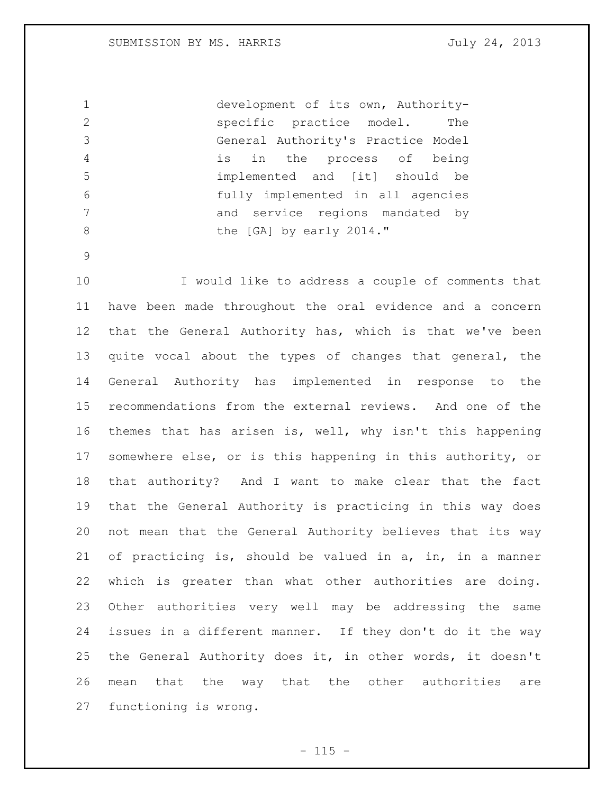development of its own, Authority-**Specific practice model.** The General Authority's Practice Model is in the process of being implemented and [it] should be fully implemented in all agencies 7 and service regions mandated by 8 the [GA] by early 2014."

 I would like to address a couple of comments that have been made throughout the oral evidence and a concern that the General Authority has, which is that we've been quite vocal about the types of changes that general, the General Authority has implemented in response to the recommendations from the external reviews. And one of the themes that has arisen is, well, why isn't this happening somewhere else, or is this happening in this authority, or that authority? And I want to make clear that the fact that the General Authority is practicing in this way does not mean that the General Authority believes that its way of practicing is, should be valued in a, in, in a manner which is greater than what other authorities are doing. Other authorities very well may be addressing the same issues in a different manner. If they don't do it the way the General Authority does it, in other words, it doesn't mean that the way that the other authorities are functioning is wrong.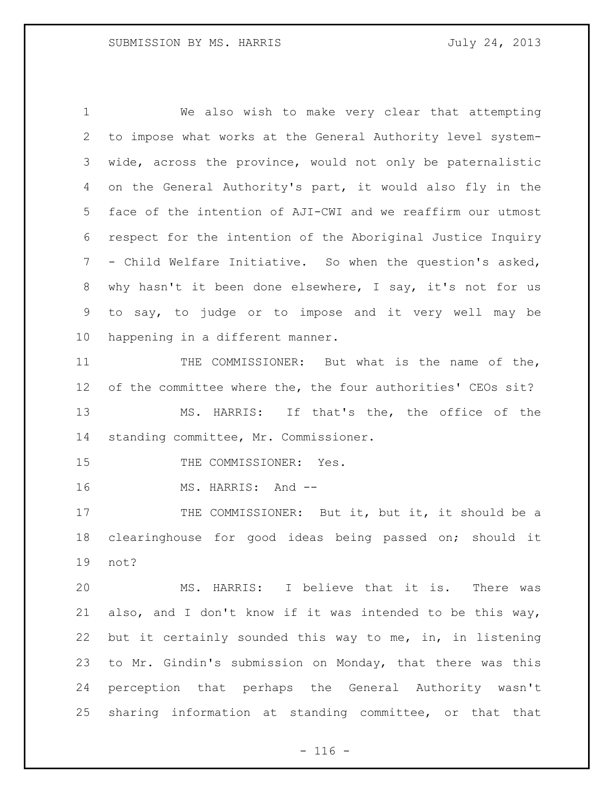We also wish to make very clear that attempting to impose what works at the General Authority level system- wide, across the province, would not only be paternalistic on the General Authority's part, it would also fly in the face of the intention of AJI-CWI and we reaffirm our utmost respect for the intention of the Aboriginal Justice Inquiry - Child Welfare Initiative. So when the question's asked, why hasn't it been done elsewhere, I say, it's not for us to say, to judge or to impose and it very well may be happening in a different manner.

11 THE COMMISSIONER: But what is the name of the, of the committee where the, the four authorities' CEOs sit? MS. HARRIS: If that's the, the office of the standing committee, Mr. Commissioner.

15 THE COMMISSIONER: Yes.

16 MS. HARRIS: And --

17 THE COMMISSIONER: But it, but it, it should be a clearinghouse for good ideas being passed on; should it not?

 MS. HARRIS: I believe that it is. There was also, and I don't know if it was intended to be this way, but it certainly sounded this way to me, in, in listening to Mr. Gindin's submission on Monday, that there was this perception that perhaps the General Authority wasn't sharing information at standing committee, or that that

 $- 116 -$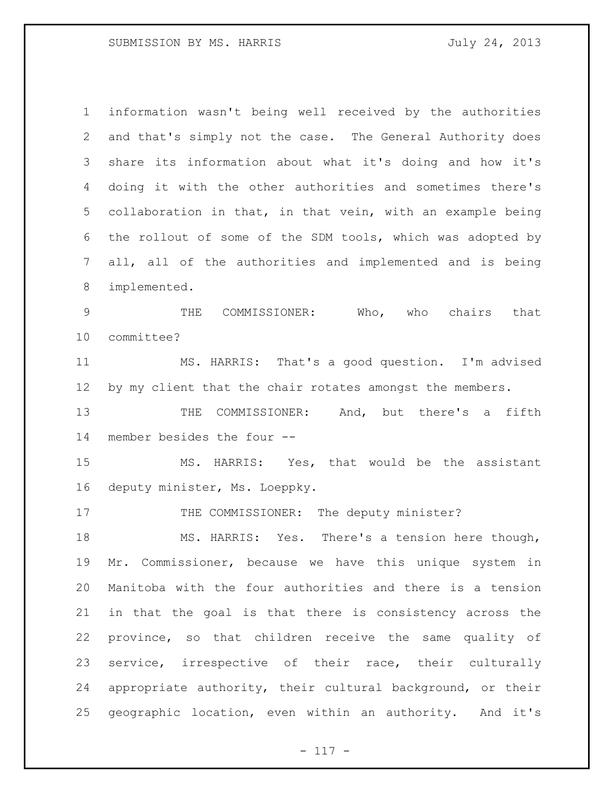information wasn't being well received by the authorities and that's simply not the case. The General Authority does share its information about what it's doing and how it's doing it with the other authorities and sometimes there's collaboration in that, in that vein, with an example being the rollout of some of the SDM tools, which was adopted by all, all of the authorities and implemented and is being implemented. THE COMMISSIONER: Who, who chairs that committee? MS. HARRIS: That's a good question. I'm advised by my client that the chair rotates amongst the members. 13 THE COMMISSIONER: And, but there's a fifth member besides the four -- MS. HARRIS: Yes, that would be the assistant deputy minister, Ms. Loeppky. 17 THE COMMISSIONER: The deputy minister? MS. HARRIS: Yes. There's a tension here though, Mr. Commissioner, because we have this unique system in

 Manitoba with the four authorities and there is a tension in that the goal is that there is consistency across the province, so that children receive the same quality of service, irrespective of their race, their culturally appropriate authority, their cultural background, or their geographic location, even within an authority. And it's

- 117 -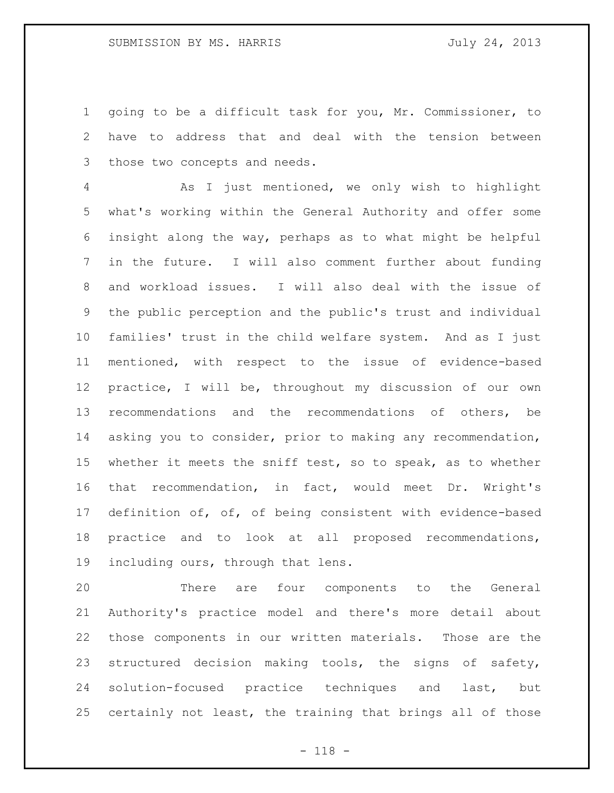going to be a difficult task for you, Mr. Commissioner, to have to address that and deal with the tension between those two concepts and needs.

 As I just mentioned, we only wish to highlight what's working within the General Authority and offer some insight along the way, perhaps as to what might be helpful in the future. I will also comment further about funding and workload issues. I will also deal with the issue of the public perception and the public's trust and individual families' trust in the child welfare system. And as I just mentioned, with respect to the issue of evidence-based practice, I will be, throughout my discussion of our own recommendations and the recommendations of others, be asking you to consider, prior to making any recommendation, whether it meets the sniff test, so to speak, as to whether that recommendation, in fact, would meet Dr. Wright's definition of, of, of being consistent with evidence-based practice and to look at all proposed recommendations, including ours, through that lens.

 There are four components to the General Authority's practice model and there's more detail about those components in our written materials. Those are the structured decision making tools, the signs of safety, solution-focused practice techniques and last, but certainly not least, the training that brings all of those

- 118 -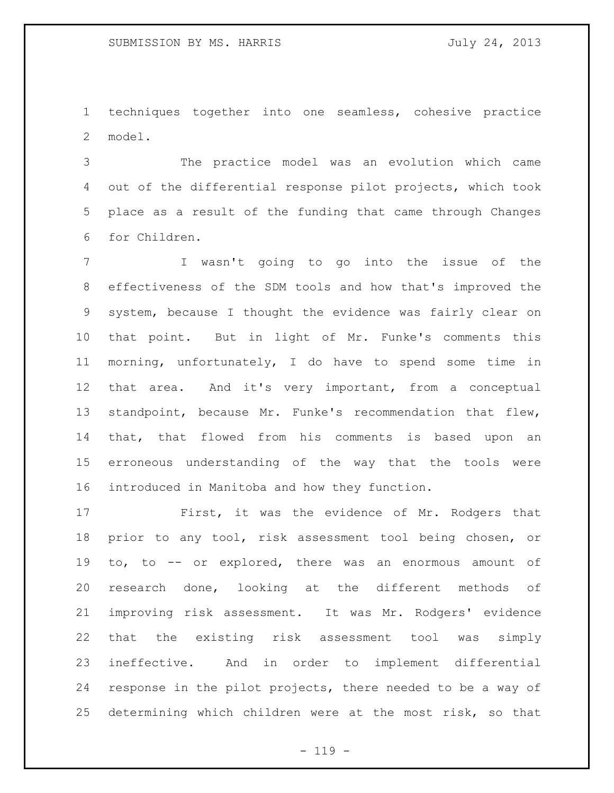techniques together into one seamless, cohesive practice model.

 The practice model was an evolution which came out of the differential response pilot projects, which took place as a result of the funding that came through Changes for Children.

 I wasn't going to go into the issue of the effectiveness of the SDM tools and how that's improved the system, because I thought the evidence was fairly clear on that point. But in light of Mr. Funke's comments this morning, unfortunately, I do have to spend some time in that area. And it's very important, from a conceptual standpoint, because Mr. Funke's recommendation that flew, that, that flowed from his comments is based upon an erroneous understanding of the way that the tools were introduced in Manitoba and how they function.

 First, it was the evidence of Mr. Rodgers that prior to any tool, risk assessment tool being chosen, or to, to -- or explored, there was an enormous amount of research done, looking at the different methods of improving risk assessment. It was Mr. Rodgers' evidence that the existing risk assessment tool was simply ineffective. And in order to implement differential response in the pilot projects, there needed to be a way of determining which children were at the most risk, so that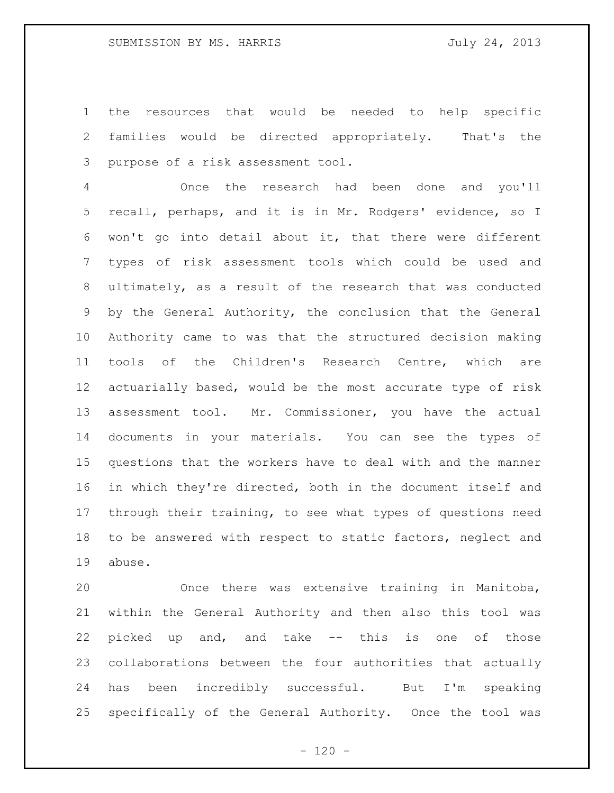the resources that would be needed to help specific families would be directed appropriately. That's the purpose of a risk assessment tool.

 Once the research had been done and you'll recall, perhaps, and it is in Mr. Rodgers' evidence, so I won't go into detail about it, that there were different types of risk assessment tools which could be used and ultimately, as a result of the research that was conducted by the General Authority, the conclusion that the General Authority came to was that the structured decision making tools of the Children's Research Centre, which are actuarially based, would be the most accurate type of risk assessment tool. Mr. Commissioner, you have the actual documents in your materials. You can see the types of questions that the workers have to deal with and the manner in which they're directed, both in the document itself and through their training, to see what types of questions need to be answered with respect to static factors, neglect and abuse.

 Once there was extensive training in Manitoba, within the General Authority and then also this tool was picked up and, and take -- this is one of those collaborations between the four authorities that actually has been incredibly successful. But I'm speaking specifically of the General Authority. Once the tool was

 $- 120 -$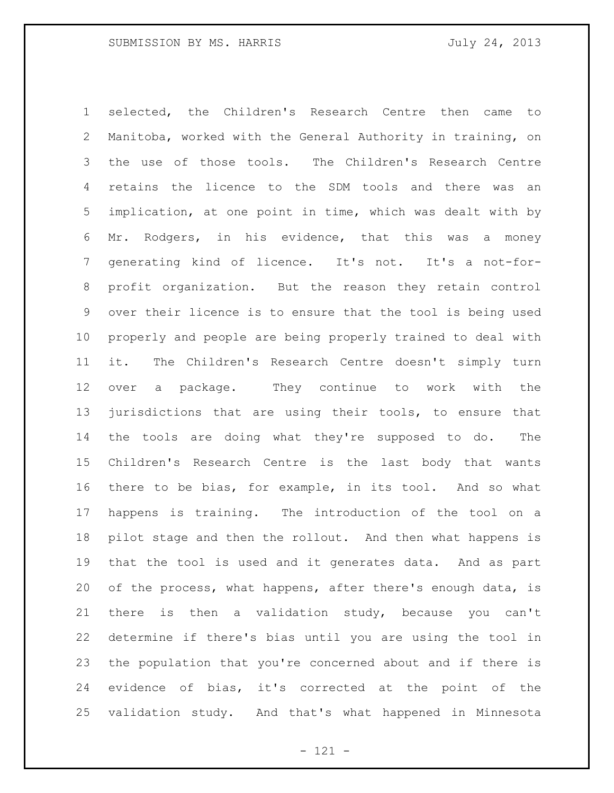selected, the Children's Research Centre then came to Manitoba, worked with the General Authority in training, on the use of those tools. The Children's Research Centre retains the licence to the SDM tools and there was an implication, at one point in time, which was dealt with by Mr. Rodgers, in his evidence, that this was a money generating kind of licence. It's not. It's a not-for- profit organization. But the reason they retain control over their licence is to ensure that the tool is being used properly and people are being properly trained to deal with it. The Children's Research Centre doesn't simply turn over a package. They continue to work with the jurisdictions that are using their tools, to ensure that the tools are doing what they're supposed to do. The Children's Research Centre is the last body that wants there to be bias, for example, in its tool. And so what happens is training. The introduction of the tool on a pilot stage and then the rollout. And then what happens is that the tool is used and it generates data. And as part of the process, what happens, after there's enough data, is there is then a validation study, because you can't determine if there's bias until you are using the tool in the population that you're concerned about and if there is evidence of bias, it's corrected at the point of the validation study. And that's what happened in Minnesota

- 121 -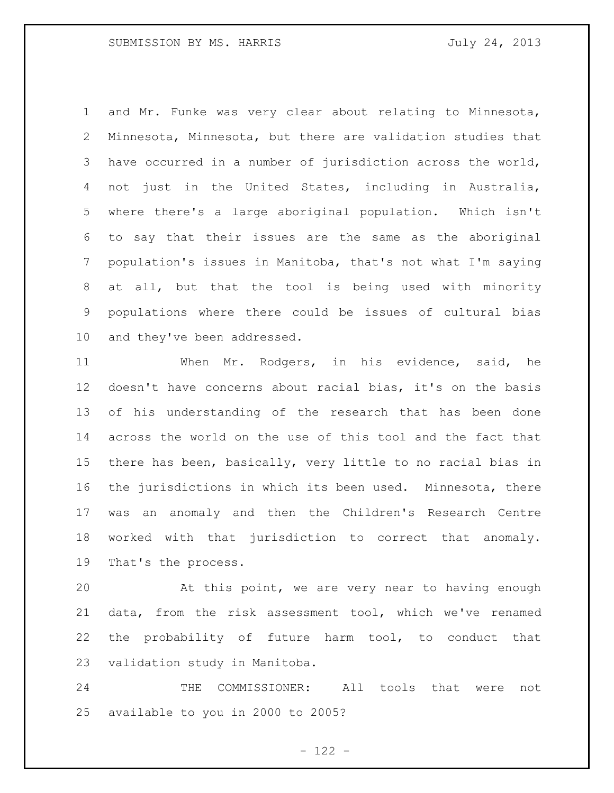and Mr. Funke was very clear about relating to Minnesota, Minnesota, Minnesota, but there are validation studies that have occurred in a number of jurisdiction across the world, not just in the United States, including in Australia, where there's a large aboriginal population. Which isn't to say that their issues are the same as the aboriginal population's issues in Manitoba, that's not what I'm saying at all, but that the tool is being used with minority populations where there could be issues of cultural bias and they've been addressed.

 When Mr. Rodgers, in his evidence, said, he doesn't have concerns about racial bias, it's on the basis of his understanding of the research that has been done across the world on the use of this tool and the fact that there has been, basically, very little to no racial bias in the jurisdictions in which its been used. Minnesota, there was an anomaly and then the Children's Research Centre worked with that jurisdiction to correct that anomaly. That's the process.

 At this point, we are very near to having enough data, from the risk assessment tool, which we've renamed the probability of future harm tool, to conduct that validation study in Manitoba.

 THE COMMISSIONER: All tools that were not available to you in 2000 to 2005?

 $- 122 -$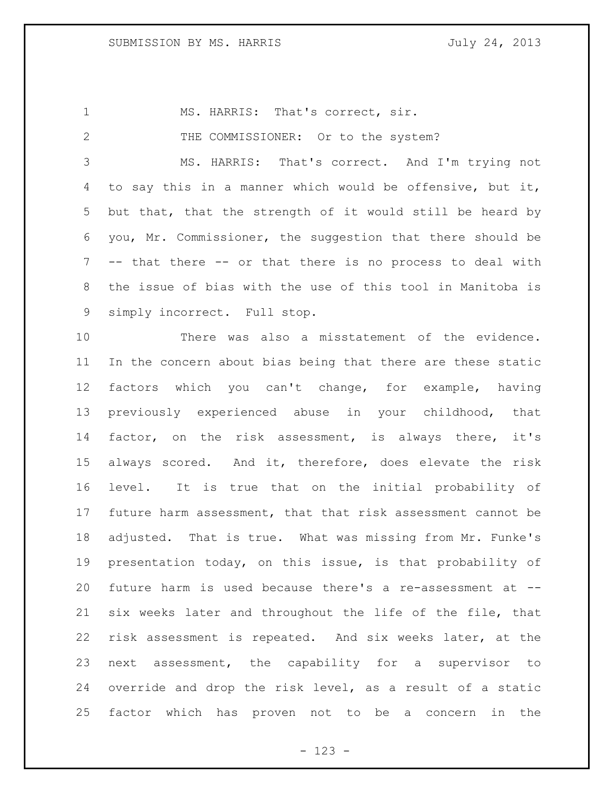1 MS. HARRIS: That's correct, sir. 2 THE COMMISSIONER: Or to the system? MS. HARRIS: That's correct. And I'm trying not to say this in a manner which would be offensive, but it, but that, that the strength of it would still be heard by you, Mr. Commissioner, the suggestion that there should be -- that there -- or that there is no process to deal with the issue of bias with the use of this tool in Manitoba is simply incorrect. Full stop. There was also a misstatement of the evidence. In the concern about bias being that there are these static factors which you can't change, for example, having previously experienced abuse in your childhood, that factor, on the risk assessment, is always there, it's always scored. And it, therefore, does elevate the risk level. It is true that on the initial probability of future harm assessment, that that risk assessment cannot be adjusted. That is true. What was missing from Mr. Funke's presentation today, on this issue, is that probability of future harm is used because there's a re-assessment at -- six weeks later and throughout the life of the file, that risk assessment is repeated. And six weeks later, at the next assessment, the capability for a supervisor to override and drop the risk level, as a result of a static factor which has proven not to be a concern in the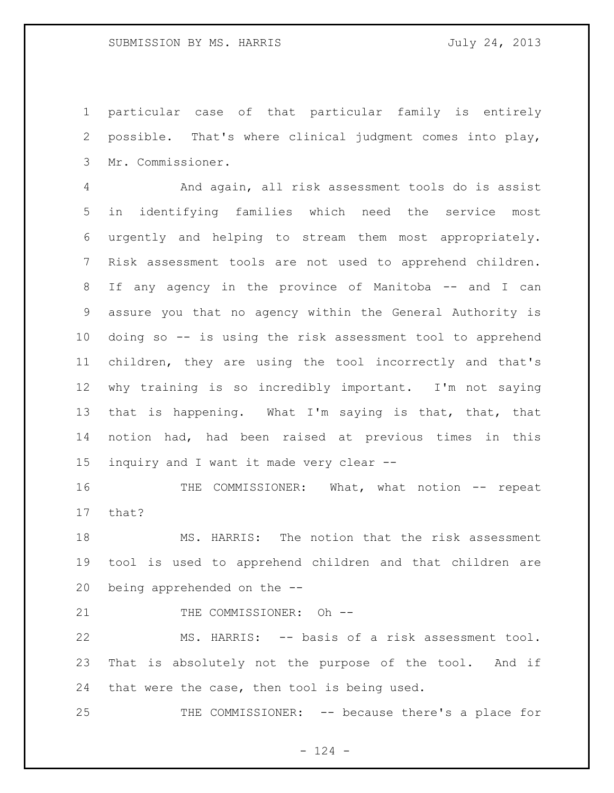particular case of that particular family is entirely possible. That's where clinical judgment comes into play, Mr. Commissioner.

 And again, all risk assessment tools do is assist in identifying families which need the service most urgently and helping to stream them most appropriately. Risk assessment tools are not used to apprehend children. If any agency in the province of Manitoba -- and I can assure you that no agency within the General Authority is doing so -- is using the risk assessment tool to apprehend children, they are using the tool incorrectly and that's why training is so incredibly important. I'm not saying that is happening. What I'm saying is that, that, that notion had, had been raised at previous times in this inquiry and I want it made very clear --

 THE COMMISSIONER: What, what notion -- repeat that?

 MS. HARRIS: The notion that the risk assessment tool is used to apprehend children and that children are being apprehended on the --

21 THE COMMISSIONER: Oh --

 MS. HARRIS: -- basis of a risk assessment tool. That is absolutely not the purpose of the tool. And if that were the case, then tool is being used.

THE COMMISSIONER: -- because there's a place for

 $- 124 -$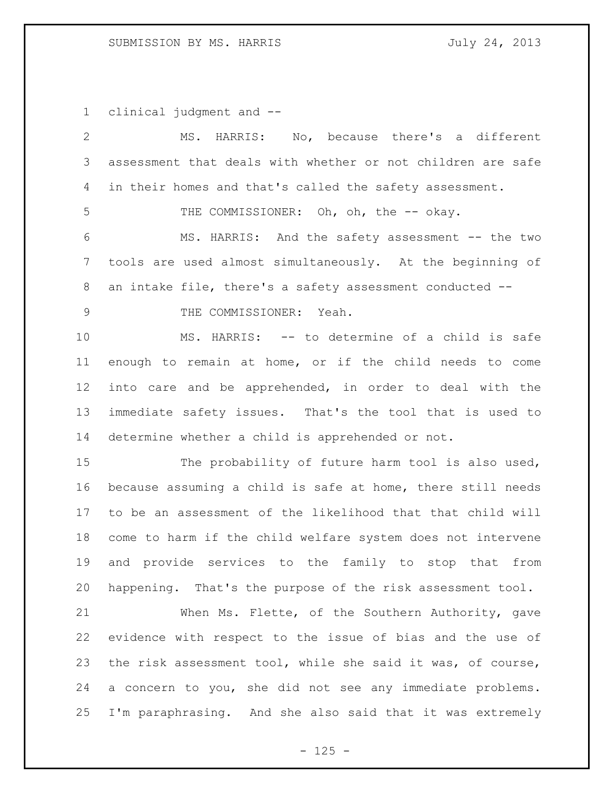## SUBMISSION BY MS. HARRIS July 24, 2013

clinical judgment and --

| $\overline{2}$ | MS. HARRIS: No, because there's a different                 |
|----------------|-------------------------------------------------------------|
| 3              | assessment that deals with whether or not children are safe |
| 4              | in their homes and that's called the safety assessment.     |
| 5              | THE COMMISSIONER: Oh, oh, the -- okay.                      |
| 6              | MS. HARRIS: And the safety assessment -- the two            |
| 7              | tools are used almost simultaneously. At the beginning of   |
| 8              | an intake file, there's a safety assessment conducted --    |
| $\mathcal{G}$  | THE COMMISSIONER: Yeah.                                     |
| 10             | MS. HARRIS: -- to determine of a child is safe              |
| 11             | enough to remain at home, or if the child needs to come     |
| 12             | into care and be apprehended, in order to deal with the     |
| 13             | immediate safety issues. That's the tool that is used to    |
| 14             | determine whether a child is apprehended or not.            |
| 15             | The probability of future harm tool is also used,           |
| 16             | because assuming a child is safe at home, there still needs |
|                |                                                             |
| 17             | to be an assessment of the likelihood that that child will  |
| 18             | come to harm if the child welfare system does not intervene |
| 19             | and provide services to the family to stop that from        |
| 20             | happening. That's the purpose of the risk assessment tool.  |
| 21             | When Ms. Flette, of the Southern Authority, gave            |
| 22             | evidence with respect to the issue of bias and the use of   |
| 23             | the risk assessment tool, while she said it was, of course, |
| 24             | a concern to you, she did not see any immediate problems.   |

- 125 -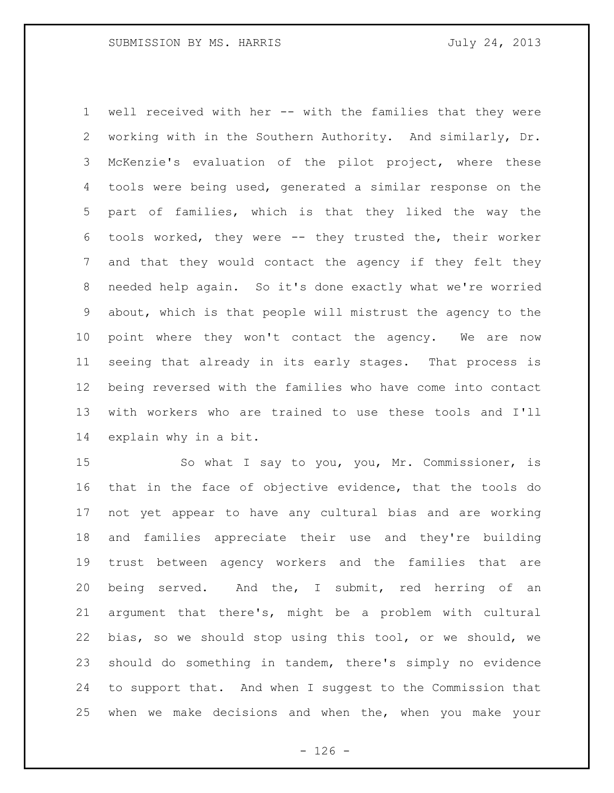well received with her -- with the families that they were working with in the Southern Authority. And similarly, Dr. McKenzie's evaluation of the pilot project, where these tools were being used, generated a similar response on the part of families, which is that they liked the way the tools worked, they were -- they trusted the, their worker and that they would contact the agency if they felt they needed help again. So it's done exactly what we're worried about, which is that people will mistrust the agency to the point where they won't contact the agency. We are now seeing that already in its early stages. That process is being reversed with the families who have come into contact with workers who are trained to use these tools and I'll explain why in a bit.

 So what I say to you, you, Mr. Commissioner, is that in the face of objective evidence, that the tools do not yet appear to have any cultural bias and are working and families appreciate their use and they're building trust between agency workers and the families that are being served. And the, I submit, red herring of an argument that there's, might be a problem with cultural bias, so we should stop using this tool, or we should, we should do something in tandem, there's simply no evidence to support that. And when I suggest to the Commission that when we make decisions and when the, when you make your

 $- 126 -$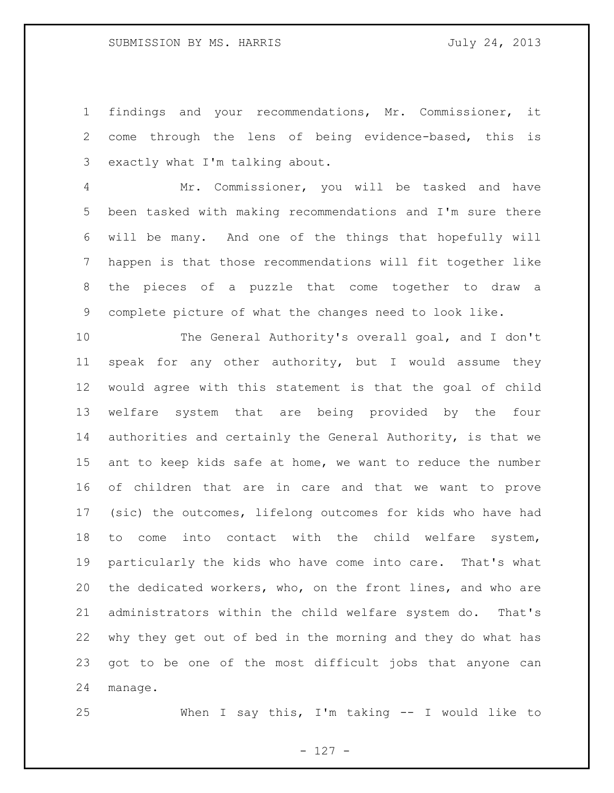findings and your recommendations, Mr. Commissioner, it come through the lens of being evidence-based, this is exactly what I'm talking about.

 Mr. Commissioner, you will be tasked and have been tasked with making recommendations and I'm sure there will be many. And one of the things that hopefully will happen is that those recommendations will fit together like the pieces of a puzzle that come together to draw a complete picture of what the changes need to look like.

 The General Authority's overall goal, and I don't speak for any other authority, but I would assume they would agree with this statement is that the goal of child welfare system that are being provided by the four authorities and certainly the General Authority, is that we ant to keep kids safe at home, we want to reduce the number of children that are in care and that we want to prove (sic) the outcomes, lifelong outcomes for kids who have had to come into contact with the child welfare system, particularly the kids who have come into care. That's what the dedicated workers, who, on the front lines, and who are administrators within the child welfare system do. That's why they get out of bed in the morning and they do what has got to be one of the most difficult jobs that anyone can manage.

When I say this, I'm taking -- I would like to

- 127 -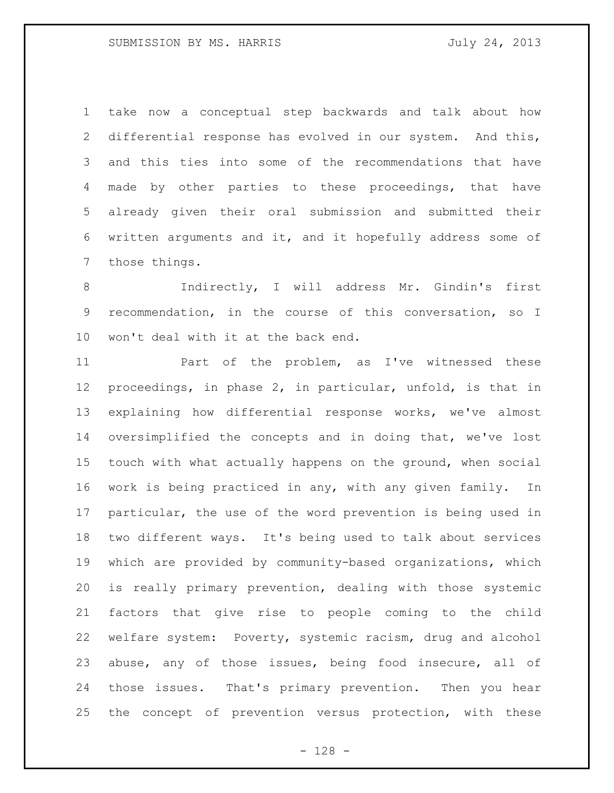take now a conceptual step backwards and talk about how differential response has evolved in our system. And this, and this ties into some of the recommendations that have made by other parties to these proceedings, that have already given their oral submission and submitted their written arguments and it, and it hopefully address some of those things.

 Indirectly, I will address Mr. Gindin's first recommendation, in the course of this conversation, so I won't deal with it at the back end.

 Part of the problem, as I've witnessed these proceedings, in phase 2, in particular, unfold, is that in explaining how differential response works, we've almost oversimplified the concepts and in doing that, we've lost touch with what actually happens on the ground, when social work is being practiced in any, with any given family. In particular, the use of the word prevention is being used in two different ways. It's being used to talk about services which are provided by community-based organizations, which is really primary prevention, dealing with those systemic factors that give rise to people coming to the child welfare system: Poverty, systemic racism, drug and alcohol abuse, any of those issues, being food insecure, all of those issues. That's primary prevention. Then you hear the concept of prevention versus protection, with these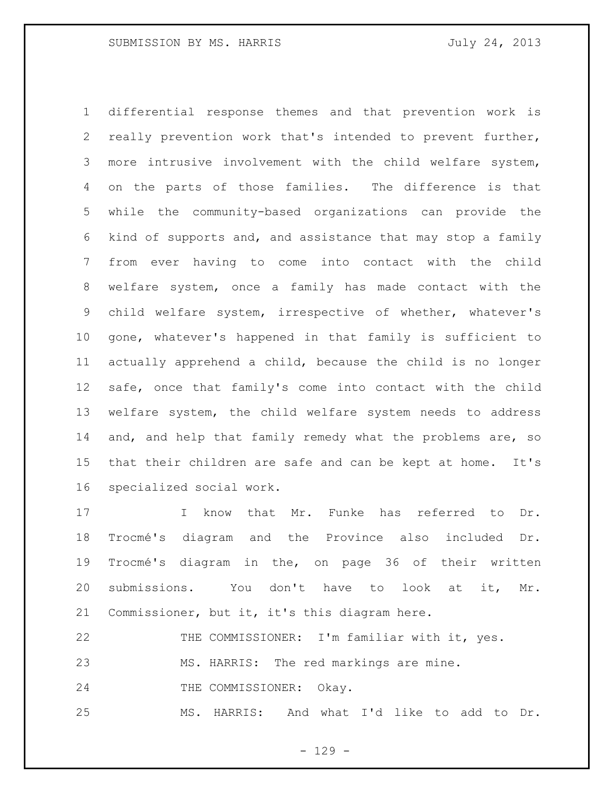differential response themes and that prevention work is really prevention work that's intended to prevent further, more intrusive involvement with the child welfare system, on the parts of those families. The difference is that while the community-based organizations can provide the kind of supports and, and assistance that may stop a family from ever having to come into contact with the child welfare system, once a family has made contact with the child welfare system, irrespective of whether, whatever's gone, whatever's happened in that family is sufficient to actually apprehend a child, because the child is no longer safe, once that family's come into contact with the child welfare system, the child welfare system needs to address 14 and, and help that family remedy what the problems are, so that their children are safe and can be kept at home. It's specialized social work.

 I know that Mr. Funke has referred to Dr. Trocmé's diagram and the Province also included Dr. Trocmé's diagram in the, on page 36 of their written submissions. You don't have to look at it, Mr. Commissioner, but it, it's this diagram here.

 THE COMMISSIONER: I'm familiar with it, yes. MS. HARRIS: The red markings are mine. 24 THE COMMISSIONER: Okay. MS. HARRIS: And what I'd like to add to Dr.

 $- 129 -$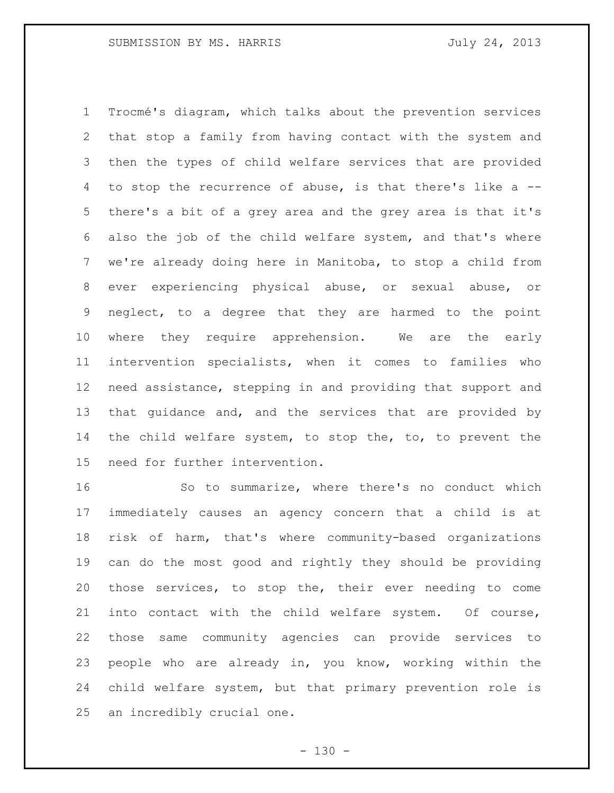Trocmé's diagram, which talks about the prevention services that stop a family from having contact with the system and then the types of child welfare services that are provided to stop the recurrence of abuse, is that there's like a -- there's a bit of a grey area and the grey area is that it's also the job of the child welfare system, and that's where we're already doing here in Manitoba, to stop a child from ever experiencing physical abuse, or sexual abuse, or neglect, to a degree that they are harmed to the point where they require apprehension. We are the early intervention specialists, when it comes to families who need assistance, stepping in and providing that support and that guidance and, and the services that are provided by the child welfare system, to stop the, to, to prevent the need for further intervention.

 So to summarize, where there's no conduct which immediately causes an agency concern that a child is at risk of harm, that's where community-based organizations can do the most good and rightly they should be providing those services, to stop the, their ever needing to come into contact with the child welfare system. Of course, those same community agencies can provide services to people who are already in, you know, working within the child welfare system, but that primary prevention role is an incredibly crucial one.

 $- 130 -$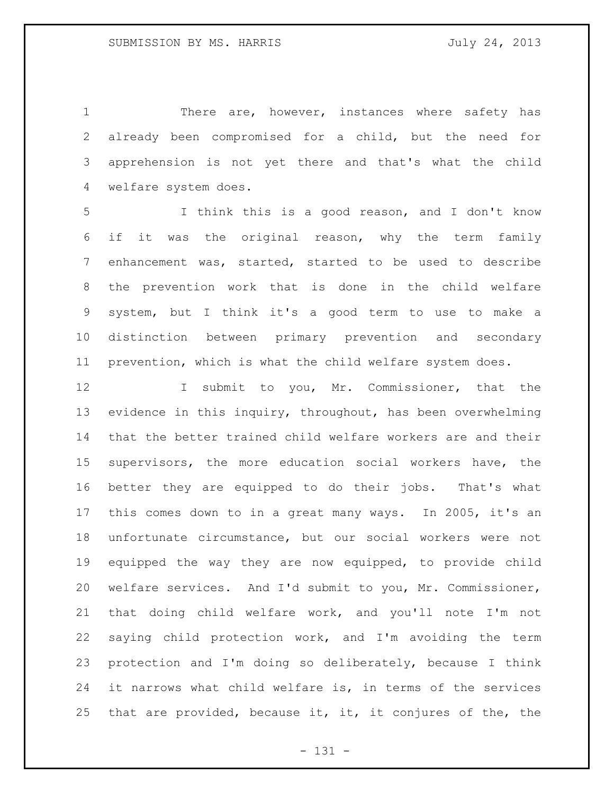1 There are, however, instances where safety has already been compromised for a child, but the need for apprehension is not yet there and that's what the child welfare system does.

 I think this is a good reason, and I don't know if it was the original reason, why the term family enhancement was, started, started to be used to describe the prevention work that is done in the child welfare system, but I think it's a good term to use to make a distinction between primary prevention and secondary prevention, which is what the child welfare system does.

12 I submit to you, Mr. Commissioner, that the evidence in this inquiry, throughout, has been overwhelming that the better trained child welfare workers are and their supervisors, the more education social workers have, the better they are equipped to do their jobs. That's what this comes down to in a great many ways. In 2005, it's an unfortunate circumstance, but our social workers were not equipped the way they are now equipped, to provide child welfare services. And I'd submit to you, Mr. Commissioner, that doing child welfare work, and you'll note I'm not saying child protection work, and I'm avoiding the term protection and I'm doing so deliberately, because I think it narrows what child welfare is, in terms of the services 25 that are provided, because it, it, it conjures of the, the

- 131 -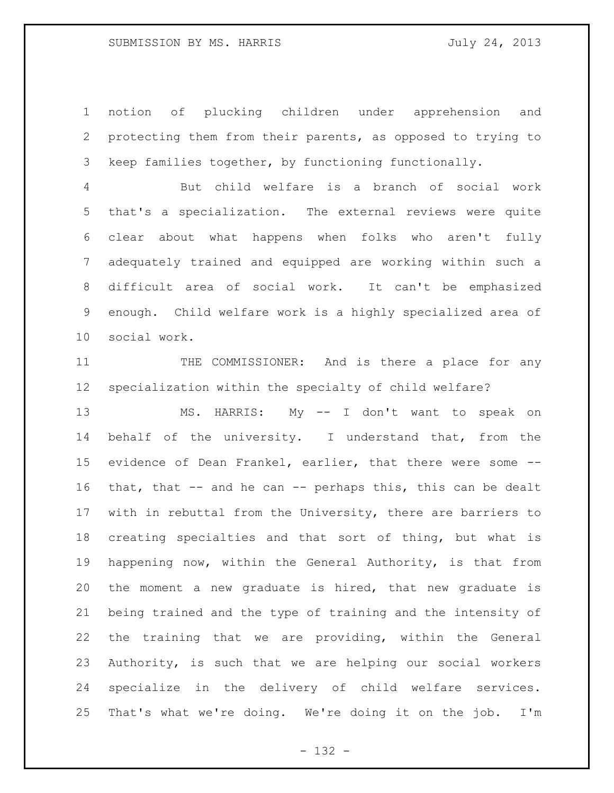## SUBMISSION BY MS. HARRIS July 24, 2013

 notion of plucking children under apprehension and protecting them from their parents, as opposed to trying to keep families together, by functioning functionally.

 But child welfare is a branch of social work that's a specialization. The external reviews were quite clear about what happens when folks who aren't fully adequately trained and equipped are working within such a difficult area of social work. It can't be emphasized enough. Child welfare work is a highly specialized area of social work.

11 THE COMMISSIONER: And is there a place for any specialization within the specialty of child welfare?

 MS. HARRIS: My -- I don't want to speak on behalf of the university. I understand that, from the evidence of Dean Frankel, earlier, that there were some -- that, that -- and he can -- perhaps this, this can be dealt with in rebuttal from the University, there are barriers to creating specialties and that sort of thing, but what is happening now, within the General Authority, is that from the moment a new graduate is hired, that new graduate is being trained and the type of training and the intensity of the training that we are providing, within the General Authority, is such that we are helping our social workers specialize in the delivery of child welfare services. That's what we're doing. We're doing it on the job. I'm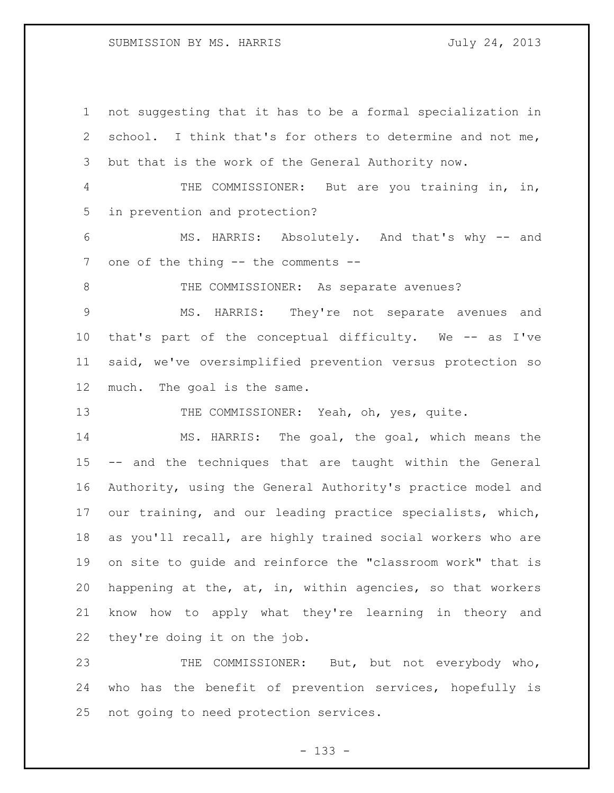## SUBMISSION BY MS. HARRIS July 24, 2013

 not suggesting that it has to be a formal specialization in school. I think that's for others to determine and not me, but that is the work of the General Authority now. THE COMMISSIONER: But are you training in, in, in prevention and protection? MS. HARRIS: Absolutely. And that's why -- and 7 one of the thing -- the comments --8 THE COMMISSIONER: As separate avenues? MS. HARRIS: They're not separate avenues and that's part of the conceptual difficulty. We -- as I've said, we've oversimplified prevention versus protection so much. The goal is the same. 13 THE COMMISSIONER: Yeah, oh, yes, quite. MS. HARRIS: The goal, the goal, which means the -- and the techniques that are taught within the General Authority, using the General Authority's practice model and our training, and our leading practice specialists, which, as you'll recall, are highly trained social workers who are on site to guide and reinforce the "classroom work" that is happening at the, at, in, within agencies, so that workers know how to apply what they're learning in theory and they're doing it on the job. 23 THE COMMISSIONER: But, but not everybody who,

 who has the benefit of prevention services, hopefully is not going to need protection services.

- 133 -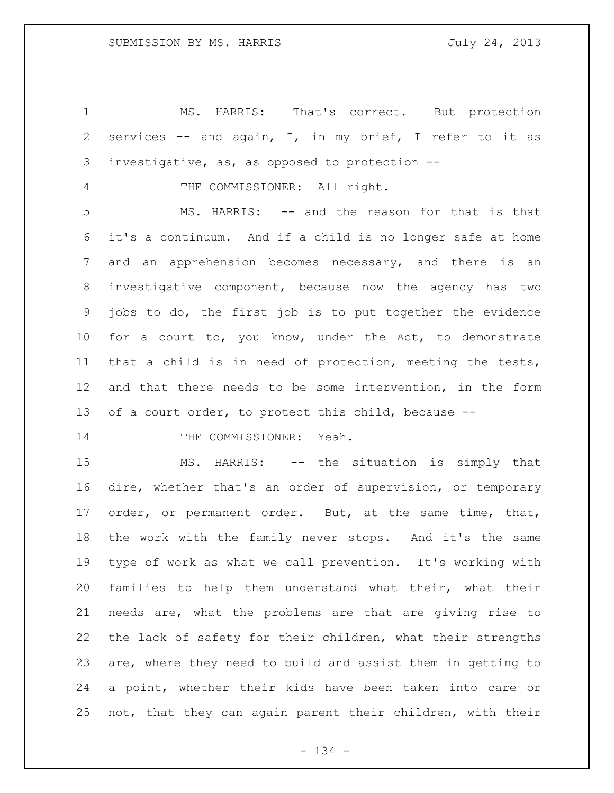MS. HARRIS: That's correct. But protection services -- and again, I, in my brief, I refer to it as investigative, as, as opposed to protection -- THE COMMISSIONER: All right. MS. HARRIS: -- and the reason for that is that it's a continuum. And if a child is no longer safe at home and an apprehension becomes necessary, and there is an investigative component, because now the agency has two jobs to do, the first job is to put together the evidence for a court to, you know, under the Act, to demonstrate that a child is in need of protection, meeting the tests, and that there needs to be some intervention, in the form of a court order, to protect this child, because --

14 THE COMMISSIONER: Yeah.

 MS. HARRIS: -- the situation is simply that dire, whether that's an order of supervision, or temporary 17 order, or permanent order. But, at the same time, that, the work with the family never stops. And it's the same type of work as what we call prevention. It's working with families to help them understand what their, what their needs are, what the problems are that are giving rise to the lack of safety for their children, what their strengths are, where they need to build and assist them in getting to a point, whether their kids have been taken into care or not, that they can again parent their children, with their

- 134 -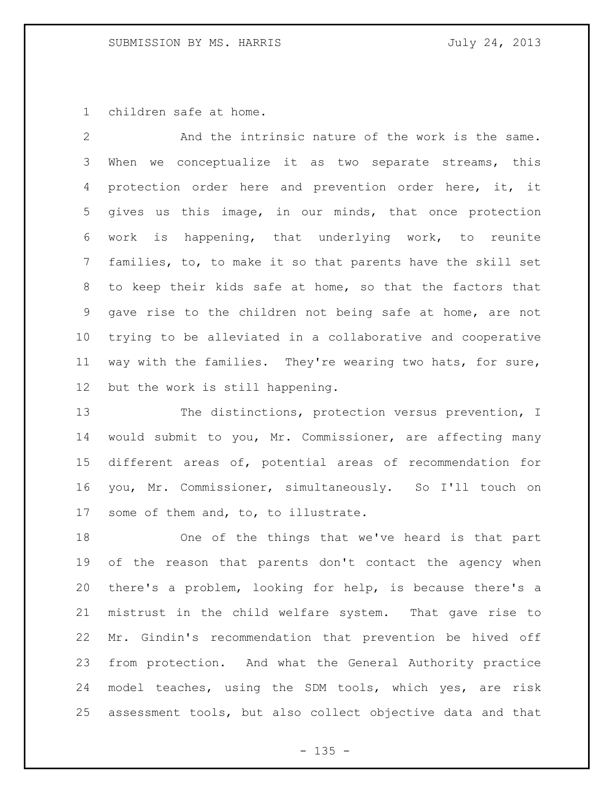children safe at home.

 And the intrinsic nature of the work is the same. When we conceptualize it as two separate streams, this protection order here and prevention order here, it, it gives us this image, in our minds, that once protection work is happening, that underlying work, to reunite families, to, to make it so that parents have the skill set to keep their kids safe at home, so that the factors that gave rise to the children not being safe at home, are not trying to be alleviated in a collaborative and cooperative way with the families. They're wearing two hats, for sure, but the work is still happening.

 The distinctions, protection versus prevention, I would submit to you, Mr. Commissioner, are affecting many different areas of, potential areas of recommendation for you, Mr. Commissioner, simultaneously. So I'll touch on 17 some of them and, to, to illustrate.

 One of the things that we've heard is that part of the reason that parents don't contact the agency when there's a problem, looking for help, is because there's a mistrust in the child welfare system. That gave rise to Mr. Gindin's recommendation that prevention be hived off from protection. And what the General Authority practice model teaches, using the SDM tools, which yes, are risk assessment tools, but also collect objective data and that

 $- 135 -$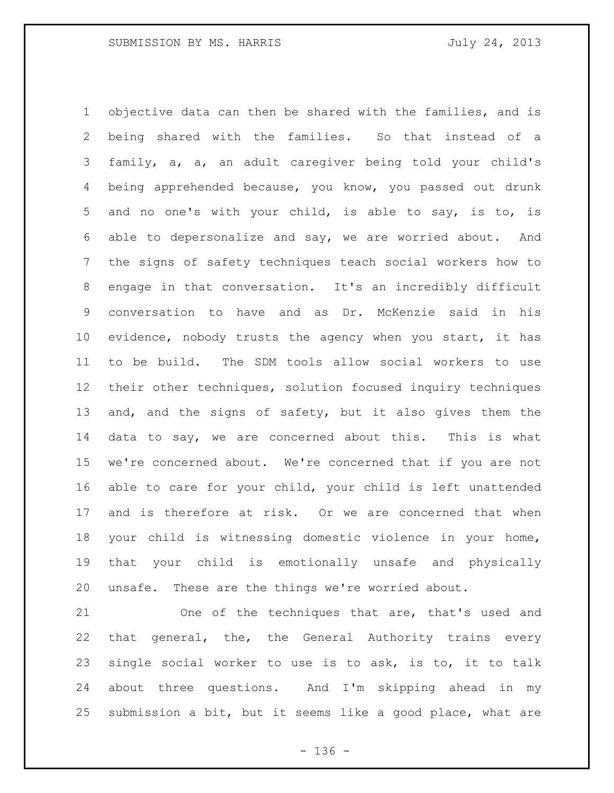objective data can then be shared with the families, and is being shared with the families. So that instead of a family, a, a, an adult caregiver being told your child's being apprehended because, you know, you passed out drunk and no one's with your child, is able to say, is to, is able to depersonalize and say, we are worried about. And the signs of safety techniques teach social workers how to engage in that conversation. It's an incredibly difficult conversation to have and as Dr. McKenzie said in his evidence, nobody trusts the agency when you start, it has to be build. The SDM tools allow social workers to use their other techniques, solution focused inquiry techniques and, and the signs of safety, but it also gives them the data to say, we are concerned about this. This is what we're concerned about. We're concerned that if you are not able to care for your child, your child is left unattended and is therefore at risk. Or we are concerned that when your child is witnessing domestic violence in your home, that your child is emotionally unsafe and physically unsafe. These are the things we're worried about.

 One of the techniques that are, that's used and that general, the, the General Authority trains every single social worker to use is to ask, is to, it to talk about three questions. And I'm skipping ahead in my submission a bit, but it seems like a good place, what are

- 136 -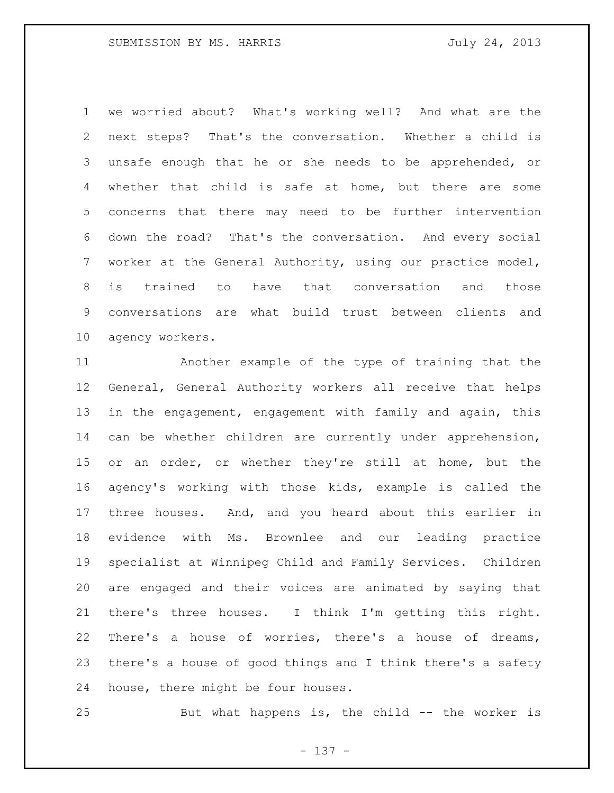we worried about? What's working well? And what are the next steps? That's the conversation. Whether a child is unsafe enough that he or she needs to be apprehended, or whether that child is safe at home, but there are some concerns that there may need to be further intervention down the road? That's the conversation. And every social worker at the General Authority, using our practice model, is trained to have that conversation and those conversations are what build trust between clients and agency workers.

 Another example of the type of training that the General, General Authority workers all receive that helps in the engagement, engagement with family and again, this can be whether children are currently under apprehension, 15 or an order, or whether they're still at home, but the agency's working with those kids, example is called the three houses. And, and you heard about this earlier in evidence with Ms. Brownlee and our leading practice specialist at Winnipeg Child and Family Services. Children are engaged and their voices are animated by saying that there's three houses. I think I'm getting this right. There's a house of worries, there's a house of dreams, there's a house of good things and I think there's a safety house, there might be four houses.

But what happens is, the child -- the worker is

- 137 -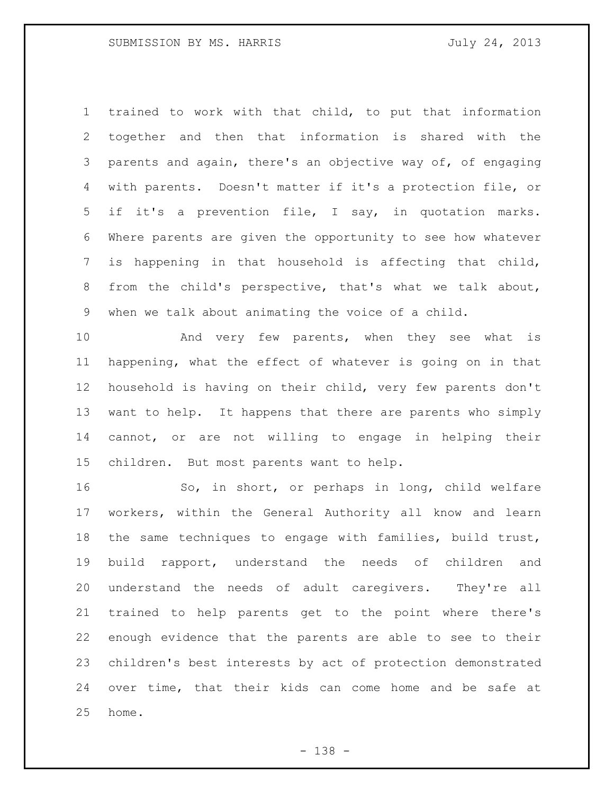trained to work with that child, to put that information together and then that information is shared with the parents and again, there's an objective way of, of engaging with parents. Doesn't matter if it's a protection file, or if it's a prevention file, I say, in quotation marks. Where parents are given the opportunity to see how whatever is happening in that household is affecting that child, from the child's perspective, that's what we talk about, when we talk about animating the voice of a child.

10 And very few parents, when they see what is happening, what the effect of whatever is going on in that household is having on their child, very few parents don't want to help. It happens that there are parents who simply cannot, or are not willing to engage in helping their children. But most parents want to help.

16 So, in short, or perhaps in long, child welfare workers, within the General Authority all know and learn the same techniques to engage with families, build trust, build rapport, understand the needs of children and understand the needs of adult caregivers. They're all trained to help parents get to the point where there's enough evidence that the parents are able to see to their children's best interests by act of protection demonstrated over time, that their kids can come home and be safe at home.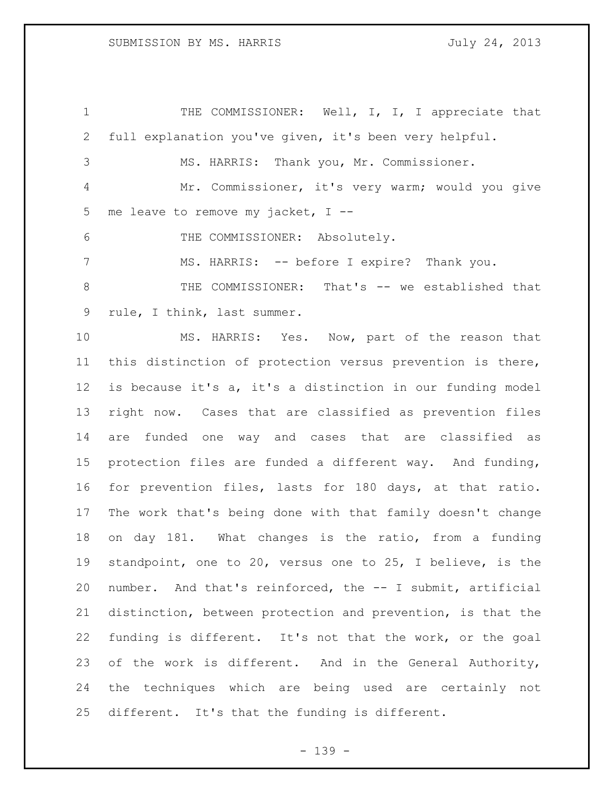1 THE COMMISSIONER: Well, I, I, I appreciate that full explanation you've given, it's been very helpful. MS. HARRIS: Thank you, Mr. Commissioner. Mr. Commissioner, it's very warm; would you give me leave to remove my jacket, I -- THE COMMISSIONER: Absolutely. MS. HARRIS: -- before I expire? Thank you. THE COMMISSIONER: That's -- we established that rule, I think, last summer.

 MS. HARRIS: Yes. Now, part of the reason that this distinction of protection versus prevention is there, is because it's a, it's a distinction in our funding model right now. Cases that are classified as prevention files are funded one way and cases that are classified as protection files are funded a different way. And funding, for prevention files, lasts for 180 days, at that ratio. The work that's being done with that family doesn't change on day 181. What changes is the ratio, from a funding standpoint, one to 20, versus one to 25, I believe, is the number. And that's reinforced, the -- I submit, artificial distinction, between protection and prevention, is that the funding is different. It's not that the work, or the goal 23 of the work is different. And in the General Authority, the techniques which are being used are certainly not different. It's that the funding is different.

- 139 -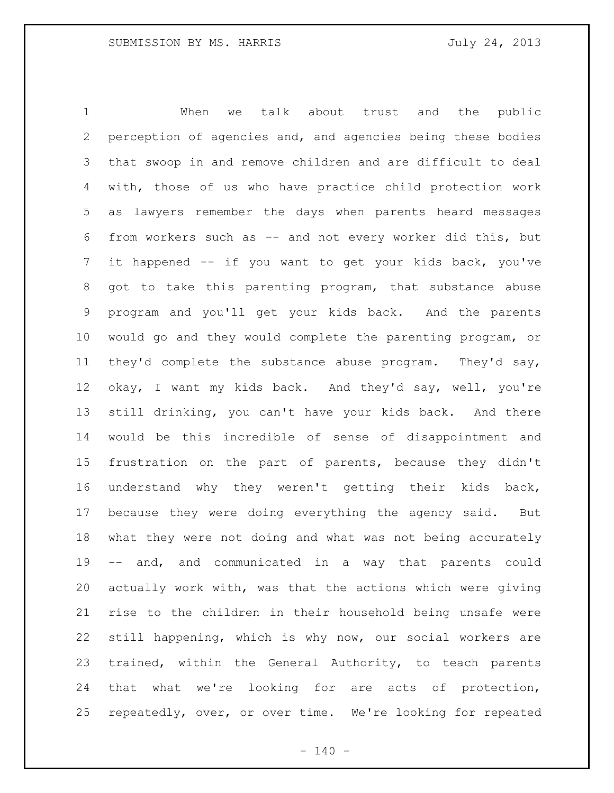When we talk about trust and the public perception of agencies and, and agencies being these bodies that swoop in and remove children and are difficult to deal with, those of us who have practice child protection work as lawyers remember the days when parents heard messages from workers such as -- and not every worker did this, but it happened -- if you want to get your kids back, you've got to take this parenting program, that substance abuse program and you'll get your kids back. And the parents would go and they would complete the parenting program, or they'd complete the substance abuse program. They'd say, okay, I want my kids back. And they'd say, well, you're still drinking, you can't have your kids back. And there would be this incredible of sense of disappointment and frustration on the part of parents, because they didn't understand why they weren't getting their kids back, because they were doing everything the agency said. But what they were not doing and what was not being accurately -- and, and communicated in a way that parents could actually work with, was that the actions which were giving rise to the children in their household being unsafe were still happening, which is why now, our social workers are trained, within the General Authority, to teach parents that what we're looking for are acts of protection, repeatedly, over, or over time. We're looking for repeated

 $- 140 -$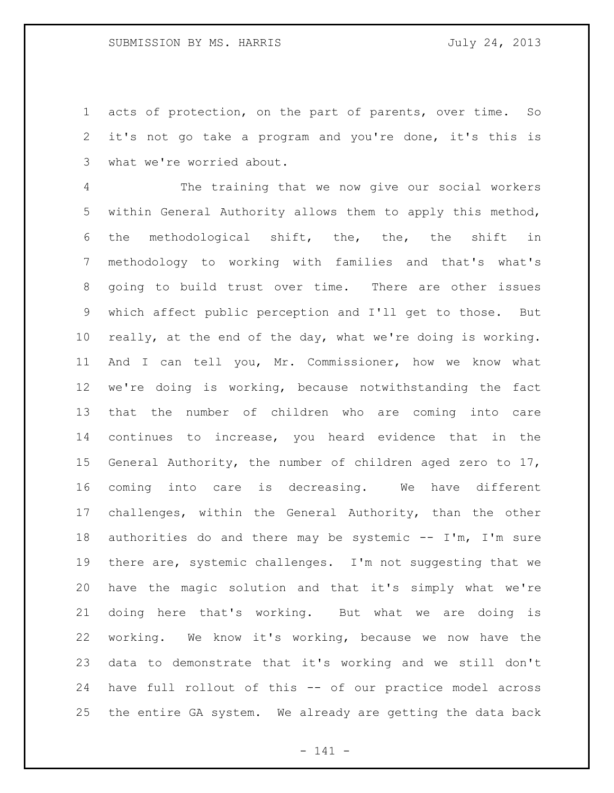acts of protection, on the part of parents, over time. So it's not go take a program and you're done, it's this is what we're worried about.

 The training that we now give our social workers within General Authority allows them to apply this method, the methodological shift, the, the, the shift in methodology to working with families and that's what's going to build trust over time. There are other issues which affect public perception and I'll get to those. But really, at the end of the day, what we're doing is working. And I can tell you, Mr. Commissioner, how we know what we're doing is working, because notwithstanding the fact that the number of children who are coming into care continues to increase, you heard evidence that in the General Authority, the number of children aged zero to 17, coming into care is decreasing. We have different challenges, within the General Authority, than the other authorities do and there may be systemic -- I'm, I'm sure there are, systemic challenges. I'm not suggesting that we have the magic solution and that it's simply what we're doing here that's working. But what we are doing is working. We know it's working, because we now have the data to demonstrate that it's working and we still don't have full rollout of this -- of our practice model across the entire GA system. We already are getting the data back

- 141 -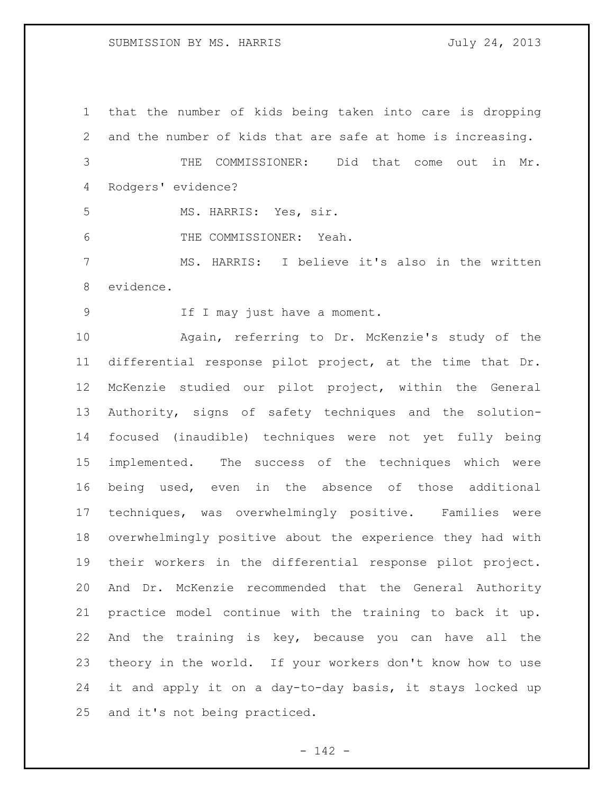that the number of kids being taken into care is dropping and the number of kids that are safe at home is increasing. THE COMMISSIONER: Did that come out in Mr. Rodgers' evidence? MS. HARRIS: Yes, sir. THE COMMISSIONER: Yeah. MS. HARRIS: I believe it's also in the written evidence. If I may just have a moment. Again, referring to Dr. McKenzie's study of the differential response pilot project, at the time that Dr. McKenzie studied our pilot project, within the General Authority, signs of safety techniques and the solution- focused (inaudible) techniques were not yet fully being implemented. The success of the techniques which were being used, even in the absence of those additional techniques, was overwhelmingly positive. Families were overwhelmingly positive about the experience they had with their workers in the differential response pilot project. And Dr. McKenzie recommended that the General Authority practice model continue with the training to back it up. And the training is key, because you can have all the theory in the world. If your workers don't know how to use it and apply it on a day-to-day basis, it stays locked up and it's not being practiced.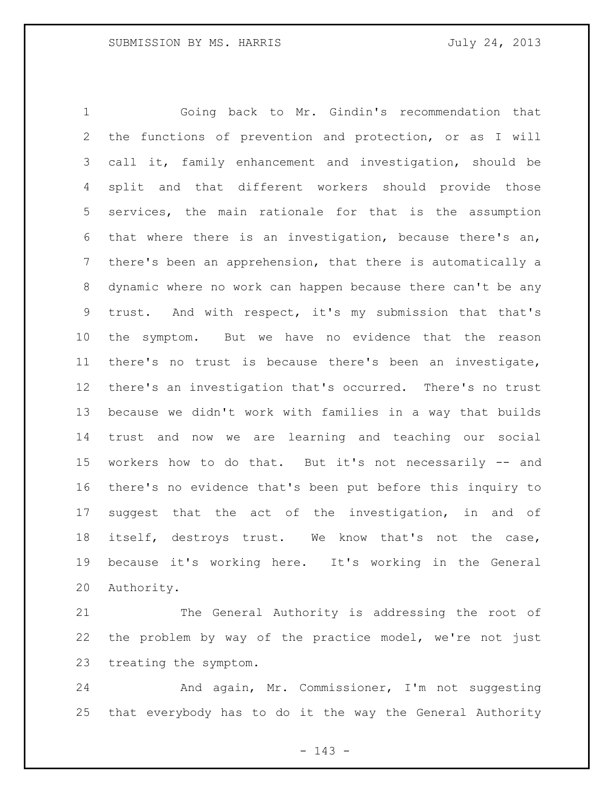Going back to Mr. Gindin's recommendation that the functions of prevention and protection, or as I will call it, family enhancement and investigation, should be split and that different workers should provide those services, the main rationale for that is the assumption that where there is an investigation, because there's an, there's been an apprehension, that there is automatically a dynamic where no work can happen because there can't be any trust. And with respect, it's my submission that that's the symptom. But we have no evidence that the reason there's no trust is because there's been an investigate, there's an investigation that's occurred. There's no trust because we didn't work with families in a way that builds trust and now we are learning and teaching our social workers how to do that. But it's not necessarily -- and there's no evidence that's been put before this inquiry to suggest that the act of the investigation, in and of itself, destroys trust. We know that's not the case, because it's working here. It's working in the General Authority.

 The General Authority is addressing the root of the problem by way of the practice model, we're not just treating the symptom.

 And again, Mr. Commissioner, I'm not suggesting that everybody has to do it the way the General Authority

- 143 -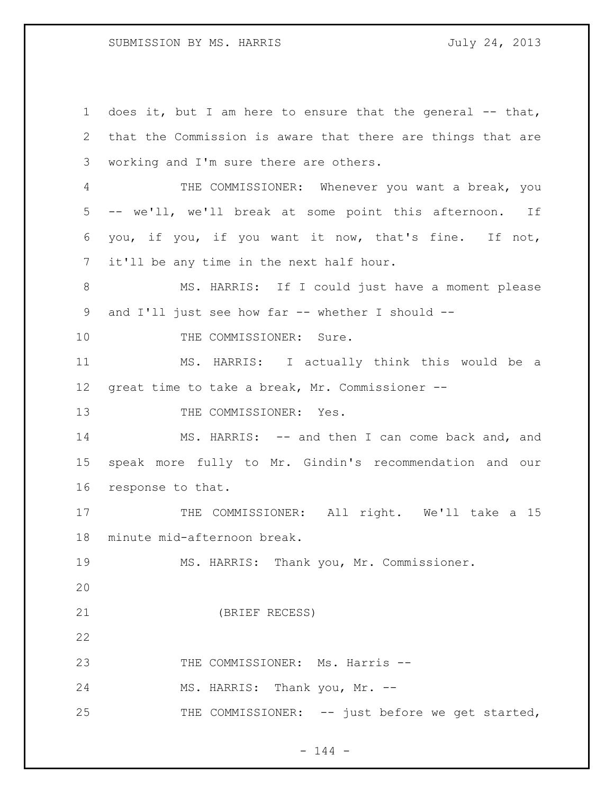1 does it, but I am here to ensure that the general -- that, 2 that the Commission is aware that there are things that are 3 working and I'm sure there are others. 4 THE COMMISSIONER: Whenever you want a break, you 5 -- we'll, we'll break at some point this afternoon. If 6 you, if you, if you want it now, that's fine. If not, 7 it'll be any time in the next half hour. 8 MS. HARRIS: If I could just have a moment please 9 and I'll just see how far -- whether I should --10 THE COMMISSIONER: Sure. 11 MS. HARRIS: I actually think this would be a 12 great time to take a break, Mr. Commissioner -- 13 THE COMMISSIONER: Yes. 14 MS. HARRIS: -- and then I can come back and, and 15 speak more fully to Mr. Gindin's recommendation and our 16 response to that. 17 THE COMMISSIONER: All right. We'll take a 15 18 minute mid-afternoon break. 19 MS. HARRIS: Thank you, Mr. Commissioner. 20 21 (BRIEF RECESS) 22 23 THE COMMISSIONER: Ms. Harris --24 MS. HARRIS: Thank you, Mr. --25 THE COMMISSIONER: -- just before we get started,

 $- 144 -$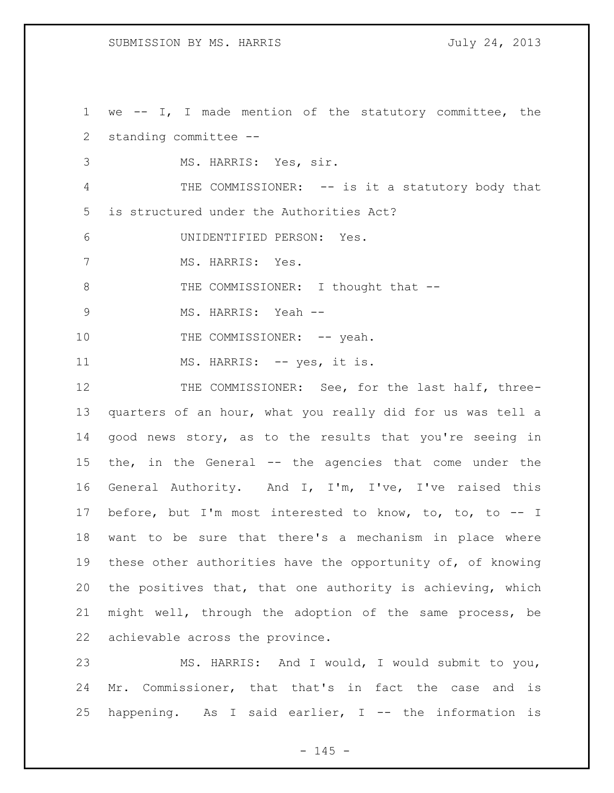we -- I, I made mention of the statutory committee, the standing committee --

MS. HARRIS: Yes, sir.

4 THE COMMISSIONER: -- is it a statutory body that is structured under the Authorities Act?

UNIDENTIFIED PERSON: Yes.

MS. HARRIS: Yes.

8 THE COMMISSIONER: I thought that --

MS. HARRIS: Yeah --

10 THE COMMISSIONER: -- yeah.

11 MS. HARRIS: -- yes, it is.

12 THE COMMISSIONER: See, for the last half, three- quarters of an hour, what you really did for us was tell a good news story, as to the results that you're seeing in the, in the General -- the agencies that come under the General Authority. And I, I'm, I've, I've raised this before, but I'm most interested to know, to, to, to -- I want to be sure that there's a mechanism in place where 19 these other authorities have the opportunity of, of knowing the positives that, that one authority is achieving, which might well, through the adoption of the same process, be achievable across the province.

 MS. HARRIS: And I would, I would submit to you, Mr. Commissioner, that that's in fact the case and is happening. As I said earlier, I -- the information is

 $- 145 -$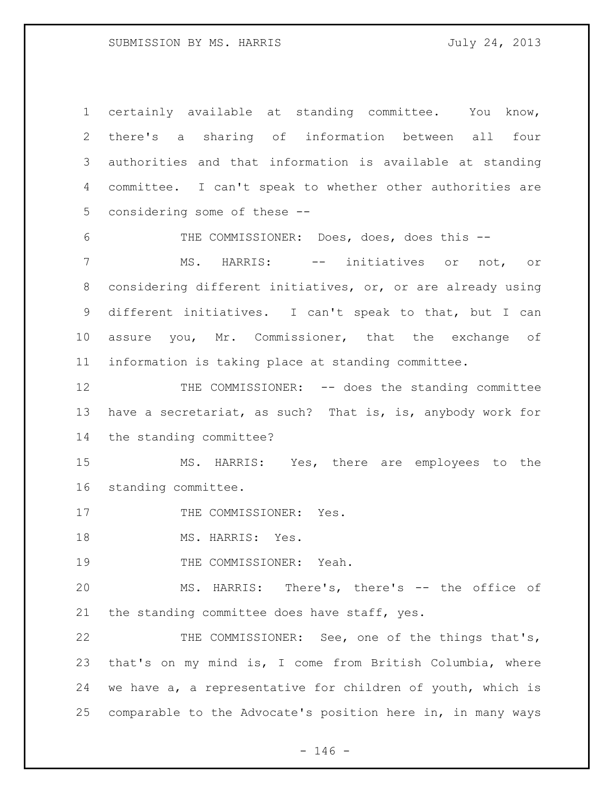certainly available at standing committee. You know, there's a sharing of information between all four authorities and that information is available at standing committee. I can't speak to whether other authorities are considering some of these --

THE COMMISSIONER: Does, does, does this --

7 MS. HARRIS:  $--$  initiatives or not, or considering different initiatives, or, or are already using different initiatives. I can't speak to that, but I can assure you, Mr. Commissioner, that the exchange of information is taking place at standing committee.

12 THE COMMISSIONER: -- does the standing committee have a secretariat, as such? That is, is, anybody work for the standing committee?

 MS. HARRIS: Yes, there are employees to the standing committee.

17 THE COMMISSIONER: Yes.

18 MS. HARRIS: Yes.

19 THE COMMISSIONER: Yeah.

 MS. HARRIS: There's, there's -- the office of the standing committee does have staff, yes.

 THE COMMISSIONER: See, one of the things that's, that's on my mind is, I come from British Columbia, where we have a, a representative for children of youth, which is comparable to the Advocate's position here in, in many ways

 $- 146 -$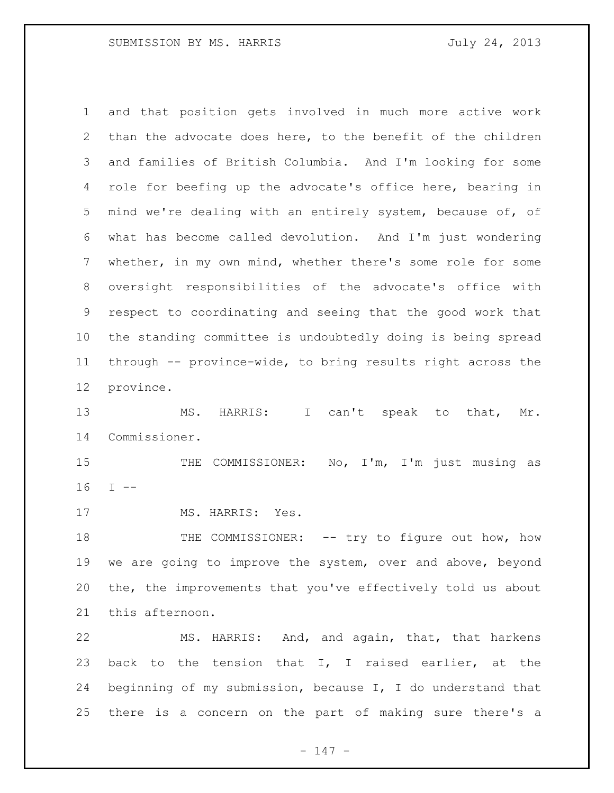and that position gets involved in much more active work than the advocate does here, to the benefit of the children and families of British Columbia. And I'm looking for some role for beefing up the advocate's office here, bearing in mind we're dealing with an entirely system, because of, of what has become called devolution. And I'm just wondering whether, in my own mind, whether there's some role for some oversight responsibilities of the advocate's office with respect to coordinating and seeing that the good work that the standing committee is undoubtedly doing is being spread through -- province-wide, to bring results right across the province.

 MS. HARRIS: I can't speak to that, Mr. Commissioner.

 THE COMMISSIONER: No, I'm, I'm just musing as I  $-$ 

17 MS. HARRIS: Yes.

18 THE COMMISSIONER: -- try to figure out how, how we are going to improve the system, over and above, beyond the, the improvements that you've effectively told us about this afternoon.

 MS. HARRIS: And, and again, that, that harkens back to the tension that I, I raised earlier, at the beginning of my submission, because I, I do understand that there is a concern on the part of making sure there's a

- 147 -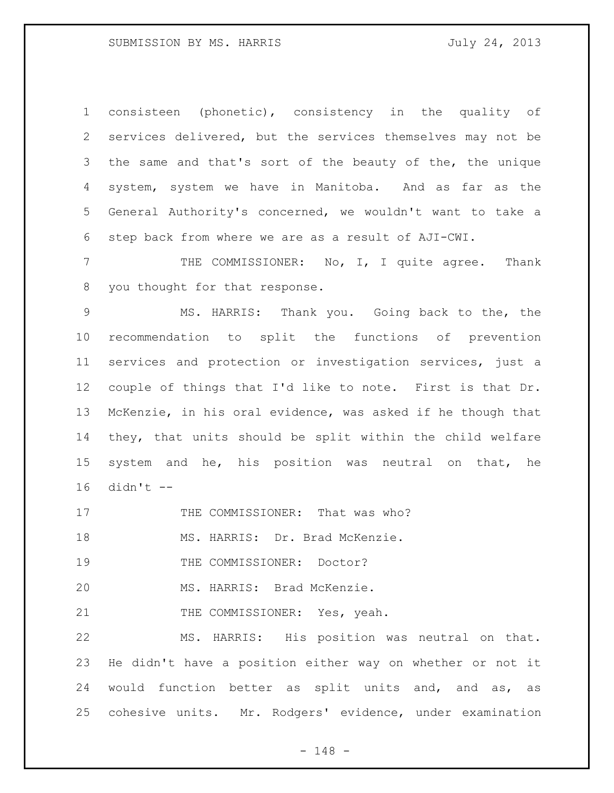consisteen (phonetic), consistency in the quality of services delivered, but the services themselves may not be the same and that's sort of the beauty of the, the unique system, system we have in Manitoba. And as far as the General Authority's concerned, we wouldn't want to take a step back from where we are as a result of AJI-CWI.

 THE COMMISSIONER: No, I, I quite agree. Thank you thought for that response.

 MS. HARRIS: Thank you. Going back to the, the recommendation to split the functions of prevention services and protection or investigation services, just a couple of things that I'd like to note. First is that Dr. McKenzie, in his oral evidence, was asked if he though that they, that units should be split within the child welfare system and he, his position was neutral on that, he didn't  $-$ 

17 THE COMMISSIONER: That was who?

18 MS. HARRIS: Dr. Brad McKenzie.

19 THE COMMISSIONER: Doctor?

MS. HARRIS: Brad McKenzie.

21 THE COMMISSIONER: Yes, yeah.

 MS. HARRIS: His position was neutral on that. He didn't have a position either way on whether or not it would function better as split units and, and as, as cohesive units. Mr. Rodgers' evidence, under examination

- 148 -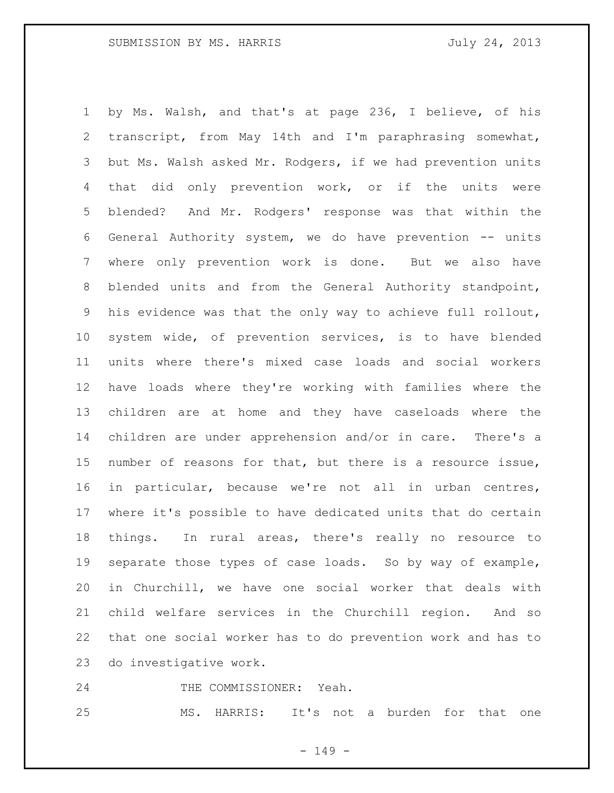by Ms. Walsh, and that's at page 236, I believe, of his transcript, from May 14th and I'm paraphrasing somewhat, but Ms. Walsh asked Mr. Rodgers, if we had prevention units that did only prevention work, or if the units were blended? And Mr. Rodgers' response was that within the General Authority system, we do have prevention -- units where only prevention work is done. But we also have blended units and from the General Authority standpoint, his evidence was that the only way to achieve full rollout, system wide, of prevention services, is to have blended units where there's mixed case loads and social workers have loads where they're working with families where the children are at home and they have caseloads where the children are under apprehension and/or in care. There's a number of reasons for that, but there is a resource issue, in particular, because we're not all in urban centres, where it's possible to have dedicated units that do certain things. In rural areas, there's really no resource to separate those types of case loads. So by way of example, in Churchill, we have one social worker that deals with child welfare services in the Churchill region. And so that one social worker has to do prevention work and has to do investigative work.

24 THE COMMISSIONER: Yeah.

MS. HARRIS: It's not a burden for that one

- 149 -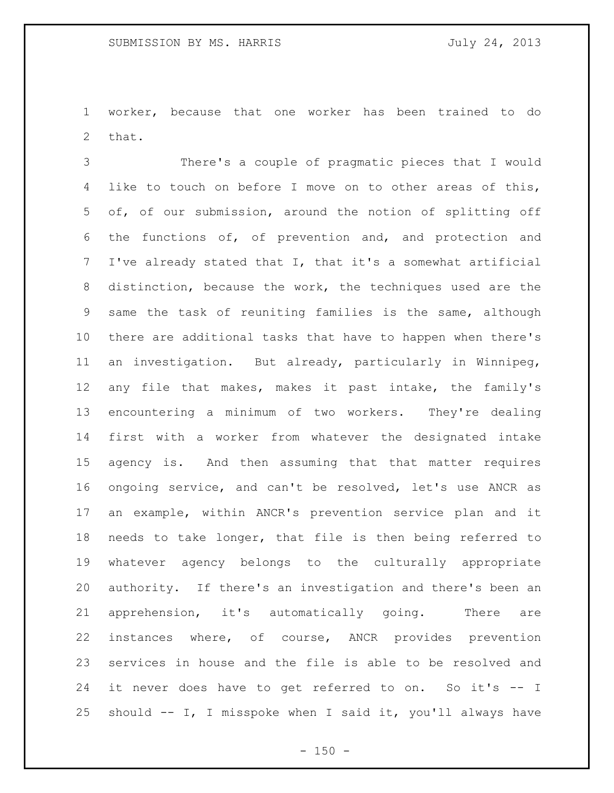worker, because that one worker has been trained to do that.

 There's a couple of pragmatic pieces that I would like to touch on before I move on to other areas of this, of, of our submission, around the notion of splitting off the functions of, of prevention and, and protection and I've already stated that I, that it's a somewhat artificial distinction, because the work, the techniques used are the same the task of reuniting families is the same, although there are additional tasks that have to happen when there's an investigation. But already, particularly in Winnipeg, any file that makes, makes it past intake, the family's encountering a minimum of two workers. They're dealing first with a worker from whatever the designated intake agency is. And then assuming that that matter requires ongoing service, and can't be resolved, let's use ANCR as an example, within ANCR's prevention service plan and it needs to take longer, that file is then being referred to whatever agency belongs to the culturally appropriate authority. If there's an investigation and there's been an apprehension, it's automatically going. There are instances where, of course, ANCR provides prevention services in house and the file is able to be resolved and 24 it never does have to get referred to on. So it's -- I should -- I, I misspoke when I said it, you'll always have

 $- 150 -$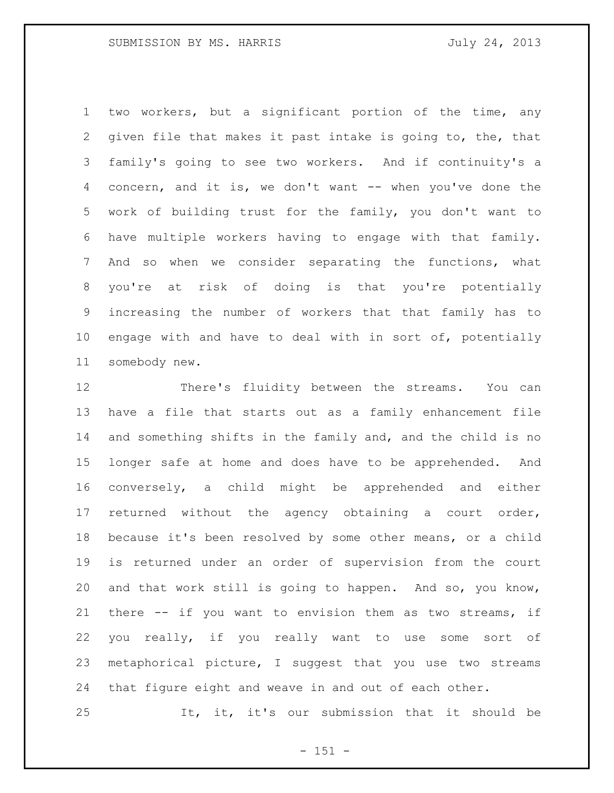two workers, but a significant portion of the time, any given file that makes it past intake is going to, the, that family's going to see two workers. And if continuity's a concern, and it is, we don't want -- when you've done the work of building trust for the family, you don't want to have multiple workers having to engage with that family. And so when we consider separating the functions, what you're at risk of doing is that you're potentially increasing the number of workers that that family has to engage with and have to deal with in sort of, potentially somebody new.

 There's fluidity between the streams. You can have a file that starts out as a family enhancement file and something shifts in the family and, and the child is no longer safe at home and does have to be apprehended. And conversely, a child might be apprehended and either returned without the agency obtaining a court order, because it's been resolved by some other means, or a child is returned under an order of supervision from the court and that work still is going to happen. And so, you know, there -- if you want to envision them as two streams, if you really, if you really want to use some sort of metaphorical picture, I suggest that you use two streams that figure eight and weave in and out of each other.

It, it, it's our submission that it should be

- 151 -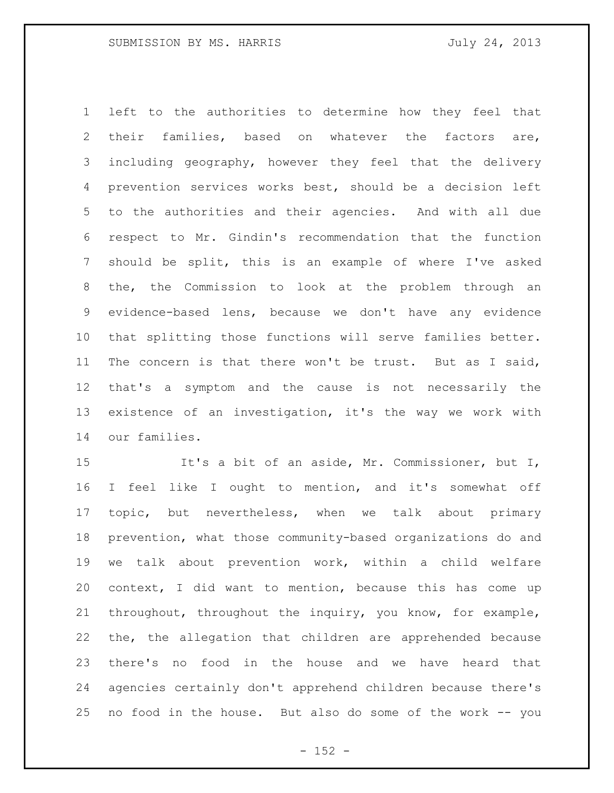left to the authorities to determine how they feel that their families, based on whatever the factors are, including geography, however they feel that the delivery prevention services works best, should be a decision left to the authorities and their agencies. And with all due respect to Mr. Gindin's recommendation that the function should be split, this is an example of where I've asked the, the Commission to look at the problem through an evidence-based lens, because we don't have any evidence that splitting those functions will serve families better. The concern is that there won't be trust. But as I said, that's a symptom and the cause is not necessarily the existence of an investigation, it's the way we work with our families.

 It's a bit of an aside, Mr. Commissioner, but I, I feel like I ought to mention, and it's somewhat off topic, but nevertheless, when we talk about primary prevention, what those community-based organizations do and we talk about prevention work, within a child welfare context, I did want to mention, because this has come up throughout, throughout the inquiry, you know, for example, the, the allegation that children are apprehended because there's no food in the house and we have heard that agencies certainly don't apprehend children because there's no food in the house. But also do some of the work -- you

 $- 152 -$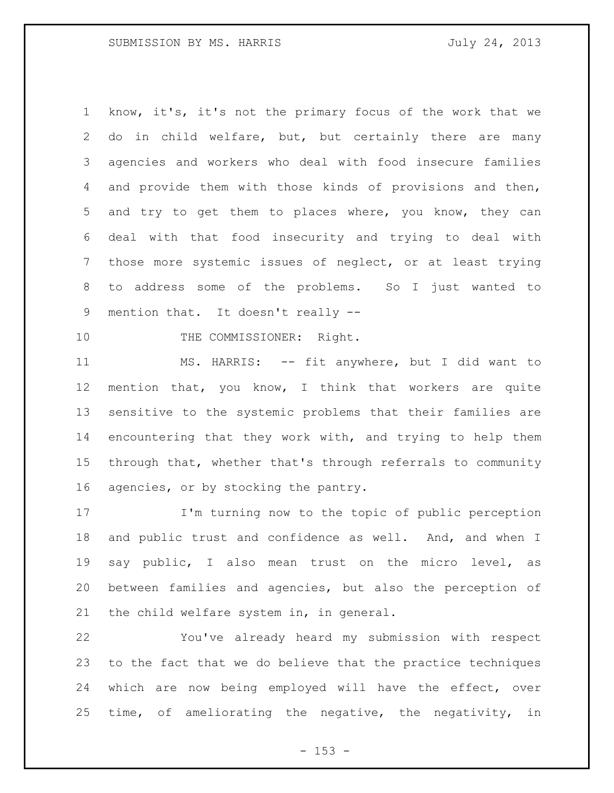know, it's, it's not the primary focus of the work that we do in child welfare, but, but certainly there are many agencies and workers who deal with food insecure families and provide them with those kinds of provisions and then, and try to get them to places where, you know, they can deal with that food insecurity and trying to deal with those more systemic issues of neglect, or at least trying to address some of the problems. So I just wanted to mention that. It doesn't really --

10 THE COMMISSIONER: Right.

11 MS. HARRIS: -- fit anywhere, but I did want to mention that, you know, I think that workers are quite sensitive to the systemic problems that their families are encountering that they work with, and trying to help them through that, whether that's through referrals to community agencies, or by stocking the pantry.

 I'm turning now to the topic of public perception and public trust and confidence as well. And, and when I say public, I also mean trust on the micro level, as between families and agencies, but also the perception of the child welfare system in, in general.

 You've already heard my submission with respect to the fact that we do believe that the practice techniques which are now being employed will have the effect, over time, of ameliorating the negative, the negativity, in

 $- 153 -$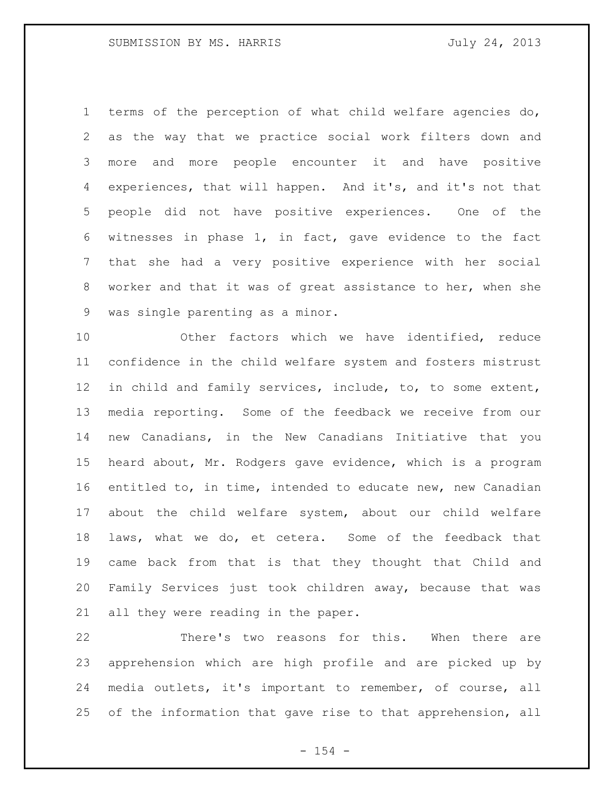terms of the perception of what child welfare agencies do, as the way that we practice social work filters down and more and more people encounter it and have positive experiences, that will happen. And it's, and it's not that people did not have positive experiences. One of the witnesses in phase 1, in fact, gave evidence to the fact that she had a very positive experience with her social worker and that it was of great assistance to her, when she was single parenting as a minor.

 Other factors which we have identified, reduce confidence in the child welfare system and fosters mistrust in child and family services, include, to, to some extent, media reporting. Some of the feedback we receive from our new Canadians, in the New Canadians Initiative that you heard about, Mr. Rodgers gave evidence, which is a program entitled to, in time, intended to educate new, new Canadian about the child welfare system, about our child welfare laws, what we do, et cetera. Some of the feedback that came back from that is that they thought that Child and Family Services just took children away, because that was all they were reading in the paper.

 There's two reasons for this. When there are apprehension which are high profile and are picked up by media outlets, it's important to remember, of course, all of the information that gave rise to that apprehension, all

 $- 154 -$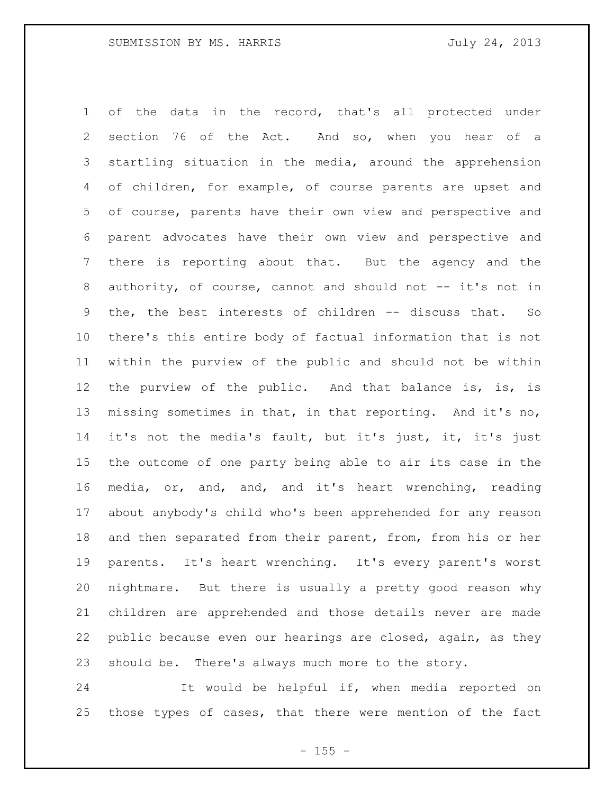of the data in the record, that's all protected under section 76 of the Act. And so, when you hear of a startling situation in the media, around the apprehension of children, for example, of course parents are upset and of course, parents have their own view and perspective and parent advocates have their own view and perspective and there is reporting about that. But the agency and the 8 authority, of course, cannot and should not -- it's not in 9 the, the best interests of children -- discuss that. So there's this entire body of factual information that is not within the purview of the public and should not be within the purview of the public. And that balance is, is, is missing sometimes in that, in that reporting. And it's no, it's not the media's fault, but it's just, it, it's just the outcome of one party being able to air its case in the media, or, and, and, and it's heart wrenching, reading about anybody's child who's been apprehended for any reason and then separated from their parent, from, from his or her parents. It's heart wrenching. It's every parent's worst nightmare. But there is usually a pretty good reason why children are apprehended and those details never are made public because even our hearings are closed, again, as they should be. There's always much more to the story.

 It would be helpful if, when media reported on those types of cases, that there were mention of the fact

 $- 155 -$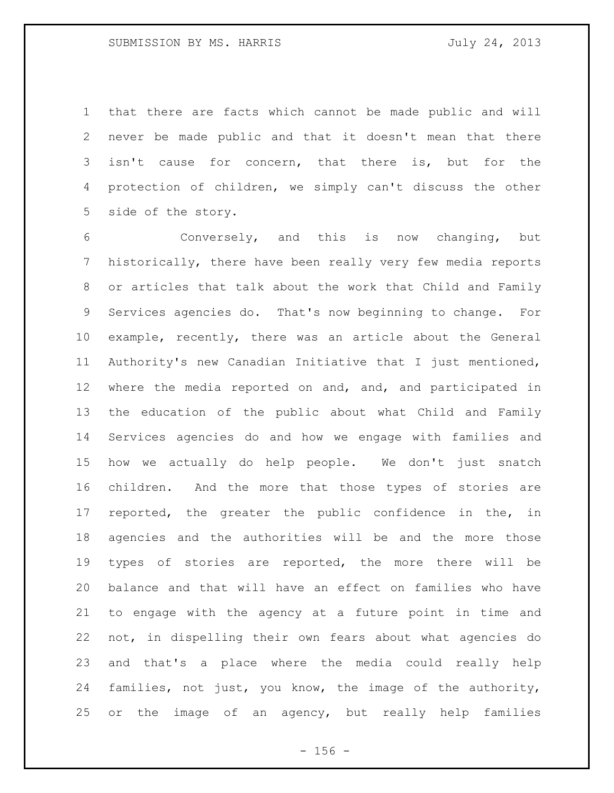that there are facts which cannot be made public and will never be made public and that it doesn't mean that there isn't cause for concern, that there is, but for the protection of children, we simply can't discuss the other side of the story.

 Conversely, and this is now changing, but historically, there have been really very few media reports or articles that talk about the work that Child and Family Services agencies do. That's now beginning to change. For example, recently, there was an article about the General Authority's new Canadian Initiative that I just mentioned, where the media reported on and, and, and participated in the education of the public about what Child and Family Services agencies do and how we engage with families and how we actually do help people. We don't just snatch children. And the more that those types of stories are reported, the greater the public confidence in the, in agencies and the authorities will be and the more those types of stories are reported, the more there will be balance and that will have an effect on families who have to engage with the agency at a future point in time and not, in dispelling their own fears about what agencies do and that's a place where the media could really help families, not just, you know, the image of the authority, or the image of an agency, but really help families

 $- 156 -$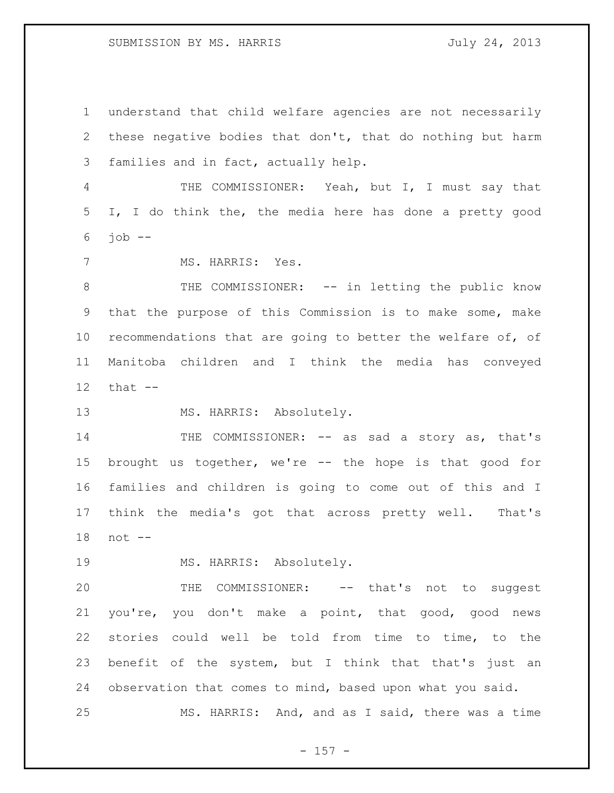understand that child welfare agencies are not necessarily these negative bodies that don't, that do nothing but harm families and in fact, actually help.

 THE COMMISSIONER: Yeah, but I, I must say that I, I do think the, the media here has done a pretty good job  $-$ 

MS. HARRIS: Yes.

8 THE COMMISSIONER: -- in letting the public know that the purpose of this Commission is to make some, make recommendations that are going to better the welfare of, of Manitoba children and I think the media has conveyed that  $-$ 

13 MS. HARRIS: Absolutely.

14 THE COMMISSIONER: -- as sad a story as, that's brought us together, we're -- the hope is that good for families and children is going to come out of this and I think the media's got that across pretty well. That's not --

MS. HARRIS: Absolutely.

 THE COMMISSIONER: -- that's not to suggest you're, you don't make a point, that good, good news stories could well be told from time to time, to the benefit of the system, but I think that that's just an observation that comes to mind, based upon what you said. MS. HARRIS: And, and as I said, there was a time

- 157 -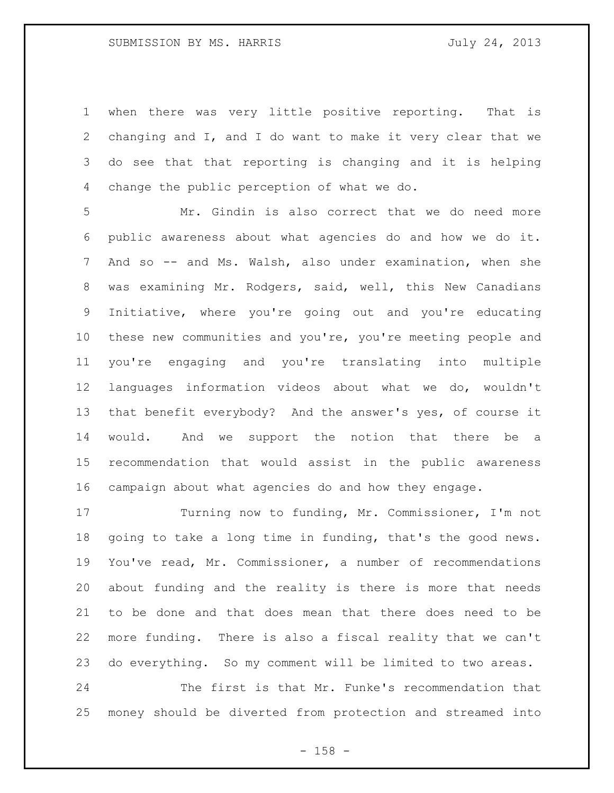when there was very little positive reporting. That is changing and I, and I do want to make it very clear that we do see that that reporting is changing and it is helping change the public perception of what we do.

 Mr. Gindin is also correct that we do need more public awareness about what agencies do and how we do it. And so -- and Ms. Walsh, also under examination, when she was examining Mr. Rodgers, said, well, this New Canadians Initiative, where you're going out and you're educating these new communities and you're, you're meeting people and you're engaging and you're translating into multiple languages information videos about what we do, wouldn't that benefit everybody? And the answer's yes, of course it would. And we support the notion that there be a recommendation that would assist in the public awareness campaign about what agencies do and how they engage.

 Turning now to funding, Mr. Commissioner, I'm not going to take a long time in funding, that's the good news. You've read, Mr. Commissioner, a number of recommendations about funding and the reality is there is more that needs to be done and that does mean that there does need to be more funding. There is also a fiscal reality that we can't do everything. So my comment will be limited to two areas.

 The first is that Mr. Funke's recommendation that money should be diverted from protection and streamed into

- 158 -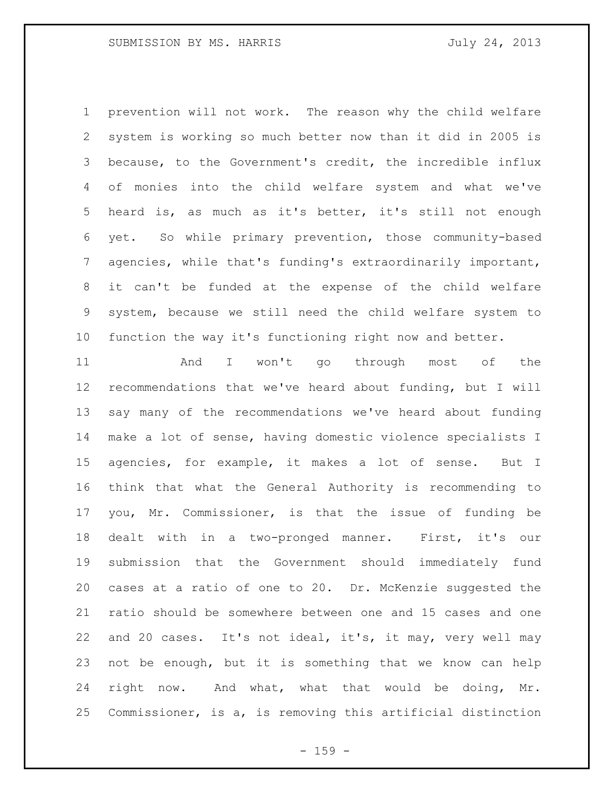prevention will not work. The reason why the child welfare system is working so much better now than it did in 2005 is because, to the Government's credit, the incredible influx of monies into the child welfare system and what we've heard is, as much as it's better, it's still not enough yet. So while primary prevention, those community-based agencies, while that's funding's extraordinarily important, it can't be funded at the expense of the child welfare system, because we still need the child welfare system to function the way it's functioning right now and better.

 And I won't go through most of the recommendations that we've heard about funding, but I will say many of the recommendations we've heard about funding make a lot of sense, having domestic violence specialists I agencies, for example, it makes a lot of sense. But I think that what the General Authority is recommending to you, Mr. Commissioner, is that the issue of funding be dealt with in a two-pronged manner. First, it's our submission that the Government should immediately fund cases at a ratio of one to 20. Dr. McKenzie suggested the ratio should be somewhere between one and 15 cases and one and 20 cases. It's not ideal, it's, it may, very well may not be enough, but it is something that we know can help right now. And what, what that would be doing, Mr. Commissioner, is a, is removing this artificial distinction

- 159 -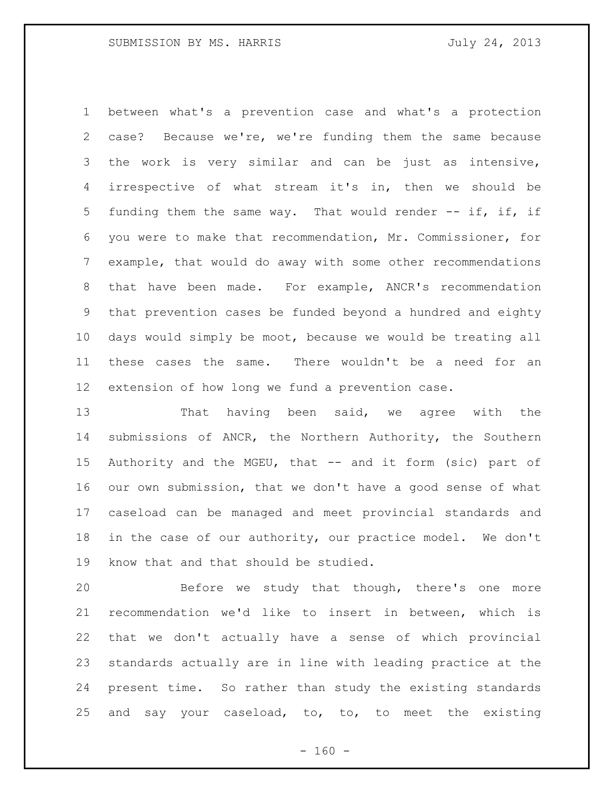between what's a prevention case and what's a protection case? Because we're, we're funding them the same because the work is very similar and can be just as intensive, irrespective of what stream it's in, then we should be 5 funding them the same way. That would render -- if, if, if you were to make that recommendation, Mr. Commissioner, for example, that would do away with some other recommendations that have been made. For example, ANCR's recommendation that prevention cases be funded beyond a hundred and eighty days would simply be moot, because we would be treating all these cases the same. There wouldn't be a need for an extension of how long we fund a prevention case.

13 That having been said, we agree with the submissions of ANCR, the Northern Authority, the Southern Authority and the MGEU, that -- and it form (sic) part of our own submission, that we don't have a good sense of what caseload can be managed and meet provincial standards and in the case of our authority, our practice model. We don't know that and that should be studied.

 Before we study that though, there's one more recommendation we'd like to insert in between, which is that we don't actually have a sense of which provincial standards actually are in line with leading practice at the present time. So rather than study the existing standards and say your caseload, to, to, to meet the existing

 $- 160 -$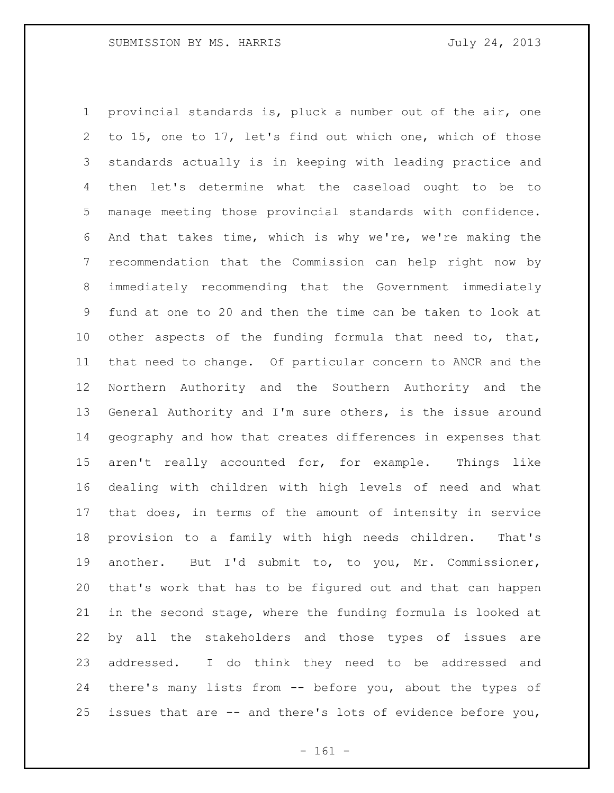provincial standards is, pluck a number out of the air, one to 15, one to 17, let's find out which one, which of those standards actually is in keeping with leading practice and then let's determine what the caseload ought to be to manage meeting those provincial standards with confidence. And that takes time, which is why we're, we're making the recommendation that the Commission can help right now by immediately recommending that the Government immediately fund at one to 20 and then the time can be taken to look at other aspects of the funding formula that need to, that, that need to change. Of particular concern to ANCR and the Northern Authority and the Southern Authority and the General Authority and I'm sure others, is the issue around geography and how that creates differences in expenses that aren't really accounted for, for example. Things like dealing with children with high levels of need and what that does, in terms of the amount of intensity in service provision to a family with high needs children. That's another. But I'd submit to, to you, Mr. Commissioner, that's work that has to be figured out and that can happen in the second stage, where the funding formula is looked at by all the stakeholders and those types of issues are addressed. I do think they need to be addressed and there's many lists from -- before you, about the types of issues that are -- and there's lots of evidence before you,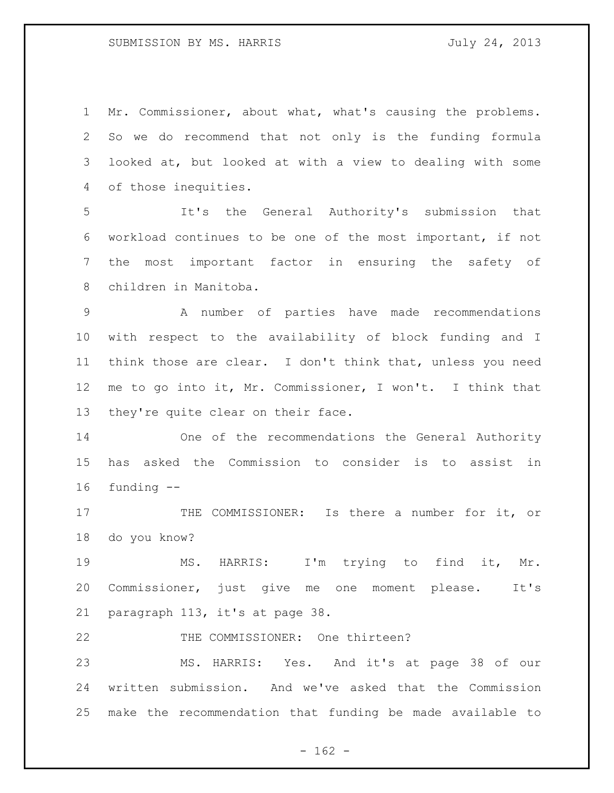Mr. Commissioner, about what, what's causing the problems. So we do recommend that not only is the funding formula looked at, but looked at with a view to dealing with some of those inequities.

 It's the General Authority's submission that workload continues to be one of the most important, if not the most important factor in ensuring the safety of children in Manitoba.

 A number of parties have made recommendations with respect to the availability of block funding and I think those are clear. I don't think that, unless you need me to go into it, Mr. Commissioner, I won't. I think that 13 they're quite clear on their face.

 One of the recommendations the General Authority has asked the Commission to consider is to assist in funding --

17 THE COMMISSIONER: Is there a number for it, or do you know?

 MS. HARRIS: I'm trying to find it, Mr. Commissioner, just give me one moment please. It's paragraph 113, it's at page 38.

22 THE COMMISSIONER: One thirteen?

 MS. HARRIS: Yes. And it's at page 38 of our written submission. And we've asked that the Commission make the recommendation that funding be made available to

 $- 162 -$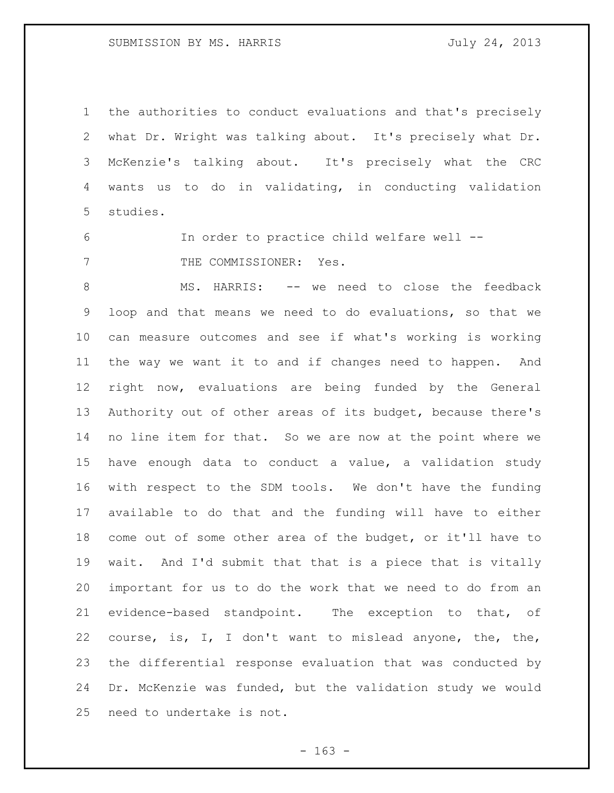the authorities to conduct evaluations and that's precisely what Dr. Wright was talking about. It's precisely what Dr. McKenzie's talking about. It's precisely what the CRC wants us to do in validating, in conducting validation studies.

 In order to practice child welfare well -- 7 THE COMMISSIONER: Yes.

8 MS. HARRIS: -- we need to close the feedback loop and that means we need to do evaluations, so that we can measure outcomes and see if what's working is working the way we want it to and if changes need to happen. And right now, evaluations are being funded by the General Authority out of other areas of its budget, because there's no line item for that. So we are now at the point where we have enough data to conduct a value, a validation study with respect to the SDM tools. We don't have the funding available to do that and the funding will have to either come out of some other area of the budget, or it'll have to wait. And I'd submit that that is a piece that is vitally important for us to do the work that we need to do from an evidence-based standpoint. The exception to that, of course, is, I, I don't want to mislead anyone, the, the, the differential response evaluation that was conducted by Dr. McKenzie was funded, but the validation study we would need to undertake is not.

- 163 -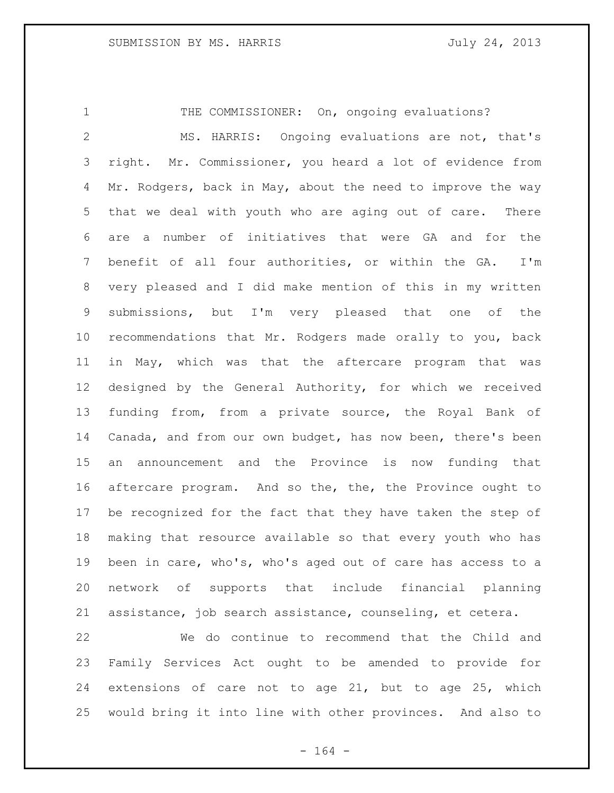1 THE COMMISSIONER: On, ongoing evaluations? MS. HARRIS: Ongoing evaluations are not, that's right. Mr. Commissioner, you heard a lot of evidence from 4 Mr. Rodgers, back in May, about the need to improve the way that we deal with youth who are aging out of care. There are a number of initiatives that were GA and for the benefit of all four authorities, or within the GA. I'm very pleased and I did make mention of this in my written submissions, but I'm very pleased that one of the recommendations that Mr. Rodgers made orally to you, back in May, which was that the aftercare program that was designed by the General Authority, for which we received funding from, from a private source, the Royal Bank of Canada, and from our own budget, has now been, there's been an announcement and the Province is now funding that aftercare program. And so the, the, the Province ought to be recognized for the fact that they have taken the step of making that resource available so that every youth who has been in care, who's, who's aged out of care has access to a network of supports that include financial planning assistance, job search assistance, counseling, et cetera.

 We do continue to recommend that the Child and Family Services Act ought to be amended to provide for extensions of care not to age 21, but to age 25, which would bring it into line with other provinces. And also to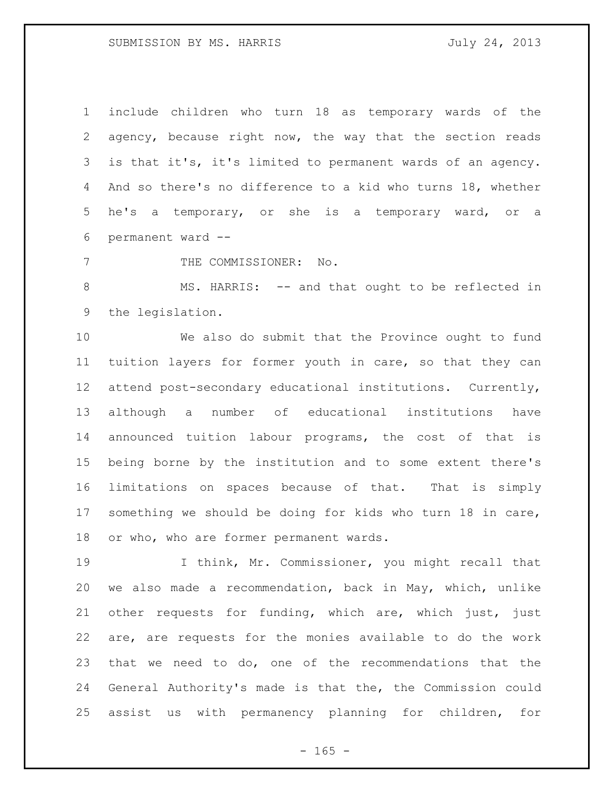include children who turn 18 as temporary wards of the agency, because right now, the way that the section reads is that it's, it's limited to permanent wards of an agency. And so there's no difference to a kid who turns 18, whether he's a temporary, or she is a temporary ward, or a permanent ward --

7 THE COMMISSIONER: No.

8 MS. HARRIS: -- and that ought to be reflected in the legislation.

 We also do submit that the Province ought to fund tuition layers for former youth in care, so that they can attend post-secondary educational institutions. Currently, although a number of educational institutions have announced tuition labour programs, the cost of that is being borne by the institution and to some extent there's limitations on spaces because of that. That is simply something we should be doing for kids who turn 18 in care, or who, who are former permanent wards.

 I think, Mr. Commissioner, you might recall that we also made a recommendation, back in May, which, unlike other requests for funding, which are, which just, just are, are requests for the monies available to do the work that we need to do, one of the recommendations that the General Authority's made is that the, the Commission could assist us with permanency planning for children, for

 $- 165 -$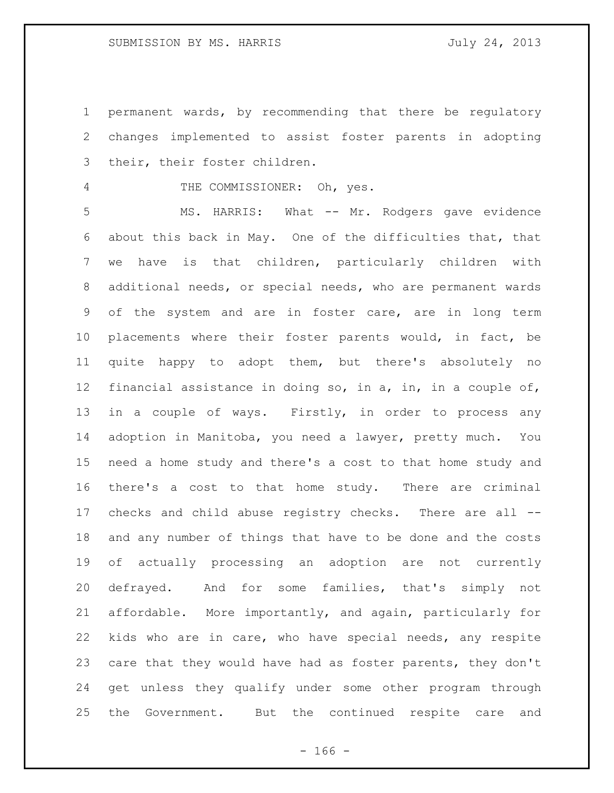permanent wards, by recommending that there be regulatory changes implemented to assist foster parents in adopting their, their foster children.

THE COMMISSIONER: Oh, yes.

 MS. HARRIS: What -- Mr. Rodgers gave evidence about this back in May. One of the difficulties that, that we have is that children, particularly children with additional needs, or special needs, who are permanent wards of the system and are in foster care, are in long term placements where their foster parents would, in fact, be quite happy to adopt them, but there's absolutely no financial assistance in doing so, in a, in, in a couple of, 13 in a couple of ways. Firstly, in order to process any adoption in Manitoba, you need a lawyer, pretty much. You need a home study and there's a cost to that home study and there's a cost to that home study. There are criminal checks and child abuse registry checks. There are all -- and any number of things that have to be done and the costs of actually processing an adoption are not currently defrayed. And for some families, that's simply not affordable. More importantly, and again, particularly for kids who are in care, who have special needs, any respite care that they would have had as foster parents, they don't get unless they qualify under some other program through the Government. But the continued respite care and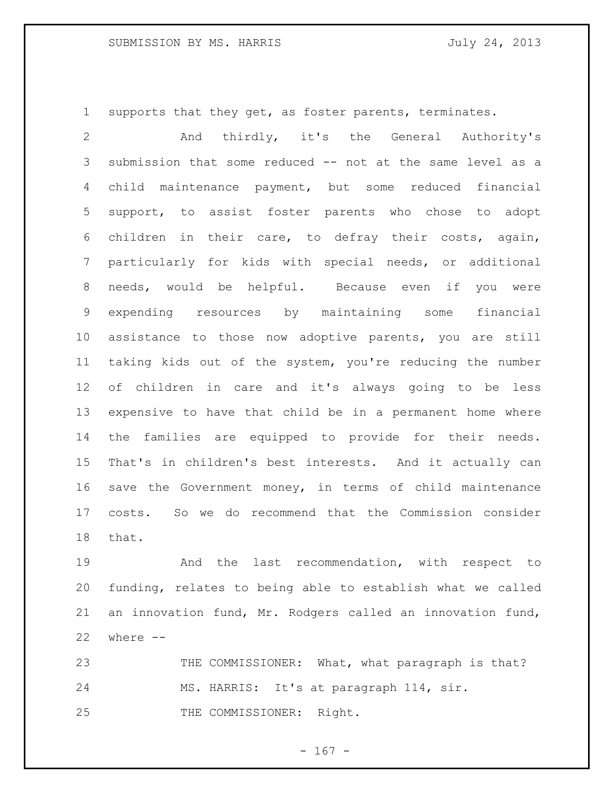supports that they get, as foster parents, terminates.

 And thirdly, it's the General Authority's submission that some reduced -- not at the same level as a child maintenance payment, but some reduced financial support, to assist foster parents who chose to adopt children in their care, to defray their costs, again, particularly for kids with special needs, or additional needs, would be helpful. Because even if you were expending resources by maintaining some financial assistance to those now adoptive parents, you are still taking kids out of the system, you're reducing the number of children in care and it's always going to be less expensive to have that child be in a permanent home where the families are equipped to provide for their needs. That's in children's best interests. And it actually can save the Government money, in terms of child maintenance costs. So we do recommend that the Commission consider that.

 And the last recommendation, with respect to funding, relates to being able to establish what we called an innovation fund, Mr. Rodgers called an innovation fund, where --

23 THE COMMISSIONER: What, what paragraph is that? MS. HARRIS: It's at paragraph 114, sir. 25 THE COMMISSIONER: Right.

 $- 167 -$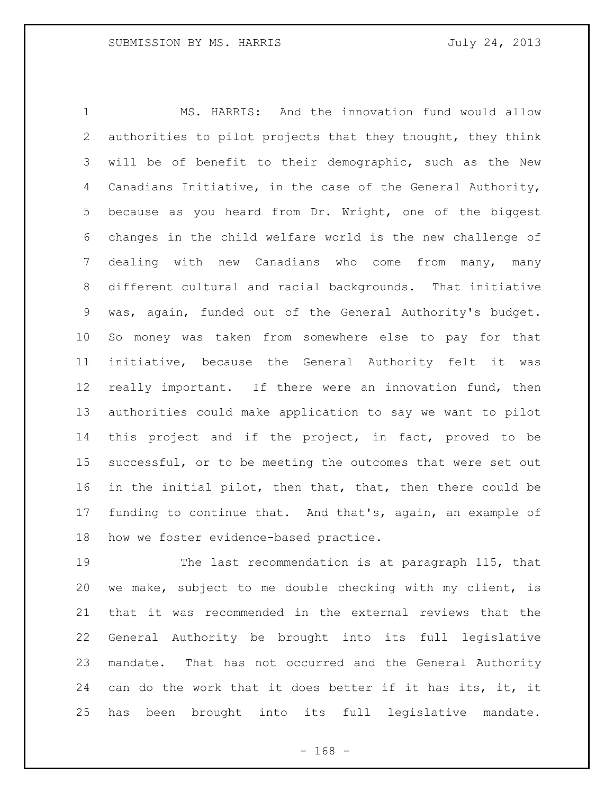MS. HARRIS: And the innovation fund would allow authorities to pilot projects that they thought, they think will be of benefit to their demographic, such as the New Canadians Initiative, in the case of the General Authority, because as you heard from Dr. Wright, one of the biggest changes in the child welfare world is the new challenge of dealing with new Canadians who come from many, many different cultural and racial backgrounds. That initiative was, again, funded out of the General Authority's budget. So money was taken from somewhere else to pay for that initiative, because the General Authority felt it was really important. If there were an innovation fund, then authorities could make application to say we want to pilot this project and if the project, in fact, proved to be successful, or to be meeting the outcomes that were set out in the initial pilot, then that, that, then there could be funding to continue that. And that's, again, an example of how we foster evidence-based practice.

 The last recommendation is at paragraph 115, that we make, subject to me double checking with my client, is that it was recommended in the external reviews that the General Authority be brought into its full legislative mandate. That has not occurred and the General Authority can do the work that it does better if it has its, it, it has been brought into its full legislative mandate.

- 168 -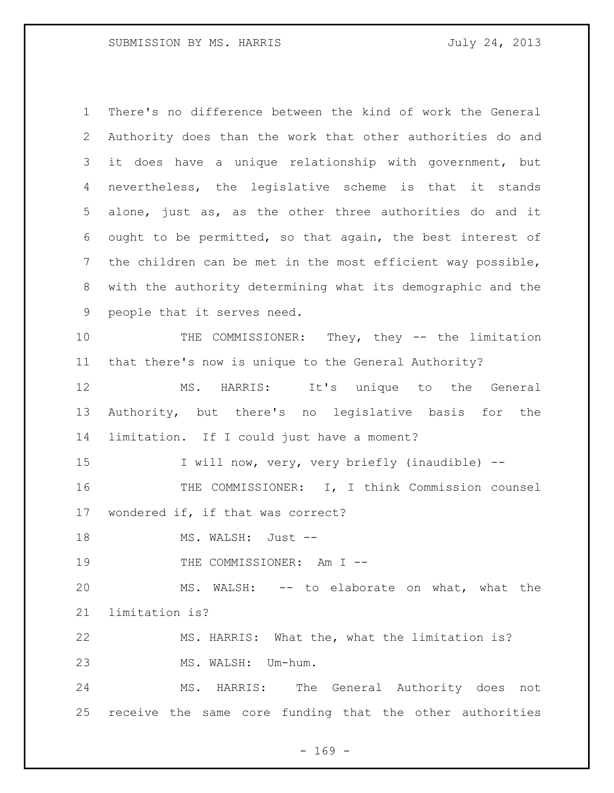There's no difference between the kind of work the General Authority does than the work that other authorities do and it does have a unique relationship with government, but nevertheless, the legislative scheme is that it stands alone, just as, as the other three authorities do and it ought to be permitted, so that again, the best interest of the children can be met in the most efficient way possible, with the authority determining what its demographic and the people that it serves need. 10 THE COMMISSIONER: They, they -- the limitation that there's now is unique to the General Authority? MS. HARRIS: It's unique to the General Authority, but there's no legislative basis for the limitation. If I could just have a moment? 15 I will now, very, very briefly (inaudible) --16 THE COMMISSIONER: I, I think Commission counsel wondered if, if that was correct? 18 MS. WALSH: Just --19 THE COMMISSIONER: Am I -- MS. WALSH: -- to elaborate on what, what the limitation is? MS. HARRIS: What the, what the limitation is? MS. WALSH: Um-hum. MS. HARRIS: The General Authority does not receive the same core funding that the other authorities

 $- 169 -$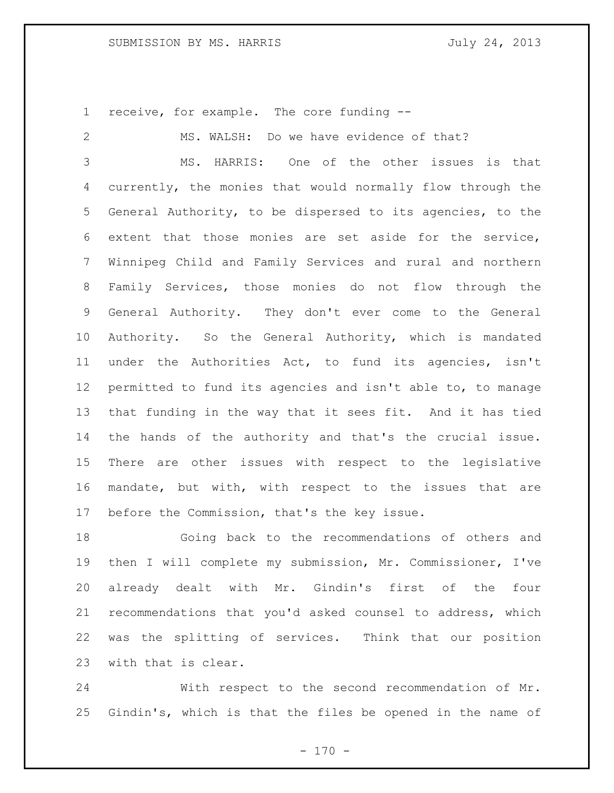receive, for example. The core funding --

 MS. WALSH: Do we have evidence of that? MS. HARRIS: One of the other issues is that currently, the monies that would normally flow through the General Authority, to be dispersed to its agencies, to the extent that those monies are set aside for the service, Winnipeg Child and Family Services and rural and northern Family Services, those monies do not flow through the General Authority. They don't ever come to the General Authority. So the General Authority, which is mandated under the Authorities Act, to fund its agencies, isn't permitted to fund its agencies and isn't able to, to manage that funding in the way that it sees fit. And it has tied the hands of the authority and that's the crucial issue. There are other issues with respect to the legislative mandate, but with, with respect to the issues that are before the Commission, that's the key issue.

 Going back to the recommendations of others and then I will complete my submission, Mr. Commissioner, I've already dealt with Mr. Gindin's first of the four recommendations that you'd asked counsel to address, which was the splitting of services. Think that our position with that is clear.

 With respect to the second recommendation of Mr. Gindin's, which is that the files be opened in the name of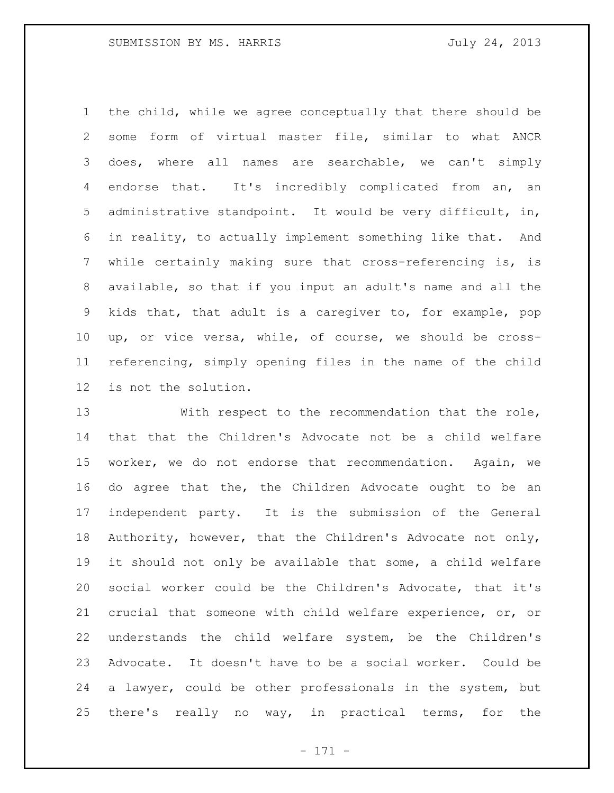the child, while we agree conceptually that there should be some form of virtual master file, similar to what ANCR does, where all names are searchable, we can't simply endorse that. It's incredibly complicated from an, an administrative standpoint. It would be very difficult, in, in reality, to actually implement something like that. And while certainly making sure that cross-referencing is, is available, so that if you input an adult's name and all the kids that, that adult is a caregiver to, for example, pop up, or vice versa, while, of course, we should be cross- referencing, simply opening files in the name of the child is not the solution.

 With respect to the recommendation that the role, that that the Children's Advocate not be a child welfare worker, we do not endorse that recommendation. Again, we do agree that the, the Children Advocate ought to be an independent party. It is the submission of the General Authority, however, that the Children's Advocate not only, it should not only be available that some, a child welfare social worker could be the Children's Advocate, that it's crucial that someone with child welfare experience, or, or understands the child welfare system, be the Children's Advocate. It doesn't have to be a social worker. Could be a lawyer, could be other professionals in the system, but there's really no way, in practical terms, for the

- 171 -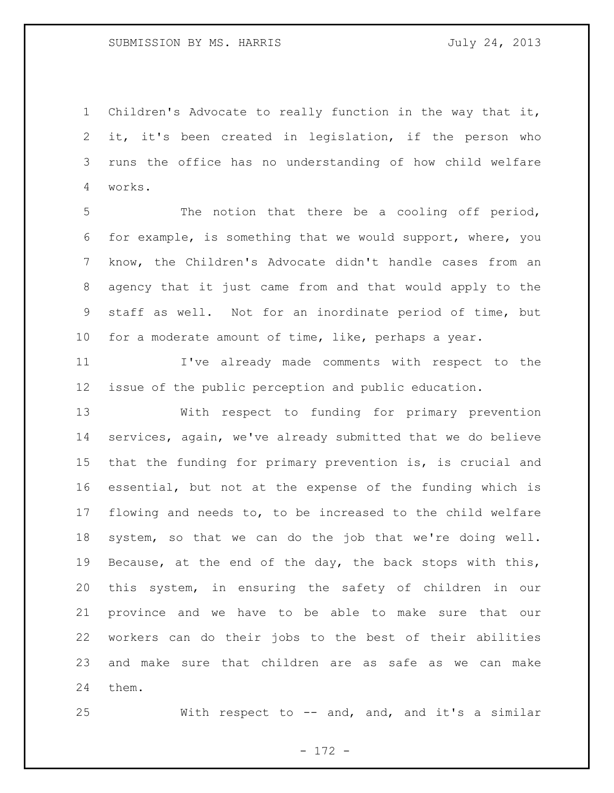Children's Advocate to really function in the way that it, it, it's been created in legislation, if the person who runs the office has no understanding of how child welfare works.

 The notion that there be a cooling off period, for example, is something that we would support, where, you know, the Children's Advocate didn't handle cases from an agency that it just came from and that would apply to the staff as well. Not for an inordinate period of time, but for a moderate amount of time, like, perhaps a year.

 I've already made comments with respect to the issue of the public perception and public education.

 With respect to funding for primary prevention services, again, we've already submitted that we do believe that the funding for primary prevention is, is crucial and essential, but not at the expense of the funding which is flowing and needs to, to be increased to the child welfare system, so that we can do the job that we're doing well. Because, at the end of the day, the back stops with this, this system, in ensuring the safety of children in our province and we have to be able to make sure that our workers can do their jobs to the best of their abilities and make sure that children are as safe as we can make them.

With respect to -- and, and, and it's a similar

- 172 -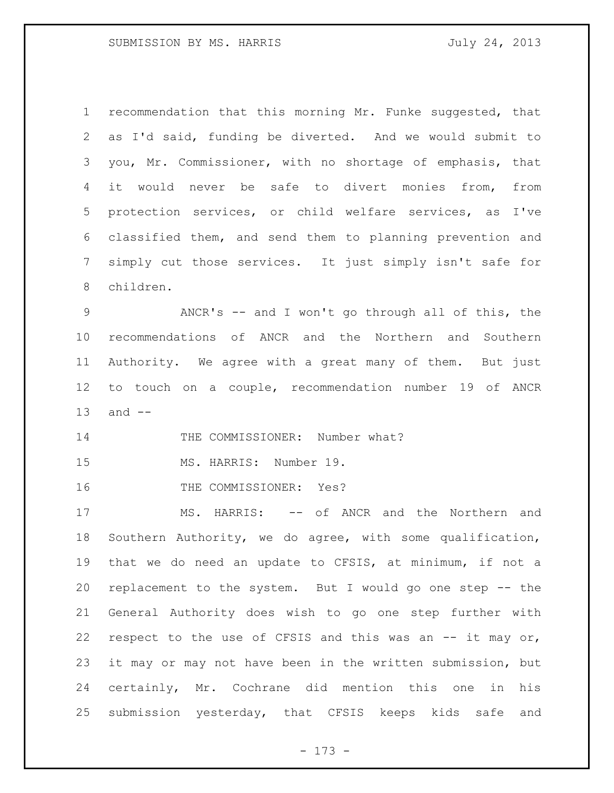recommendation that this morning Mr. Funke suggested, that as I'd said, funding be diverted. And we would submit to you, Mr. Commissioner, with no shortage of emphasis, that it would never be safe to divert monies from, from protection services, or child welfare services, as I've classified them, and send them to planning prevention and simply cut those services. It just simply isn't safe for children.

 ANCR's -- and I won't go through all of this, the recommendations of ANCR and the Northern and Southern Authority. We agree with a great many of them. But just to touch on a couple, recommendation number 19 of ANCR and --

14 THE COMMISSIONER: Number what?

MS. HARRIS: Number 19.

16 THE COMMISSIONER: Yes?

17 MS. HARRIS: -- of ANCR and the Northern and Southern Authority, we do agree, with some qualification, that we do need an update to CFSIS, at minimum, if not a replacement to the system. But I would go one step -- the General Authority does wish to go one step further with respect to the use of CFSIS and this was an -- it may or, it may or may not have been in the written submission, but certainly, Mr. Cochrane did mention this one in his submission yesterday, that CFSIS keeps kids safe and

- 173 -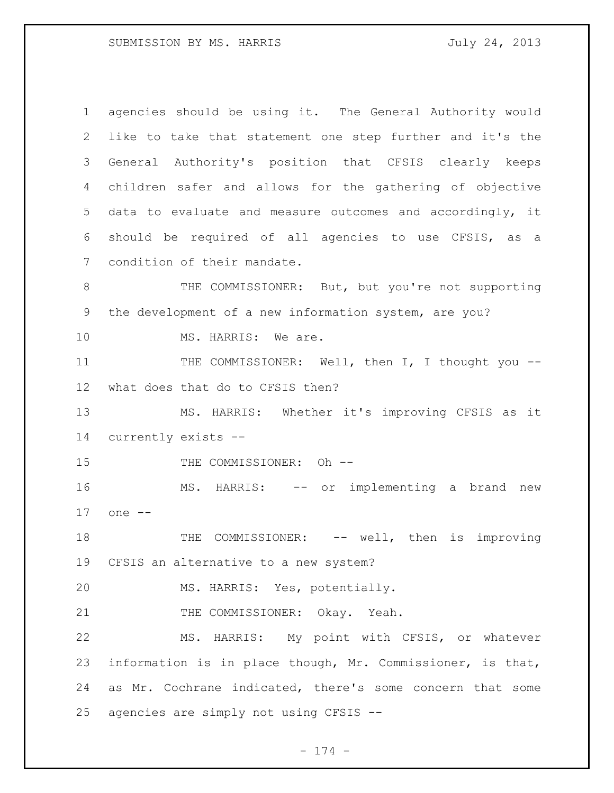agencies should be using it. The General Authority would like to take that statement one step further and it's the General Authority's position that CFSIS clearly keeps children safer and allows for the gathering of objective data to evaluate and measure outcomes and accordingly, it should be required of all agencies to use CFSIS, as a condition of their mandate. 8 THE COMMISSIONER: But, but you're not supporting the development of a new information system, are you? 10 MS. HARRIS: We are. 11 THE COMMISSIONER: Well, then I, I thought you -- what does that do to CFSIS then? MS. HARRIS: Whether it's improving CFSIS as it currently exists -- 15 THE COMMISSIONER: Oh -- MS. HARRIS: -- or implementing a brand new one -- 18 THE COMMISSIONER: -- well, then is improving CFSIS an alternative to a new system? MS. HARRIS: Yes, potentially. 21 THE COMMISSIONER: Okay. Yeah. MS. HARRIS: My point with CFSIS, or whatever information is in place though, Mr. Commissioner, is that, as Mr. Cochrane indicated, there's some concern that some agencies are simply not using CFSIS --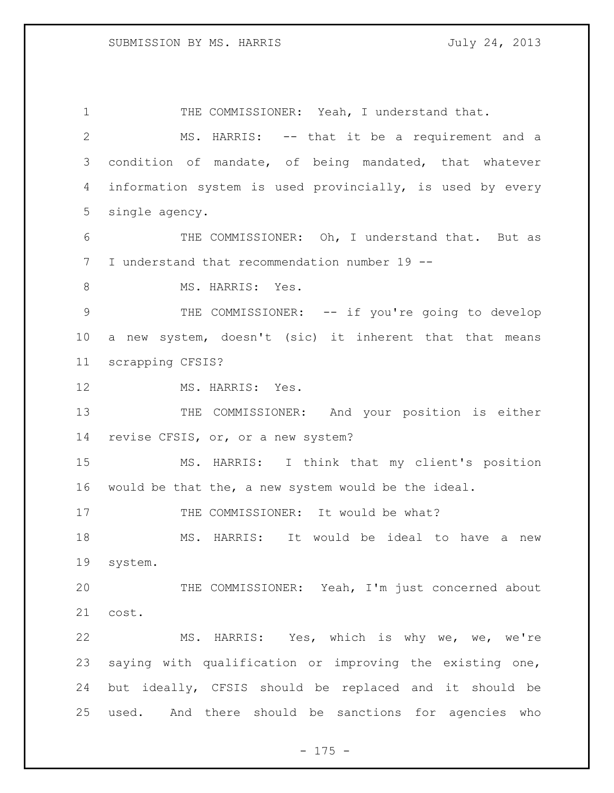1 THE COMMISSIONER: Yeah, I understand that. MS. HARRIS: -- that it be a requirement and a condition of mandate, of being mandated, that whatever information system is used provincially, is used by every single agency. THE COMMISSIONER: Oh, I understand that. But as I understand that recommendation number 19 -- 8 MS. HARRIS: Yes. 9 THE COMMISSIONER: -- if you're going to develop a new system, doesn't (sic) it inherent that that means scrapping CFSIS? 12 MS. HARRIS: Yes. THE COMMISSIONER: And your position is either revise CFSIS, or, or a new system? MS. HARRIS: I think that my client's position would be that the, a new system would be the ideal. 17 THE COMMISSIONER: It would be what? MS. HARRIS: It would be ideal to have a new system. THE COMMISSIONER: Yeah, I'm just concerned about cost. MS. HARRIS: Yes, which is why we, we, we're saying with qualification or improving the existing one, but ideally, CFSIS should be replaced and it should be used. And there should be sanctions for agencies who

 $- 175 -$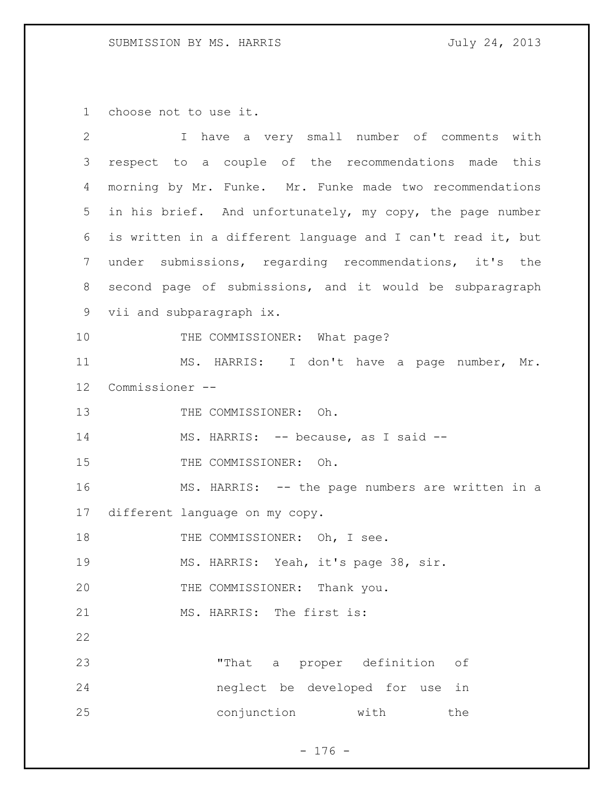choose not to use it.

| $\overline{2}$  | I have a very small number of comments with                 |
|-----------------|-------------------------------------------------------------|
| 3               | respect to a couple of the recommendations made this        |
| 4               | morning by Mr. Funke. Mr. Funke made two recommendations    |
| 5               | in his brief. And unfortunately, my copy, the page number   |
| 6               | is written in a different language and I can't read it, but |
| $7\phantom{.0}$ | under submissions, regarding recommendations, it's the      |
| $8\,$           | second page of submissions, and it would be subparagraph    |
| 9               | vii and subparagraph ix.                                    |
| 10              | THE COMMISSIONER: What page?                                |
| 11              | MS. HARRIS: I don't have a page number, Mr.                 |
| 12              | Commissioner --                                             |
| 13              | THE COMMISSIONER: Oh.                                       |
| 14              | MS. HARRIS: -- because, as I said --                        |
| 15              | THE COMMISSIONER: Oh.                                       |
| 16              | MS. HARRIS: -- the page numbers are written in a            |
| 17              | different language on my copy.                              |
| 18              | THE COMMISSIONER: Oh, I see.                                |
| 19              | MS. HARRIS: Yeah, it's page 38, sir.                        |
| 20              | THE COMMISSIONER: Thank you.                                |
| 21              | MS. HARRIS: The first is:                                   |
| 22              |                                                             |
| 23              | "That a proper definition of                                |
| 24              | neglect be developed for use in                             |
| 25              | conjunction with<br>the                                     |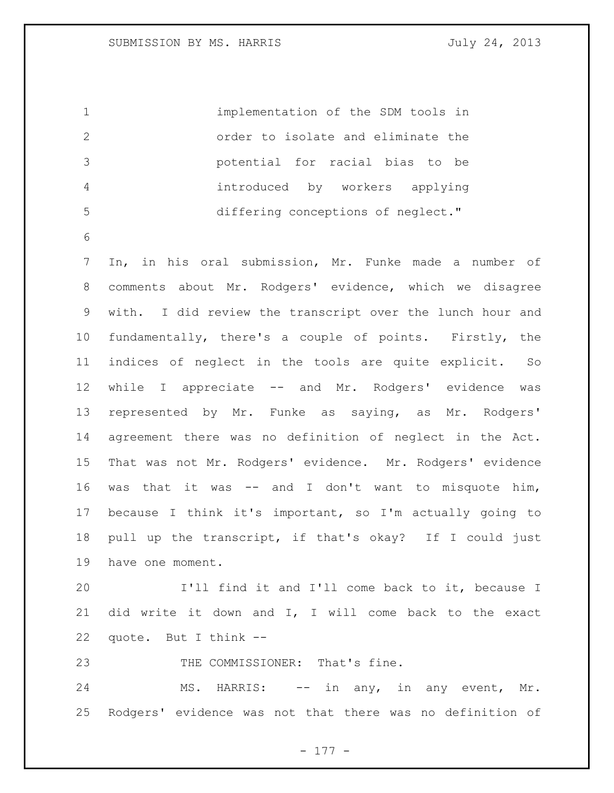implementation of the SDM tools in order to isolate and eliminate the potential for racial bias to be introduced by workers applying differing conceptions of neglect."

 In, in his oral submission, Mr. Funke made a number of comments about Mr. Rodgers' evidence, which we disagree with. I did review the transcript over the lunch hour and fundamentally, there's a couple of points. Firstly, the indices of neglect in the tools are quite explicit. So while I appreciate -- and Mr. Rodgers' evidence was represented by Mr. Funke as saying, as Mr. Rodgers' agreement there was no definition of neglect in the Act. That was not Mr. Rodgers' evidence. Mr. Rodgers' evidence was that it was -- and I don't want to misquote him, because I think it's important, so I'm actually going to pull up the transcript, if that's okay? If I could just have one moment.

 I'll find it and I'll come back to it, because I did write it down and I, I will come back to the exact quote. But I think --

23 THE COMMISSIONER: That's fine.

24 MS. HARRIS: -- in any, in any event, Mr. Rodgers' evidence was not that there was no definition of

- 177 -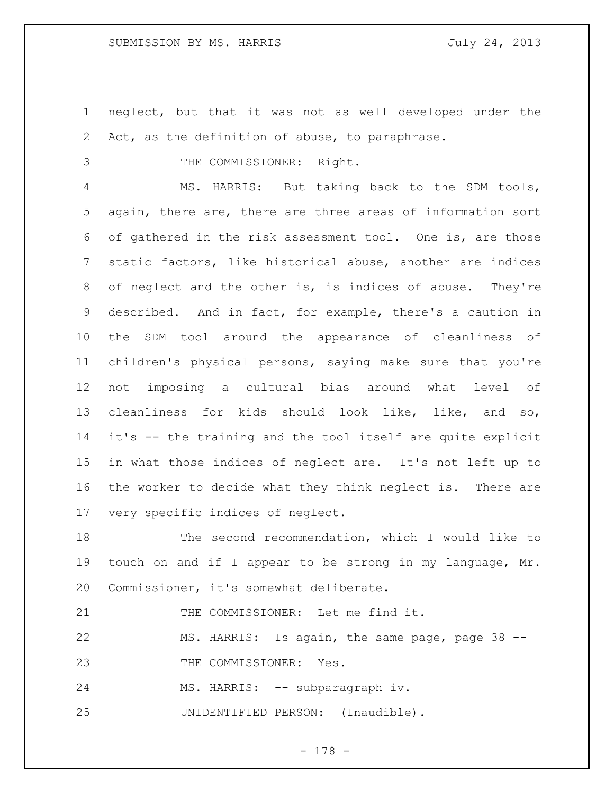neglect, but that it was not as well developed under the 2 Act, as the definition of abuse, to paraphrase.

THE COMMISSIONER: Right.

 MS. HARRIS: But taking back to the SDM tools, again, there are, there are three areas of information sort of gathered in the risk assessment tool. One is, are those static factors, like historical abuse, another are indices of neglect and the other is, is indices of abuse. They're described. And in fact, for example, there's a caution in the SDM tool around the appearance of cleanliness of children's physical persons, saying make sure that you're not imposing a cultural bias around what level of cleanliness for kids should look like, like, and so, it's -- the training and the tool itself are quite explicit in what those indices of neglect are. It's not left up to the worker to decide what they think neglect is. There are very specific indices of neglect.

 The second recommendation, which I would like to touch on and if I appear to be strong in my language, Mr. Commissioner, it's somewhat deliberate.

THE COMMISSIONER: Let me find it.

 MS. HARRIS: Is again, the same page, page 38 -- 23 THE COMMISSIONER: Yes.

24 MS. HARRIS: -- subparagraph iv.

UNIDENTIFIED PERSON: (Inaudible).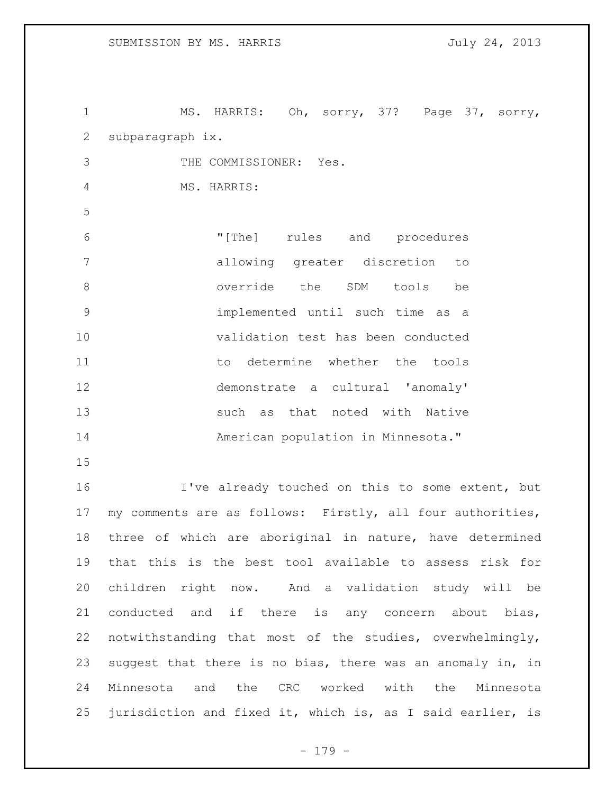1 MS. HARRIS: Oh, sorry, 37? Page 37, sorry, subparagraph ix. THE COMMISSIONER: Yes. MS. HARRIS: "[The] rules and procedures allowing greater discretion to override the SDM tools be implemented until such time as a validation test has been conducted 11 to determine whether the tools demonstrate a cultural 'anomaly' such as that noted with Native American population in Minnesota."

 I've already touched on this to some extent, but 17 my comments are as follows: Firstly, all four authorities, three of which are aboriginal in nature, have determined that this is the best tool available to assess risk for children right now. And a validation study will be conducted and if there is any concern about bias, notwithstanding that most of the studies, overwhelmingly, suggest that there is no bias, there was an anomaly in, in Minnesota and the CRC worked with the Minnesota jurisdiction and fixed it, which is, as I said earlier, is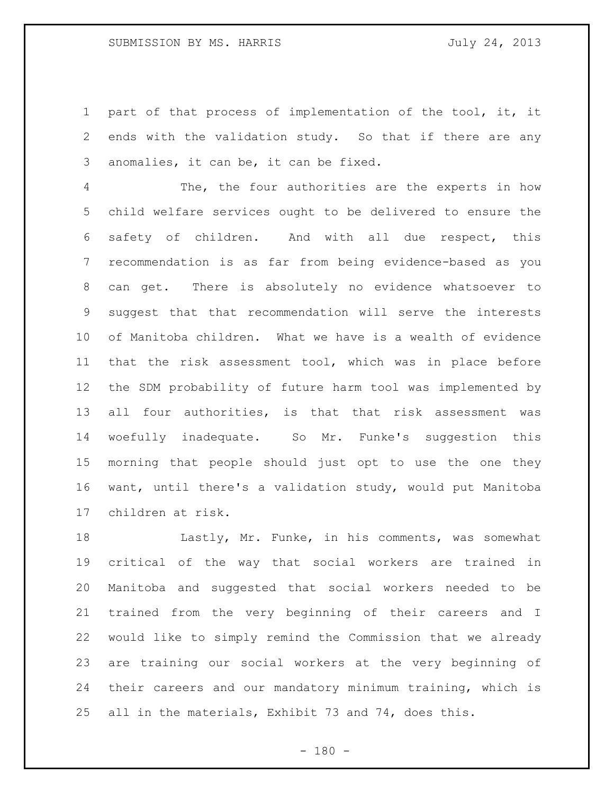part of that process of implementation of the tool, it, it ends with the validation study. So that if there are any anomalies, it can be, it can be fixed.

 The, the four authorities are the experts in how child welfare services ought to be delivered to ensure the safety of children. And with all due respect, this recommendation is as far from being evidence-based as you can get. There is absolutely no evidence whatsoever to suggest that that recommendation will serve the interests of Manitoba children. What we have is a wealth of evidence that the risk assessment tool, which was in place before the SDM probability of future harm tool was implemented by all four authorities, is that that risk assessment was woefully inadequate. So Mr. Funke's suggestion this morning that people should just opt to use the one they want, until there's a validation study, would put Manitoba children at risk.

 Lastly, Mr. Funke, in his comments, was somewhat critical of the way that social workers are trained in Manitoba and suggested that social workers needed to be trained from the very beginning of their careers and I would like to simply remind the Commission that we already are training our social workers at the very beginning of their careers and our mandatory minimum training, which is all in the materials, Exhibit 73 and 74, does this.

 $- 180 -$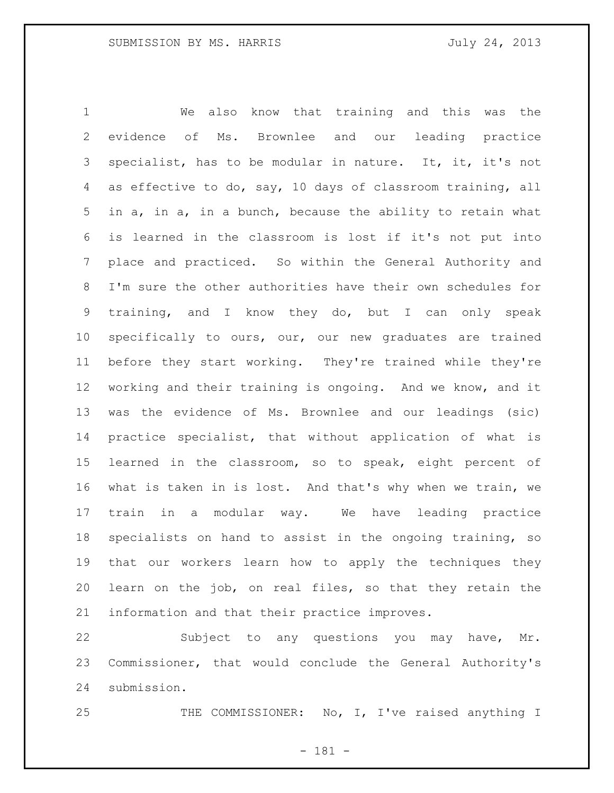We also know that training and this was the evidence of Ms. Brownlee and our leading practice specialist, has to be modular in nature. It, it, it's not as effective to do, say, 10 days of classroom training, all in a, in a, in a bunch, because the ability to retain what is learned in the classroom is lost if it's not put into place and practiced. So within the General Authority and I'm sure the other authorities have their own schedules for training, and I know they do, but I can only speak specifically to ours, our, our new graduates are trained before they start working. They're trained while they're working and their training is ongoing. And we know, and it was the evidence of Ms. Brownlee and our leadings (sic) practice specialist, that without application of what is learned in the classroom, so to speak, eight percent of what is taken in is lost. And that's why when we train, we train in a modular way. We have leading practice specialists on hand to assist in the ongoing training, so that our workers learn how to apply the techniques they learn on the job, on real files, so that they retain the information and that their practice improves.

 Subject to any questions you may have, Mr. Commissioner, that would conclude the General Authority's submission.

25 THE COMMISSIONER: No, I, I've raised anything I

- 181 -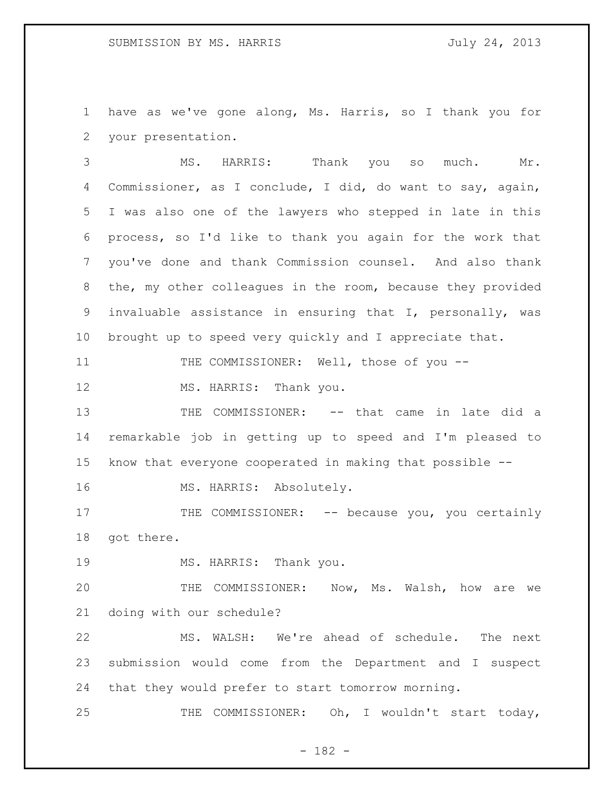have as we've gone along, Ms. Harris, so I thank you for your presentation.

 MS. HARRIS: Thank you so much. Mr. Commissioner, as I conclude, I did, do want to say, again, I was also one of the lawyers who stepped in late in this process, so I'd like to thank you again for the work that you've done and thank Commission counsel. And also thank the, my other colleagues in the room, because they provided invaluable assistance in ensuring that I, personally, was brought up to speed very quickly and I appreciate that.

11 THE COMMISSIONER: Well, those of you --

12 MS. HARRIS: Thank you.

 THE COMMISSIONER: -- that came in late did a remarkable job in getting up to speed and I'm pleased to know that everyone cooperated in making that possible --

MS. HARRIS: Absolutely.

17 THE COMMISSIONER: -- because you, you certainly got there.

MS. HARRIS: Thank you.

 THE COMMISSIONER: Now, Ms. Walsh, how are we doing with our schedule?

 MS. WALSH: We're ahead of schedule. The next submission would come from the Department and I suspect that they would prefer to start tomorrow morning.

25 THE COMMISSIONER: Oh, I wouldn't start today,

- 182 -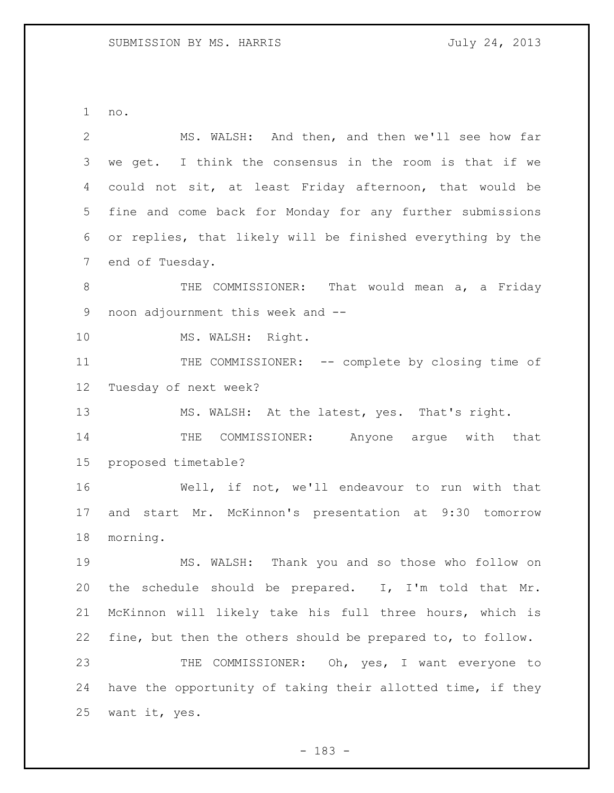no.

| $\overline{2}$  | MS. WALSH: And then, and then we'll see how far             |
|-----------------|-------------------------------------------------------------|
| 3               | we get. I think the consensus in the room is that if we     |
| 4               | could not sit, at least Friday afternoon, that would be     |
| 5               | fine and come back for Monday for any further submissions   |
| 6               | or replies, that likely will be finished everything by the  |
| $7\phantom{.0}$ | end of Tuesday.                                             |
| $8\,$           | THE COMMISSIONER: That would mean a, a Friday               |
| 9               | noon adjournment this week and --                           |
| 10              | MS. WALSH: Right.                                           |
| 11              | THE COMMISSIONER: -- complete by closing time of            |
| 12              | Tuesday of next week?                                       |
| 13              | MS. WALSH: At the latest, yes. That's right.                |
| 14              | THE COMMISSIONER: Anyone argue with that                    |
| 15              | proposed timetable?                                         |
| 16              | Well, if not, we'll endeavour to run with that              |
| 17              | and start Mr. McKinnon's presentation at 9:30 tomorrow      |
| 18              | morning.                                                    |
| 19              | MS. WALSH: Thank you and so those who follow on             |
| 20              | the schedule should be prepared. I, I'm told that Mr.       |
| 21              | McKinnon will likely take his full three hours, which is    |
| 22              | fine, but then the others should be prepared to, to follow. |
| 23              | THE COMMISSIONER: Oh, yes, I want everyone to               |
| 24              | have the opportunity of taking their allotted time, if they |
| 25              | want it, yes.                                               |